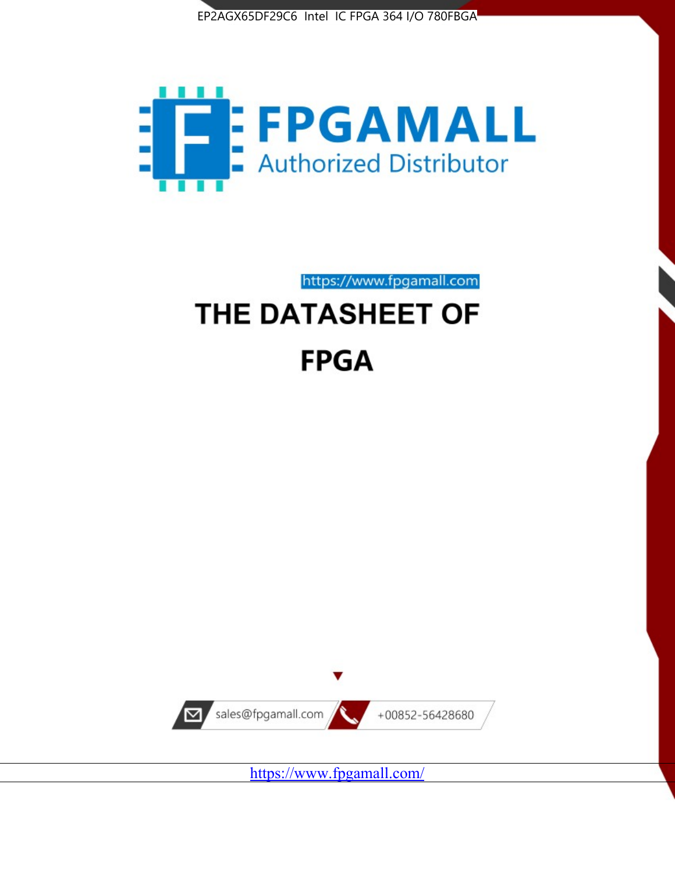



https://www.fpgamall.com

# THE DATASHEET OF **FPGA**



<https://www.fpgamall.com/>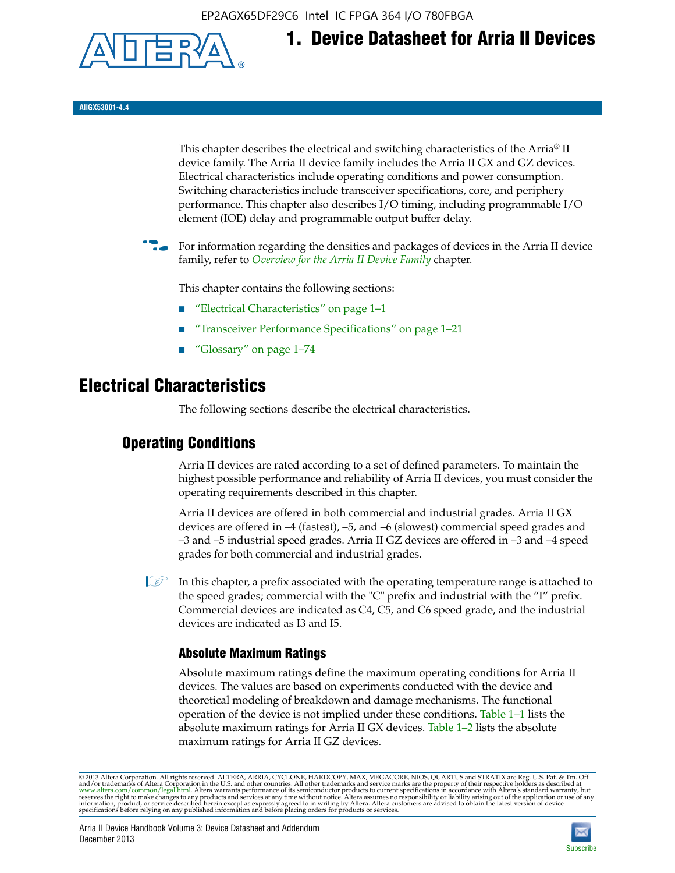EP2AGX65DF29C6 Intel IC FPGA 364 I/O 780FBGA



**1. Device Datasheet for Arria II Devices**

**AIIGX53001-4.4**

This chapter describes the electrical and switching characteristics of the Arria® II device family. The Arria II device family includes the Arria II GX and GZ devices. Electrical characteristics include operating conditions and power consumption. Switching characteristics include transceiver specifications, core, and periphery performance. This chapter also describes I/O timing, including programmable I/O element (IOE) delay and programmable output buffer delay.

For information regarding the densities and packages of devices in the Arria II device family, refer to *[Overview for the Arria II Device Family](http://www.altera.com/literature/hb/arria-ii-gx/aiigx_51001.pdf)* chapter.

This chapter contains the following sections:

- *"Electrical Characteristics"* on page 1–1
- "Transceiver Performance Specifications" on page 1–21
- "Glossary" on page 1–74

# **Electrical Characteristics**

The following sections describe the electrical characteristics.

# **Operating Conditions**

Arria II devices are rated according to a set of defined parameters. To maintain the highest possible performance and reliability of Arria II devices, you must consider the operating requirements described in this chapter.

Arria II devices are offered in both commercial and industrial grades. Arria II GX devices are offered in –4 (fastest), –5, and –6 (slowest) commercial speed grades and –3 and –5 industrial speed grades. Arria II GZ devices are offered in –3 and –4 speed grades for both commercial and industrial grades.

 $\Box$  In this chapter, a prefix associated with the operating temperature range is attached to the speed grades; commercial with the "C" prefix and industrial with the "I" prefix. Commercial devices are indicated as C4, C5, and C6 speed grade, and the industrial devices are indicated as I3 and I5.

# **Absolute Maximum Ratings**

Absolute maximum ratings define the maximum operating conditions for Arria II devices. The values are based on experiments conducted with the device and theoretical modeling of breakdown and damage mechanisms. The functional operation of the device is not implied under these conditions. Table 1–1 lists the absolute maximum ratings for Arria II GX devices. Table 1–2 lists the absolute maximum ratings for Arria II GZ devices.

© 2013 Altera Corporation. All rights reserved. ALTERA, ARRIA, CYCLONE, HARDCOPY, MAX, MEGACORE, NIOS, QUARTUS and STRATIX are Reg. U.S. Pat. & Tm. Off. [and/or trademarks of Altera Corporat](http://www.altera.com/common/legal.html)ion in the U.S. and other countri

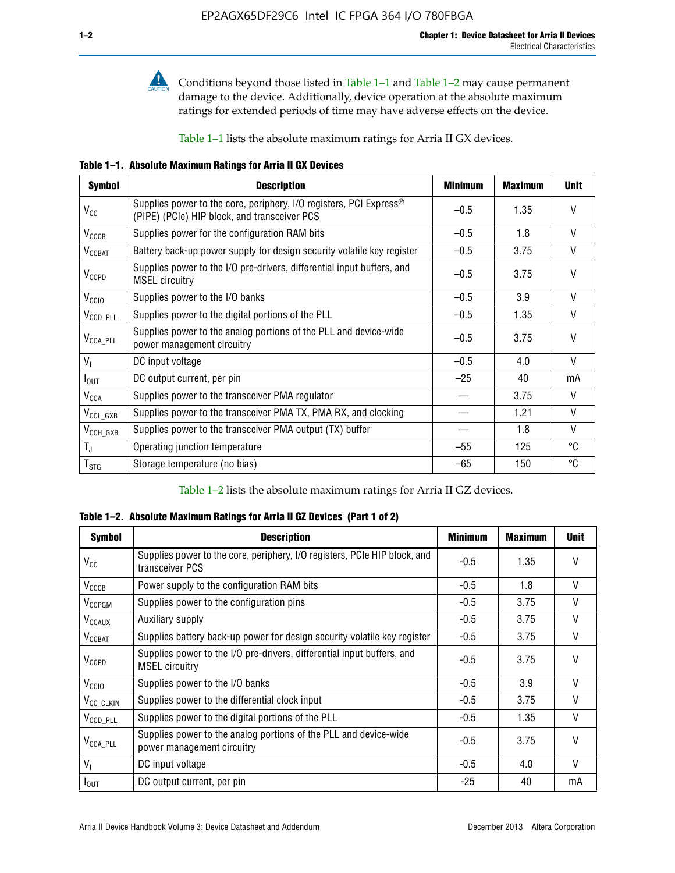

**Conditions beyond those listed in Table 1–1 and Table 1–2 may cause permanent** damage to the device. Additionally, device operation at the absolute maximum ratings for extended periods of time may have adverse effects on the device.

Table 1–1 lists the absolute maximum ratings for Arria II GX devices.

**Table 1–1. Absolute Maximum Ratings for Arria II GX Devices** 

| <b>Symbol</b>         | <b>Description</b>                                                                                                 | <b>Minimum</b> | <b>Maximum</b> | <b>Unit</b>  |
|-----------------------|--------------------------------------------------------------------------------------------------------------------|----------------|----------------|--------------|
| $V_{CC}$              | Supplies power to the core, periphery, I/O registers, PCI Express®<br>(PIPE) (PCIe) HIP block, and transceiver PCS | $-0.5$         | 1.35           | $\vee$       |
| $V_{CCCB}$            | Supplies power for the configuration RAM bits                                                                      | $-0.5$         | 1.8            | V            |
| $V_{\text{CCBAT}}$    | Battery back-up power supply for design security volatile key register                                             | $-0.5$         | 3.75           | V            |
| $V_{CCPD}$            | Supplies power to the I/O pre-drivers, differential input buffers, and<br><b>MSEL circuitry</b>                    | $-0.5$         | 3.75           | $\vee$       |
| V <sub>CCIO</sub>     | Supplies power to the I/O banks                                                                                    | $-0.5$         | 3.9            | $\mathsf{V}$ |
| $V_{\text{CCD\_PLL}}$ | Supplies power to the digital portions of the PLL                                                                  | $-0.5$         | 1.35           | V            |
| $V_{\text{CCA\_PLL}}$ | Supplies power to the analog portions of the PLL and device-wide<br>power management circuitry                     | $-0.5$         | 3.75           | $\mathsf{V}$ |
| $V_{1}$               | DC input voltage                                                                                                   | $-0.5$         | 4.0            | V            |
| $I_{\text{OUT}}$      | DC output current, per pin                                                                                         | $-25$          | 40             | mA           |
| $V_{\text{CCA}}$      | Supplies power to the transceiver PMA regulator                                                                    |                | 3.75           | V            |
| $V_{CCL_GXB}$         | Supplies power to the transceiver PMA TX, PMA RX, and clocking                                                     |                | 1.21           | $\vee$       |
| $V_{\text{CCH_GXB}}$  | Supplies power to the transceiver PMA output (TX) buffer                                                           |                | 1.8            | V            |
| $T_{\rm J}$           | Operating junction temperature                                                                                     | $-55$          | 125            | °C           |
| $T_{\tt STG}$         | Storage temperature (no bias)                                                                                      | -65            | 150            | ℃            |

Table 1–2 lists the absolute maximum ratings for Arria II GZ devices.

**Table 1–2. Absolute Maximum Ratings for Arria II GZ Devices (Part 1 of 2)**

| <b>Symbol</b>            | <b>Description</b>                                                                              | <b>Minimum</b> | <b>Maximum</b> | <b>Unit</b>  |
|--------------------------|-------------------------------------------------------------------------------------------------|----------------|----------------|--------------|
| $V_{CC}$                 | Supplies power to the core, periphery, I/O registers, PCIe HIP block, and<br>transceiver PCS    | -0.5           | 1.35           | $\mathsf{V}$ |
| $V_{CCCB}$               | Power supply to the configuration RAM bits                                                      | $-0.5$         | 1.8            | $\vee$       |
| V <sub>CCPGM</sub>       | Supplies power to the configuration pins                                                        | $-0.5$         | 3.75           | $\vee$       |
| <b>V<sub>CCAUX</sub></b> | Auxiliary supply                                                                                | $-0.5$         | 3.75           | $\vee$       |
| $V_{CCBAT}$              | Supplies battery back-up power for design security volatile key register                        | -0.5           | 3.75           | V            |
| $V_{CCPD}$               | Supplies power to the I/O pre-drivers, differential input buffers, and<br><b>MSEL circuitry</b> | -0.5           | 3.75           | $\mathsf{V}$ |
| V <sub>CCIO</sub>        | Supplies power to the I/O banks                                                                 | $-0.5$         | 3.9            | $\mathsf{V}$ |
| $V_{\rm CC\_CLKIN}$      | Supplies power to the differential clock input                                                  | $-0.5$         | 3.75           | $\vee$       |
| $V_{\text{CCD\_PLL}}$    | Supplies power to the digital portions of the PLL                                               | $-0.5$         | 1.35           | V            |
| $V_{\text{CCA\_PLL}}$    | Supplies power to the analog portions of the PLL and device-wide<br>power management circuitry  | $-0.5$         | 3.75           | $\mathsf{V}$ |
| V <sub>1</sub>           | DC input voltage                                                                                | $-0.5$         | 4.0            | $\vee$       |
| $I_{\text{OUT}}$         | DC output current, per pin                                                                      | $-25$          | 40             | mA           |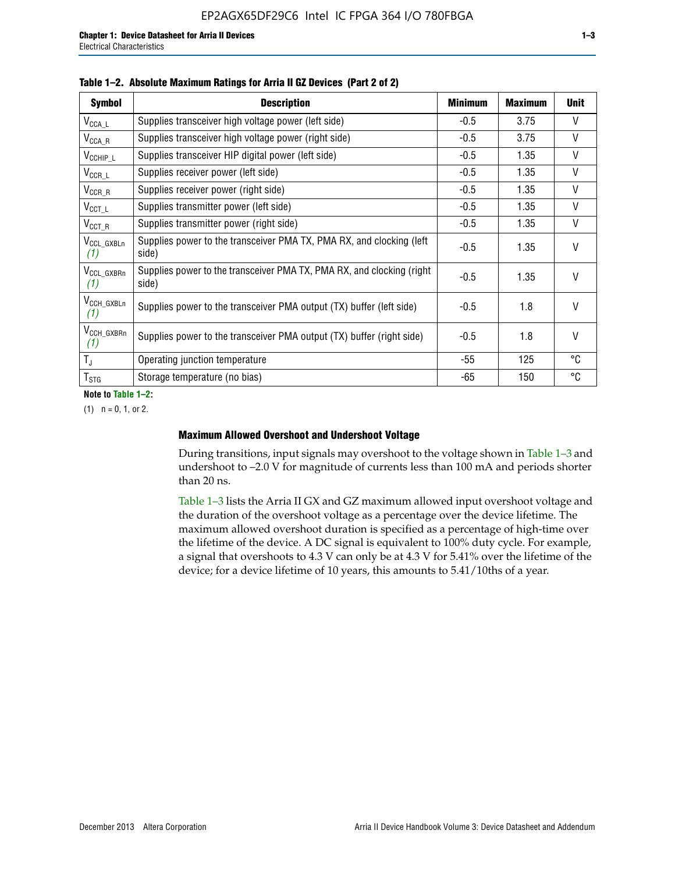| <b>Symbol</b>                  | <b>Description</b>                                                              | <b>Minimum</b> | <b>Maximum</b> | <b>Unit</b>  |
|--------------------------------|---------------------------------------------------------------------------------|----------------|----------------|--------------|
| $V_{\texttt{CCA}\_\textsf{L}}$ | Supplies transceiver high voltage power (left side)                             | $-0.5$         | 3.75           | $\mathsf{V}$ |
| $V_{\text{CCA\_R}}$            | Supplies transceiver high voltage power (right side)                            | $-0.5$         | 3.75           | $\vee$       |
| $V_{CCHIP\_L}$                 | Supplies transceiver HIP digital power (left side)                              | $-0.5$         | 1.35           | $\vee$       |
| $V_{CCR\_L}$                   | Supplies receiver power (left side)                                             | $-0.5$         | 1.35           | V            |
| $V_{CCR\_R}$                   | Supplies receiver power (right side)                                            | $-0.5$         | 1.35           | $\mathsf{V}$ |
| $V_{CCT\_L}$                   | Supplies transmitter power (left side)                                          | $-0.5$         | 1.35           | $\vee$       |
| $V_{CCT_R}$                    | Supplies transmitter power (right side)                                         | $-0.5$         | 1.35           | V            |
| V <sub>CCL_GXBLn</sub><br>(1)  | Supplies power to the transceiver PMA TX, PMA RX, and clocking (left<br>side)   | $-0.5$         | 1.35           | $\vee$       |
| V <sub>CCL_GXBRn</sub><br>(1)  | Supplies power to the transceiver PMA TX, PMA RX, and clocking (right)<br>side) | $-0.5$         | 1.35           | $\vee$       |
| V <sub>CCH_GXBLn</sub><br>(1)  | Supplies power to the transceiver PMA output (TX) buffer (left side)            | $-0.5$         | 1.8            | $\mathsf{V}$ |
| V <sub>CCH_GXBRn</sub><br>(1)  | Supplies power to the transceiver PMA output (TX) buffer (right side)           | $-0.5$         | 1.8            | $\vee$       |
| $T_{\rm J}$                    | Operating junction temperature                                                  | -55            | 125            | °C           |
| $T_{STG}$                      | Storage temperature (no bias)                                                   | -65            | 150            | °C           |

**Note to Table 1–2:**

 $(1)$   $n = 0, 1,$  or 2.

## **Maximum Allowed Overshoot and Undershoot Voltage**

During transitions, input signals may overshoot to the voltage shown in Table 1–3 and undershoot to –2.0 V for magnitude of currents less than 100 mA and periods shorter than 20 ns.

Table 1–3 lists the Arria II GX and GZ maximum allowed input overshoot voltage and the duration of the overshoot voltage as a percentage over the device lifetime. The maximum allowed overshoot duration is specified as a percentage of high-time over the lifetime of the device. A DC signal is equivalent to 100% duty cycle. For example, a signal that overshoots to 4.3 V can only be at 4.3 V for 5.41% over the lifetime of the device; for a device lifetime of 10 years, this amounts to 5.41/10ths of a year.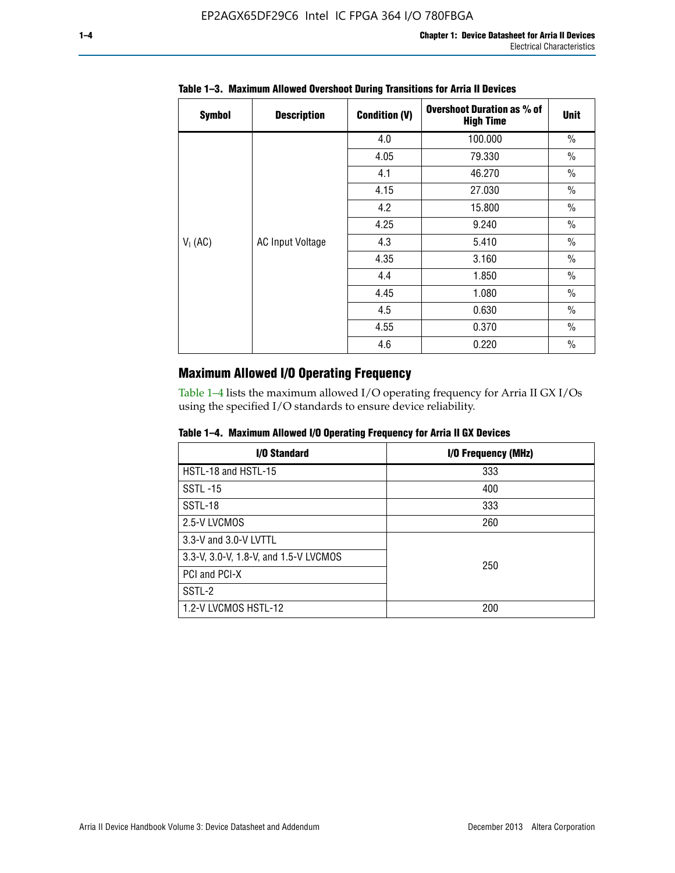| <b>Symbol</b> | <b>Description</b>      | <b>Condition (V)</b> | <b>Overshoot Duration as % of</b><br><b>High Time</b> | <b>Unit</b>   |
|---------------|-------------------------|----------------------|-------------------------------------------------------|---------------|
|               |                         | 4.0                  | 100.000                                               | $\frac{0}{0}$ |
|               |                         | 4.05                 | 79.330                                                | $\frac{0}{0}$ |
|               |                         | 4.1                  | 46.270                                                | $\frac{0}{0}$ |
|               |                         | 4.15                 | 27.030                                                | $\frac{0}{0}$ |
|               | <b>AC Input Voltage</b> | 4.2                  | 15.800                                                | $\frac{0}{0}$ |
|               |                         | 4.25                 | 9.240                                                 | $\frac{0}{0}$ |
| $V_1$ (AC)    |                         | 4.3                  | 5.410                                                 | $\frac{0}{0}$ |
|               |                         | 4.35                 | 3.160                                                 | $\frac{0}{0}$ |
|               |                         | 4.4                  | 1.850                                                 | $\frac{0}{0}$ |
|               |                         | 4.45                 | 1.080                                                 | $\frac{0}{0}$ |
|               |                         | 4.5                  | 0.630                                                 | $\frac{0}{0}$ |
|               |                         | 4.55                 | 0.370                                                 | $\frac{0}{0}$ |
|               |                         | 4.6                  | 0.220                                                 | $\frac{0}{0}$ |

# **Table 1–3. Maximum Allowed Overshoot During Transitions for Arria II Devices**

# **Maximum Allowed I/O Operating Frequency**

Table 1–4 lists the maximum allowed I/O operating frequency for Arria II GX I/Os using the specified I/O standards to ensure device reliability.

|  |  |  |  |  |  | Table 1–4. Maximum Allowed I/O Operating Frequency for Arria II GX Devices |
|--|--|--|--|--|--|----------------------------------------------------------------------------|
|--|--|--|--|--|--|----------------------------------------------------------------------------|

| I/O Standard                          | I/O Frequency (MHz) |
|---------------------------------------|---------------------|
| HSTL-18 and HSTL-15                   | 333                 |
| <b>SSTL-15</b>                        | 400                 |
| SSTL-18                               | 333                 |
| 2.5-V LVCMOS                          | 260                 |
| 3.3-V and 3.0-V LVTTL                 |                     |
| 3.3-V, 3.0-V, 1.8-V, and 1.5-V LVCMOS | 250                 |
| PCI and PCI-X                         |                     |
| SSTL-2                                |                     |
| 1.2-V LVCMOS HSTL-12                  | 200                 |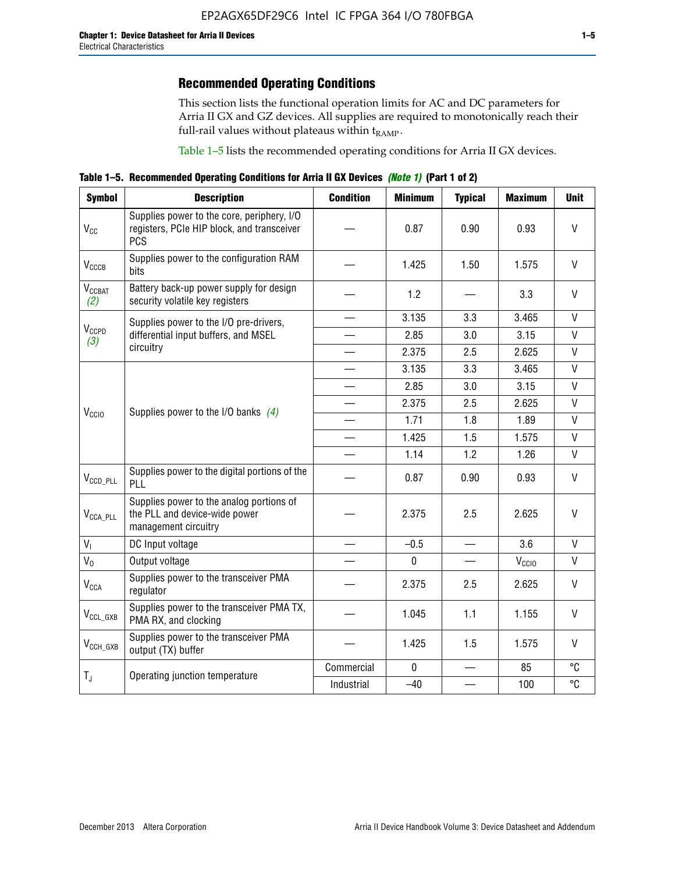This section lists the functional operation limits for AC and DC parameters for Arria II GX and GZ devices. All supplies are required to monotonically reach their full-rail values without plateaus within  $t_{RAMP}$ .

Table 1–5 lists the recommended operating conditions for Arria II GX devices.

**Table 1–5. Recommended Operating Conditions for Arria II GX Devices** *(Note 1)* **(Part 1 of 2)**

| <b>Symbol</b>                   | <b>Description</b>                                                                                     | <b>Condition</b>         | <b>Minimum</b> | <b>Typical</b> | <b>Maximum</b>    | <b>Unit</b>  |
|---------------------------------|--------------------------------------------------------------------------------------------------------|--------------------------|----------------|----------------|-------------------|--------------|
| $V_{CC}$                        | Supplies power to the core, periphery, I/O<br>registers, PCIe HIP block, and transceiver<br><b>PCS</b> |                          | 0.87           | 0.90           | 0.93              | $\vee$       |
| $V_{CCCB}$                      | Supplies power to the configuration RAM<br>bits                                                        |                          | 1.425          | 1.50           | 1.575             | V            |
| <b>V<sub>CCBAT</sub></b><br>(2) | Battery back-up power supply for design<br>security volatile key registers                             |                          | 1.2            |                | 3.3               | $\vee$       |
|                                 | Supplies power to the I/O pre-drivers,                                                                 |                          | 3.135          | 3.3            | 3.465             | $\mathsf{V}$ |
| V <sub>CCPD</sub><br>(3)        | differential input buffers, and MSEL                                                                   |                          | 2.85           | 3.0            | 3.15              | $\mathsf{V}$ |
|                                 | circuitry                                                                                              | $\overline{\phantom{a}}$ | 2.375          | 2.5            | 2.625             | $\mathsf{V}$ |
|                                 |                                                                                                        |                          | 3.135          | 3.3            | 3.465             | $\mathsf{V}$ |
|                                 | Supplies power to the I/O banks $(4)$                                                                  |                          | 2.85           | 3.0            | 3.15              | $\mathsf{V}$ |
|                                 |                                                                                                        |                          | 2.375          | 2.5            | 2.625             | $\mathsf{V}$ |
| V <sub>CCIO</sub>               |                                                                                                        |                          | 1.71           | 1.8            | 1.89              | $\mathsf{V}$ |
|                                 |                                                                                                        |                          | 1.425          | 1.5            | 1.575             | V            |
|                                 |                                                                                                        |                          | 1.14           | 1.2            | 1.26              | $\mathsf{V}$ |
| $V_{CCD\_PLL}$                  | Supplies power to the digital portions of the<br>PLL                                                   |                          | 0.87           | 0.90           | 0.93              | V            |
| $V_{\text{CCA\_PLL}}$           | Supplies power to the analog portions of<br>the PLL and device-wide power<br>management circuitry      |                          | 2.375          | 2.5            | 2.625             | V            |
| $V_{1}$                         | DC Input voltage                                                                                       |                          | $-0.5$         |                | 3.6               | V            |
| $V_0$                           | Output voltage                                                                                         |                          | $\pmb{0}$      |                | V <sub>CCIO</sub> | V            |
| <b>V<sub>CCA</sub></b>          | Supplies power to the transceiver PMA<br>regulator                                                     |                          | 2.375          | 2.5            | 2.625             | $\mathsf{V}$ |
| $\rm V_{CCL_GXB}$               | Supplies power to the transceiver PMA TX,<br>PMA RX, and clocking                                      |                          | 1.045          | 1.1            | 1.155             | $\vee$       |
| $V_{CCH_GXB}$                   | Supplies power to the transceiver PMA<br>output (TX) buffer                                            |                          | 1.425          | 1.5            | 1.575             | $\mathsf{V}$ |
|                                 | Operating junction temperature                                                                         | Commercial               | $\mathbf 0$    |                | 85                | °C           |
| $T_{J}$                         |                                                                                                        | Industrial               | $-40$          |                | 100               | °C           |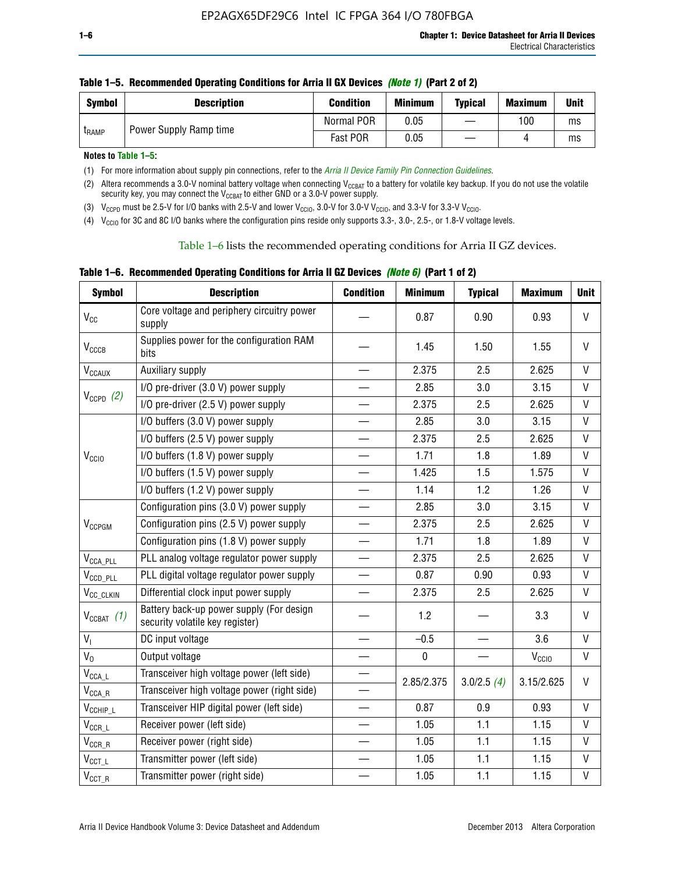| <b>Symbol</b> | <b>Description</b>     | <b>Condition</b> | <b>Minimum</b> | <b>Typical</b> | <b>Maximum</b> | <b>Unit</b> |
|---------------|------------------------|------------------|----------------|----------------|----------------|-------------|
| <b>LRAMP</b>  | Power Supply Ramp time | Normal POR       | 0.05           |                | 100            | ms          |
|               |                        | Fast POR         | 0.05           |                |                | ms          |

| Table 1–5. Recommended Operating Conditions for Arria II GX Devices (Note 1) (Part 2 of 2) |  |  |  |
|--------------------------------------------------------------------------------------------|--|--|--|
|                                                                                            |  |  |  |

**Notes to Table 1–5:** 

(1) For more information about supply pin connections, refer to the *[Arria II Device Family Pin Connection Guidelines](http://www.altera.com/literature/dp/arria-ii-gx/PCG-01007.pdf)*.

(2) Altera recommends a 3.0-V nominal battery voltage when connecting V<sub>CCBAT</sub> to a battery for volatile key backup. If you do not use the volatile security key, you may connect the V<sub>CCBAT</sub> to either GND or a 3.0-V power supply.

(3)  $V_{CCPD}$  must be 2.5-V for I/O banks with 2.5-V and lower  $V_{CCIO}$ , 3.0-V for 3.0-V  $V_{CCIO}$ , and 3.3-V for 3.3-V  $V_{CCIO}$ .

(4)  $V_{\text{CCIO}}$  for 3C and 8C I/O banks where the configuration pins reside only supports 3.3-, 3.0-, 2.5-, or 1.8-V voltage levels.

Table 1–6 lists the recommended operating conditions for Arria II GZ devices.

**Table 1–6. Recommended Operating Conditions for Arria II GZ Devices** *(Note 6)* **(Part 1 of 2)**

| <b>Symbol</b>                  | <b>Description</b>                                                          | <b>Condition</b>         | <b>Minimum</b> | <b>Typical</b>           | <b>Maximum</b>    | <b>Unit</b>  |
|--------------------------------|-----------------------------------------------------------------------------|--------------------------|----------------|--------------------------|-------------------|--------------|
| $V_{CC}$                       | Core voltage and periphery circuitry power<br>supply                        |                          | 0.87           | 0.90                     | 0.93              | V            |
| <b>V<sub>CCCB</sub></b>        | Supplies power for the configuration RAM<br>bits                            |                          | 1.45           | 1.50                     | 1.55              | V            |
| <b>V<sub>CCAUX</sub></b>       | Auxiliary supply                                                            |                          | 2.375          | 2.5                      | 2.625             | V            |
|                                | I/O pre-driver (3.0 V) power supply                                         |                          | 2.85           | 3.0                      | 3.15              | $\mathsf{V}$ |
| $V_{CCPD}$ (2)                 | I/O pre-driver (2.5 V) power supply                                         |                          | 2.375          | 2.5                      | 2.625             | V            |
|                                | I/O buffers (3.0 V) power supply                                            |                          | 2.85           | 3.0                      | 3.15              | V            |
|                                | I/O buffers (2.5 V) power supply                                            | $\overline{\phantom{0}}$ | 2.375          | 2.5                      | 2.625             | V            |
| V <sub>CCIO</sub>              | I/O buffers (1.8 V) power supply                                            |                          | 1.71           | 1.8                      | 1.89              | $\mathsf{V}$ |
|                                | I/O buffers (1.5 V) power supply                                            |                          | 1.425          | 1.5                      | 1.575             | V            |
|                                | I/O buffers (1.2 V) power supply                                            |                          | 1.14           | 1.2                      | 1.26              | V            |
|                                | Configuration pins (3.0 V) power supply                                     |                          | 2.85           | 3.0                      | 3.15              | V            |
| $V_{CCPGM}$                    | Configuration pins (2.5 V) power supply                                     |                          | 2.375          | 2.5                      | 2.625             | V            |
|                                | Configuration pins (1.8 V) power supply                                     | $\overline{\phantom{0}}$ | 1.71           | 1.8                      | 1.89              | V            |
| $V_{\text{CCA\_PLL}}$          | PLL analog voltage regulator power supply                                   |                          | 2.375          | 2.5                      | 2.625             | $\mathsf{V}$ |
| $V_{CCD\_PLL}$                 | PLL digital voltage regulator power supply                                  |                          | 0.87           | 0.90                     | 0.93              | $\mathsf{V}$ |
| $V_{CC\_CLKIN}$                | Differential clock input power supply                                       |                          | 2.375          | 2.5                      | 2.625             | V            |
| $V_{CCBAT}$ (1)                | Battery back-up power supply (For design<br>security volatile key register) |                          | 1.2            |                          | 3.3               | V            |
| $V_{I}$                        | DC input voltage                                                            | $\overline{\phantom{0}}$ | $-0.5$         | $\overline{\phantom{0}}$ | 3.6               | $\mathsf{V}$ |
| $V_0$                          | Output voltage                                                              |                          | $\pmb{0}$      |                          | V <sub>CCIO</sub> | $\mathsf{V}$ |
| $V_{\text{CCA}\_\text{L}}$     | Transceiver high voltage power (left side)                                  |                          |                |                          |                   |              |
| $V_{\text{CCA\_R}}$            | Transceiver high voltage power (right side)                                 |                          | 2.85/2.375     | 3.0/2.5(4)               | 3.15/2.625        | V            |
| $V_{CCHIP\_L}$                 | Transceiver HIP digital power (left side)                                   |                          | 0.87           | 0.9                      | 0.93              | V            |
| $\mathsf{V}_{\mathsf{CCR\_L}}$ | Receiver power (left side)                                                  |                          | 1.05           | 1.1                      | 1.15              | V            |
| $V_{CCR\_R}$                   | Receiver power (right side)                                                 |                          | 1.05           | 1.1                      | 1.15              | V            |
| $\mathsf{V}_{\texttt{CCT\_L}}$ | Transmitter power (left side)                                               |                          | 1.05           | 1.1                      | 1.15              | $\mathsf{V}$ |
| $\mathsf{V}_{\mathsf{CCT\_R}}$ | Transmitter power (right side)                                              |                          | 1.05           | 1.1                      | 1.15              | $\mathsf{V}$ |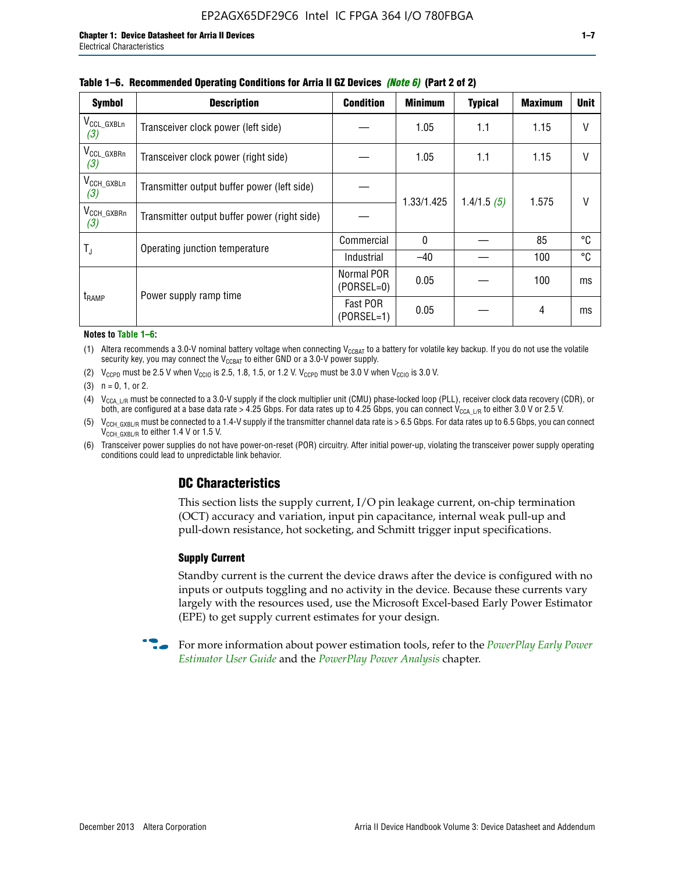| <b>Symbol</b>                         | <b>Description</b>                           | <b>Condition</b>           | <b>Minimum</b> | <b>Typical</b> | <b>Maximum</b> | <b>Unit</b> |
|---------------------------------------|----------------------------------------------|----------------------------|----------------|----------------|----------------|-------------|
| $V_{\rm CCL_GXBLn}$<br>(3)            | Transceiver clock power (left side)          |                            | 1.05           | 1.1            | 1.15           | V           |
| V <sub>CCL_GXBRn</sub><br>(3)         | Transceiver clock power (right side)         |                            | 1.05           | 1.1            | 1.15           |             |
| $V_{\text{CCH_GXBLn}}$<br>(3)         | Transmitter output buffer power (left side)  |                            | 1.33/1.425     | 1.4/1.5(5)     | 1.575          | V           |
| $V_{\text{CCH}\_\text{GXBRn}}$<br>(3) | Transmitter output buffer power (right side) |                            |                |                |                |             |
| $T_{\rm J}$                           | Operating junction temperature               | Commercial                 | $\mathbf{0}$   |                | 85             | ℃           |
|                                       |                                              | Industrial                 | $-40$          |                | 100            | °C          |
| t <sub>RAMP</sub>                     | Power supply ramp time                       | Normal POR<br>$(PORSEL=0)$ | 0.05           |                | 100            | ms          |
|                                       |                                              | Fast POR<br>$(PORSEL=1)$   | 0.05           |                | 4              | ms          |

#### **Table 1–6. Recommended Operating Conditions for Arria II GZ Devices** *(Note 6)* **(Part 2 of 2)**

#### **Notes to Table 1–6:**

(1) Altera recommends a 3.0-V nominal battery voltage when connecting  $V_{CCBAT}$  to a battery for volatile key backup. If you do not use the volatile security key, you may connect the  $V_{CCBAT}$  to either GND or a 3.0-V power supply.

(2)  $V_{CCPD}$  must be 2.5 V when  $V_{CCIO}$  is 2.5, 1.8, 1.5, or 1.2 V.  $V_{CCPD}$  must be 3.0 V when  $V_{CCIO}$  is 3.0 V.

(3)  $n = 0, 1, or 2$ .

(4)  $V_{CCA~LR}$  must be connected to a 3.0-V supply if the clock multiplier unit (CMU) phase-locked loop (PLL), receiver clock data recovery (CDR), or both, are configured at a base data rate > 4.25 Gbps. For data rates up to 4.25 Gbps, you can connect V<sub>CCA L/R</sub> to either 3.0 V or 2.5 V.

- (5)  $V_{\text{CCH\_GXBL/R}}$  must be connected to a 1.4-V supply if the transmitter channel data rate is > 6.5 Gbps. For data rates up to 6.5 Gbps, you can connect V<sub>CCH\_GXBL/R</sub> to either 1.4 V or 1.5 V.
- (6) Transceiver power supplies do not have power-on-reset (POR) circuitry. After initial power-up, violating the transceiver power supply operating conditions could lead to unpredictable link behavior.

# **DC Characteristics**

This section lists the supply current, I/O pin leakage current, on-chip termination (OCT) accuracy and variation, input pin capacitance, internal weak pull-up and pull-down resistance, hot socketing, and Schmitt trigger input specifications.

## **Supply Current**

Standby current is the current the device draws after the device is configured with no inputs or outputs toggling and no activity in the device. Because these currents vary largely with the resources used, use the Microsoft Excel-based Early Power Estimator (EPE) to get supply current estimates for your design.

**For more information about power estimation tools, refer to the** *PowerPlay Early Power* **<b>Formation** *[Estimator User Guide](http://www.altera.com/literature/ug/ug_epe.pdf
)* and the *[PowerPlay Power Analysis](http://www.altera.com/literature/hb/qts/qts_qii53013.pdf)* chapter.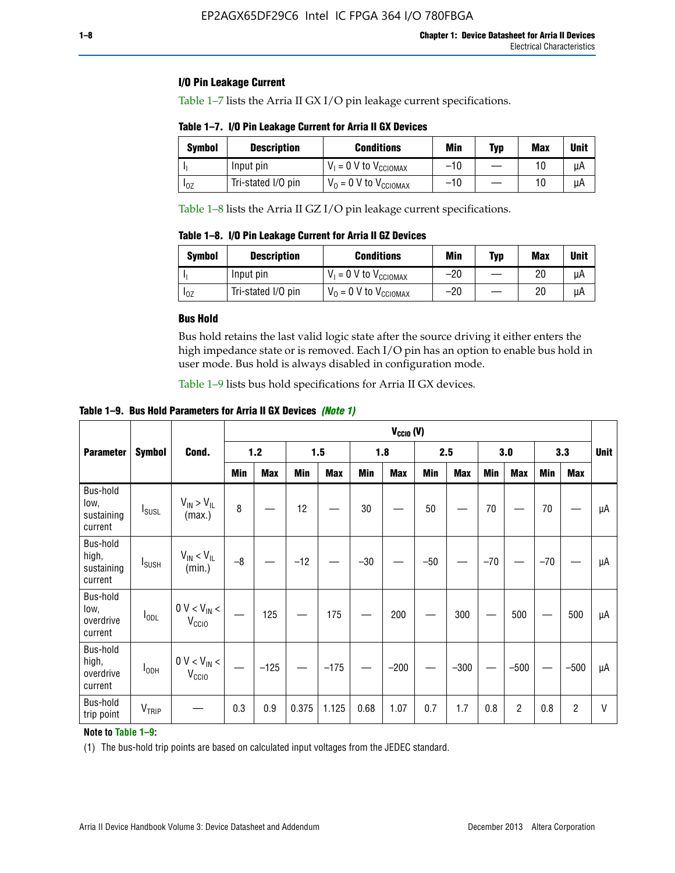# **I/O Pin Leakage Current**

Table 1–7 lists the Arria II GX I/O pin leakage current specifications.

# **Table 1–7. I/O Pin Leakage Current for Arria II GX Devices**

| Symbol   | <b>Description</b> | <b>Conditions</b>                   | <b>Min</b> | <b>Typ</b> | <b>Max</b> | <b>Unit</b> |
|----------|--------------------|-------------------------------------|------------|------------|------------|-------------|
|          | Input pin          | $V_1 = 0$ V to $V_{\text{CCIOMAX}}$ | $-10$      |            |            | uА          |
| $I_{0Z}$ | Tri-stated I/O pin | $V_0 = 0$ V to $V_{\text{CCIOMAX}}$ | $-10$      |            | 10         | uА          |

Table 1–8 lists the Arria II GZ I/O pin leakage current specifications.

**Table 1–8. I/O Pin Leakage Current for Arria II GZ Devices**

| <b>Symbol</b> | <b>Description</b> | <b>Conditions</b>                   | Min   | <b>Typ</b> | <b>Max</b> | Unit |
|---------------|--------------------|-------------------------------------|-------|------------|------------|------|
|               | Input pin          | $V_1 = 0$ V to $V_{\text{CCIOMAX}}$ | $-20$ |            | 20         | uА   |
| 10Z           | Tri-stated I/O pin | $V_0 = 0$ V to $V_{\text{CCIOMAX}}$ | $-20$ |            | 20         | uА   |

## **Bus Hold**

Bus hold retains the last valid logic state after the source driving it either enters the high impedance state or is removed. Each I/O pin has an option to enable bus hold in user mode. Bus hold is always disabled in configuration mode.

Table 1–9 lists bus hold specifications for Arria II GX devices.

**Table 1–9. Bus Hold Parameters for Arria II GX Devices** *(Note 1)*

|                                            |                          |                                                  |      | $V_{CClO}$ (V) |       |            |       |            |       |            |       |                |       |            |             |
|--------------------------------------------|--------------------------|--------------------------------------------------|------|----------------|-------|------------|-------|------------|-------|------------|-------|----------------|-------|------------|-------------|
| <b>Parameter</b>                           | <b>Symbol</b>            | Cond.                                            |      | $1.2$          |       | 1.5        |       | 1.8        |       | 2.5        |       | 3.0            |       | 3.3        | <b>Unit</b> |
|                                            |                          |                                                  | Min  | <b>Max</b>     | Min   | <b>Max</b> | Min   | <b>Max</b> | Min   | <b>Max</b> | Min   | <b>Max</b>     | Min   | <b>Max</b> |             |
| Bus-hold<br>low,<br>sustaining<br>current  | <b>I</b> <sub>SUSL</sub> | $V_{IN}$ > $V_{IL}$<br>(max.)                    | 8    |                | 12    |            | 30    |            | 50    |            | 70    |                | 70    |            | μA          |
| Bus-hold<br>high,<br>sustaining<br>current | I <sub>SUSH</sub>        | $V_{IN}$ < $V_{IL}$<br>(min.)                    | $-8$ |                | $-12$ |            | $-30$ |            | $-50$ |            | $-70$ |                | $-70$ |            | μA          |
| Bus-hold<br>low,<br>overdrive<br>current   | $I_{ODL}$                | $0 V < V_{IN} <$<br>V <sub>CCIO</sub>            |      | 125            |       | 175        |       | 200        |       | 300        |       | 500            |       | 500        | μA          |
| Bus-hold<br>high,<br>overdrive<br>current  | $I_{ODH}$                | $0$ V $<$ V $_{\rm IN}$ $<$<br>V <sub>CCIO</sub> |      | $-125$         |       | $-175$     |       | $-200$     |       | $-300$     |       | $-500$         |       | $-500$     | μA          |
| Bus-hold<br>trip point                     | VTRIP                    |                                                  | 0.3  | 0.9            | 0.375 | 1.125      | 0.68  | 1.07       | 0.7   | 1.7        | 0.8   | $\overline{c}$ | 0.8   | 2          | V           |

# **Note to Table 1–9:**

(1) The bus-hold trip points are based on calculated input voltages from the JEDEC standard.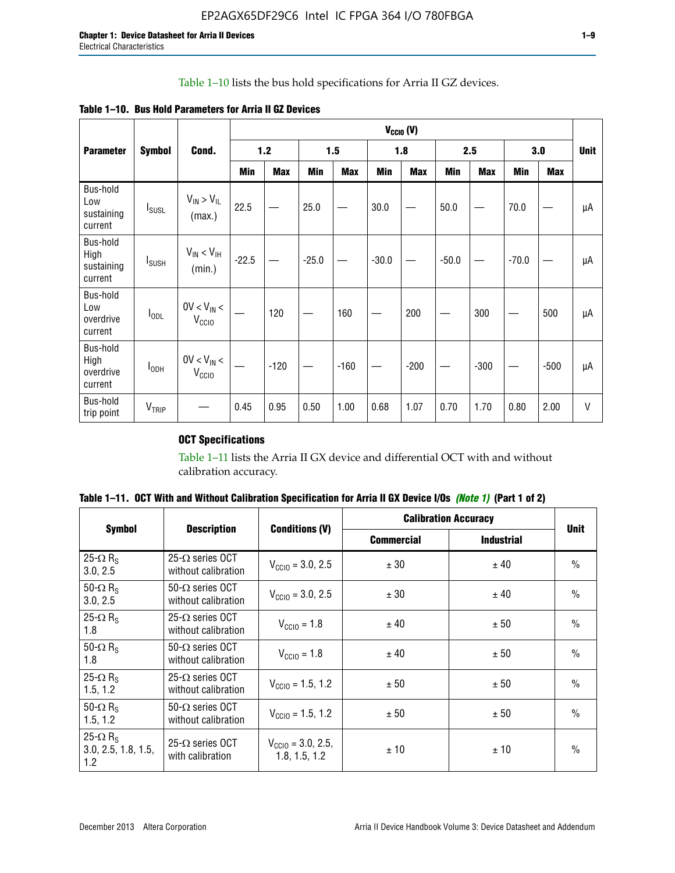# Table 1–10 lists the bus hold specifications for Arria II GZ devices.

| Table 1–10. Bus Hold Parameters for Arria II GZ Devices |
|---------------------------------------------------------|
|---------------------------------------------------------|

|                                           | $V_{CClO}$ (V)           |                                    |         |            |         |            |         |            |         |            |         |            |             |
|-------------------------------------------|--------------------------|------------------------------------|---------|------------|---------|------------|---------|------------|---------|------------|---------|------------|-------------|
| <b>Parameter</b>                          | <b>Symbol</b>            | Cond.                              |         | $1.2$      |         | 1.5        |         | 1.8        |         | 2.5        |         | 3.0        | <b>Unit</b> |
|                                           |                          |                                    | Min     | <b>Max</b> | Min     | <b>Max</b> | Min     | <b>Max</b> | Min     | <b>Max</b> | Min     | <b>Max</b> |             |
| Bus-hold<br>Low<br>sustaining<br>current  | $I_{SUSL}$               | $V_{IN} > V_{IL}$<br>(max.)        | 22.5    |            | 25.0    |            | 30.0    |            | 50.0    |            | 70.0    |            | μA          |
| Bus-hold<br>High<br>sustaining<br>current | <b>I</b> <sub>SUSH</sub> | $V_{IN}$ < $V_{IH}$<br>(min.)      | $-22.5$ |            | $-25.0$ |            | $-30.0$ |            | $-50.0$ |            | $-70.0$ |            | μA          |
| Bus-hold<br>Low<br>overdrive<br>current   | $I_{ODL}$                | $0V < V_{IN}$<br>V <sub>CCIO</sub> |         | 120        |         | 160        |         | 200        |         | 300        |         | 500        | μA          |
| Bus-hold<br>High<br>overdrive<br>current  | $I_{ODH}$                | $0V < V_{IN}$<br>V <sub>CCIO</sub> |         | $-120$     |         | $-160$     |         | $-200$     |         | $-300$     |         | $-500$     | μA          |
| Bus-hold<br>trip point                    | V <sub>TRIP</sub>        |                                    | 0.45    | 0.95       | 0.50    | 1.00       | 0.68    | 1.07       | 0.70    | 1.70       | 0.80    | 2.00       | $\vee$      |

# **OCT Specifications**

Table 1–11 lists the Arria II GX device and differential OCT with and without calibration accuracy.

|                                                           |                                                |                                                | <b>Calibration Accuracy</b> | <b>Unit</b>       |               |
|-----------------------------------------------------------|------------------------------------------------|------------------------------------------------|-----------------------------|-------------------|---------------|
| <b>Symbol</b>                                             | <b>Description</b>                             | <b>Conditions (V)</b>                          | <b>Commercial</b>           | <b>Industrial</b> |               |
| 25- $\Omega$ R <sub>s</sub><br>3.0, 2.5                   | $25-\Omega$ series OCT<br>without calibration  | $V_{\text{CC10}} = 3.0, 2.5$                   | ± 30                        | ± 40              | $\frac{0}{0}$ |
| 50- $\Omega$ R <sub>S</sub><br>3.0, 2.5                   | $50-\Omega$ series OCT<br>without calibration  | $V_{\text{CC10}} = 3.0, 2.5$                   | ± 30                        | ± 40              | $\frac{0}{0}$ |
| 25- $\Omega$ R <sub>S</sub><br>1.8                        | 25- $\Omega$ series OCT<br>without calibration | $V_{\text{CCI0}} = 1.8$                        | ± 40                        | ± 50              | $\frac{0}{0}$ |
| 50- $\Omega$ R <sub>s</sub><br>1.8                        | $50-\Omega$ series OCT<br>without calibration  | $V_{\text{CC10}} = 1.8$                        | ± 40                        | ± 50              | $\frac{0}{0}$ |
| 25- $\Omega$ R <sub>S</sub><br>1.5, 1.2                   | $25-\Omega$ series OCT<br>without calibration  | $V_{\text{CC10}} = 1.5, 1.2$                   | ± 50                        | ± 50              | $\frac{0}{0}$ |
| 50- $\Omega$ R <sub>s</sub><br>1.5, 1.2                   | $50-\Omega$ series OCT<br>without calibration  | $V_{\text{CC10}} = 1.5, 1.2$                   | ± 50                        | ± 50              | $\frac{0}{0}$ |
| 25- $\Omega$ R <sub>s</sub><br>3.0, 2.5, 1.8, 1.5,<br>1.2 | 25- $\Omega$ series OCT<br>with calibration    | $V_{\text{CC10}} = 3.0, 2.5,$<br>1.8, 1.5, 1.2 | ±10                         | ± 10              | $\frac{0}{0}$ |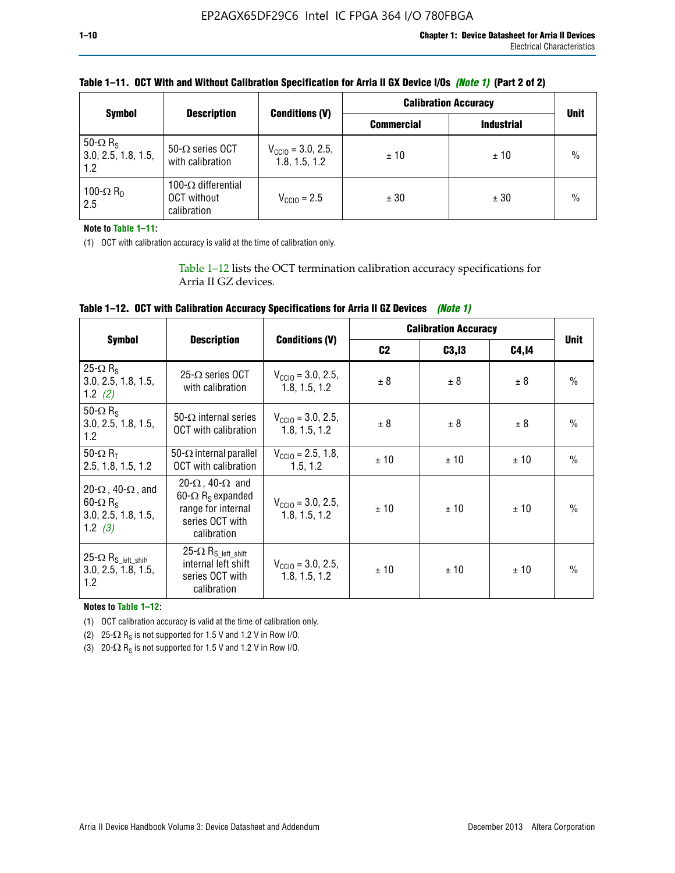|                                                           |                                                                 |                                                | <b>Calibration Accuracy</b> |                   |               |
|-----------------------------------------------------------|-----------------------------------------------------------------|------------------------------------------------|-----------------------------|-------------------|---------------|
| <b>Symbol</b>                                             | <b>Description</b>                                              | <b>Conditions (V)</b>                          | <b>Commercial</b>           | <b>Industrial</b> | <b>Unit</b>   |
| 50- $\Omega$ R <sub>S</sub><br>3.0, 2.5, 1.8, 1.5,<br>1.2 | $50-\Omega$ series OCT<br>with calibration                      | $V_{\text{CC10}} = 3.0, 2.5,$<br>1.8, 1.5, 1.2 | ±10                         | ± 10              | $\frac{0}{0}$ |
| 100- $\Omega$ R <sub>D</sub><br>2.5                       | 100- $\Omega$ differential<br><b>OCT</b> without<br>calibration | $V_{\text{CCIO}} = 2.5$                        | ± 30                        | ± 30              | $\frac{0}{0}$ |

# **Table 1–11. OCT With and Without Calibration Specification for Arria II GX Device I/Os** *(Note 1)* **(Part 2 of 2)**

**Note to Table 1–11:**

(1) OCT with calibration accuracy is valid at the time of calibration only.

Table 1–12 lists the OCT termination calibration accuracy specifications for Arria II GZ devices.

| Table 1–12. OCT with Calibration Accuracy Specifications for Arria II GZ Devices (Note 1) |  |  |  |
|-------------------------------------------------------------------------------------------|--|--|--|
|-------------------------------------------------------------------------------------------|--|--|--|

|                                                                                                       |                                                                                                                                 |                                                | <b>Calibration Accuracy</b> |        |       |               |
|-------------------------------------------------------------------------------------------------------|---------------------------------------------------------------------------------------------------------------------------------|------------------------------------------------|-----------------------------|--------|-------|---------------|
| <b>Symbol</b>                                                                                         | <b>Description</b>                                                                                                              | <b>Conditions (V)</b>                          | C <sub>2</sub>              | C3, I3 | C4,14 | <b>Unit</b>   |
| 25 $\Omega$ R <sub>s</sub><br>3.0, 2.5, 1.8, 1.5,<br>1.2 $(2)$                                        | $25-\Omega$ series OCT<br>with calibration                                                                                      | $V_{CGI0} = 3.0, 2.5,$<br>1.8.1.5.1.2          | ± 8                         | ± 8    | ± 8   | $\frac{0}{0}$ |
| 50- $\Omega$ R <sub>S</sub><br>3.0, 2.5, 1.8, 1.5,<br>1.2                                             | 50- $\Omega$ internal series<br>OCT with calibration                                                                            | $V_{\text{CC10}} = 3.0, 2.5,$<br>1.8, 1.5, 1.2 | ± 8                         | ± 8    | ± 8   | $\frac{0}{0}$ |
| 50- $\Omega$ R <sub>T</sub><br>2.5, 1.8, 1.5, 1.2                                                     | 50- $\Omega$ internal parallel<br><b>OCT</b> with calibration                                                                   | $V_{\text{CC10}} = 2.5, 1.8,$<br>1.5.1.2       | ± 10                        | ± 10   | ± 10  | $\frac{0}{0}$ |
| 20- $\Omega$ , 40- $\Omega$ , and<br>$60 - \Omega$ R <sub>S</sub><br>3.0, 2.5, 1.8, 1.5,<br>1.2 $(3)$ | 20- $\Omega$ , 40- $\Omega$ and<br>60- $\Omega$ R <sub>s</sub> expanded<br>range for internal<br>series OCT with<br>calibration | $V_{\text{CC10}} = 3.0, 2.5,$<br>1.8.1.5.1.2   | ± 10                        | ± 10   | ± 10  | $\frac{0}{0}$ |
| 25- $\Omega$ R <sub>S_left_shift</sub><br>3.0, 2.5, 1.8, 1.5,<br>1.2                                  | 25- $\Omega$ R <sub>S left shift</sub><br>internal left shift<br>series OCT with<br>calibration                                 | $V_{\text{CGI0}} = 3.0, 2.5,$<br>1.8, 1.5, 1.2 | ± 10                        | ± 10   | ± 10  | $\frac{0}{0}$ |

**Notes to Table 1–12:**

(1) OCT calibration accuracy is valid at the time of calibration only.

(2) 25- $\Omega$  R<sub>S</sub> is not supported for 1.5 V and 1.2 V in Row I/O.

(3)  $20-\Omega$  R<sub>S</sub> is not supported for 1.5 V and 1.2 V in Row I/O.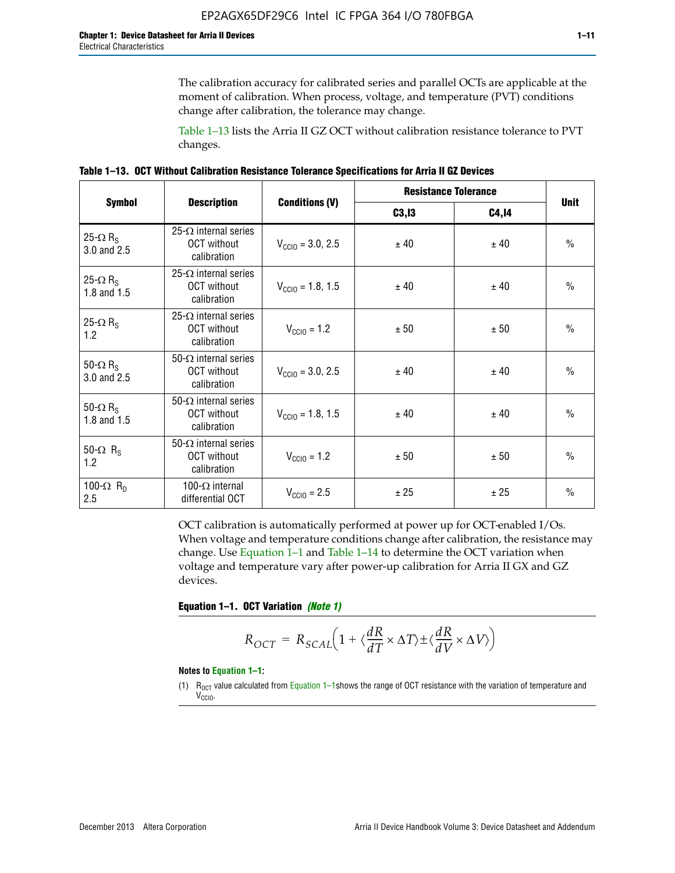The calibration accuracy for calibrated series and parallel OCTs are applicable at the moment of calibration. When process, voltage, and temperature (PVT) conditions change after calibration, the tolerance may change.

Table 1–13 lists the Arria II GZ OCT without calibration resistance tolerance to PVT changes.

|  | Table 1–13. OCT Without Calibration Resistance Tolerance Specifications for Arria II GZ Devices |  |  |  |
|--|-------------------------------------------------------------------------------------------------|--|--|--|
|--|-------------------------------------------------------------------------------------------------|--|--|--|

|                                            | <b>Description</b>                                                |                              |        | <b>Resistance Tolerance</b> |               |  |
|--------------------------------------------|-------------------------------------------------------------------|------------------------------|--------|-----------------------------|---------------|--|
| <b>Symbol</b>                              |                                                                   | <b>Conditions (V)</b>        | C3, I3 | <b>C4,14</b>                | <b>Unit</b>   |  |
| 25- $\Omega$ R <sub>S</sub><br>3.0 and 2.5 | $25-\Omega$ internal series<br><b>OCT</b> without<br>calibration  | $V_{\text{CGI0}} = 3.0, 2.5$ | ± 40   | ± 40                        | $\frac{0}{0}$ |  |
| 25- $\Omega$ R <sub>S</sub><br>1.8 and 1.5 | 25- $\Omega$ internal series<br><b>OCT</b> without<br>calibration | $V_{\text{CC10}} = 1.8, 1.5$ | ± 40   | ± 40                        | $\frac{0}{0}$ |  |
| 25- $\Omega$ R <sub>S</sub><br>1.2         | 25- $\Omega$ internal series<br><b>OCT</b> without<br>calibration | $V_{\text{CC10}} = 1.2$      | ± 50   | ± 50                        | $\frac{0}{0}$ |  |
| 50- $\Omega$ R <sub>s</sub><br>3.0 and 2.5 | $50-\Omega$ internal series<br><b>OCT</b> without<br>calibration  | $V_{\text{CC10}} = 3.0, 2.5$ | ± 40   | ± 40                        | $\frac{0}{0}$ |  |
| 50- $\Omega$ R <sub>S</sub><br>1.8 and 1.5 | 50- $\Omega$ internal series<br><b>OCT</b> without<br>calibration | $V_{\text{CC10}} = 1.8, 1.5$ | ± 40   | ± 40                        | $\frac{0}{0}$ |  |
| 50- $\Omega$ R <sub>s</sub><br>1.2         | 50- $\Omega$ internal series<br><b>OCT</b> without<br>calibration | $V_{\text{CC10}} = 1.2$      | ± 50   | ± 50                        | $\frac{0}{0}$ |  |
| 100- $\Omega$ R <sub>n</sub><br>2.5        | 100- $\Omega$ internal<br>differential OCT                        | $V_{\text{CC10}} = 2.5$      | ± 25   | ± 25                        | $\frac{0}{0}$ |  |

OCT calibration is automatically performed at power up for OCT-enabled I/Os. When voltage and temperature conditions change after calibration, the resistance may change. Use Equation 1–1 and Table 1–14 to determine the OCT variation when voltage and temperature vary after power-up calibration for Arria II GX and GZ devices.

**Equation 1–1. OCT Variation** *(Note 1)*

$$
R_{OCT} = R_{SCAL} \Big( 1 + \langle \frac{dR}{dT} \times \Delta T \rangle \pm \langle \frac{dR}{dV} \times \Delta V \rangle \Big)
$$

#### **Notes to Equation 1–1:**

(1)  $R_{OCT}$  value calculated from Equation 1–1shows the range of OCT resistance with the variation of temperature and V<sub>CCIO</sub>.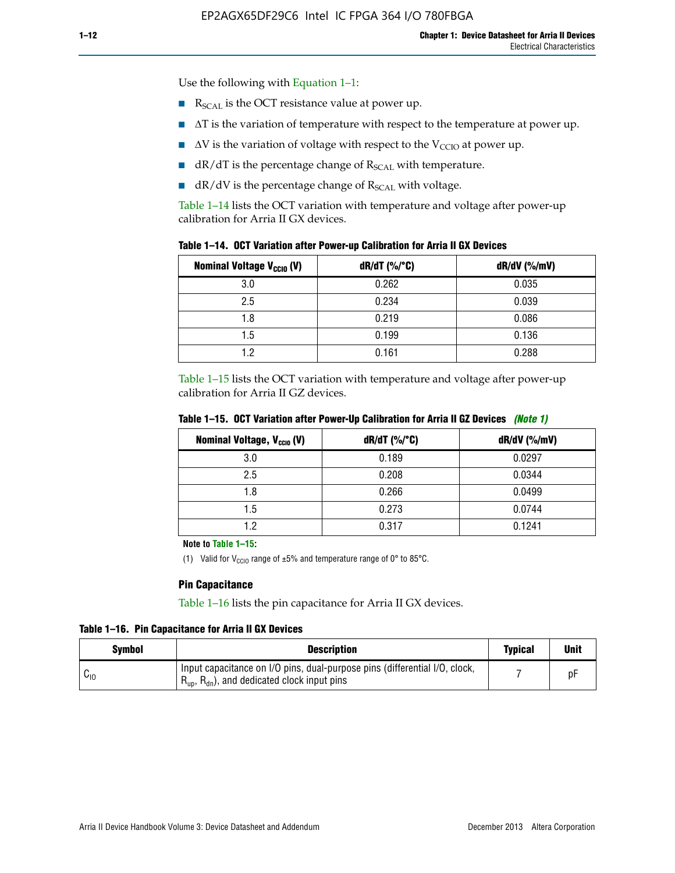Use the following with Equation 1–1:

- $\blacksquare$  R<sub>SCAL</sub> is the OCT resistance value at power up.
- $\blacksquare$   $\Delta T$  is the variation of temperature with respect to the temperature at power up.
- $\blacksquare$   $\Delta V$  is the variation of voltage with respect to the V<sub>CCIO</sub> at power up.
- $\blacksquare$  dR/dT is the percentage change of  $R_{\text{SCAL}}$  with temperature.
- $\blacksquare$  dR/dV is the percentage change of R<sub>SCAL</sub> with voltage.

Table 1–14 lists the OCT variation with temperature and voltage after power-up calibration for Arria II GX devices.

| Table 1-14. OCT Variation after Power-up Calibration for Arria II GX Devices |  |  |  |  |  |  |  |  |  |
|------------------------------------------------------------------------------|--|--|--|--|--|--|--|--|--|
|------------------------------------------------------------------------------|--|--|--|--|--|--|--|--|--|

| <b>Nominal Voltage V<sub>CCIO</sub> (V)</b> | $dR/dT$ (%/°C) | $dR/dV$ (%/mV) |
|---------------------------------------------|----------------|----------------|
| 3.0                                         | 0.262          | 0.035          |
| 2.5                                         | 0.234          | 0.039          |
| 1.8                                         | 0.219          | 0.086          |
| 1.5                                         | 0.199          | 0.136          |
| 1.2                                         | 0.161          | 0.288          |

Table 1–15 lists the OCT variation with temperature and voltage after power-up calibration for Arria II GZ devices.

| Nominal Voltage, V <sub>ccio</sub> (V) | dR/dT (%/°C) | dR/dV (%/mV) |
|----------------------------------------|--------------|--------------|
| 3.0                                    | 0.189        | 0.0297       |
| 2.5                                    | 0.208        | 0.0344       |
| 1.8                                    | 0.266        | 0.0499       |
| 1.5                                    | 0.273        | 0.0744       |
| 19                                     | 0.317        | 0.1241       |

**Table 1–15. OCT Variation after Power-Up Calibration for Arria II GZ Devices** *(Note 1)*

**Note to Table 1–15:**

(1) Valid for V<sub>CCIO</sub> range of  $\pm 5\%$  and temperature range of 0° to 85°C.

## **Pin Capacitance**

Table 1–16 lists the pin capacitance for Arria II GX devices.

**Table 1–16. Pin Capacitance for Arria II GX Devices**

| <b>Symbol</b> | <b>Description</b>                                                                                                                               | <b>Typical</b> | Unit |
|---------------|--------------------------------------------------------------------------------------------------------------------------------------------------|----------------|------|
| $v_{10}$      | Input capacitance on I/O pins, dual-purpose pins (differential I/O, clock,<br>$R_{\text{up}}$ , $R_{\text{dn}}$ , and dedicated clock input pins |                | D۲   |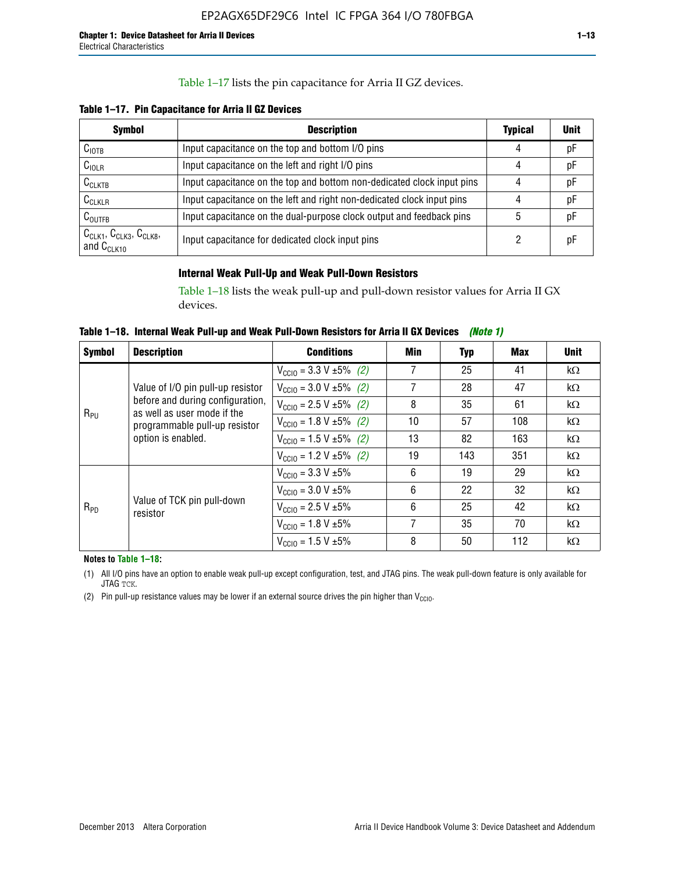# Table 1–17 lists the pin capacitance for Arria II GZ devices.

**Table 1–17. Pin Capacitance for Arria II GZ Devices** 

| <b>Symbol</b>                                    | <b>Description</b>                                                     | <b>Typical</b> | <b>Unit</b> |
|--------------------------------------------------|------------------------------------------------------------------------|----------------|-------------|
| C <sub>IOTB</sub>                                | Input capacitance on the top and bottom I/O pins                       | 4              | pF          |
| $C_{IOLR}$                                       | Input capacitance on the left and right I/O pins                       | 4              | pF          |
| $C_{CLKTB}$                                      | Input capacitance on the top and bottom non-dedicated clock input pins |                | pF          |
| $C_{CLKLR}$                                      | Input capacitance on the left and right non-dedicated clock input pins |                | рF          |
| $C_{\text{OUTFB}}$                               | Input capacitance on the dual-purpose clock output and feedback pins   | 5              | pF          |
| $CCLK1$ , $CCLK3$ , $CCLK8$ ,<br>and $C_{CLK10}$ | Input capacitance for dedicated clock input pins                       |                | рF          |

# **Internal Weak Pull-Up and Weak Pull-Down Resistors**

Table 1–18 lists the weak pull-up and pull-down resistor values for Arria II GX devices.

**Table 1–18. Internal Weak Pull-up and Weak Pull-Down Resistors for Arria II GX Devices** *(Note 1)* 

| <b>Symbol</b>                                                                                                              | <b>Description</b>                                              | <b>Conditions</b>                                                                                                                                                                              | Min       | Typ       | Max       | <b>Unit</b> |
|----------------------------------------------------------------------------------------------------------------------------|-----------------------------------------------------------------|------------------------------------------------------------------------------------------------------------------------------------------------------------------------------------------------|-----------|-----------|-----------|-------------|
|                                                                                                                            |                                                                 | $V_{\text{CC10}} = 3.3 \text{ V} \pm 5\%$ (2)                                                                                                                                                  | 7         | 25        | 41        | $k\Omega$   |
|                                                                                                                            | Value of I/O pin pull-up resistor                               | $V_{\text{CC10}} = 3.0 V \pm 5\%$ (2)                                                                                                                                                          | 7         | 28        | 47        | $k\Omega$   |
| $R_{PU}$                                                                                                                   | before and during configuration,<br>as well as user mode if the | 35<br>8<br>61<br>$V_{\text{CC10}} = 2.5 V \pm 5\%$ (2)<br>57<br>$V_{\text{CC10}} = 1.8 \text{ V} \pm 5\%$ (2)<br>10<br>108<br>82<br>13<br>163<br>$V_{\text{CC10}} = 1.5 \text{ V} \pm 5\%$ (2) |           | $k\Omega$ |           |             |
|                                                                                                                            | programmable pull-up resistor                                   |                                                                                                                                                                                                |           |           |           | $k\Omega$   |
| option is enabled.                                                                                                         |                                                                 |                                                                                                                                                                                                |           |           | $k\Omega$ |             |
|                                                                                                                            |                                                                 | $V_{\text{CC10}} = 1.2 V \pm 5\%$ (2)                                                                                                                                                          | 19        | 143       | 351       | $k\Omega$   |
|                                                                                                                            |                                                                 | $V_{\text{CC10}} = 3.3 \text{ V} \pm 5\%$                                                                                                                                                      | 6         | 19        | 29        | $k\Omega$   |
| 6<br>$V_{\text{CC10}} = 3.0 V \pm 5\%$<br>Value of TCK pin pull-down<br>6<br>$V_{\text{CC10}} = 2.5 V \pm 5\%$<br>$R_{PD}$ | 22                                                              | 32                                                                                                                                                                                             | $k\Omega$ |           |           |             |
|                                                                                                                            |                                                                 |                                                                                                                                                                                                |           | 25        | 42        | $k\Omega$   |
|                                                                                                                            |                                                                 | $V_{\text{CC10}} = 1.8 V \pm 5\%$                                                                                                                                                              | 7         | 35        | 70        | $k\Omega$   |
|                                                                                                                            | resistor<br>8<br>50<br>$V_{\text{CC10}} = 1.5 V \pm 5\%$        | 112                                                                                                                                                                                            | $k\Omega$ |           |           |             |

**Notes to Table 1–18:**

(1) All I/O pins have an option to enable weak pull-up except configuration, test, and JTAG pins. The weak pull-down feature is only available for JTAG TCK.

(2) Pin pull-up resistance values may be lower if an external source drives the pin higher than  $V_{\text{CCIO}}$ .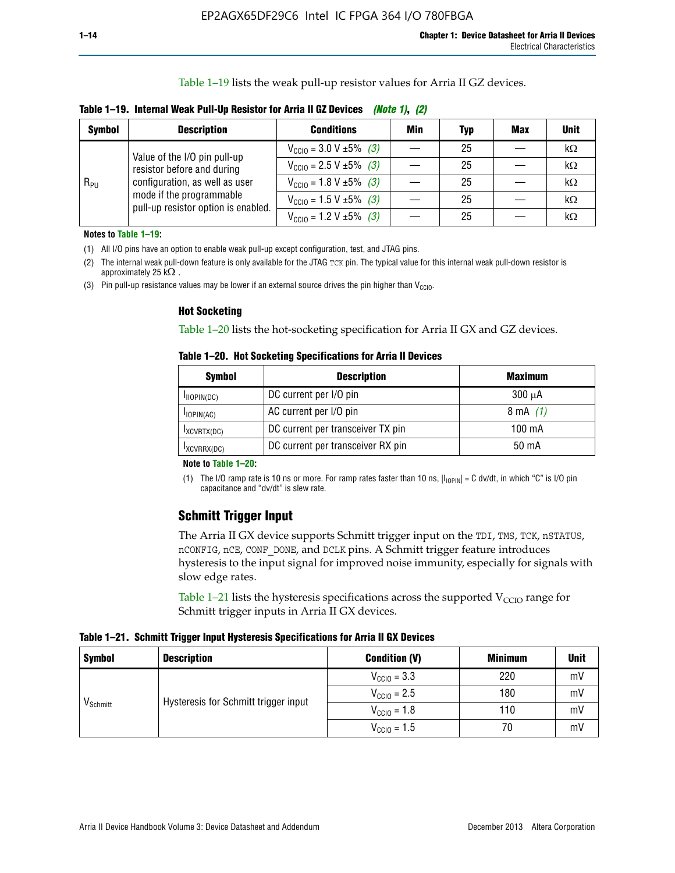Table 1–19 lists the weak pull-up resistor values for Arria II GZ devices.

**Table 1–19. Internal Weak Pull-Up Resistor for Arria II GZ Devices** *(Note 1)***,** *(2)*

| <b>Symbol</b> | <b>Description</b>                                                                                                              | <b>Conditions</b>                                    | Min | Typ | <b>Max</b> | <b>Unit</b> |
|---------------|---------------------------------------------------------------------------------------------------------------------------------|------------------------------------------------------|-----|-----|------------|-------------|
|               | Value of the I/O pin pull-up                                                                                                    | $V_{\text{CC10}} = 3.0 V \pm 5\%$ (3)                |     | 25  |            | kΩ          |
| $R_{PU}$      | resistor before and during<br>configuration, as well as user<br>mode if the programmable<br>pull-up resistor option is enabled. | $V_{\text{CC10}} = 2.5 V \pm 5\%$ (3)                |     | 25  |            | kΩ          |
|               |                                                                                                                                 | $V_{\text{CC10}} = 1.8 \text{ V } \pm 5\% \quad (3)$ |     | 25  |            | kΩ          |
|               |                                                                                                                                 | $V_{\text{CC10}} = 1.5 \text{ V} \pm 5\%$ (3)        |     | 25  |            | kΩ          |
|               |                                                                                                                                 | $V_{\text{CC10}} = 1.2 V \pm 5\%$ (3)                |     | 25  |            | kΩ          |

**Notes to Table 1–19:**

(1) All I/O pins have an option to enable weak pull-up except configuration, test, and JTAG pins.

(2) The internal weak pull-down feature is only available for the JTAG TCK pin. The typical value for this internal weak pull-down resistor is approximately 25 k $\Omega$ .

(3) Pin pull-up resistance values may be lower if an external source drives the pin higher than  $V_{\text{CCIO}}$ .

#### **Hot Socketing**

Table 1–20 lists the hot-socketing specification for Arria II GX and GZ devices.

**Table 1–20. Hot Socketing Specifications for Arria II Devices** 

| Symbol        | <b>Description</b>                | <b>Maximum</b> |
|---------------|-----------------------------------|----------------|
| IIOPIN(DC)    | DC current per I/O pin            | $300 \mu A$    |
| $I$ IOPIN(AC) | AC current per I/O pin            | 8 mA $(1)$     |
| IXCVRTX(DC)   | DC current per transceiver TX pin | 100 mA         |
| IXCVRRX(DC)   | DC current per transceiver RX pin | 50 mA          |

#### **Note to Table 1–20:**

(1) The I/O ramp rate is 10 ns or more. For ramp rates faster than 10 ns,  $|I_{10\text{PIN}}| = C$  dv/dt, in which "C" is I/O pin capacitance and "dv/dt" is slew rate.

# **Schmitt Trigger Input**

The Arria II GX device supports Schmitt trigger input on the TDI, TMS, TCK, nSTATUS, nCONFIG, nCE, CONF\_DONE, and DCLK pins. A Schmitt trigger feature introduces hysteresis to the input signal for improved noise immunity, especially for signals with slow edge rates.

Table 1–21 lists the hysteresis specifications across the supported  $V<sub>CCIO</sub>$  range for Schmitt trigger inputs in Arria II GX devices.

**Table 1–21. Schmitt Trigger Input Hysteresis Specifications for Arria II GX Devices**

| <b>Symbol</b>        | <b>Description</b>                   | <b>Condition (V)</b>    | <b>Minimum</b> | <b>Unit</b> |
|----------------------|--------------------------------------|-------------------------|----------------|-------------|
|                      |                                      | $V_{\text{CGI0}} = 3.3$ | 220            | mV          |
| V <sub>Schmitt</sub> | Hysteresis for Schmitt trigger input | $V_{\text{CCIO}} = 2.5$ | 180            | mV          |
|                      |                                      | $V_{\text{CCIO}} = 1.8$ | 110            | mV          |
|                      |                                      | $V_{\text{CCIO}} = 1.5$ | 70             | mV          |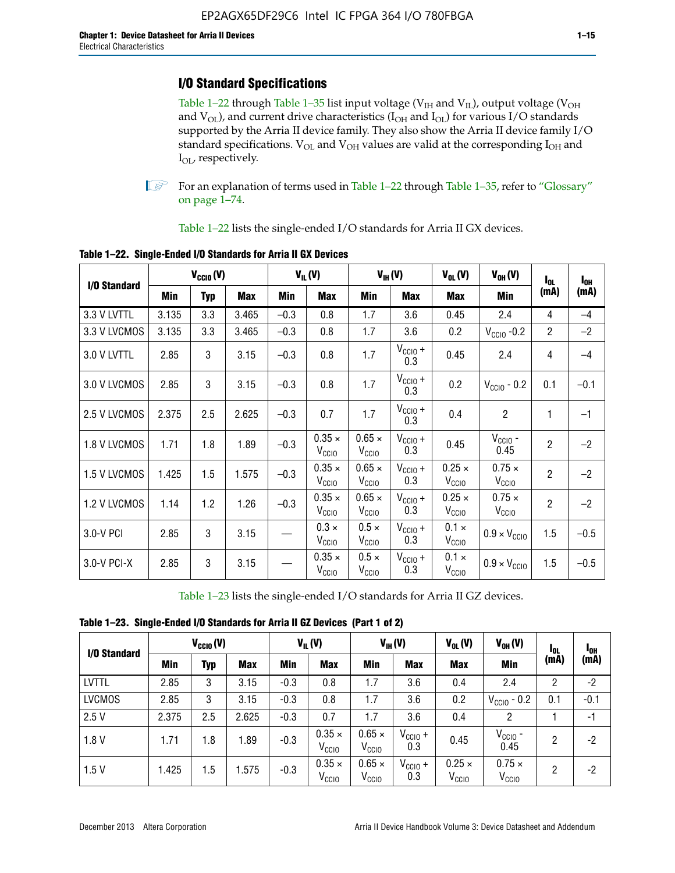# **I/O Standard Specifications**

Table 1–22 through Table 1–35 list input voltage ( $V_{IH}$  and  $V_{IL}$ ), output voltage ( $V_{OH}$ and  $V_{OL}$ ), and current drive characteristics ( $I_{OH}$  and  $I_{OL}$ ) for various I/O standards supported by the Arria II device family. They also show the Arria II device family I/O standard specifications.  $V_{OL}$  and  $V_{OH}$  values are valid at the corresponding  $I_{OH}$  and I<sub>OL</sub>, respectively.

**1.** For an explanation of terms used in Table 1–22 through Table 1–35, refer to "Glossary" on page 1–74.

Table 1–22 lists the single-ended I/O standards for Arria II GX devices.

| I/O Standard |       | $V_{CClO}(V)$ |            |        | $V_{IL}(V)$                        |                                    | $V_{IH}(V)$         | $V_{OL}(V)$                        | $V_{OH} (V)$                       | $I_{0L}$       | $I_{0H}$ |
|--------------|-------|---------------|------------|--------|------------------------------------|------------------------------------|---------------------|------------------------------------|------------------------------------|----------------|----------|
|              | Min   | <b>Typ</b>    | <b>Max</b> | Min    | <b>Max</b>                         | Min                                | <b>Max</b>          | <b>Max</b>                         | Min                                | (mA)           | (mA)     |
| 3.3 V LVTTL  | 3.135 | 3.3           | 3.465      | $-0.3$ | 0.8                                | 1.7                                | 3.6                 | 0.45                               | 2.4                                | 4              | $-4$     |
| 3.3 V LVCMOS | 3.135 | 3.3           | 3.465      | $-0.3$ | 0.8                                | 1.7                                | 3.6                 | 0.2                                | $V_{\text{CCIO}}$ -0.2             | $\overline{2}$ | $-2$     |
| 3.0 V LVTTL  | 2.85  | 3             | 3.15       | $-0.3$ | 0.8                                | 1.7                                | $V_{CC10} +$<br>0.3 | 0.45                               | 2.4                                | 4              | $-4$     |
| 3.0 V LVCMOS | 2.85  | 3             | 3.15       | $-0.3$ | 0.8                                | 1.7                                | $V_{CCIO} +$<br>0.3 | 0.2                                | $V_{CGI0} - 0.2$                   | 0.1            | $-0.1$   |
| 2.5 V LVCMOS | 2.375 | 2.5           | 2.625      | $-0.3$ | 0.7                                | 1.7                                | $V_{CC10} +$<br>0.3 | 0.4                                | $\overline{c}$                     | 1              | $-1$     |
| 1.8 V LVCMOS | 1.71  | 1.8           | 1.89       | $-0.3$ | $0.35 \times$<br>V <sub>CCIO</sub> | $0.65 \times$<br>V <sub>CCIO</sub> | $V_{CC10} +$<br>0.3 | 0.45                               | $V_{CGIO}$ -<br>0.45               | $\overline{2}$ | $-2$     |
| 1.5 V LVCMOS | 1.425 | 1.5           | 1.575      | $-0.3$ | $0.35 \times$<br>V <sub>CCIO</sub> | $0.65 \times$<br>$V_{\rm CClO}$    | $V_{CCIO} +$<br>0.3 | $0.25 \times$<br>V <sub>CCIO</sub> | $0.75 \times$<br>V <sub>CCIO</sub> | $\overline{2}$ | $-2$     |
| 1.2 V LVCMOS | 1.14  | 1.2           | 1.26       | $-0.3$ | $0.35 \times$<br>V <sub>CCIO</sub> | $0.65 \times$<br>V <sub>CCIO</sub> | $V_{CC10} +$<br>0.3 | $0.25 \times$<br>V <sub>CCIO</sub> | $0.75 \times$<br>V <sub>CCIO</sub> | $\overline{2}$ | $-2$     |
| 3.0-V PCI    | 2.85  | 3             | 3.15       |        | $0.3 \times$<br>V <sub>CCIO</sub>  | $0.5 \times$<br>V <sub>CCIO</sub>  | $V_{CC10} +$<br>0.3 | $0.1 \times$<br>V <sub>CCIO</sub>  | $0.9 \times V_{\text{CC10}}$       | 1.5            | $-0.5$   |
| 3.0-V PCI-X  | 2.85  | 3             | 3.15       |        | $0.35 \times$<br>V <sub>CCIO</sub> | $0.5 \times$<br>$V_{\rm CClO}$     | $V_{CCIO} +$<br>0.3 | $0.1 \times$<br>V <sub>CCIO</sub>  | $0.9 \times V_{\text{CC10}}$       | 1.5            | $-0.5$   |

**Table 1–22. Single-Ended I/O Standards for Arria II GX Devices**

Table 1–23 lists the single-ended I/O standards for Arria II GZ devices.

|  |  | Table 1-23. Single-Ended I/O Standards for Arria II GZ Devices (Part 1 of 2) |  |
|--|--|------------------------------------------------------------------------------|--|
|--|--|------------------------------------------------------------------------------|--|

|               | $V_{\text{CCIO}}(V)$ |     | $V_{IL}(V)$ |        | $V_{IH} (V)$                       |                                    | $V_{OL}(V)$         | $V_{OH} (V)$                       | <b>I</b> OL                        | 1 <sub>0H</sub> |        |
|---------------|----------------------|-----|-------------|--------|------------------------------------|------------------------------------|---------------------|------------------------------------|------------------------------------|-----------------|--------|
| I/O Standard  | Min                  | Typ | <b>Max</b>  | Min    | <b>Max</b>                         | Min                                | <b>Max</b>          | <b>Max</b>                         | Min                                | (mA)            | (mA)   |
| <b>LVTTL</b>  | 2.85                 | 3   | 3.15        | $-0.3$ | 0.8                                | 1.7                                | 3.6                 | 0.4                                | 2.4                                | 2               | $-2$   |
| <b>LVCMOS</b> | 2.85                 | 3   | 3.15        | $-0.3$ | 0.8                                | 1.7                                | 3.6                 | 0.2                                | $V_{\text{CCIO}}$ - 0.2            | 0.1             | $-0.1$ |
| 2.5V          | 2.375                | 2.5 | 2.625       | $-0.3$ | 0.7                                | 1.7                                | 3.6                 | 0.4                                | 2                                  |                 | -1     |
| 1.8V          | 1.71                 | 1.8 | 1.89        | $-0.3$ | $0.35 \times$<br>V <sub>CCIO</sub> | $0.65 \times$<br>V <sub>CCIO</sub> | $V_{CClO}$ +<br>0.3 | 0.45                               | $V_{CGIO}$ -<br>0.45               | 2               | -2     |
| 1.5V          | 1.425                | 1.5 | .575        | $-0.3$ | $0.35 \times$<br>V <sub>CCIO</sub> | $0.65 \times$<br>V <sub>CCIO</sub> | $V_{CC10}$ +<br>0.3 | $0.25 \times$<br>V <sub>CCIO</sub> | $0.75 \times$<br>V <sub>CCIO</sub> | $\overline{2}$  | -2     |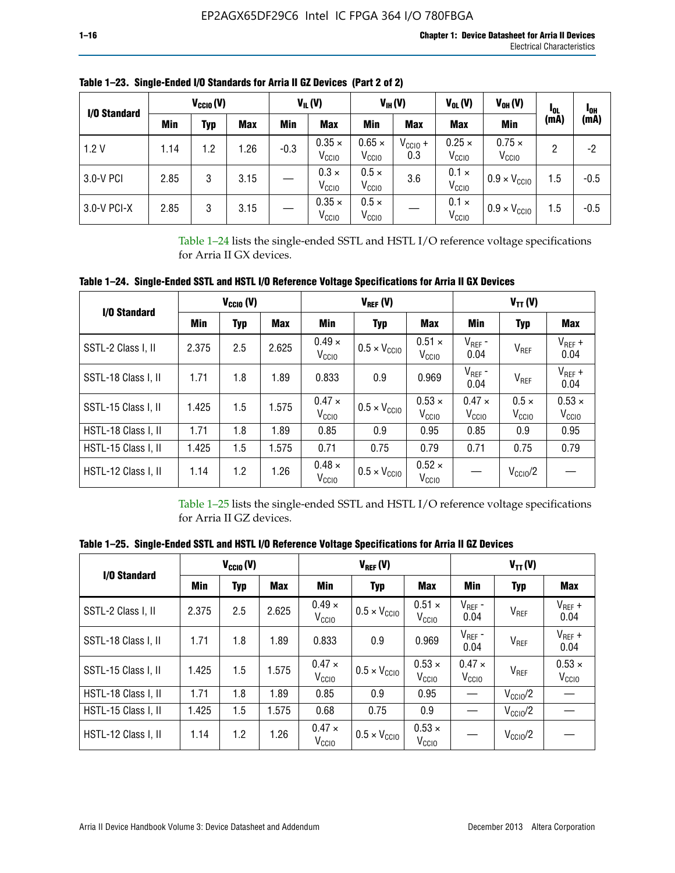| I/O Standard |      | $V_{CClO}(V)$ |            |        | $V_{IL}(V)$                        |                                    | $V_{IH} (V)$        | $V_{OL}(V)$                        | $V_{OH} (V)$                       | loL  | l <sub>OH</sub> |
|--------------|------|---------------|------------|--------|------------------------------------|------------------------------------|---------------------|------------------------------------|------------------------------------|------|-----------------|
|              | Min  | Typ           | <b>Max</b> | Min    | <b>Max</b>                         | Min                                | <b>Max</b>          | <b>Max</b>                         | Min                                | (mA) | (mA)            |
| 1.2V         | 1.14 | 1.2           | 1.26       | $-0.3$ | $0.35 \times$<br>V <sub>CCIO</sub> | $0.65 \times$<br>V <sub>CCIO</sub> | $V_{CC10}$ +<br>0.3 | $0.25 \times$<br>V <sub>CCIO</sub> | $0.75 \times$<br>V <sub>CCIO</sub> | 2    | -2              |
| 3.0-V PCI    | 2.85 | 3             | 3.15       |        | $0.3 \times$<br>V <sub>CCIO</sub>  | $0.5 \times$<br>V <sub>CCIO</sub>  | 3.6                 | $0.1 \times$<br>V <sub>CCIO</sub>  | $0.9 \times V_{\text{CC10}}$       | 1.5  | $-0.5$          |
| 3.0-V PCI-X  | 2.85 | 3             | 3.15       |        | $0.35 \times$<br>V <sub>ccio</sub> | $0.5 \times$<br>V <sub>CCIO</sub>  |                     | $0.1 \times$<br>V <sub>CCIO</sub>  | $0.9 \times V_{\text{CCIO}}$       | 1.5  | $-0.5$          |

**Table 1–23. Single-Ended I/O Standards for Arria II GZ Devices (Part 2 of 2)**

Table 1–24 lists the single-ended SSTL and HSTL I/O reference voltage specifications for Arria II GX devices.

**Table 1–24. Single-Ended SSTL and HSTL I/O Reference Voltage Specifications for Arria II GX Devices**

| I/O Standard        |       | $V_{CGI0} (V)$ |            |                                    | $V_{REF}(V)$                 |                                    |                                 | $V_{TT} (V)$                      |                                    |
|---------------------|-------|----------------|------------|------------------------------------|------------------------------|------------------------------------|---------------------------------|-----------------------------------|------------------------------------|
|                     | Min   | <b>Typ</b>     | <b>Max</b> | Min                                | <b>Typ</b>                   | Max                                | Min                             | <b>Typ</b>                        | <b>Max</b>                         |
| SSTL-2 Class I, II  | 2.375 | 2.5            | 2.625      | $0.49 \times$<br>V <sub>CCIO</sub> | $0.5 \times V_{\text{CCIO}}$ | $0.51 \times$<br>V <sub>CCIO</sub> | $V_{REF}$ -<br>0.04             | $V_{REF}$                         | $V_{REF}$ +<br>0.04                |
| SSTL-18 Class I, II | 1.71  | 1.8            | 1.89       | 0.833                              | 0.9                          | 0.969                              | $V_{REF}$ -<br>0.04             | V <sub>REF</sub>                  | $V_{REF}$ +<br>0.04                |
| SSTL-15 Class I, II | 1.425 | 1.5            | 1.575      | $0.47 \times$<br>V <sub>CCIO</sub> | $0.5 \times V_{\text{CC10}}$ | $0.53 \times$<br>V <sub>CCIO</sub> | $0.47 \times$<br>$V_{\rm CClO}$ | $0.5 \times$<br>V <sub>CCIO</sub> | $0.53 \times$<br>V <sub>CCIO</sub> |
| HSTL-18 Class I, II | 1.71  | 1.8            | 1.89       | 0.85                               | 0.9                          | 0.95                               | 0.85                            | 0.9                               | 0.95                               |
| HSTL-15 Class I, II | 1.425 | 1.5            | 1.575      | 0.71                               | 0.75                         | 0.79                               | 0.71                            | 0.75                              | 0.79                               |
| HSTL-12 Class I, II | 1.14  | 1.2            | 1.26       | $0.48 \times$<br>V <sub>CCIO</sub> | $0.5 \times V_{\text{CC10}}$ | $0.52 \times$<br>V <sub>CCIO</sub> |                                 | $V_{\text{CClO}}/2$               |                                    |

Table 1–25 lists the single-ended SSTL and HSTL I/O reference voltage specifications for Arria II GZ devices.

**Table 1–25. Single-Ended SSTL and HSTL I/O Reference Voltage Specifications for Arria II GZ Devices** 

| I/O Standard        |       | $V_{\text{CCIO}}(V)$ |            |                                    | $V_{REF}(V)$                 |                                    |                                   | $V_{TT}(V)$         |                                    |
|---------------------|-------|----------------------|------------|------------------------------------|------------------------------|------------------------------------|-----------------------------------|---------------------|------------------------------------|
|                     | Min   | <b>Typ</b>           | <b>Max</b> | Min                                | Typ                          | <b>Max</b>                         | Min                               | Typ                 | Max                                |
| SSTL-2 Class I, II  | 2.375 | 2.5                  | 2.625      | $0.49 \times$<br>V <sub>CCIO</sub> | $0.5 \times V_{\text{CC10}}$ | $0.51 \times$<br>V <sub>CCIO</sub> | $V_{REF}$ -<br>0.04               | V <sub>REF</sub>    | $V_{REF}$ +<br>0.04                |
| SSTL-18 Class I, II | 1.71  | 1.8                  | 1.89       | 0.833                              | 0.9                          | 0.969                              | $V_{REF}$ -<br>0.04               | V <sub>REF</sub>    | $V_{REF}$ +<br>0.04                |
| SSTL-15 Class I, II | 1.425 | 1.5                  | 1.575      | $0.47 \times$<br>V <sub>CCIO</sub> | $0.5 \times V_{\text{CC10}}$ | $0.53 \times$<br>V <sub>CCIO</sub> | $0.47 \times$<br>V <sub>CCD</sub> | V <sub>REF</sub>    | $0.53 \times$<br>V <sub>CCIO</sub> |
| HSTL-18 Class I, II | 1.71  | 1.8                  | 1.89       | 0.85                               | 0.9                          | 0.95                               |                                   | $V_{\text{CC10}}/2$ |                                    |
| HSTL-15 Class I, II | 1.425 | 1.5                  | 1.575      | 0.68                               | 0.75                         | 0.9                                |                                   | $V_{\rm CC10}$ /2   |                                    |
| HSTL-12 Class I, II | 1.14  | 1.2                  | 1.26       | $0.47 \times$<br>V <sub>CCIO</sub> | $0.5 \times V_{\text{CC10}}$ | $0.53 \times$<br>V <sub>CCIO</sub> |                                   | $V_{\text{CC10}}/2$ |                                    |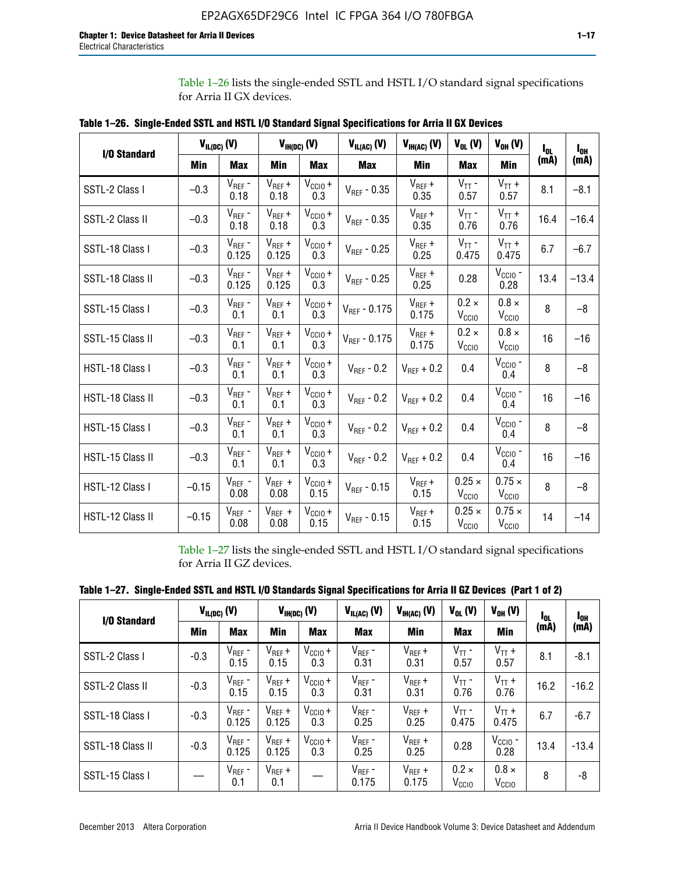Table 1–26 lists the single-ended SSTL and HSTL I/O standard signal specifications for Arria II GX devices.

| <b>I/O Standard</b> |         | $V_{IL(DC)}(V)$      |                      | $V_{IH(DC)}(V)$             | $V_{IL(AC)}$ (V)  | $V_{IH(AC)}$ (V)     | $V_{OL}$ (V)                       | $V_{OH} (V)$                       | l <sub>ol.</sub> | $I_{0H}$ |
|---------------------|---------|----------------------|----------------------|-----------------------------|-------------------|----------------------|------------------------------------|------------------------------------|------------------|----------|
|                     | Min     | <b>Max</b>           | Min                  | <b>Max</b>                  | <b>Max</b>        | Min                  | <b>Max</b>                         | Min                                | (mA)             | (mA)     |
| SSTL-2 Class I      | $-0.3$  | $V_{REF}$ -<br>0.18  | $V_{REF} +$<br>0.18  | $V_{\text{CCIO}} +$<br>0.3  | $V_{REF}$ - 0.35  | $V_{REF} +$<br>0.35  | $V_{TT}$ -<br>0.57                 | $V_{TT}$ +<br>0.57                 | 8.1              | $-8.1$   |
| SSTL-2 Class II     | $-0.3$  | $V_{REF}$ -<br>0.18  | $V_{REF} +$<br>0.18  | $V_{\text{CC1O}} +$<br>0.3  | $V_{REF} - 0.35$  | $V_{REF} +$<br>0.35  | $V_{TT}$ -<br>0.76                 | $V_{TT}$ +<br>0.76                 | 16.4             | $-16.4$  |
| SSTL-18 Class I     | $-0.3$  | $V_{REF}$ -<br>0.125 | $V_{REF}$ +<br>0.125 | $V_{\text{CCIO}} +$<br>0.3  | $V_{REF}$ - 0.25  | $V_{REF}$ +<br>0.25  | $V_{TT}$ -<br>0.475                | $V_{TT}$ +<br>0.475                | 6.7              | $-6.7$   |
| SSTL-18 Class II    | $-0.3$  | $V_{REF}$ -<br>0.125 | $V_{REF}$ +<br>0.125 | $V_{\text{CC1O}} +$<br>0.3  | $V_{REF}$ - 0.25  | $V_{REF}$ +<br>0.25  | 0.28                               | $V_{CGIO}$ -<br>0.28               | 13.4             | $-13.4$  |
| SSTL-15 Class I     | $-0.3$  | $V_{REF}$ -<br>0.1   | $V_{REF}$ +<br>0.1   | $V_{\text{CCIO}} +$<br>0.3  | $V_{REF}$ - 0.175 | $V_{REF}$ +<br>0.175 | $0.2 \times$<br>V <sub>CCIO</sub>  | $0.8 \times$<br>V <sub>CCIO</sub>  | 8                | $-8$     |
| SSTL-15 Class II    | $-0.3$  | $V_{REF}$ -<br>0.1   | $V_{REF}$ +<br>0.1   | $V_{\text{CCIO}} +$<br>0.3  | $V_{REF}$ - 0.175 | $V_{REF}$ +<br>0.175 | $0.2 \times$<br>V <sub>CCIO</sub>  | $0.8 \times$<br>V <sub>CCIO</sub>  | 16               | $-16$    |
| HSTL-18 Class I     | $-0.3$  | $V_{REF}$ -<br>0.1   | $V_{REF}$ +<br>0.1   | $V_{CCIO} +$<br>0.3         | $V_{REF} - 0.2$   | $V_{REF}$ + 0.2      | 0.4                                | $V_{CGIO}$ -<br>0.4                | 8                | $-8$     |
| HSTL-18 Class II    | $-0.3$  | $V_{REF}$ -<br>0.1   | $V_{REF}$ +<br>0.1   | $V_{\text{CC1O}} +$<br>0.3  | $V_{REF}$ - 0.2   | $V_{REF}$ + 0.2      | 0.4                                | $V_{CGIO}$ -<br>0.4                | 16               | $-16$    |
| HSTL-15 Class I     | $-0.3$  | $V_{REF}$ -<br>0.1   | $V_{REF}$ +<br>0.1   | $V_{\text{CCIO}} +$<br>0.3  | $V_{REF}$ - 0.2   | $V_{REF}$ + 0.2      | 0.4                                | $V_{CGIO}$ -<br>0.4                | 8                | $-8$     |
| HSTL-15 Class II    | $-0.3$  | $V_{REF}$ -<br>0.1   | $V_{REF}$ +<br>0.1   | $V_{\text{CCIO}} +$<br>0.3  | $V_{REF}$ - 0.2   | $V_{RFF}$ + 0.2      | 0.4                                | $V_{CCIO}$ -<br>0.4                | 16               | $-16$    |
| HSTL-12 Class I     | $-0.15$ | $V_{REF}$ -<br>0.08  | $V_{REF}$ +<br>0.08  | $V_{\text{CC1O}} +$<br>0.15 | $V_{REF} - 0.15$  | $V_{REF} +$<br>0.15  | $0.25 \times$<br>V <sub>CCIO</sub> | $0.75 \times$<br>V <sub>CCIO</sub> | 8                | $-8$     |
| HSTL-12 Class II    | $-0.15$ | $V_{REF}$ -<br>0.08  | $V_{REF}$ +<br>0.08  | $V_{CCIO} +$<br>0.15        | $V_{REF} - 0.15$  | $V_{REF} +$<br>0.15  | $0.25 \times$<br>V <sub>CCIO</sub> | $0.75 \times$<br>V <sub>CCIO</sub> | 14               | $-14$    |

**Table 1–26. Single-Ended SSTL and HSTL I/O Standard Signal Specifications for Arria II GX Devices** 

Table 1–27 lists the single-ended SSTL and HSTL I/O standard signal specifications for Arria II GZ devices.

| Table 1–27. Single-Ended SSTL and HSTL I/O Standards Signal Specifications for Arria II GZ Devices (Part 1 of 2) |  |  |  |  |
|------------------------------------------------------------------------------------------------------------------|--|--|--|--|
|                                                                                                                  |  |  |  |  |

| I/O Standard     |        | $V_{IL(DC)}$ (V)     |                      | $V_{IH(DC)}$ (V)           |                      | $V_{IH(AC)}(V)$      | $V_{OL} (V)$                      | $V_{OH} (V)$                   | l <sub>OL</sub> | 1 <sub>0H</sub> |
|------------------|--------|----------------------|----------------------|----------------------------|----------------------|----------------------|-----------------------------------|--------------------------------|-----------------|-----------------|
|                  | Min    | <b>Max</b>           | <b>Min</b>           | <b>Max</b>                 | <b>Max</b>           | Min                  | <b>Max</b>                        | Min                            | (mA)            | (mA)            |
| SSTL-2 Class I   | $-0.3$ | $V_{REF}$ -<br>0.15  | $V_{REF} +$<br>0.15  | $V_{CCIO} +$<br>0.3        | $V_{REF}$ -<br>0.31  | $V_{REF} +$<br>0.31  | $V_{TT}$ -<br>0.57                | $V_{TT}$ +<br>0.57             | 8.1             | $-8.1$          |
| SSTL-2 Class II  | $-0.3$ | $V_{REF}$ -<br>0.15  | $V_{REF} +$<br>0.15  | $V_{\text{CC1O}} +$<br>0.3 | $V_{REF}$ -<br>0.31  | $V_{REF} +$<br>0.31  | $V_{TT}$ -<br>0.76                | $V_{TT}$ +<br>0.76             | 16.2            | $-16.2$         |
| SSTL-18 Class I  | $-0.3$ | $V_{REF}$ -<br>0.125 | $V_{REF}$ +<br>0.125 | $V_{\text{CC1O}} +$<br>0.3 | $V_{REF}$ -<br>0.25  | $V_{REF}$ +<br>0.25  | $V_{TT}$ -<br>0.475               | $V_{TT}$ +<br>0.475            | 6.7             | $-6.7$          |
| SSTL-18 Class II | $-0.3$ | $V_{REF}$ -<br>0.125 | $V_{REF}$ +<br>0.125 | $V_{\text{CC1O}} +$<br>0.3 | $V_{REF}$ -<br>0.25  | $V_{REF}$ +<br>0.25  | 0.28                              | $V_{\rm CCIO}$ -<br>0.28       | 13.4            | $-13.4$         |
| SSTL-15 Class I  |        | $V_{REF}$ -<br>0.1   | $V_{REF}$ +<br>0.1   |                            | $V_{REF}$ -<br>0.175 | $V_{REF}$ +<br>0.175 | $0.2 \times$<br>V <sub>CCIO</sub> | $0.8 \times$<br>$V_{\rm CClO}$ | 8               | -8              |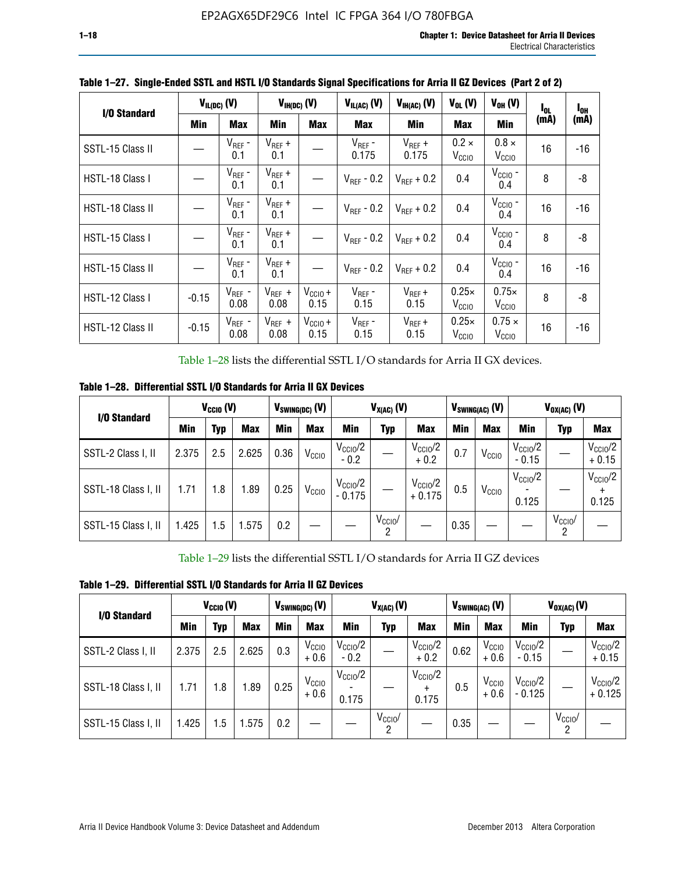| I/O Standard     |         | $V_{IL(DC)}$ (V)    |                     | $V_{IH(DC)}$ (V)     | $V_{IL(AC)}$ (V)       | $V_{IH(AC)}(V)$      | $V_{OL}$ (V)                      | $V_{OH} (V)$                       | $I_{0L}$ | $I_{0H}$ |
|------------------|---------|---------------------|---------------------|----------------------|------------------------|----------------------|-----------------------------------|------------------------------------|----------|----------|
|                  | Min     | <b>Max</b>          | Min                 | <b>Max</b>           | <b>Max</b>             | Min                  | <b>Max</b>                        | Min                                | (mA)     | (mA)     |
| SSTL-15 Class II |         | $V_{REF}$ -<br>0.1  | $V_{REF}$ +<br>0.1  |                      | $V_{REF}$ -<br>0.175   | $V_{REF}$ +<br>0.175 | $0.2 \times$<br>V <sub>CCIO</sub> | $0.8 \times$<br>V <sub>CCIO</sub>  | 16       | $-16$    |
| HSTL-18 Class I  |         | $V_{REF}$ -<br>0.1  | $V_{REF}$ +<br>0.1  |                      | $V_{\text{RFF}}$ - 0.2 | $V_{RFF}$ + 0.2      | 0.4                               | $V_{\text{CCIO}}$ -<br>0.4         | 8        | -8       |
| HSTL-18 Class II |         | $V_{REF}$ -<br>0.1  | $V_{REF}$ +<br>0.1  |                      | $V_{\text{RFF}}$ - 0.2 | $V_{RFF}$ + 0.2      | 0.4                               | $V_{CCIO}$ -<br>0.4                | 16       | $-16$    |
| HSTL-15 Class I  |         | $V_{REF}$ -<br>0.1  | $V_{REF}$ +<br>0.1  |                      | $V_{\text{RFF}}$ - 0.2 | $V_{RFF}$ + 0.2      | 0.4                               | $V_{CCIO}$ -<br>0.4                | 8        | -8       |
| HSTL-15 Class II |         | $V_{REF}$ -<br>0.1  | $V_{REF}$ +<br>0.1  |                      | $V_{REF}$ - 0.2        | $V_{REF}$ + 0.2      | 0.4                               | $V_{\text{CCIO}}$ -<br>0.4         | 16       | $-16$    |
| HSTL-12 Class I  | $-0.15$ | $V_{REF}$ -<br>0.08 | $V_{REF}$ +<br>0.08 | $V_{CClO} +$<br>0.15 | $V_{REF}$ -<br>0.15    | $V_{REF} +$<br>0.15  | $0.25\times$<br>V <sub>CCIO</sub> | $0.75\times$<br>V <sub>CCIO</sub>  | 8        | -8       |
| HSTL-12 Class II | $-0.15$ | $V_{REF}$ -<br>0.08 | $V_{REF}$ +<br>0.08 | $V_{CClO} +$<br>0.15 | $V_{REF}$ -<br>0.15    | $V_{REF} +$<br>0.15  | $0.25\times$<br>V <sub>CCIO</sub> | $0.75 \times$<br>V <sub>CCIO</sub> | 16       | $-16$    |

**Table 1–27. Single-Ended SSTL and HSTL I/O Standards Signal Specifications for Arria II GZ Devices (Part 2 of 2)**

Table 1–28 lists the differential SSTL I/O standards for Arria II GX devices.

**Table 1–28. Differential SSTL I/O Standards for Arria II GX Devices**

| I/O Standard        |       | $V_{\text{CCIO}}(V)$ |            | $V_{SWING(DC)}$ (V) |                   |                                 | $V_{X(AC)}(V)$  |                                 |            | $V_{SWING(AC)}$ (V) |                              | $V_{OX(AC)}$ (V) |                                |
|---------------------|-------|----------------------|------------|---------------------|-------------------|---------------------------------|-----------------|---------------------------------|------------|---------------------|------------------------------|------------------|--------------------------------|
|                     | Min   | Typ                  | <b>Max</b> | <b>Min</b>          | <b>Max</b>        | Min                             | Typ             | <b>Max</b>                      | <b>Min</b> | <b>Max</b>          | Min                          | Typ              | <b>Max</b>                     |
| SSTL-2 Class I, II  | 2.375 | 2.5                  | 2.625      | 0.36                | V <sub>CCIO</sub> | $V_{\text{CC10}}/2$<br>$-0.2$   |                 | $V_{\rm CC10}$ /2<br>$+0.2$     | 0.7        | V <sub>CCIO</sub>   | $V_{\rm CC10}$ /2<br>$-0.15$ |                  | $V_{\text{CCIO}}/2$<br>$+0.15$ |
| SSTL-18 Class I, II | 1.71  | 1.8                  | l.89       | 0.25                | V <sub>CCIO</sub> | $V_{\text{CCIO}}/2$<br>$-0.175$ |                 | $V_{\text{CC10}}/2$<br>$+0.175$ | 0.5        | V <sub>CCIO</sub>   | $V_{\text{CC10}}/2$<br>0.125 |                  | $V_{\text{CCIO}}/2$<br>0.125   |
| SSTL-15 Class I, II | 1.425 | 1.5                  | .575       | 0.2                 |                   |                                 | $V_{CCIO}$<br>2 |                                 | 0.35       |                     |                              | $V_{CCIO}$<br>റ  |                                |

Table 1–29 lists the differential SSTL I/O standards for Arria II GZ devices

**Table 1–29. Differential SSTL I/O Standards for Arria II GZ Devices**

| I/O Standard        |       | $V_{\text{CCIO}}(V)$ |            |      | $V_{SWING(DC)}(V)$          |                               | $V_{X(AC)}(V)$      |                                   |      | $V_{SWING(AC)}$ (V)         |                                | $V_{OX(AC)}(V)$ |                                 |
|---------------------|-------|----------------------|------------|------|-----------------------------|-------------------------------|---------------------|-----------------------------------|------|-----------------------------|--------------------------------|-----------------|---------------------------------|
|                     | Min   | Typ                  | <b>Max</b> | Min  | <b>Max</b>                  | Min                           | Typ                 | <b>Max</b>                        | Min  | <b>Max</b>                  | Min                            | Typ             | <b>Max</b>                      |
| SSTL-2 Class I, II  | 2.375 | 2.5                  | 2.625      | 0.3  | V <sub>CCIO</sub><br>$+0.6$ | $V_{\text{CC1O}}/2$<br>$-0.2$ |                     | $V_{\text{CCIO}}/2$<br>$+0.2$     | 0.62 | V <sub>CCIO</sub><br>$+0.6$ | $V_{\text{CC10}}/2$<br>$-0.15$ |                 | $V_{\text{CC10}}/2$<br>$+0.15$  |
| SSTL-18 Class I, II | 1.71  | 1.8                  | 1.89       | 0.25 | V <sub>CCIO</sub><br>$+0.6$ | $V_{\text{CCIO}}/2$<br>0.175  |                     | $V_{\text{CCIO}}/2$<br>÷<br>0.175 | 0.5  | V <sub>CCIO</sub><br>$+0.6$ | $V_{\text{CC10}}/2$<br>- 0.125 |                 | $V_{\text{CC10}}/2$<br>$+0.125$ |
| SSTL-15 Class I, II | 1.425 | 1.5                  | .575       | 0.2  |                             |                               | $V_{\rm CCIO}$<br>2 |                                   | 0.35 |                             |                                | $V_{CClO}$<br>2 |                                 |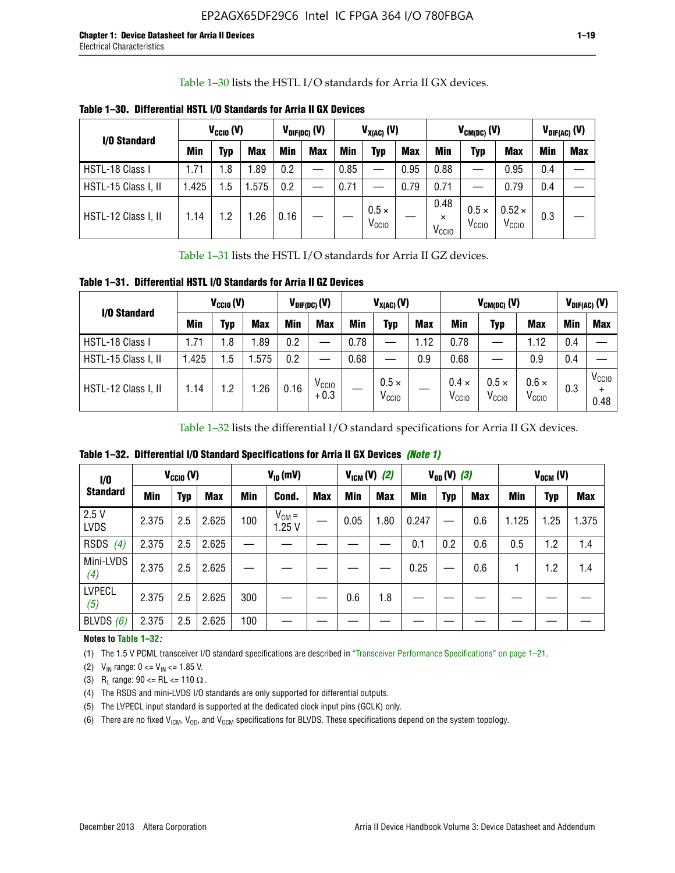Table 1–30 lists the HSTL I/O standards for Arria II GX devices.

| I/O Standard        | $V_{CGI0} (V)$ |            |            | $V_{\text{DIF(DC)}}$ (V) |            |      | $V_{X(AC)}(V)$                    |            |                                       | $V_{CM(DC)}(V)$                   |                                    |     | $V_{DIF(AC)}(V)$ |
|---------------------|----------------|------------|------------|--------------------------|------------|------|-----------------------------------|------------|---------------------------------------|-----------------------------------|------------------------------------|-----|------------------|
|                     | <b>Min</b>     | Typ        | <b>Max</b> | Min                      | <b>Max</b> | Min  | Typ                               | <b>Max</b> | Min                                   | Typ                               | <b>Max</b>                         | Min | <b>Max</b>       |
| HSTL-18 Class I     | 1.71           | .8         | .89        | 0.2                      | __         | 0.85 |                                   | 0.95       | 0.88                                  |                                   | 0.95                               | 0.4 |                  |
| HSTL-15 Class I, II | 1.425          | .5         | .575       | 0.2                      | --         | 0.71 |                                   | 0.79       | 0.71                                  |                                   | 0.79                               | 0.4 |                  |
| HSTL-12 Class I, II | 1.14           | $\cdot$ .2 | .26        | 0.16                     |            |      | $0.5 \times$<br>V <sub>CCIO</sub> |            | 0.48<br>$\times$<br>V <sub>CCIO</sub> | $0.5 \times$<br>V <sub>CCIO</sub> | $0.52 \times$<br>V <sub>CCIO</sub> | 0.3 |                  |

**Table 1–30. Differential HSTL I/O Standards for Arria II GX Devices**

Table 1–31 lists the HSTL I/O standards for Arria II GZ devices.

**Table 1–31. Differential HSTL I/O Standards for Arria II GZ Devices**

| I/O Standard        | $V_{\text{CCIO}}(V)$ |         |            | $V_{\text{DIF(DC)}}(V)$ |                             |      | $V_{X(AC)}(V)$                    |            |                                   | $V_{CM(DC)}$ (V)                  |                                   |     | $V_{DIF(AC)}$ (V)         |
|---------------------|----------------------|---------|------------|-------------------------|-----------------------------|------|-----------------------------------|------------|-----------------------------------|-----------------------------------|-----------------------------------|-----|---------------------------|
|                     | Min                  | Typ     | <b>Max</b> | <b>Min</b>              | <b>Max</b>                  | Min  | Typ                               | <b>Max</b> | <b>Min</b>                        | Typ                               | <b>Max</b>                        | Min | <b>Max</b>                |
| HSTL-18 Class I     | 71، ا                | 1.8     | .89        | 0.2                     | —                           | 0.78 |                                   | 1.12       | 0.78                              |                                   | 1.12                              | 0.4 |                           |
| HSTL-15 Class I, II | .425                 | $1.5\,$ | .575       | 0.2                     | —                           | 0.68 |                                   | 0.9        | 0.68                              |                                   | 0.9                               | 0.4 |                           |
| HSTL-12 Class I, II | l.14                 | 1.2     | .26        | 0.16                    | V <sub>CCIO</sub><br>$+0.3$ |      | $0.5 \times$<br>V <sub>CCIO</sub> |            | $0.4 \times$<br>V <sub>CCIO</sub> | $0.5 \times$<br>V <sub>CCIO</sub> | $0.6 \times$<br>V <sub>CCIO</sub> | 0.3 | V <sub>CCIO</sub><br>0.48 |

Table 1–32 lists the differential I/O standard specifications for Arria II GX devices.

**Table 1–32. Differential I/O Standard Specifications for Arria II GX Devices** *(Note 1)*

| 1/0<br><b>Standard</b> | $V_{CGI0} (V)$ |            |            | $V_{ID}$ (mV) |                     |            |      | $V_{IGM} (V)$ (2) |       | $V_{OD} (V)$ (3) |     |       | $V_{OCM}$ (V) |            |
|------------------------|----------------|------------|------------|---------------|---------------------|------------|------|-------------------|-------|------------------|-----|-------|---------------|------------|
|                        | Min            | <b>Typ</b> | <b>Max</b> | Min           | Cond.               | <b>Max</b> | Min  | <b>Max</b>        | Min   | <b>Typ</b>       | Max | Min   | <b>Typ</b>    | <b>Max</b> |
| 2.5V<br><b>LVDS</b>    | 2.375          | 2.5        | 2.625      | 100           | $V_{CM} =$<br>1.25V |            | 0.05 | 1.80              | 0.247 |                  | 0.6 | 1.125 | 1.25          | 1.375      |
| RSDS<br>(4)            | 2.375          | 2.5        | 2.625      |               |                     |            |      |                   | 0.1   | 0.2              | 0.6 | 0.5   | 1.2           | 1.4        |
| Mini-LVDS<br>(4)       | 2.375          | 2.5        | 2.625      |               |                     |            |      |                   | 0.25  | —                | 0.6 |       | 1.2           | 1.4        |
| <b>LVPECL</b><br>(5)   | 2.375          | 2.5        | 2.625      | 300           |                     |            | 0.6  | 1.8               |       |                  |     |       |               |            |
| BLVDS $(6)$            | 2.375          | 2.5        | 2.625      | 100           |                     |            |      |                   |       |                  |     |       |               |            |

## **Notes to Table 1–32***:*

(1) The 1.5 V PCML transceiver I/O standard specifications are described in "Transceiver Performance Specifications" on page 1–21.

(2)  $V_{IN}$  range:  $0 \le V_{IN} \le 1.85$  V.

(3) R<sub>L</sub> range:  $90 \leq R$ L  $\leq 110 \Omega$ .

- (4) The RSDS and mini-LVDS I/O standards are only supported for differential outputs.
- (5) The LVPECL input standard is supported at the dedicated clock input pins (GCLK) only.
- (6) There are no fixed  $V_{ICM}$ ,  $V_{OD}$ , and  $V_{OCM}$  specifications for BLVDS. These specifications depend on the system topology.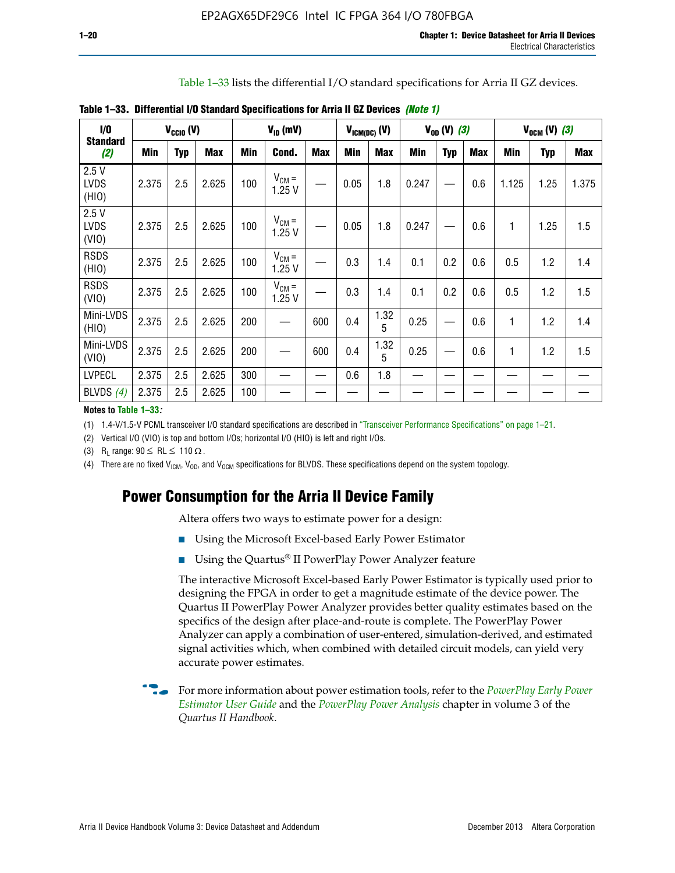Table 1–33 lists the differential I/O standard specifications for Arria II GZ devices.

| $\dot{v}$                    |       | $V_{\text{CCIO}}(V)$ |            |     | $V_{ID}$ (mV)       |            |            | $V_{ICM(DC)}$ (V) |            | $V_{OD} (V) (3)$ |            |       | $V_{OCM} (V) (3)$ |            |
|------------------------------|-------|----------------------|------------|-----|---------------------|------------|------------|-------------------|------------|------------------|------------|-------|-------------------|------------|
| <b>Standard</b><br>(2)       | Min   | <b>Typ</b>           | <b>Max</b> | Min | Cond.               | <b>Max</b> | <b>Min</b> | <b>Max</b>        | <b>Min</b> | <b>Typ</b>       | <b>Max</b> | Min   | Typ               | <b>Max</b> |
| 2.5V<br><b>LVDS</b><br>(HIO) | 2.375 | 2.5                  | 2.625      | 100 | $V_{CM} =$<br>1.25V |            | 0.05       | 1.8               | 0.247      |                  | 0.6        | 1.125 | 1.25              | 1.375      |
| 2.5V<br><b>LVDS</b><br>(VIO) | 2.375 | 2.5                  | 2.625      | 100 | $V_{CM} =$<br>1.25V |            | 0.05       | 1.8               | 0.247      |                  | 0.6        | 1     | 1.25              | 1.5        |
| <b>RSDS</b><br>(HIO)         | 2.375 | 2.5                  | 2.625      | 100 | $V_{CM} =$<br>1.25V |            | 0.3        | 1.4               | 0.1        | 0.2              | 0.6        | 0.5   | 1.2               | 1.4        |
| <b>RSDS</b><br>(VIO)         | 2.375 | 2.5                  | 2.625      | 100 | $V_{CM} =$<br>1.25V |            | 0.3        | 1.4               | 0.1        | 0.2              | 0.6        | 0.5   | 1.2               | 1.5        |
| Mini-LVDS<br>(HIO)           | 2.375 | 2.5                  | 2.625      | 200 | —                   | 600        | 0.4        | 1.32<br>5         | 0.25       |                  | 0.6        | 1     | 1.2               | 1.4        |
| Mini-LVDS<br>(VIO)           | 2.375 | 2.5                  | 2.625      | 200 |                     | 600        | 0.4        | 1.32<br>5         | 0.25       |                  | 0.6        | 1     | 1.2               | 1.5        |
| <b>LVPECL</b>                | 2.375 | 2.5                  | 2.625      | 300 |                     |            | 0.6        | 1.8               |            |                  |            |       |                   |            |
| BLVDS $(4)$                  | 2.375 | 2.5                  | 2.625      | 100 |                     |            |            |                   |            |                  |            |       |                   |            |

**Table 1–33. Differential I/O Standard Specifications for Arria II GZ Devices** *(Note 1)*

#### **Notes to Table 1–33***:*

(1) 1.4-V/1.5-V PCML transceiver I/O standard specifications are described in "Transceiver Performance Specifications" on page 1–21.

(2) Vertical I/O (VIO) is top and bottom I/Os; horizontal I/O (HIO) is left and right I/Os.

(3) R<sub>l</sub> range:  $90 \leq R L \leq 110 \Omega$ .

(4) There are no fixed  $V_{ICM}$ ,  $V_{OD}$ , and  $V_{OCM}$  specifications for BLVDS. These specifications depend on the system topology.

# **Power Consumption for the Arria II Device Family**

Altera offers two ways to estimate power for a design:

- Using the Microsoft Excel-based Early Power Estimator
- Using the Quartus<sup>®</sup> II PowerPlay Power Analyzer feature

The interactive Microsoft Excel-based Early Power Estimator is typically used prior to designing the FPGA in order to get a magnitude estimate of the device power. The Quartus II PowerPlay Power Analyzer provides better quality estimates based on the specifics of the design after place-and-route is complete. The PowerPlay Power Analyzer can apply a combination of user-entered, simulation-derived, and estimated signal activities which, when combined with detailed circuit models, can yield very accurate power estimates.

f For more information about power estimation tools, refer to the *[PowerPlay Early Power](http://www.altera.com/literature/ug/ug_epe.pdf?GSA_pos=5&WT.oss_r=1&WT.oss=powerplay early power estimator)  [Estimator User Guide](http://www.altera.com/literature/ug/ug_epe.pdf?GSA_pos=5&WT.oss_r=1&WT.oss=powerplay early power estimator)* and the *[PowerPlay Power Analysis](http://www.altera.com/literature/hb/qts/qts_qii53013.pdf)* chapter in volume 3 of the *Quartus II Handbook*.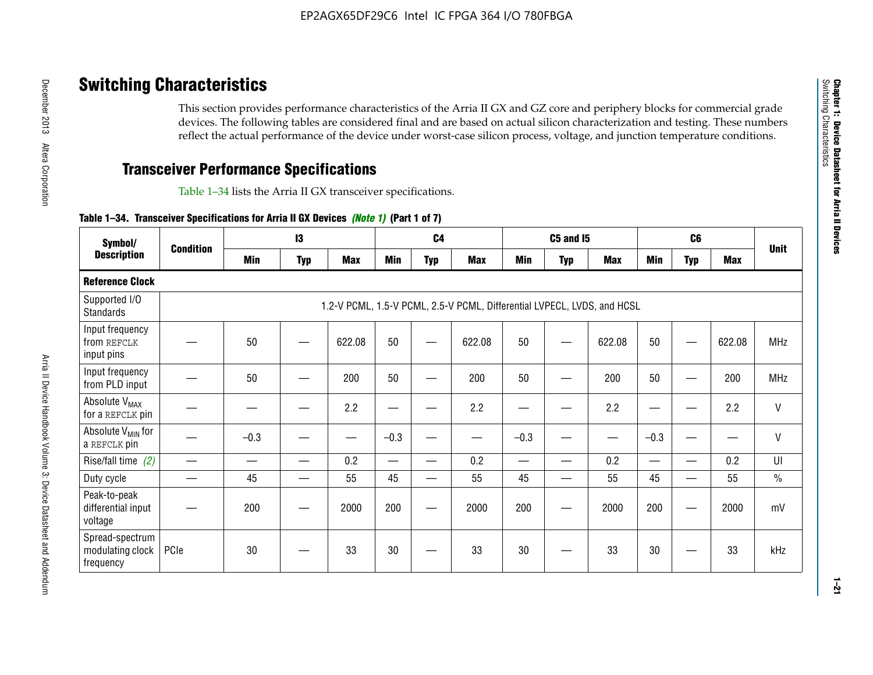# **Switching Characteristics**

This section provides performance characteristics of the Arria II GX and GZ core and periphery blocks for commercial grade devices. The following tables are considered final and are based on actual silicon characterization and testing. These numbers reflect the actual performance of the device under worst-case silicon process, voltage, and junction temperature conditions.

# **Transceiver Performance Specifications**

Table 1–34 lists the Arria II GX transceiver specifications.

## **Table 1–34. Transceiver Specifications for Arria II GX Devices** *(Note 1)* **(Part 1 of 7)**

| Symbol/                                          |                  |            | $\mathbf{13}$ |            |            | C <sub>4</sub> |                                                                         |            | <b>C5 and 15</b> |            |            | C <sub>6</sub>           |            |               |
|--------------------------------------------------|------------------|------------|---------------|------------|------------|----------------|-------------------------------------------------------------------------|------------|------------------|------------|------------|--------------------------|------------|---------------|
| <b>Description</b>                               | <b>Condition</b> | <b>Min</b> | <b>Typ</b>    | <b>Max</b> | <b>Min</b> | <b>Typ</b>     | <b>Max</b>                                                              | <b>Min</b> | <b>Typ</b>       | <b>Max</b> | <b>Min</b> | <b>Typ</b>               | <b>Max</b> | <b>Unit</b>   |
| <b>Reference Clock</b>                           |                  |            |               |            |            |                |                                                                         |            |                  |            |            |                          |            |               |
| Supported I/O<br><b>Standards</b>                |                  |            |               |            |            |                | 1.2-V PCML, 1.5-V PCML, 2.5-V PCML, Differential LVPECL, LVDS, and HCSL |            |                  |            |            |                          |            |               |
| Input frequency<br>from REFCLK<br>input pins     |                  | 50         |               | 622.08     | 50         |                | 622.08                                                                  | 50         | —                | 622.08     | 50         |                          | 622.08     | <b>MHz</b>    |
| Input frequency<br>from PLD input                |                  | 50         |               | 200        | 50         |                | 200                                                                     | 50         |                  | 200        | 50         |                          | 200        | MHz           |
| Absolute V <sub>MAX</sub><br>for a REFCLK pin    |                  |            |               | 2.2        |            |                | 2.2                                                                     | —          |                  | 2.2        |            |                          | 2.2        | $\mathsf{V}$  |
| Absolute V <sub>MIN</sub> for<br>a REFCLK pin    |                  | $-0.3$     |               |            | $-0.3$     |                |                                                                         | $-0.3$     | -                |            | $-0.3$     |                          | —          | $\mathsf{V}$  |
| Rise/fall time (2)                               |                  |            | —             | 0.2        | —          | —              | 0.2                                                                     |            | —                | 0.2        | —          | $\overline{\phantom{0}}$ | 0.2        | UI            |
| Duty cycle                                       |                  | 45         |               | 55         | 45         |                | 55                                                                      | 45         | —                | 55         | 45         |                          | 55         | $\frac{0}{0}$ |
| Peak-to-peak<br>differential input<br>voltage    |                  | 200        |               | 2000       | 200        |                | 2000                                                                    | 200        | —                | 2000       | 200        |                          | 2000       | mV            |
| Spread-spectrum<br>modulating clock<br>frequency | PCIe             | 30         |               | 33         | 30         |                | 33                                                                      | 30         |                  | 33         | 30         |                          | 33         | kHz           |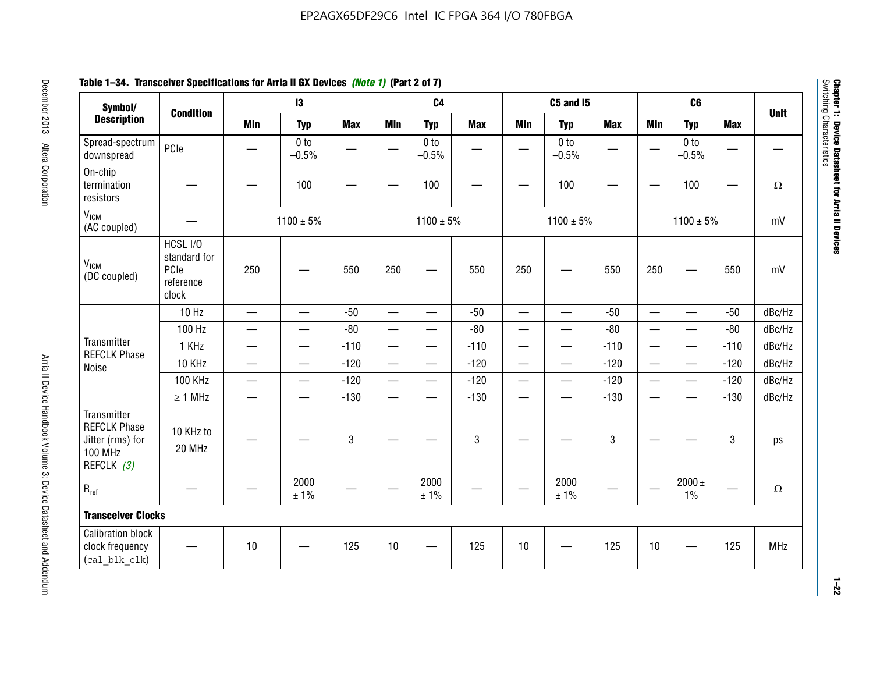# **Table 1–34. Transceiver Specifications for Arria II GX Devices** *(Note 1)* **(Part 2 of 7)**

| Symbol/                                                                                |                                                        |                               | $\mathbf{13}$              |             |                          | C <sub>4</sub>             |            |                          | C5 and I5                  |            |                          | C <sub>6</sub>             |            |             |
|----------------------------------------------------------------------------------------|--------------------------------------------------------|-------------------------------|----------------------------|-------------|--------------------------|----------------------------|------------|--------------------------|----------------------------|------------|--------------------------|----------------------------|------------|-------------|
| <b>Description</b>                                                                     | <b>Condition</b>                                       | <b>Min</b>                    | <b>Typ</b>                 | <b>Max</b>  | <b>Min</b>               | <b>Typ</b>                 | <b>Max</b> | <b>Min</b>               | <b>Typ</b>                 | <b>Max</b> | <b>Min</b>               | <b>Typ</b>                 | <b>Max</b> | <b>Unit</b> |
| Spread-spectrum<br>downspread                                                          | PCIe                                                   |                               | 0 <sub>to</sub><br>$-0.5%$ |             |                          | 0 <sub>to</sub><br>$-0.5%$ |            |                          | 0 <sub>to</sub><br>$-0.5%$ |            |                          | 0 <sub>to</sub><br>$-0.5%$ |            |             |
| On-chip<br>termination<br>resistors                                                    |                                                        |                               | 100                        | —           |                          | 100                        |            |                          | 100                        |            |                          | 100                        | —          | $\Omega$    |
| V <sub>ICM</sub><br>(AC coupled)                                                       |                                                        |                               | $1100 \pm 5\%$             |             |                          | $1100 \pm 5\%$             |            |                          | $1100 \pm 5\%$             |            |                          | $1100 \pm 5\%$             |            | mV          |
| V <sub>ICM</sub><br>(DC coupled)                                                       | HCSL I/O<br>standard for<br>PCIe<br>reference<br>clock | 250                           |                            | 550         | 250                      | $\hspace{0.05cm}$          | 550        | 250                      | —                          | 550        | 250                      | —                          | 550        | mV          |
|                                                                                        | 10 Hz                                                  | $\overline{\phantom{0}}$      | $\overline{\phantom{0}}$   | $-50$       | $\equiv$                 |                            | $-50$      | $\qquad \qquad$          | $\equiv$                   | $-50$      | $\overline{\phantom{0}}$ |                            | $-50$      | dBc/Hz      |
|                                                                                        | 100 Hz                                                 | $\overline{\phantom{0}}$      | $\overline{\phantom{0}}$   | $-80$       | $\overline{\phantom{0}}$ | $\overline{\phantom{0}}$   | $-80$      | $\overline{\phantom{0}}$ |                            | $-80$      | $\overline{\phantom{0}}$ | $\overline{\phantom{0}}$   | $-80$      | dBc/Hz      |
| Transmitter<br><b>REFCLK Phase</b>                                                     | 1 KHz                                                  | —                             | $\overline{\phantom{0}}$   | $-110$      |                          | $\hspace{0.05cm}$          | $-110$     | $\overline{\phantom{0}}$ | $\qquad \qquad \qquad$     | $-110$     |                          | $\overline{\phantom{0}}$   | $-110$     | dBc/Hz      |
| Noise                                                                                  | 10 KHz                                                 | $\overbrace{\phantom{aaaaa}}$ | $\overline{\phantom{0}}$   | $-120$      | $\overline{\phantom{m}}$ | $\overline{\phantom{0}}$   | $-120$     | $\overline{\phantom{0}}$ |                            | $-120$     |                          |                            | $-120$     | dBc/Hz      |
|                                                                                        | <b>100 KHz</b>                                         | $\overline{\phantom{0}}$      | $\equiv$                   | $-120$      |                          | $\equiv$                   | $-120$     | $\overline{\phantom{0}}$ | $\overline{\phantom{0}}$   | $-120$     | $\equiv$                 | $\overline{\phantom{0}}$   | $-120$     | dBc/Hz      |
|                                                                                        | $\geq 1$ MHz                                           | $\overline{\phantom{0}}$      | $\overline{\phantom{0}}$   | $-130$      |                          | $\overline{\phantom{m}}$   | $-130$     | $\overline{\phantom{0}}$ | $\qquad \qquad$            | $-130$     | $\overline{\phantom{0}}$ | $\equiv$                   | $-130$     | dBc/Hz      |
| Transmitter<br><b>REFCLK Phase</b><br>Jitter (rms) for<br><b>100 MHz</b><br>REFCLK (3) | 10 KHz to<br>20 MHz                                    |                               |                            | $\mathbf 3$ |                          |                            | 3          |                          |                            | 3          |                          |                            | 3          | ps          |
| $R_{ref}$                                                                              |                                                        |                               | 2000<br>± 1%               |             | $\hspace{0.05cm}$        | 2000<br>± 1%               |            |                          | 2000<br>± 1%               |            |                          | $2000 \pm$<br>$1\%$        |            | $\Omega$    |
| <b>Transceiver Clocks</b>                                                              |                                                        |                               |                            |             |                          |                            |            |                          |                            |            |                          |                            |            |             |
| <b>Calibration block</b><br>clock frequency<br>(cal blk clk)                           |                                                        | 10                            |                            | 125         | 10                       |                            | 125        | 10                       |                            | 125        | 10                       |                            | 125        | MHz         |

December 2013 Altera Corporation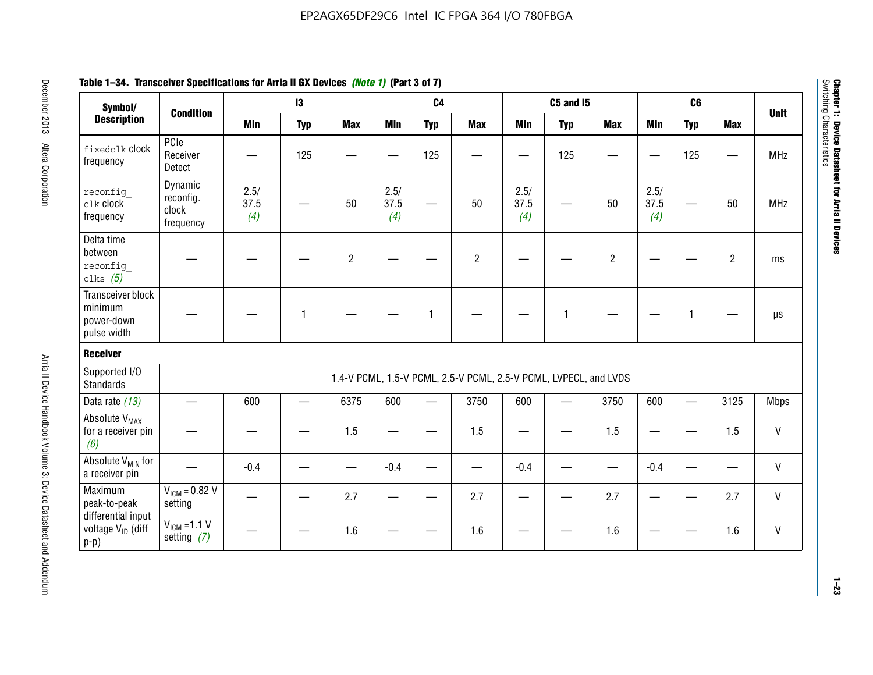| Symbol/                                                       |                                            |                     | 13         |                |                     | C <sub>4</sub>    |                                                                  |                     | <b>C5 and 15</b> |                |                     | C <sub>6</sub> |                |              |
|---------------------------------------------------------------|--------------------------------------------|---------------------|------------|----------------|---------------------|-------------------|------------------------------------------------------------------|---------------------|------------------|----------------|---------------------|----------------|----------------|--------------|
| <b>Description</b>                                            | <b>Condition</b>                           | <b>Min</b>          | <b>Typ</b> | <b>Max</b>     | <b>Min</b>          | <b>Typ</b>        | <b>Max</b>                                                       | <b>Min</b>          | <b>Typ</b>       | <b>Max</b>     | <b>Min</b>          | <b>Typ</b>     | <b>Max</b>     | <b>Unit</b>  |
| fixedclk Clock<br>frequency                                   | PCIe<br>Receiver<br>Detect                 |                     | 125        |                |                     | 125               |                                                                  |                     | 125              |                |                     | 125            |                | <b>MHz</b>   |
| reconfig<br>clk clock<br>frequency                            | Dynamic<br>reconfig.<br>clock<br>frequency | 2.5/<br>37.5<br>(4) |            | 50             | 2.5/<br>37.5<br>(4) |                   | 50                                                               | 2.5/<br>37.5<br>(4) |                  | 50             | 2.5/<br>37.5<br>(4) |                | 50             | <b>MHz</b>   |
| Delta time<br>between<br>reconfig<br>clks $(5)$               |                                            |                     |            | $\overline{c}$ |                     |                   | $\overline{2}$                                                   |                     |                  | $\overline{2}$ |                     |                | $\overline{2}$ | ms           |
| Transceiver block<br>minimum<br>power-down<br>pulse width     |                                            |                     | 1          |                |                     | 1                 |                                                                  |                     | 1                |                |                     | $\mathbf{1}$   |                | $\mu s$      |
| <b>Receiver</b>                                               |                                            |                     |            |                |                     |                   |                                                                  |                     |                  |                |                     |                |                |              |
| Supported I/O<br><b>Standards</b>                             |                                            |                     |            |                |                     |                   | 1.4-V PCML, 1.5-V PCML, 2.5-V PCML, 2.5-V PCML, LVPECL, and LVDS |                     |                  |                |                     |                |                |              |
| Data rate (13)                                                | $\equiv$                                   | 600                 | $\equiv$   | 6375           | 600                 | $\qquad \qquad -$ | 3750                                                             | 600                 |                  | 3750           | 600                 | $\equiv$       | 3125           | <b>Mbps</b>  |
| Absolute V <sub>MAX</sub><br>for a receiver pin<br>(6)        |                                            |                     |            | 1.5            |                     |                   | 1.5                                                              | —                   |                  | 1.5            |                     |                | 1.5            | V            |
| Absolute V <sub>MIN</sub> for<br>a receiver pin               |                                            | $-0.4$              |            |                | $-0.4$              |                   |                                                                  | $-0.4$              |                  |                | $-0.4$              |                |                | $\sf V$      |
| Maximum<br>peak-to-peak                                       | $V_{IGM} = 0.82 V$<br>setting              |                     |            | 2.7            |                     |                   | 2.7                                                              |                     |                  | 2.7            |                     |                | 2.7            | $\mathsf{V}$ |
| differential input<br>voltage V <sub>ID</sub> (diff<br>$p-p)$ | $V_{IGM} = 1.1 V$<br>setting $(7)$         |                     |            | 1.6            |                     |                   | 1.6                                                              |                     |                  | 1.6            |                     |                | 1.6            | V            |

**Chapter 1: Device Datasheet for Arria II Devices**

Chapter 1: Device Datasheet for Arria II Devices<br>Switching Characteristics

Switching Characteristics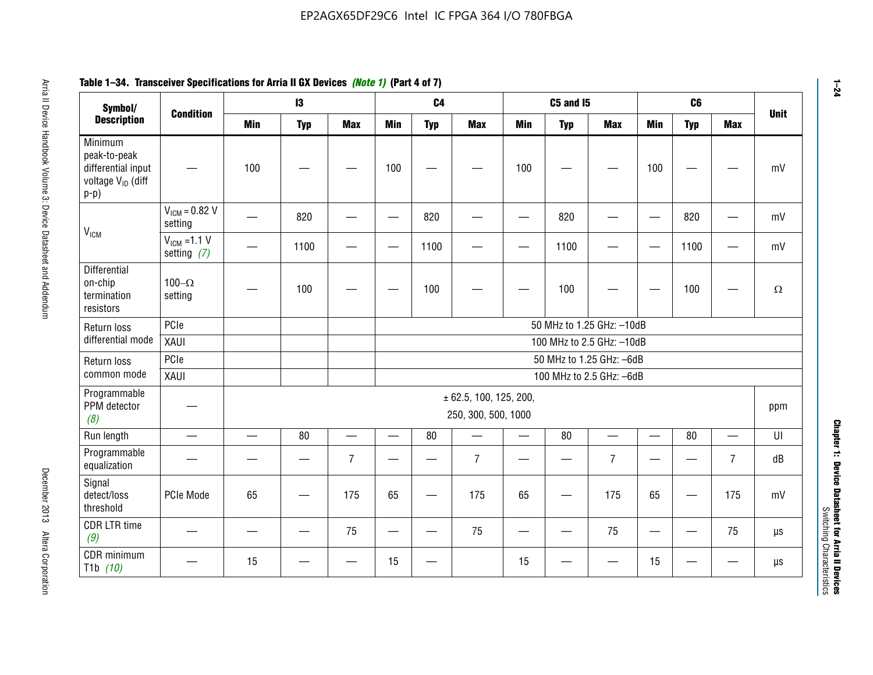#### **Arris 2: Device Handbook Volume 3: Device Datasheet Addents Device Datasheet Addents December 2013 Altera Corporation Minimum peaks-to-peak differential input voltage Video Minimum peaks-to-peak diff particular and the V<sub>ICM</sub>**  $V_{ICM} = 0.82 V$ setting | 一 | 820 | 一 | ― | 820 | 一 | ― | 820 | ― | ― | 820 | ― | mV  $V_{ICM}$  =1.1 V setting *(7)* | - | 1100 | - | - | 1100 | - | - | 1100 | - | - | 1100 | - | mV **Differential** on-chip termination resistors100– $\Omega$ setting | — | 100 | — | — | 100 | — | — | 100 | — | — | 100 | —  $\Omega$ Return loss differential mode PCIee | | | | 50 MHz to 1.25 GHz: –10dB XAUI 100 MHz to 2.5 GHz: –10dB Return loss common modePCIe 50 MHz to 1.25 GHz: –6dBXAUI 100 MHz to 2.5 GHz: –6dB Programmable PPM detector *(8)* ± 62.5, 100, 125, 200, 250, 300, 500, 1000 ppm Run length | ― | ― | 80 | ― | 80 | ― | 80 | ― | UI Programmable -rogrammasic | — | — | — | 7 |— | – | 7 |— | – | 7 |— | – | 7 | dB<br>equalization | — | — | — | 7 |— | 7 | — | 7 | — | 7 | — | 7 | dB Signal detect/loss thresholdPCIe Mode | 65 | — | 175 | 65 | — | 175 | 65 | — | 175 | 65 | — | 175 | mV CDR LTR time *(9)* – | – | – | <sup>75</sup> | – | <sup>75</sup> | – | <sup>75</sup> | – | <sup>75</sup> | – | <sup>75</sup> | – | <sup>75</sup> | <sup>18</sup> CDR minimum T1b *(10)* — <sup>15</sup> — — <sup>15</sup> — <sup>15</sup> — — <sup>15</sup> — — µs **Symbol/ Description Condition I3 C4 C5 and I5 C6UnitMin Typ Max Min Typ Max Min Typ Max Min Typ Max**

# **Table 1–34. Transceiver Specifications for Arria II GX Devices** *(Note 1)* **(Part 4 of 7)**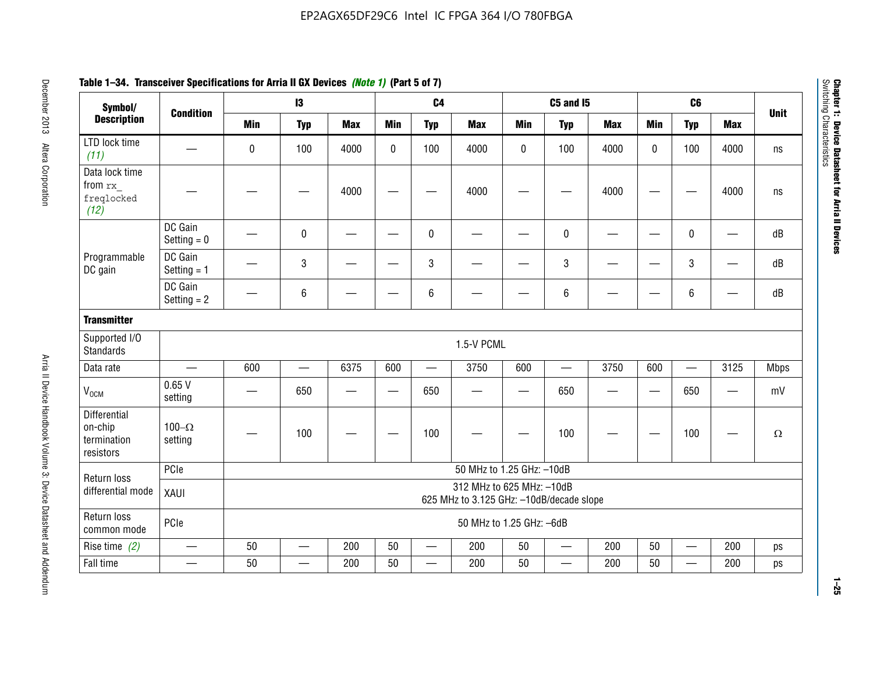| Symbol/                                                    |                          |                                                                       | $\mathbf{13}$                 |            |             | C <sub>4</sub>           |                           |            | <b>C5 and I5</b>              |            |                          | C6                       |                          |             |
|------------------------------------------------------------|--------------------------|-----------------------------------------------------------------------|-------------------------------|------------|-------------|--------------------------|---------------------------|------------|-------------------------------|------------|--------------------------|--------------------------|--------------------------|-------------|
| <b>Description</b>                                         | <b>Condition</b>         | <b>Min</b>                                                            | <b>Typ</b>                    | <b>Max</b> | <b>Min</b>  | <b>Typ</b>               | <b>Max</b>                | <b>Min</b> | <b>Typ</b>                    | <b>Max</b> | <b>Min</b>               | <b>Typ</b>               | <b>Max</b>               | <b>Unit</b> |
| LTD lock time<br>(11)                                      |                          | $\pmb{0}$                                                             | 100                           | 4000       | $\mathbf 0$ | 100                      | 4000                      | 0          | 100                           | 4000       | $\Omega$                 | 100                      | 4000                     | ns          |
| Data lock time<br>from rx<br>freqlocked<br>(12)            |                          |                                                                       |                               | 4000       |             |                          | 4000                      |            |                               | 4000       |                          |                          | 4000                     | ns          |
|                                                            | DC Gain<br>Setting $= 0$ |                                                                       | $\pmb{0}$                     |            |             | $\mathbf 0$              |                           |            | $\pmb{0}$                     |            |                          | $\mathbf 0$              | $\overline{\phantom{0}}$ | dB          |
| Programmable<br>DC gain                                    | DC Gain<br>Setting $= 1$ |                                                                       | 3                             |            |             | 3                        |                           |            | $\sqrt{3}$                    |            |                          | 3                        |                          | dB          |
|                                                            | DC Gain<br>Setting $= 2$ |                                                                       | 6                             |            |             | $\,6\,$                  |                           |            | $\,6\,$                       |            |                          | 6                        |                          | dB          |
| <b>Transmitter</b>                                         |                          |                                                                       |                               |            |             |                          |                           |            |                               |            |                          |                          |                          |             |
| Supported I/O<br><b>Standards</b>                          |                          |                                                                       |                               |            |             |                          | 1.5-V PCML                |            |                               |            |                          |                          |                          |             |
| Data rate                                                  |                          | 600                                                                   | $\overbrace{\phantom{aaaaa}}$ | 6375       | 600         | $\overline{\phantom{m}}$ | 3750                      | 600        | $\overbrace{\phantom{aaaaa}}$ | 3750       | 600                      |                          | 3125                     | <b>Mbps</b> |
| $\rm V_{\rm OCM}$                                          | 0.65V<br>setting         |                                                                       | 650                           | --         |             | 650                      |                           |            | 650                           |            | $\overline{\phantom{0}}$ | 650                      | —                        | mV          |
| <b>Differential</b><br>on-chip<br>termination<br>resistors | 100 $-\Omega$<br>setting |                                                                       | 100                           |            |             | 100                      |                           |            | 100                           |            |                          | 100                      |                          | $\Omega$    |
| Return loss                                                | PCle                     |                                                                       |                               |            |             |                          | 50 MHz to 1.25 GHz: -10dB |            |                               |            |                          |                          |                          |             |
| differential mode                                          | XAUI                     | 312 MHz to 625 MHz: -10dB<br>625 MHz to 3.125 GHz: -10dB/decade slope |                               |            |             |                          |                           |            |                               |            |                          |                          |                          |             |
| Return loss<br>common mode                                 | PCle                     |                                                                       | 50 MHz to 1.25 GHz: -6dB      |            |             |                          |                           |            |                               |            |                          |                          |                          |             |
| Rise time $(2)$                                            | —                        | 50                                                                    | $\overline{\phantom{0}}$      | 200        | 50          | —                        | 200                       | 50         | $\qquad \qquad$               | 200        | 50                       | $\overline{\phantom{0}}$ | 200                      | ps          |
| Fall time                                                  |                          | 50                                                                    |                               | 200        | 50          |                          | 200                       | 50         | $\overline{\phantom{0}}$      | 200        | 50                       | $\overline{\phantom{0}}$ | 200                      | ps          |

# **Table 1–34. Transceiver Specifications for Arria II GX Devices** *(Note 1)* **(Part 5 of 7)**

**1–25**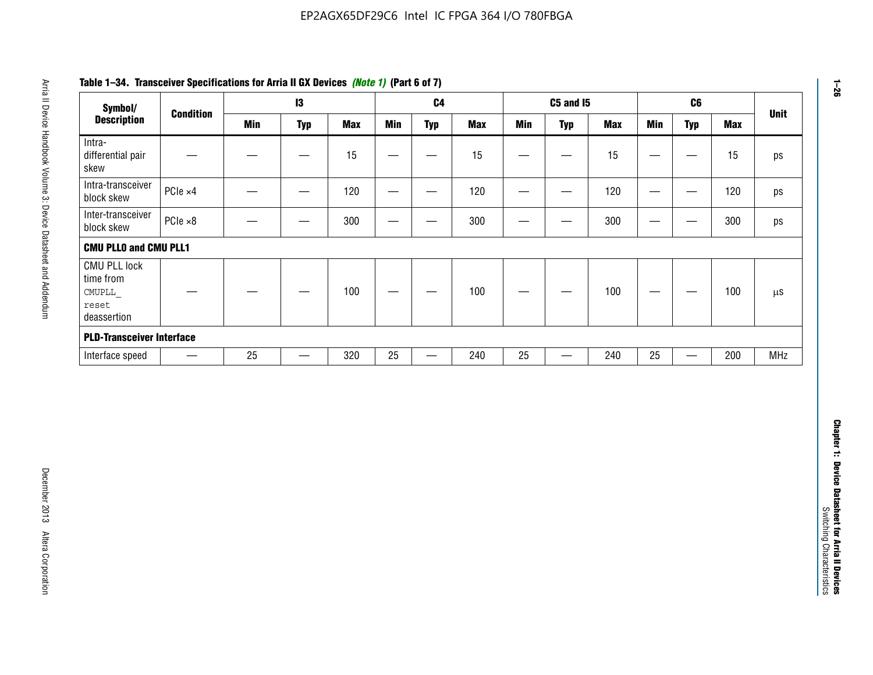| Symbol/                                                            |                          |            | $\mathbf{I}3$     |            |                   | C <sub>4</sub>    |            |                 | <b>C5 and 15</b>               |            |                                | C6                               |            | <b>Unit</b>   |
|--------------------------------------------------------------------|--------------------------|------------|-------------------|------------|-------------------|-------------------|------------|-----------------|--------------------------------|------------|--------------------------------|----------------------------------|------------|---------------|
| <b>Description</b>                                                 | <b>Condition</b>         | <b>Min</b> | <b>Typ</b>        | <b>Max</b> | <b>Min</b>        | <b>Typ</b>        | <b>Max</b> | <b>Min</b>      | <b>Typ</b>                     | <b>Max</b> | <b>Min</b>                     | <b>Typ</b>                       | <b>Max</b> |               |
| Intra-<br>differential pair<br>skew                                |                          |            | $\qquad \qquad$   | 15         | $\qquad \qquad$   |                   | 15         | —               | $\qquad \qquad -$              | 15         | $\overbrace{\phantom{13333}}$  | $\overbrace{\phantom{13333}}$    | 15         |               |
| Intra-transceiver<br>block skew                                    | PCIe ×4                  |            | $\hspace{0.05cm}$ | 120        | $\hspace{0.05cm}$ | $\hspace{0.05cm}$ | 120        | $\qquad \qquad$ | $\qquad \qquad \longleftarrow$ | 120        |                                | $\hspace{0.05cm}$                | 120        |               |
| Inter-transceiver<br>block skew                                    | $PCle \times 8$          |            | ۰                 | 300        | —                 | -                 | 300        | $\sim$          | —                              | 300        | —                              | -                                | 300        |               |
| <b>CMU PLLO and CMU PLL1</b>                                       |                          |            |                   |            |                   |                   |            |                 |                                |            |                                |                                  |            |               |
| <b>CMU PLL lock</b><br>time from<br>CMUPLL<br>reset<br>deassertion |                          |            |                   | 100        |                   |                   | 100        |                 |                                | 100        | $\qquad \qquad \longleftarrow$ | $\overbrace{\phantom{12322111}}$ | 100        | $\mu\text{S}$ |
| <b>PLD-Transceiver Interface</b>                                   |                          |            |                   |            |                   |                   |            |                 |                                |            |                                |                                  |            |               |
| Interface speed                                                    | $\overline{\phantom{m}}$ | 25         | $\qquad \qquad -$ | 320        | 25                |                   | 240        | 25              | $\overline{\phantom{0}}$       | 240        | 25                             | $\qquad \qquad -$                | 200        | <b>MHz</b>    |
|                                                                    |                          |            |                   |            |                   |                   |            |                 |                                |            |                                |                                  |            |               |
|                                                                    |                          |            |                   |            |                   |                   |            |                 |                                |            |                                |                                  |            |               |
|                                                                    |                          |            |                   |            |                   |                   |            |                 |                                |            |                                |                                  |            |               |

# **Table 1–34. Transceiver Specifications for Arria II GX Devices** *(Note 1)* **(Part 6 of 7)**

**Chapter 1: Device Datasheet for Arria II Devices**

Chapter 1: Device Datasheet for Arria II Devices<br>Switching Characteristics

Switching Characteristics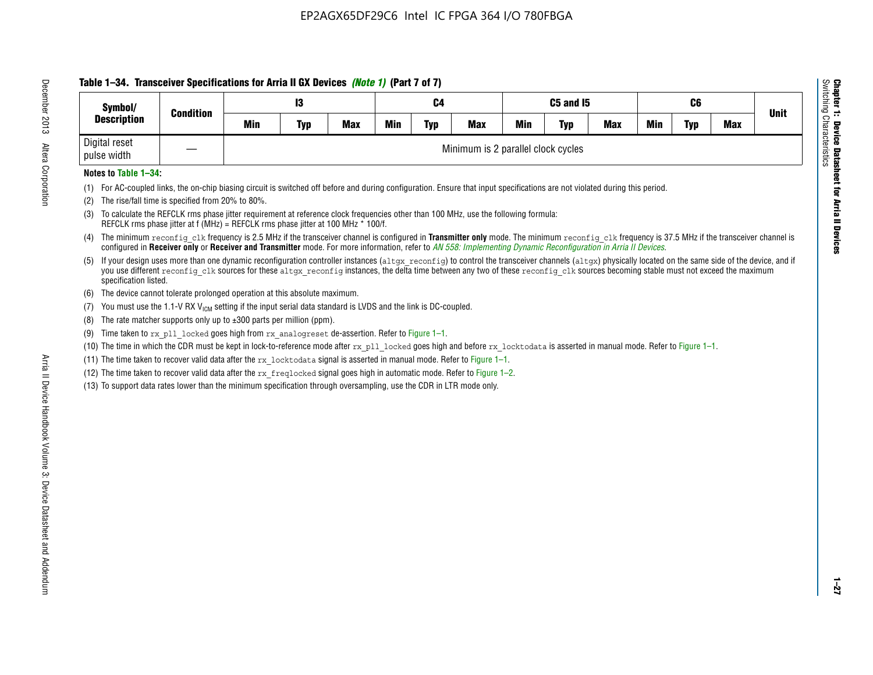# **Table 1–34. Transceiver Specifications for Arria II GX Devices** *(Note 1)* **(Part 7 of 7)**

| Symbol/<br><b>Condition</b>  |  |     | 13         |            |            | C4         |                                    |            | C5 and I5  |            |            | C6         |            | <b>Unit</b> |
|------------------------------|--|-----|------------|------------|------------|------------|------------------------------------|------------|------------|------------|------------|------------|------------|-------------|
| <b>Description</b>           |  | Min | <b>Typ</b> | <b>Max</b> | <b>Min</b> | <b>Typ</b> | <b>Max</b>                         | <b>Min</b> | <b>Typ</b> | <b>Max</b> | <b>Min</b> | <b>Typ</b> | <b>Max</b> |             |
| Digital reset<br>pulse width |  |     |            |            |            |            | Minimum is 2 parallel clock cycles |            |            |            |            |            |            |             |

## **Notes to Table 1–34:**

- (1) For AC-coupled links, the on-chip biasing circuit is switched off before and during configuration. Ensure that input specifications are not violated during this period.
- (2) The rise/fall time is specified from 20% to 80%.
- (3) To calculate the REFCLK rms phase jitter requirement at reference clock frequencies other than 100 MHz, use the following formula: REFCLK rms phase jitter at f (MHz) = REFCLK rms phase jitter at 100 MHz \* 100/f.
- (4) The minimum reconfig clk frequency is 2.5 MHz if the transceiver channel is configured in **Transmitter only** mode. The minimum reconfig clk frequency is 37.5 MHz if the transceiver channel is configured in **Receiver only** or **Receiver and Transmitter** mode. For more information, refer to *AN [558: Implementing Dynamic Reconfiguration in Arria II Devices](www.altera.com/literature/hb/arria-ii-gx/an558.pdf)*.
- (5) If your design uses more than one dynamic reconfiguration controller instances (altgx reconfig) to control the transceiver channels (altgx) physically located on the same side of the device, and if you use different reconfig clk sources for these altgx reconfig instances, the delta time between any two of these reconfig clk sources becoming stable must not exceed the maximum specification listed.
- (6) The device cannot tolerate prolonged operation at this absolute maximum.
- (7) You must use the 1.1-V RX  $V_{ICM}$  setting if the input serial data standard is LVDS and the link is DC-coupled.
- (8) The rate matcher supports only up to  $\pm 300$  parts per million (ppm).
- (9) Time taken to rx\_pll\_locked goes high from rx\_analogreset de-assertion. Refer to Figure 1–1.
- (10) The time in which the CDR must be kept in lock-to-reference mode after rx pll locked goes high and before rx locktodata is asserted in manual mode. Refer to Figure 1-1.
- (11) The time taken to recover valid data after the  $rx$  locktodata signal is asserted in manual mode. Refer to Figure 1–1.
- (12) The time taken to recover valid data after the  $rx$  freqlocked signal goes high in automatic mode. Refer to Figure 1–2.
- (13) To support data rates lower than the minimum specification through oversampling, use the CDR in LTR mode only.

**Chapter 1: Device Datasheet for Arria II Devices**

**Device Datasheet for Arria II Devices** 

Switching Characteristics

Chapter 1: Device Datas<br>Switching Characteristics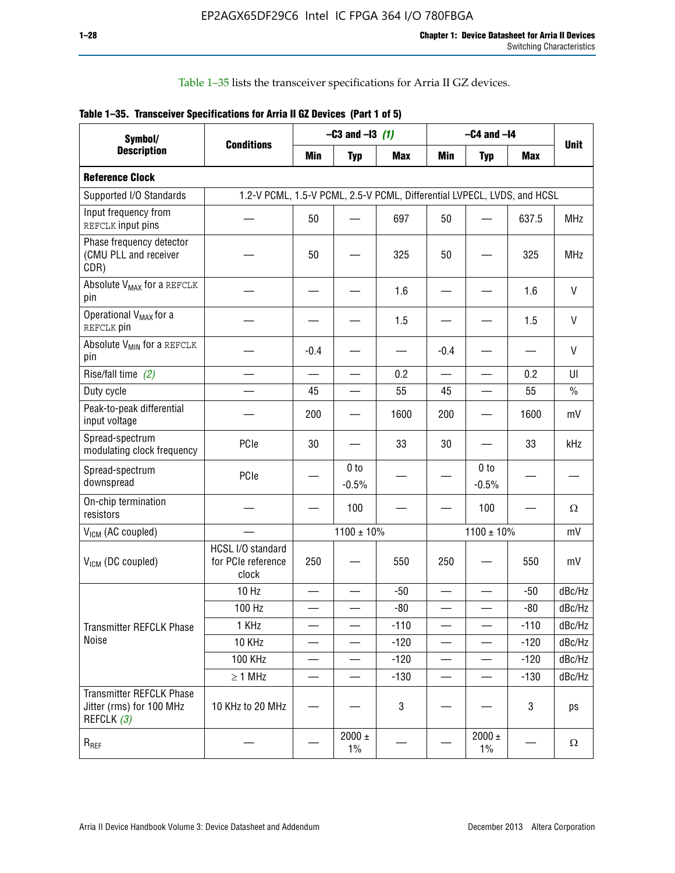Table 1–35 lists the transceiver specifications for Arria II GZ devices.

|  | Table 1-35. Transceiver Specifications for Arria II GZ Devices (Part 1 of 5) |  |
|--|------------------------------------------------------------------------------|--|
|  |                                                                              |  |

| Symbol/                                                                   |                                                                         |                          | $-C3$ and $-13$ (1)      |            |                          | $-C4$ and $-I4$            |            |             |
|---------------------------------------------------------------------------|-------------------------------------------------------------------------|--------------------------|--------------------------|------------|--------------------------|----------------------------|------------|-------------|
| <b>Description</b>                                                        | <b>Conditions</b>                                                       | Min                      | <b>Typ</b>               | <b>Max</b> | <b>Min</b>               | <b>Typ</b>                 | <b>Max</b> | <b>Unit</b> |
| <b>Reference Clock</b>                                                    |                                                                         |                          |                          |            |                          |                            |            |             |
| Supported I/O Standards                                                   | 1.2-V PCML, 1.5-V PCML, 2.5-V PCML, Differential LVPECL, LVDS, and HCSL |                          |                          |            |                          |                            |            |             |
| Input frequency from<br>REFCLK input pins                                 |                                                                         | 50                       |                          | 697        | 50                       |                            | 637.5      | <b>MHz</b>  |
| Phase frequency detector<br>(CMU PLL and receiver<br>CDR)                 |                                                                         | 50                       |                          | 325        | 50                       |                            | 325        | <b>MHz</b>  |
| Absolute V <sub>MAX</sub> for a REFCLK<br>pin                             |                                                                         |                          |                          | 1.6        |                          |                            | 1.6        | V           |
| Operational V <sub>MAX</sub> for a<br>REFCLK pin                          |                                                                         |                          |                          | 1.5        |                          |                            | 1.5        | V           |
| Absolute V <sub>MIN</sub> for a REFCLK<br>pin                             |                                                                         | $-0.4$                   |                          |            | $-0.4$                   |                            |            | V           |
| Rise/fall time (2)                                                        |                                                                         | $\overline{\phantom{0}}$ | $\overline{\phantom{0}}$ | 0.2        | $\overline{\phantom{a}}$ | $\overline{\phantom{0}}$   | 0.2        | UI          |
| Duty cycle                                                                |                                                                         | 45                       |                          | 55         | 45                       |                            | 55         | $\%$        |
| Peak-to-peak differential<br>input voltage                                |                                                                         | 200                      |                          | 1600       | 200                      |                            | 1600       | mV          |
| Spread-spectrum<br>modulating clock frequency                             | PCIe                                                                    | 30                       |                          | 33         | 30                       |                            | 33         | kHz         |
| Spread-spectrum<br>downspread                                             | PCIe                                                                    |                          | 0 to<br>$-0.5%$          |            |                          | 0 <sub>to</sub><br>$-0.5%$ |            |             |
| On-chip termination<br>resistors                                          |                                                                         |                          | 100                      |            |                          | 100                        |            | Ω           |
| $V_{IGM}$ (AC coupled)                                                    |                                                                         |                          | $1100 \pm 10\%$          |            |                          | $1100 \pm 10\%$            |            | mV          |
| $V_{ICM}$ (DC coupled)                                                    | HCSL I/O standard<br>for PCIe reference<br>clock                        | 250                      |                          | 550        | 250                      |                            | 550        | mV          |
|                                                                           | 10 Hz                                                                   |                          |                          | $-50$      | $\overline{\phantom{0}}$ |                            | $-50$      | dBc/Hz      |
|                                                                           | 100 Hz                                                                  |                          |                          | $-80$      |                          |                            | $-80$      | dBc/Hz      |
| Transmitter REFCLK Phase                                                  | 1 KHz                                                                   |                          | $\overline{\phantom{0}}$ | $-110$     |                          | —                          | $-110$     | dBc/Hz      |
| Noise                                                                     | 10 KHz                                                                  |                          |                          | $-120$     |                          |                            | $-120$     | dBc/Hz      |
|                                                                           | <b>100 KHz</b>                                                          |                          |                          | $-120$     | —                        |                            | $-120$     | dBc/Hz      |
|                                                                           | $\geq 1$ MHz                                                            |                          |                          | $-130$     |                          |                            | $-130$     | dBc/Hz      |
| <b>Transmitter REFCLK Phase</b><br>Jitter (rms) for 100 MHz<br>REFCLK (3) | 10 KHz to 20 MHz                                                        |                          |                          | 3          |                          |                            | 3          | ps          |
| $R_{REF}$                                                                 |                                                                         |                          | $2000 \pm$<br>$1\%$      |            |                          | 2000 $\pm$<br>$1\%$        |            | $\Omega$    |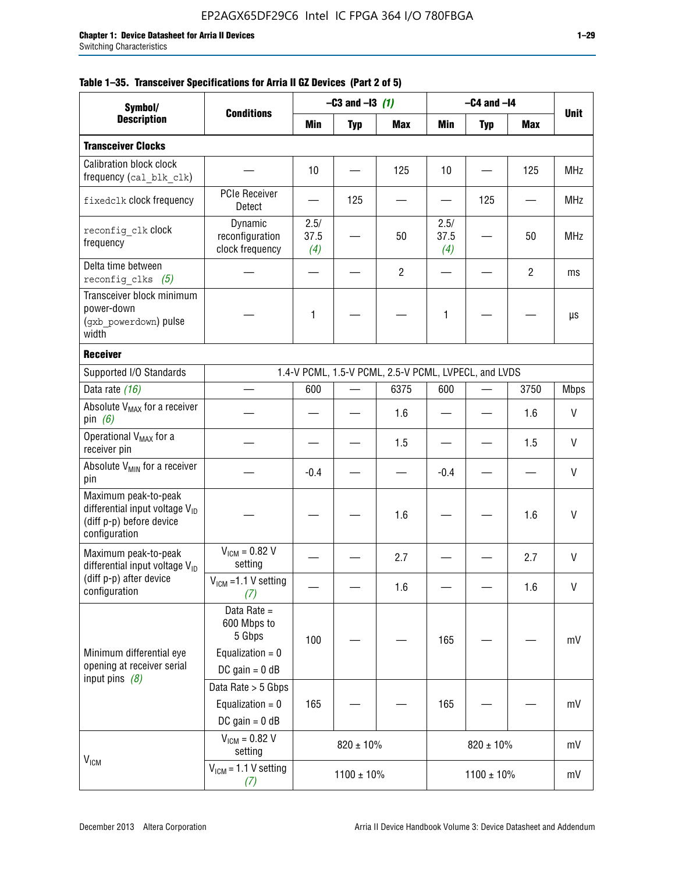|  |  | Table 1–35. Transceiver Specifications for Arria II GZ Devices (Part 2 of 5) |  |  |  |
|--|--|------------------------------------------------------------------------------|--|--|--|
|--|--|------------------------------------------------------------------------------|--|--|--|

| Symbol/                                                                                                         |                                                                                |                     | $-C3$ and $-13$ (1) |                                                      |                     | $-C4$ and $-I4$ |                |              |
|-----------------------------------------------------------------------------------------------------------------|--------------------------------------------------------------------------------|---------------------|---------------------|------------------------------------------------------|---------------------|-----------------|----------------|--------------|
| <b>Description</b>                                                                                              | <b>Conditions</b>                                                              | Min                 | <b>Typ</b>          | <b>Max</b>                                           | Min                 | <b>Typ</b>      | <b>Max</b>     | <b>Unit</b>  |
| <b>Transceiver Clocks</b>                                                                                       |                                                                                |                     |                     |                                                      |                     |                 |                |              |
| Calibration block clock<br>frequency (cal blk clk)                                                              |                                                                                | 10                  |                     | 125                                                  | 10                  |                 | 125            | <b>MHz</b>   |
| fixedclk clock frequency                                                                                        | <b>PCIe Receiver</b><br>Detect                                                 |                     | 125                 |                                                      |                     | 125             |                | MHz          |
| reconfig clk Clock<br>frequency                                                                                 | Dynamic<br>reconfiguration<br>clock frequency                                  | 2.5/<br>37.5<br>(4) |                     | 50                                                   | 2.5/<br>37.5<br>(4) |                 | 50             | <b>MHz</b>   |
| Delta time between<br>reconfig clks $(5)$                                                                       |                                                                                |                     |                     | $\overline{2}$                                       |                     |                 | $\overline{2}$ | ms           |
| Transceiver block minimum<br>power-down<br>(gxb_powerdown) pulse<br>width                                       |                                                                                | 1                   |                     |                                                      | 1                   |                 |                | μs           |
| <b>Receiver</b>                                                                                                 |                                                                                |                     |                     |                                                      |                     |                 |                |              |
| Supported I/O Standards                                                                                         |                                                                                |                     |                     | 1.4-V PCML, 1.5-V PCML, 2.5-V PCML, LVPECL, and LVDS |                     |                 |                |              |
| Data rate (16)                                                                                                  |                                                                                | 600                 |                     | 6375                                                 | 600                 |                 | 3750           | <b>Mbps</b>  |
| Absolute V <sub>MAX</sub> for a receiver<br>pin $(6)$                                                           |                                                                                |                     |                     | 1.6                                                  |                     |                 | 1.6            | V            |
| Operational V <sub>MAX</sub> for a<br>receiver pin                                                              |                                                                                |                     |                     | 1.5                                                  |                     |                 | 1.5            | V            |
| Absolute $V_{MIN}$ for a receiver<br>pin                                                                        |                                                                                | $-0.4$              |                     |                                                      | $-0.4$              |                 |                | V            |
| Maximum peak-to-peak<br>differential input voltage V <sub>ID</sub><br>(diff p-p) before device<br>configuration |                                                                                |                     |                     | 1.6                                                  |                     |                 | 1.6            | $\mathsf{V}$ |
| Maximum peak-to-peak<br>differential input voltage $V_{ID}$                                                     | $V_{IGM} = 0.82 V$<br>setting                                                  |                     |                     | 2.7                                                  |                     |                 | 2.7            | V            |
| (diff p-p) after device<br>configuration                                                                        | $V_{IGM}$ =1.1 V setting<br>(7)                                                |                     |                     | 1.6                                                  |                     |                 | 1.6            | $\sf V$      |
| Minimum differential eye<br>opening at receiver serial                                                          | Data Rate =<br>600 Mbps to<br>5 Gbps<br>Equalization = $0$<br>DC gain = $0$ dB | 100                 |                     |                                                      | 165                 |                 |                | mV           |
| input pins $(8)$                                                                                                | Data Rate > 5 Gbps<br>Equalization = $0$<br>$DC$ gain = 0 dB                   | 165                 |                     |                                                      | 165                 |                 |                | mV           |
| V <sub>ICM</sub>                                                                                                | $V_{ICM} = 0.82 V$<br>setting                                                  |                     | $820 \pm 10\%$      |                                                      |                     | $820 \pm 10\%$  |                | mV           |
|                                                                                                                 | $VICM = 1.1 V setting$<br>(7)                                                  |                     | $1100 \pm 10\%$     |                                                      |                     | $1100 \pm 10\%$ |                | mV           |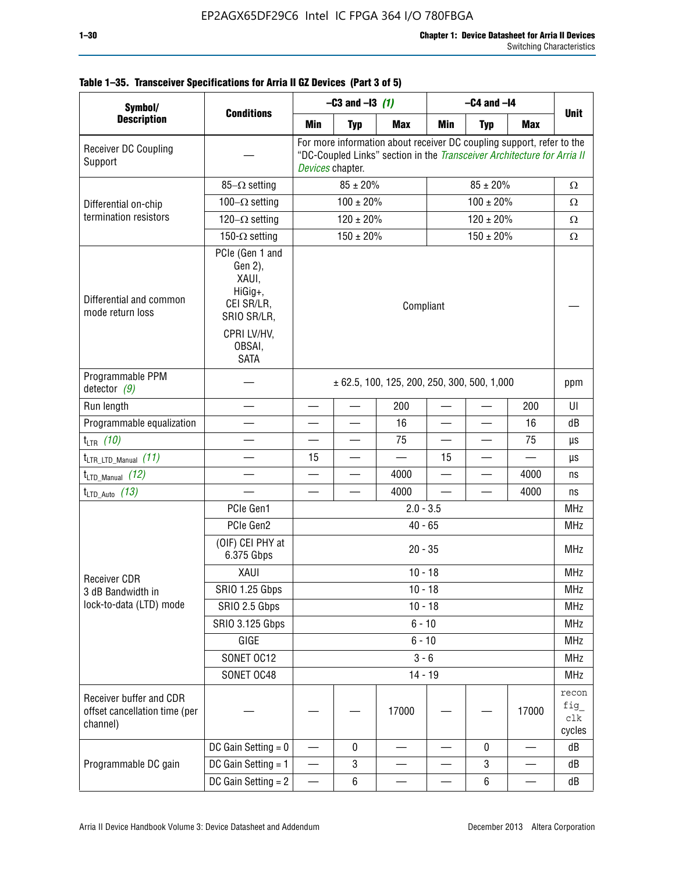| Symbol/                                                              |                                                                                                                     | $-C3$ and $-13$ (1)                             |                          |                                                                                                                                                  | $-C4$ and $-I4$          |                          |                               |                                |  |
|----------------------------------------------------------------------|---------------------------------------------------------------------------------------------------------------------|-------------------------------------------------|--------------------------|--------------------------------------------------------------------------------------------------------------------------------------------------|--------------------------|--------------------------|-------------------------------|--------------------------------|--|
| <b>Description</b>                                                   | <b>Conditions</b>                                                                                                   | Min                                             | <b>Typ</b>               | <b>Max</b>                                                                                                                                       | Min                      | <b>Typ</b>               | <b>Max</b>                    | <b>Unit</b>                    |  |
| Receiver DC Coupling<br>Support                                      |                                                                                                                     | Devices chapter.                                |                          | For more information about receiver DC coupling support, refer to the<br>"DC-Coupled Links" section in the Transceiver Architecture for Arria II |                          |                          |                               |                                |  |
|                                                                      | $85-\Omega$ setting                                                                                                 |                                                 | $85 \pm 20\%$            |                                                                                                                                                  |                          | Ω                        |                               |                                |  |
| Differential on-chip                                                 | $100-\Omega$ setting                                                                                                | $100 \pm 20\%$                                  |                          |                                                                                                                                                  |                          | Ω                        |                               |                                |  |
| termination resistors                                                | 120 $-\Omega$ setting                                                                                               |                                                 | $120 \pm 20\%$           |                                                                                                                                                  |                          | $\Omega$                 |                               |                                |  |
|                                                                      | 150- $\Omega$ setting                                                                                               |                                                 | $150 \pm 20\%$           |                                                                                                                                                  |                          | $150 \pm 20 \%$          |                               | $\Omega$                       |  |
| Differential and common<br>mode return loss                          | PCIe (Gen 1 and<br>Gen 2),<br>XAUI,<br>HiGig+,<br>CEI SR/LR,<br>SRIO SR/LR,<br>CPRI LV/HV,<br>OBSAI,<br><b>SATA</b> | Compliant                                       |                          |                                                                                                                                                  |                          |                          |                               |                                |  |
| Programmable PPM<br>detector $(9)$                                   |                                                                                                                     | $\pm$ 62.5, 100, 125, 200, 250, 300, 500, 1,000 |                          |                                                                                                                                                  |                          |                          |                               |                                |  |
| Run length                                                           |                                                                                                                     | $\overline{\phantom{0}}$                        | $\overline{\phantom{0}}$ | 200                                                                                                                                              |                          |                          | 200                           | UI                             |  |
| Programmable equalization                                            |                                                                                                                     |                                                 |                          | 16                                                                                                                                               |                          |                          | 16                            | dB                             |  |
| $t_{LTR}$ (10)                                                       |                                                                                                                     |                                                 |                          | 75                                                                                                                                               | $\overline{\phantom{0}}$ |                          | 75                            | μs                             |  |
| $t_{\text{LTR\_LTD\_Manual}}$ (11)                                   |                                                                                                                     | 15                                              |                          |                                                                                                                                                  | 15                       |                          |                               | μs                             |  |
| $t_{LTD\_Manual}$ (12)                                               |                                                                                                                     |                                                 |                          | 4000                                                                                                                                             |                          | $\overline{\phantom{0}}$ | 4000                          | ns                             |  |
| $t_{LTD\_Auto}$ (13)                                                 |                                                                                                                     |                                                 |                          | 4000                                                                                                                                             |                          |                          | 4000                          | ns                             |  |
|                                                                      | PCIe Gen1                                                                                                           | $2.0 - 3.5$                                     |                          |                                                                                                                                                  |                          |                          |                               | <b>MHz</b>                     |  |
|                                                                      | PCIe Gen2                                                                                                           | $40 - 65$                                       |                          |                                                                                                                                                  |                          |                          |                               |                                |  |
|                                                                      | (OIF) CEI PHY at<br>6.375 Gbps                                                                                      | $20 - 35$                                       |                          |                                                                                                                                                  |                          |                          |                               |                                |  |
| <b>Receiver CDR</b>                                                  | XAUI                                                                                                                | $10 - 18$                                       |                          |                                                                                                                                                  |                          |                          |                               |                                |  |
| 3 dB Bandwidth in                                                    | <b>SRIO 1.25 Gbps</b>                                                                                               |                                                 |                          | $10 - 18$                                                                                                                                        |                          |                          |                               | MHz                            |  |
| lock-to-data (LTD) mode                                              | SRIO 2.5 Gbps                                                                                                       |                                                 |                          | $10 - 18$                                                                                                                                        |                          |                          |                               | <b>MHz</b>                     |  |
|                                                                      | <b>SRIO 3.125 Gbps</b>                                                                                              |                                                 |                          | $6 - 10$                                                                                                                                         |                          |                          |                               | <b>MHz</b>                     |  |
|                                                                      | GIGE                                                                                                                |                                                 |                          | $6 - 10$                                                                                                                                         |                          |                          |                               | <b>MHz</b>                     |  |
|                                                                      | SONET OC12                                                                                                          |                                                 |                          | $3 - 6$                                                                                                                                          |                          |                          |                               | <b>MHz</b>                     |  |
|                                                                      | SONET OC48                                                                                                          |                                                 |                          | $14 - 19$                                                                                                                                        |                          |                          |                               | <b>MHz</b>                     |  |
| Receiver buffer and CDR<br>offset cancellation time (per<br>channel) |                                                                                                                     |                                                 |                          | 17000                                                                                                                                            |                          |                          | 17000                         | recon<br>fig_<br>clk<br>cycles |  |
|                                                                      | DC Gain Setting $= 0$                                                                                               |                                                 | 0                        |                                                                                                                                                  |                          | 0                        |                               | dB                             |  |
| Programmable DC gain                                                 | DC Gain Setting = 1                                                                                                 | —                                               | 3                        |                                                                                                                                                  |                          | 3                        | $\overbrace{\phantom{13333}}$ | dB                             |  |
|                                                                      | DC Gain Setting $= 2$                                                                                               |                                                 | 6                        |                                                                                                                                                  |                          | 6                        |                               | dB                             |  |

# **Table 1–35. Transceiver Specifications for Arria II GZ Devices (Part 3 of 5)**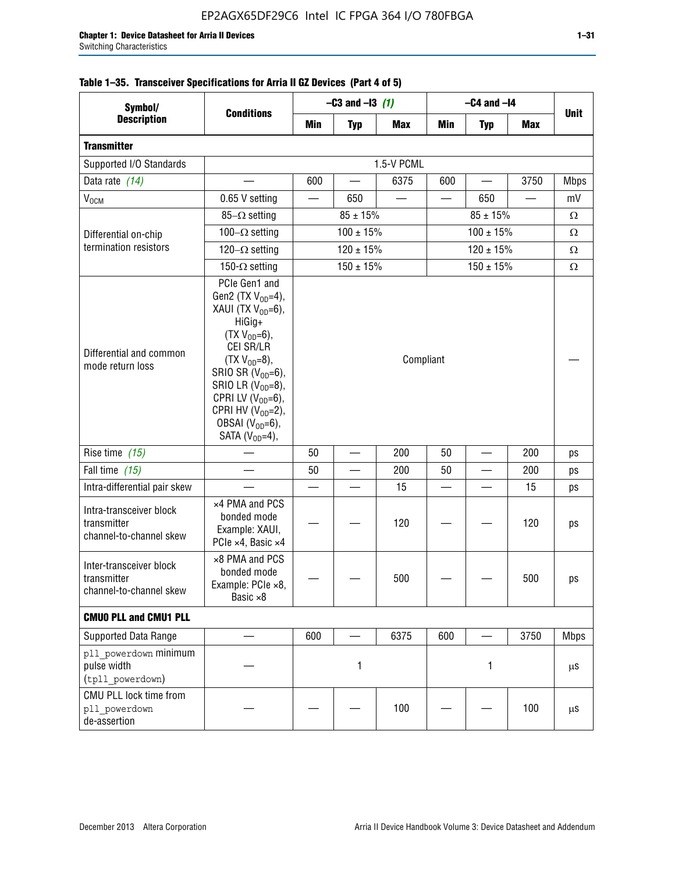| Symbol/                                                           |                                                                                                                                                                                                                                                                                                   | $-C3$ and $-13$ (1) |                          |            | $-C4$ and $-I4$ |               |            |             |
|-------------------------------------------------------------------|---------------------------------------------------------------------------------------------------------------------------------------------------------------------------------------------------------------------------------------------------------------------------------------------------|---------------------|--------------------------|------------|-----------------|---------------|------------|-------------|
| <b>Description</b>                                                | <b>Conditions</b>                                                                                                                                                                                                                                                                                 | Min                 | <b>Typ</b>               | <b>Max</b> | Min             | <b>Typ</b>    | <b>Max</b> | <b>Unit</b> |
| <b>Transmitter</b>                                                |                                                                                                                                                                                                                                                                                                   |                     |                          |            |                 |               |            |             |
| Supported I/O Standards                                           |                                                                                                                                                                                                                                                                                                   |                     |                          | 1.5-V PCML |                 |               |            |             |
| Data rate (14)                                                    |                                                                                                                                                                                                                                                                                                   | 600                 |                          | 6375       | 600             |               | 3750       | <b>Mbps</b> |
| $V_{OCM}$                                                         | 0.65 V setting                                                                                                                                                                                                                                                                                    |                     | 650                      |            |                 | 650           |            | mV          |
|                                                                   | 85- $\Omega$ setting                                                                                                                                                                                                                                                                              |                     | $85 \pm 15\%$            |            |                 | $85 \pm 15\%$ |            | $\Omega$    |
| Differential on-chip                                              | 100 $-\Omega$ setting                                                                                                                                                                                                                                                                             |                     | $100 \pm 15\%$           |            |                 | $\Omega$      |            |             |
| termination resistors                                             | 120 $-\Omega$ setting                                                                                                                                                                                                                                                                             |                     | $120 \pm 15\%$           |            |                 | $120 \pm 15%$ |            | $\Omega$    |
|                                                                   | 150- $\Omega$ setting                                                                                                                                                                                                                                                                             |                     | $150 \pm 15%$            |            |                 | $150 \pm 15%$ |            | Ω           |
| Differential and common<br>mode return loss                       | PCIe Gen1 and<br>Gen2 (TX $V_{OD} = 4$ ),<br>XAUI (TX V <sub>OD</sub> =6),<br>HiGig+<br>$(TX V_{OD} = 6)$ ,<br>CEI SR/LR<br>$(TX V_{OD} = 8),$<br>SRIO SR $(V_{OD}=6)$ ,<br>SRIO LR $(V_{OD} = 8)$ ,<br>CPRI LV $(V_{OD}=6)$ ,<br>CPRI HV $(V_{OD}=2)$ ,<br>OBSAI $(VOD=6)$ ,<br>SATA $(VOD=4)$ , | Compliant           |                          |            |                 |               |            |             |
| Rise time (15)                                                    |                                                                                                                                                                                                                                                                                                   | 50                  | $\overline{\phantom{0}}$ | 200        | 50              |               | 200        | ps          |
| Fall time (15)                                                    |                                                                                                                                                                                                                                                                                                   | 50                  |                          | 200        | 50              |               | 200        | ps          |
| Intra-differential pair skew                                      |                                                                                                                                                                                                                                                                                                   |                     |                          | 15         |                 |               | 15         | ps          |
| Intra-transceiver block<br>transmitter<br>channel-to-channel skew | x4 PMA and PCS<br>bonded mode<br>Example: XAUI,<br>PCIe ×4, Basic ×4                                                                                                                                                                                                                              |                     |                          | 120        |                 |               | 120        | ps          |
| Inter-transceiver block<br>transmitter<br>channel-to-channel skew | ×8 PMA and PCS<br>bonded mode<br>Example: PCle ×8,<br>Basic ×8                                                                                                                                                                                                                                    |                     |                          | 500        |                 |               | 500        | ps          |
| <b>CMUO PLL and CMU1 PLL</b>                                      |                                                                                                                                                                                                                                                                                                   |                     |                          |            |                 |               |            |             |
| Supported Data Range                                              |                                                                                                                                                                                                                                                                                                   | 600                 |                          | 6375       | 600             |               | 3750       | <b>Mbps</b> |
| pll powerdown minimum<br>pulse width<br>(tpll powerdown)          |                                                                                                                                                                                                                                                                                                   | 1<br>1              |                          |            | $\mu$ S         |               |            |             |
| CMU PLL lock time from<br>pll powerdown<br>de-assertion           |                                                                                                                                                                                                                                                                                                   |                     |                          | 100        |                 |               | 100        | $\mu$ S     |

# **Table 1–35. Transceiver Specifications for Arria II GZ Devices (Part 4 of 5)**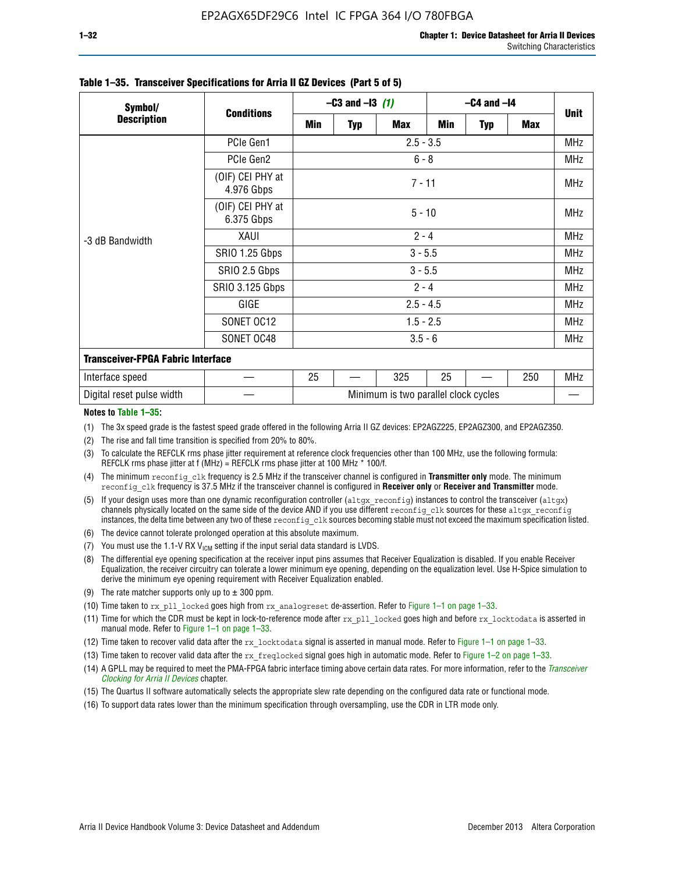|                                                  |                                | $-C3$ and $-13$ (1) |             |                                      | $-C4$ and $-I4$ |            |     |             |  |
|--------------------------------------------------|--------------------------------|---------------------|-------------|--------------------------------------|-----------------|------------|-----|-------------|--|
| Symbol/<br><b>Description</b><br>-3 dB Bandwidth | <b>Conditions</b>              | Min                 | <b>Typ</b>  | Max                                  | Min             | <b>Typ</b> | Max | <b>Unit</b> |  |
|                                                  | PCIe Gen1                      |                     | $2.5 - 3.5$ |                                      |                 |            |     |             |  |
|                                                  | PCIe Gen2                      |                     | $6 - 8$     |                                      |                 |            |     |             |  |
|                                                  | (OIF) CEI PHY at<br>4.976 Gbps | $7 - 11$            |             |                                      |                 |            |     |             |  |
|                                                  | (OIF) CEI PHY at<br>6.375 Gbps | $5 - 10$            |             |                                      |                 |            |     |             |  |
|                                                  | XAUI                           | $2 - 4$             |             |                                      |                 |            |     |             |  |
|                                                  | SRIO 1.25 Gbps                 | $3 - 5.5$           |             |                                      |                 |            |     |             |  |
|                                                  | SRIO 2.5 Gbps                  | $3 - 5.5$           |             |                                      |                 |            |     |             |  |
|                                                  | <b>SRIO 3.125 Gbps</b>         | $2 - 4$             |             |                                      |                 |            |     |             |  |
|                                                  | GIGE                           | $2.5 - 4.5$         |             |                                      |                 |            |     | <b>MHz</b>  |  |
|                                                  | SONET OC12                     | $1.5 - 2.5$         |             |                                      |                 |            |     | <b>MHz</b>  |  |
|                                                  | SONET OC48                     | $3.5 - 6$           |             |                                      |                 |            |     |             |  |
| <b>Transceiver-FPGA Fabric Interface</b>         |                                |                     |             |                                      |                 |            |     |             |  |
| Interface speed                                  |                                | 25                  |             | 325                                  | 25              |            | 250 | MHz         |  |
| Digital reset pulse width                        |                                |                     |             | Minimum is two parallel clock cycles |                 |            |     |             |  |

#### **Table 1–35. Transceiver Specifications for Arria II GZ Devices (Part 5 of 5)**

#### **Notes to Table 1–35:**

(1) The 3x speed grade is the fastest speed grade offered in the following Arria II GZ devices: EP2AGZ225, EP2AGZ300, and EP2AGZ350.

- (2) The rise and fall time transition is specified from 20% to 80%.
- (3) To calculate the REFCLK rms phase jitter requirement at reference clock frequencies other than 100 MHz, use the following formula: REFCLK rms phase jitter at f (MHz) = REFCLK rms phase jitter at 100 MHz  $*$  100/f.
- (4) The minimum reconfig clk frequency is 2.5 MHz if the transceiver channel is configured in **Transmitter only** mode. The minimum reconfig clk frequency is 37.5 MHz if the transceiver channel is configured in **Receiver only** or **Receiver and Transmitter** mode.
- (5) If your design uses more than one dynamic reconfiguration controller (altgx reconfig) instances to control the transceiver (altgx) channels physically located on the same side of the device AND if you use different reconfig clk sources for these altgx reconfig instances, the delta time between any two of these reconfig clk sources becoming stable must not exceed the maximum specification listed.
- (6) The device cannot tolerate prolonged operation at this absolute maximum.
- (7) You must use the 1.1-V RX  $V_{ICM}$  setting if the input serial data standard is LVDS.
- (8) The differential eye opening specification at the receiver input pins assumes that Receiver Equalization is disabled. If you enable Receiver Equalization, the receiver circuitry can tolerate a lower minimum eye opening, depending on the equalization level. Use H-Spice simulation to derive the minimum eye opening requirement with Receiver Equalization enabled.
- (9) The rate matcher supports only up to  $\pm$  300 ppm.
- (10) Time taken to rx\_pll\_locked goes high from rx\_analogreset de-assertion. Refer to Figure 1–1 on page 1–33.
- (11) Time for which the CDR must be kept in lock-to-reference mode after rx pll\_locked goes high and before rx\_locktodata is asserted in manual mode. Refer to Figure 1–1 on page 1–33.
- (12) Time taken to recover valid data after the rx locktodata signal is asserted in manual mode. Refer to Figure 1–1 on page 1–33.
- (13) Time taken to recover valid data after the rx\_freqlocked signal goes high in automatic mode. Refer to Figure 1–2 on page 1–33.
- (14) A GPLL may be required to meet the PMA-FPGA fabric interface timing above certain data rates. For more information, refer to the *[Transceiver](http://www.altera.com/literature/hb/arria-ii-gx/aiigx_52002.pdf)  [Clocking for Arria II Devices](http://www.altera.com/literature/hb/arria-ii-gx/aiigx_52002.pdf)* chapter.
- (15) The Quartus II software automatically selects the appropriate slew rate depending on the configured data rate or functional mode.
- (16) To support data rates lower than the minimum specification through oversampling, use the CDR in LTR mode only.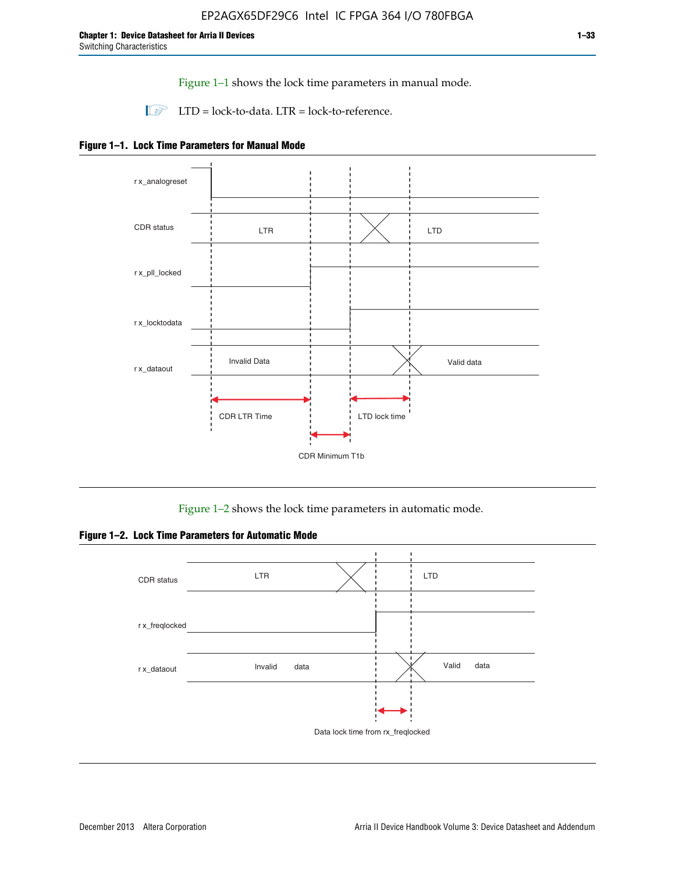Figure 1–1 shows the lock time parameters in manual mode.

 $\Box$  LTD = lock-to-data. LTR = lock-to-reference.





Figure 1–2 shows the lock time parameters in automatic mode.

**Figure 1–2. Lock Time Parameters for Automatic Mode**

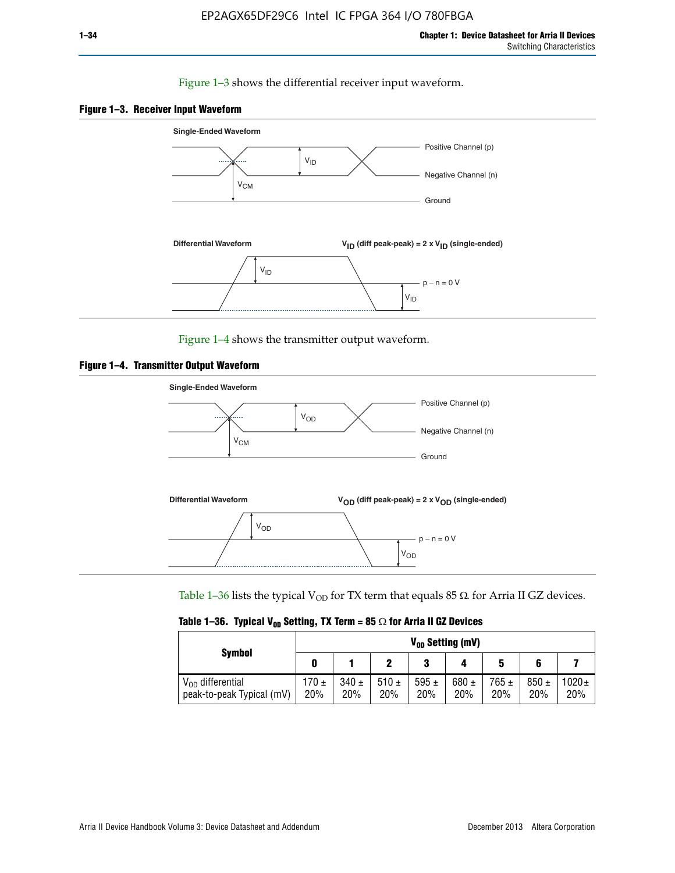## Figure 1–3 shows the differential receiver input waveform.





Figure 1–4 shows the transmitter output waveform.





Table 1–36 lists the typical V<sub>OD</sub> for TX term that equals 85  $\Omega$  for Arria II GZ devices.

| Table 1–36. Typical V <sub>0D</sub> Setting, TX Term = 85 $\Omega$ for Arria II GZ Devices |  |  |  |  |  |  |  |  |
|--------------------------------------------------------------------------------------------|--|--|--|--|--|--|--|--|
|--------------------------------------------------------------------------------------------|--|--|--|--|--|--|--|--|

|                                                    | $V_{0D}$ Setting (mV) |                  |             |                  |                  |                  |                  |                   |  |
|----------------------------------------------------|-----------------------|------------------|-------------|------------------|------------------|------------------|------------------|-------------------|--|
| <b>Symbol</b>                                      |                       |                  |             | າ<br>J           |                  | 5                |                  |                   |  |
| $V_{OD}$ differential<br>peak-to-peak Typical (mV) | 170 ±<br>20%          | $340 \pm$<br>20% | 510±<br>20% | 595 $\pm$<br>20% | 680 $\pm$<br>20% | $765 \pm$<br>20% | $850 \pm$<br>20% | $1020 \pm$<br>20% |  |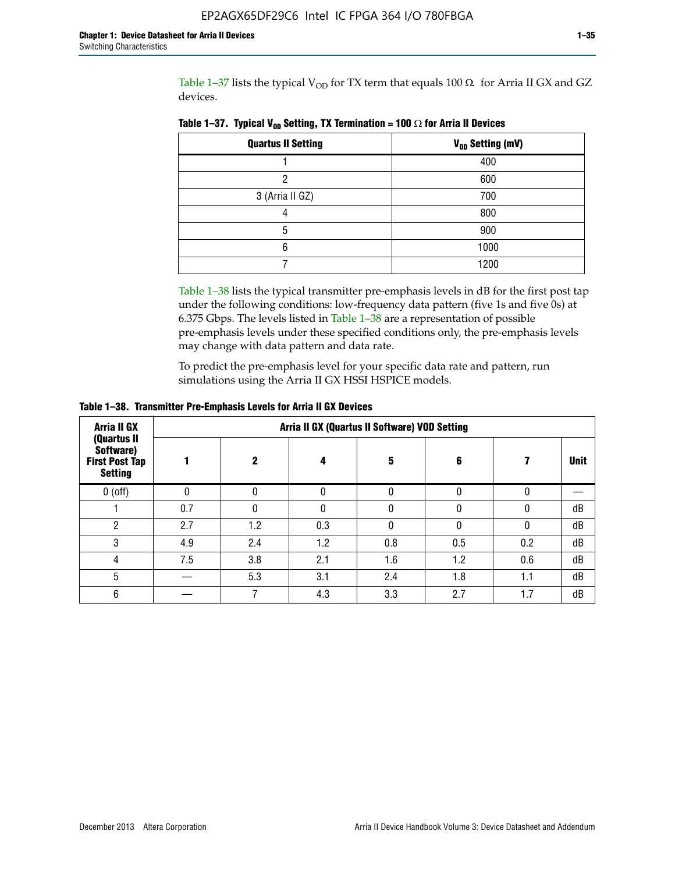Table 1-37 lists the typical  $V_{OD}$  for TX term that equals 100  $\Omega$  for Arria II GX and GZ devices.

| <b>Quartus II Setting</b> | V <sub>OD</sub> Setting (mV) |
|---------------------------|------------------------------|
|                           | 400                          |
| ŋ                         | 600                          |
| 3 (Arria II GZ)           | 700                          |
|                           | 800                          |
| 5                         | 900                          |
| 6                         | 1000                         |
|                           | 1200                         |

**Table 1–37. Typical V<sub>OD</sub> Setting, TX Termination = 100**  $\Omega$  for Arria II Devices

Table 1–38 lists the typical transmitter pre-emphasis levels in dB for the first post tap under the following conditions: low-frequency data pattern (five 1s and five 0s) at 6.375 Gbps. The levels listed in Table 1–38 are a representation of possible pre-emphasis levels under these specified conditions only, the pre-emphasis levels may change with data pattern and data rate.

To predict the pre-emphasis level for your specific data rate and pattern, run simulations using the Arria II GX HSSI HSPICE models.

| <b>Arria II GX</b>                                                  | Arria II GX (Quartus II Software) VOD Setting |     |     |     |     |     |             |  |
|---------------------------------------------------------------------|-----------------------------------------------|-----|-----|-----|-----|-----|-------------|--|
| (Quartus II<br>Software)<br><b>First Post Tap</b><br><b>Setting</b> |                                               | 2   | 4   | 5   | 6   |     | <b>Unit</b> |  |
| $0$ (off)                                                           | 0                                             |     | U   |     |     |     |             |  |
|                                                                     | 0.7                                           |     | U   |     |     |     | dB          |  |
| ŋ                                                                   | 2.7                                           | 1.2 | 0.3 |     |     |     | dB          |  |
| 3                                                                   | 4.9                                           | 2.4 | 1.2 | 0.8 | 0.5 | 0.2 | dB          |  |
| 4                                                                   | 7.5                                           | 3.8 | 2.1 | 1.6 | 1.2 | 0.6 | dB          |  |
| 5                                                                   |                                               | 5.3 | 3.1 | 2.4 | 1.8 | 1.1 | dB          |  |
| 6                                                                   |                                               |     | 4.3 | 3.3 | 2.7 | 1.7 | dB          |  |

**Table 1–38. Transmitter Pre-Emphasis Levels for Arria II GX Devices**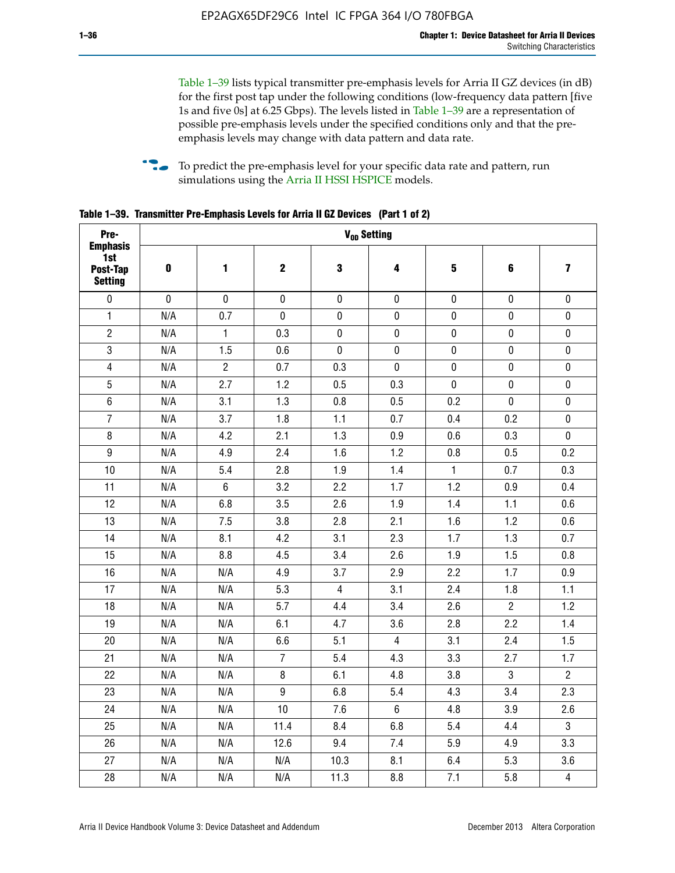Table 1–39 lists typical transmitter pre-emphasis levels for Arria II GZ devices (in dB) for the first post tap under the following conditions (low-frequency data pattern [five 1s and five 0s] at 6.25 Gbps). The levels listed in Table 1–39 are a representation of possible pre-emphasis levels under the specified conditions only and that the preemphasis levels may change with data pattern and data rate.

**follow** To predict the pre-emphasis level for your specific data rate and pattern, run simulations using the [Arria II HSSI HSPICE](http://www.altera.com/support/software/download/hspice/hsp-index.html) models.

| Pre-                                                 |           |                |                  | V <sub>OD</sub> Setting |                |                         |                |                         |
|------------------------------------------------------|-----------|----------------|------------------|-------------------------|----------------|-------------------------|----------------|-------------------------|
| <b>Emphasis</b><br>1st<br>Post-Tap<br><b>Setting</b> | $\pmb{0}$ | 1              | $\mathbf 2$      | $\mathbf 3$             | 4              | $\overline{\mathbf{5}}$ | 6              | $\overline{\mathbf{z}}$ |
| $\pmb{0}$                                            | $\pmb{0}$ | $\pmb{0}$      | $\pmb{0}$        | $\pmb{0}$               | $\pmb{0}$      | $\pmb{0}$               | $\pmb{0}$      | $\pmb{0}$               |
| $\mathbf{1}$                                         | N/A       | 0.7            | $\pmb{0}$        | $\pmb{0}$               | $\pmb{0}$      | $\pmb{0}$               | $\pmb{0}$      | $\pmb{0}$               |
| $\overline{2}$                                       | N/A       | $\mathbf{1}$   | 0.3              | $\pmb{0}$               | $\mathbf 0$    | $\mathbf 0$             | $\mathbf 0$    | $\pmb{0}$               |
| $\mathbf 3$                                          | N/A       | 1.5            | 0.6              | $\mathbf 0$             | $\pmb{0}$      | $\pmb{0}$               | $\pmb{0}$      | $\pmb{0}$               |
| $\overline{\mathbf{4}}$                              | N/A       | $\overline{2}$ | 0.7              | 0.3                     | $\pmb{0}$      | $\pmb{0}$               | $\pmb{0}$      | $\pmb{0}$               |
| $\overline{5}$                                       | N/A       | 2.7            | 1.2              | 0.5                     | 0.3            | $\pmb{0}$               | 0              | $\pmb{0}$               |
| $\,6\,$                                              | N/A       | 3.1            | 1.3              | 0.8                     | 0.5            | 0.2                     | $\mathbf 0$    | $\pmb{0}$               |
| $\overline{7}$                                       | N/A       | 3.7            | 1.8              | 1.1                     | 0.7            | 0.4                     | 0.2            | $\pmb{0}$               |
| $\bf 8$                                              | N/A       | 4.2            | 2.1              | 1.3                     | 0.9            | 0.6                     | 0.3            | $\pmb{0}$               |
| $\boldsymbol{9}$                                     | N/A       | 4.9            | 2.4              | 1.6                     | 1.2            | 0.8                     | 0.5            | 0.2                     |
| 10                                                   | N/A       | 5.4            | 2.8              | 1.9                     | 1.4            | $\mathbf{1}$            | 0.7            | 0.3                     |
| 11                                                   | N/A       | $\,6\,$        | 3.2              | 2.2                     | 1.7            | 1.2                     | 0.9            | 0.4                     |
| 12                                                   | N/A       | 6.8            | 3.5              | 2.6                     | 1.9            | 1.4                     | 1.1            | 0.6                     |
| 13                                                   | N/A       | 7.5            | 3.8              | 2.8                     | 2.1            | 1.6                     | 1.2            | 0.6                     |
| 14                                                   | N/A       | 8.1            | 4.2              | 3.1                     | 2.3            | 1.7                     | 1.3            | 0.7                     |
| 15                                                   | N/A       | 8.8            | 4.5              | 3.4                     | 2.6            | 1.9                     | 1.5            | 0.8                     |
| 16                                                   | N/A       | N/A            | 4.9              | 3.7                     | 2.9            | 2.2                     | 1.7            | 0.9                     |
| 17                                                   | N/A       | N/A            | 5.3              | $\overline{4}$          | 3.1            | 2.4                     | 1.8            | 1.1                     |
| 18                                                   | N/A       | N/A            | 5.7              | 4.4                     | 3.4            | 2.6                     | $\overline{c}$ | 1.2                     |
| 19                                                   | N/A       | N/A            | 6.1              | 4.7                     | 3.6            | 2.8                     | 2.2            | 1.4                     |
| 20                                                   | N/A       | N/A            | 6.6              | 5.1                     | 4              | 3.1                     | 2.4            | 1.5                     |
| 21                                                   | N/A       | N/A            | $\overline{7}$   | 5.4                     | 4.3            | 3.3                     | 2.7            | 1.7                     |
| 22                                                   | N/A       | N/A            | 8                | 6.1                     | 4.8            | 3.8                     | 3              | $\overline{2}$          |
| 23                                                   | N/A       | N/A            | $\boldsymbol{9}$ | 6.8                     | 5.4            | 4.3                     | 3.4            | 2.3                     |
| 24                                                   | N/A       | N/A            | 10               | 7.6                     | $6\phantom{.}$ | 4.8                     | 3.9            | 2.6                     |
| 25                                                   | N/A       | N/A            | 11.4             | 8.4                     | 6.8            | 5.4                     | 4.4            | 3                       |
| 26                                                   | N/A       | N/A            | 12.6             | 9.4                     | 7.4            | 5.9                     | 4.9            | 3.3                     |
| 27                                                   | N/A       | N/A            | N/A              | 10.3                    | 8.1            | 6.4                     | 5.3            | 3.6                     |
| 28                                                   | N/A       | N/A            | N/A              | 11.3                    | 8.8            | 7.1                     | 5.8            | $\overline{4}$          |

**Table 1–39. Transmitter Pre-Emphasis Levels for Arria II GZ Devices (Part 1 of 2)**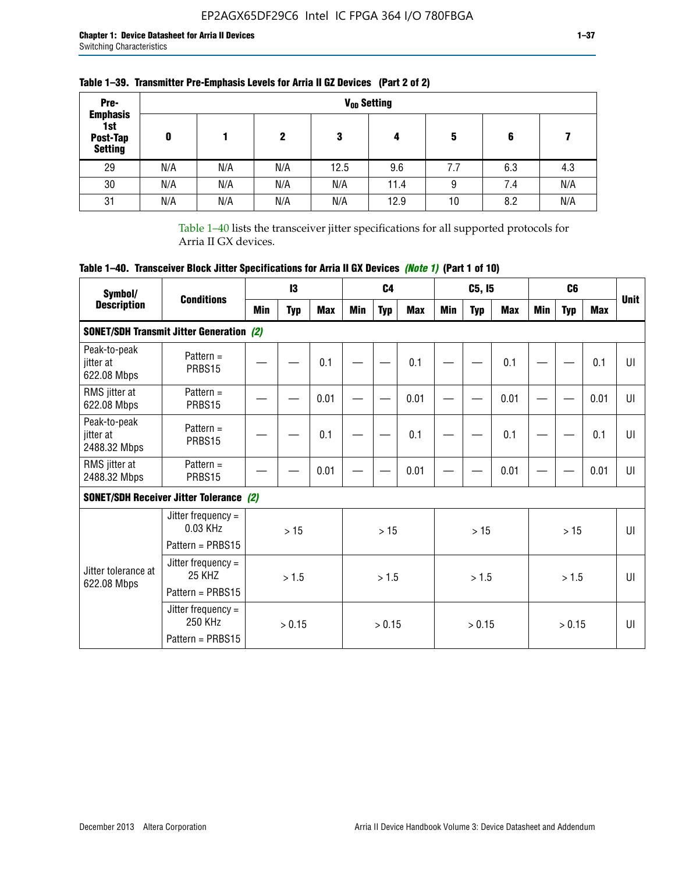| Pre-                                                 |     |     |     |      | V <sub>op</sub> Setting |     |     |     |
|------------------------------------------------------|-----|-----|-----|------|-------------------------|-----|-----|-----|
| <b>Emphasis</b><br>1st<br>Post-Tap<br><b>Setting</b> | 0   |     | 2   | 3    | 4                       | 5   | 6   |     |
| 29                                                   | N/A | N/A | N/A | 12.5 | 9.6                     | 7.7 | 6.3 | 4.3 |
| 30                                                   | N/A | N/A | N/A | N/A  | 11.4                    | 9   | 7.4 | N/A |
| 31                                                   | N/A | N/A | N/A | N/A  | 12.9                    | 10  | 8.2 | N/A |

# **Table 1–39. Transmitter Pre-Emphasis Levels for Arria II GZ Devices (Part 2 of 2)**

Table 1–40 lists the transceiver jitter specifications for all supported protocols for Arria II GX devices.

# **Table 1–40. Transceiver Block Jitter Specifications for Arria II GX Devices** *(Note 1)* **(Part 1 of 10)**

| Symbol/                                   |                                                                |     | 13         |            |     | C <sub>4</sub> |            |     | C5, I5     |            |     | C <sub>6</sub> |              |              |
|-------------------------------------------|----------------------------------------------------------------|-----|------------|------------|-----|----------------|------------|-----|------------|------------|-----|----------------|--------------|--------------|
| <b>Description</b>                        | <b>Conditions</b>                                              | Min | <b>Typ</b> | <b>Max</b> | Min | <b>Typ</b>     | <b>Max</b> | Min | <b>Typ</b> | <b>Max</b> | Min | <b>Typ</b>     | <b>Max</b>   | <b>Unit</b>  |
|                                           | <b>SONET/SDH Transmit Jitter Generation (2)</b>                |     |            |            |     |                |            |     |            |            |     |                |              |              |
| Peak-to-peak<br>jitter at<br>622.08 Mbps  | Pattern $=$<br>PRBS15                                          |     |            | 0.1        |     |                | 0.1        |     |            | 0.1        |     |                | 0.1          | UI           |
| RMS jitter at<br>622.08 Mbps              | Pattern $=$<br>PRBS15                                          |     |            | 0.01       |     |                | 0.01       |     |            | 0.01       |     |                | 0.01         | UI           |
| Peak-to-peak<br>jitter at<br>2488.32 Mbps | Pattern $=$<br>PRBS15                                          |     |            | 0.1        |     |                | 0.1        |     |            | 0.1        |     |                | 0.1          | UI           |
| RMS jitter at<br>2488.32 Mbps             | Pattern $=$<br>PRBS15                                          |     |            | 0.01       |     |                | 0.01       |     |            | 0.01       |     |                | 0.01         | UI           |
|                                           | <b>SONET/SDH Receiver Jitter Tolerance (2)</b>                 |     |            |            |     |                |            |     |            |            |     |                |              |              |
|                                           | Jitter frequency $=$<br>$0.03$ KHz<br>Pattern = PRBS15         | >15 |            |            | >15 |                |            | >15 |            |            | >15 |                | $\mathbf{U}$ |              |
| Jitter tolerance at<br>622.08 Mbps        | Jitter frequency $=$<br>25 KH <sub>7</sub><br>Pattern = PRBS15 |     | > 1.5      |            |     | > 1.5          |            |     | > 1.5      |            |     | > 1.5          |              | $\mathbf{U}$ |
|                                           | Jitter frequency $=$<br>250 KHz<br>Pattern = PRBS15            |     | > 0.15     |            |     | > 0.15         |            |     | > 0.15     |            |     | > 0.15         |              | $\mathbf{U}$ |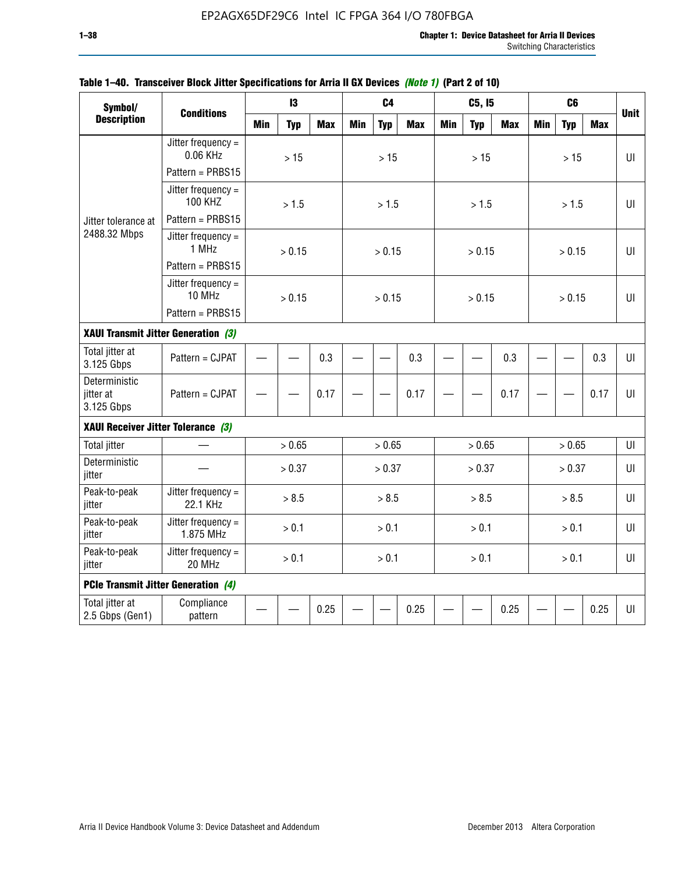| Symbol/                                    |                                        |            | 13         |            |            | C <sub>4</sub> |            |            | C5, I5     |            |            | C <sub>6</sub> |            |             |
|--------------------------------------------|----------------------------------------|------------|------------|------------|------------|----------------|------------|------------|------------|------------|------------|----------------|------------|-------------|
| <b>Description</b>                         | <b>Conditions</b>                      | <b>Min</b> | <b>Typ</b> | <b>Max</b> | <b>Min</b> | <b>Typ</b>     | <b>Max</b> | <b>Min</b> | <b>Typ</b> | <b>Max</b> | <b>Min</b> | <b>Typ</b>     | <b>Max</b> | <b>Unit</b> |
|                                            | Jitter frequency $=$<br>0.06 KHz       |            | $>15$      |            |            | $>15$          |            |            | $>15$      |            |            | >15            |            | UI          |
|                                            | Pattern = PRBS15                       |            |            |            |            |                |            |            |            |            |            |                |            |             |
|                                            | Jitter frequency $=$<br><b>100 KHZ</b> |            | > 1.5      |            |            | > 1.5          |            |            | > 1.5      |            |            | > 1.5          |            | UI          |
| Jitter tolerance at                        | Pattern = PRBS15                       |            |            |            |            |                |            |            |            |            |            |                |            |             |
| 2488.32 Mbps                               | Jitter frequency $=$<br>1 MHz          |            | > 0.15     |            |            | > 0.15         |            |            | > 0.15     |            |            | > 0.15         |            | Ш           |
|                                            | Pattern = PRBS15                       |            |            |            |            |                |            |            |            |            |            |                |            |             |
|                                            | Jitter frequency $=$<br>10 MHz         |            | > 0.15     |            |            | > 0.15         |            |            | > 0.15     |            |            | > 0.15         |            | UI          |
|                                            | Pattern = PRBS15                       |            |            |            |            |                |            |            |            |            |            |                |            |             |
| XAUI Transmit Jitter Generation (3)        |                                        |            |            |            |            |                |            |            |            |            |            |                |            |             |
| Total jitter at<br>3.125 Gbps              | Pattern = CJPAT                        | 0.3        |            |            |            |                | 0.3        |            |            | 0.3        |            |                | 0.3        | UI          |
| Deterministic<br>jitter at<br>3.125 Gbps   | Pattern = CJPAT                        | 0.17       |            |            |            |                | 0.17       |            |            | 0.17       |            |                | 0.17       | $U\Gamma$   |
| XAUI Receiver Jitter Tolerance (3)         |                                        |            |            |            |            |                |            |            |            |            |            |                |            |             |
| <b>Total jitter</b>                        |                                        |            | > 0.65     |            |            | > 0.65         |            |            | > 0.65     |            |            | > 0.65         |            | UI          |
| Deterministic<br>jitter                    |                                        |            | > 0.37     |            |            | > 0.37         |            |            | > 0.37     |            |            | > 0.37         |            | UI          |
| Peak-to-peak<br>jitter                     | Jitter frequency =<br>22.1 KHz         |            | > 8.5      |            |            | > 8.5          |            |            | > 8.5      |            |            | > 8.5          |            | UI          |
| Peak-to-peak<br>jitter                     | Jitter frequency $=$<br>1.875 MHz      |            | > 0.1      |            |            | > 0.1          |            |            | > 0.1      |            |            | > 0.1          |            | $U\Gamma$   |
| Peak-to-peak<br>jitter                     | Jitter frequency =<br>20 MHz           | > 0.1      |            |            |            | > 0.1          |            |            | > 0.1      |            |            | > 0.1          |            | UI          |
| <b>PCIe Transmit Jitter Generation (4)</b> |                                        |            |            |            |            |                |            |            |            |            |            |                |            |             |
| Total jitter at<br>2.5 Gbps (Gen1)         | Compliance<br>pattern                  |            |            | 0.25       |            |                | 0.25       |            |            | 0.25       |            |                | 0.25       | $U\Gamma$   |

# **Table 1–40. Transceiver Block Jitter Specifications for Arria II GX Devices** *(Note 1)* **(Part 2 of 10)**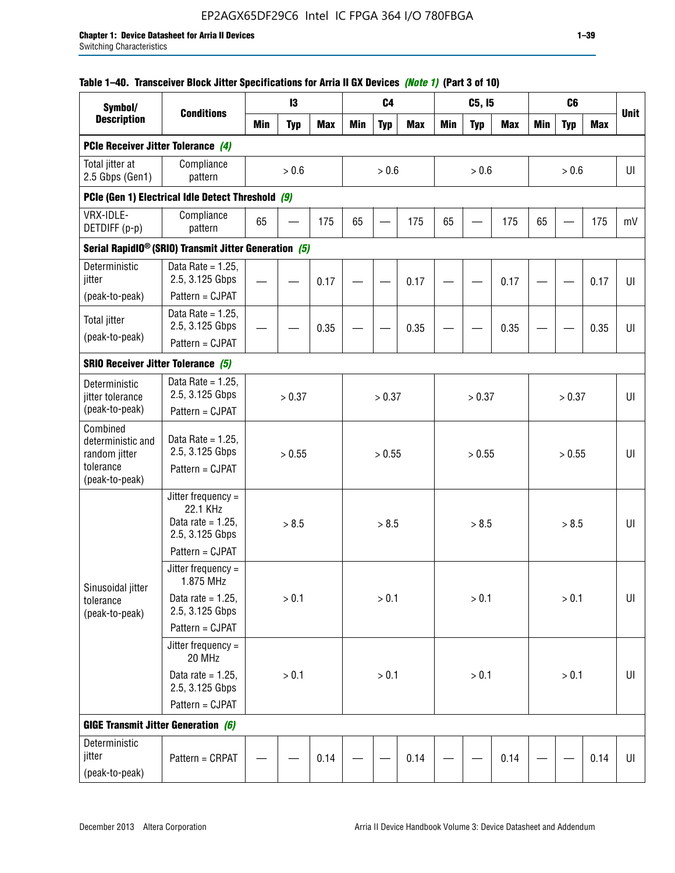## **Table 1–40. Transceiver Block Jitter Specifications for Arria II GX Devices** *(Note 1)* **(Part 3 of 10)**

| Symbol/                                             |                                                                           |            | 13         |            |     | C <sub>4</sub> |            |            | C5, I5     |            |            | C <sub>6</sub> |            |             |
|-----------------------------------------------------|---------------------------------------------------------------------------|------------|------------|------------|-----|----------------|------------|------------|------------|------------|------------|----------------|------------|-------------|
| <b>Description</b>                                  | <b>Conditions</b>                                                         | <b>Min</b> | <b>Typ</b> | <b>Max</b> | Min | <b>Typ</b>     | <b>Max</b> | <b>Min</b> | <b>Typ</b> | <b>Max</b> | <b>Min</b> | <b>Typ</b>     | <b>Max</b> | <b>Unit</b> |
| PCIe Receiver Jitter Tolerance (4)                  |                                                                           |            |            |            |     |                |            |            |            |            |            |                |            |             |
| Total jitter at<br>2.5 Gbps (Gen1)                  | Compliance<br>pattern                                                     |            | $> 0.6$    |            |     | > 0.6          |            |            | > 0.6      |            |            | > 0.6          |            | UI          |
|                                                     | PCIe (Gen 1) Electrical Idle Detect Threshold (9)                         |            |            |            |     |                |            |            |            |            |            |                |            |             |
| VRX-IDLE-<br>DETDIFF (p-p)                          | Compliance<br>pattern                                                     | 65         |            | 175        | 65  |                | 175        | 65         |            | 175        | 65         |                | 175        | mV          |
|                                                     | Serial RapidIO <sup>®</sup> (SRIO) Transmit Jitter Generation (5)         |            |            |            |     |                |            |            |            |            |            |                |            |             |
| Deterministic<br>jitter                             | Data Rate = $1.25$ ,<br>2.5, 3.125 Gbps<br>Pattern = CJPAT                |            |            | 0.17       |     |                | 0.17       |            |            | 0.17       |            |                | 0.17       | UI          |
| (peak-to-peak)                                      | Data Rate = $1.25$ ,                                                      |            |            |            |     |                |            |            |            |            |            |                |            |             |
| <b>Total jitter</b>                                 | 2.5, 3.125 Gbps                                                           |            |            | 0.35       |     |                | 0.35       |            |            | 0.35       |            |                | 0.35       | UI          |
| (peak-to-peak)                                      | Pattern = CJPAT                                                           |            |            |            |     |                |            |            |            |            |            |                |            |             |
| <b>SRIO Receiver Jitter Tolerance (5)</b>           |                                                                           |            |            |            |     |                |            |            |            |            |            |                |            |             |
| Deterministic<br>jitter tolerance<br>(peak-to-peak) | Data Rate = $1.25$ ,<br>2.5, 3.125 Gbps<br>Pattern = CJPAT                |            | > 0.37     |            |     | > 0.37         |            |            | > 0.37     |            |            | > 0.37         |            | UI          |
| Combined<br>deterministic and<br>random jitter      | Data Rate = $1.25$ ,<br>2.5, 3.125 Gbps                                   |            | > 0.55     |            |     | > 0.55         |            |            | > 0.55     |            |            | > 0.55         |            | U           |
| tolerance<br>(peak-to-peak)                         | Pattern = CJPAT                                                           |            |            |            |     |                |            |            |            |            |            |                |            |             |
|                                                     | Jitter frequency =<br>22.1 KHz<br>Data rate = $1.25$ .<br>2.5, 3.125 Gbps |            | > 8.5      |            |     | > 8.5          |            |            | > 8.5      |            |            | > 8.5          |            | UI          |
|                                                     | Pattern = CJPAT                                                           |            |            |            |     |                |            |            |            |            |            |                |            |             |
| Sinusoidal jitter                                   | Jitter frequency $=$<br>1.875 MHz                                         |            |            |            |     |                |            |            |            |            |            |                |            |             |
| tolerance<br>(peak-to-peak)                         | Data rate = $1.25$ ,<br>2.5, 3.125 Gbps                                   |            | > 0.1      |            |     | > 0.1          |            |            | > 0.1      |            |            | $> 0.1$        |            | UI          |
|                                                     | Pattern = CJPAT                                                           |            |            |            |     |                |            |            |            |            |            |                |            |             |
|                                                     | Jitter frequency =<br>20 MHz                                              |            |            |            |     |                |            |            |            |            |            |                |            |             |
|                                                     | Data rate = $1.25$ ,<br>2.5, 3.125 Gbps                                   |            | $> 0.1$    |            |     | > 0.1          |            |            | > 0.1      |            |            | $> 0.1$        |            | UI          |
|                                                     | Pattern = CJPAT                                                           |            |            |            |     |                |            |            |            |            |            |                |            |             |
| <b>GIGE Transmit Jitter Generation (6)</b>          |                                                                           |            |            |            |     |                |            |            |            |            |            |                |            |             |
| Deterministic<br>jitter<br>(peak-to-peak)           | Pattern = CRPAT                                                           |            |            | 0.14       |     |                | 0.14       |            |            | 0.14       |            |                | 0.14       | UI          |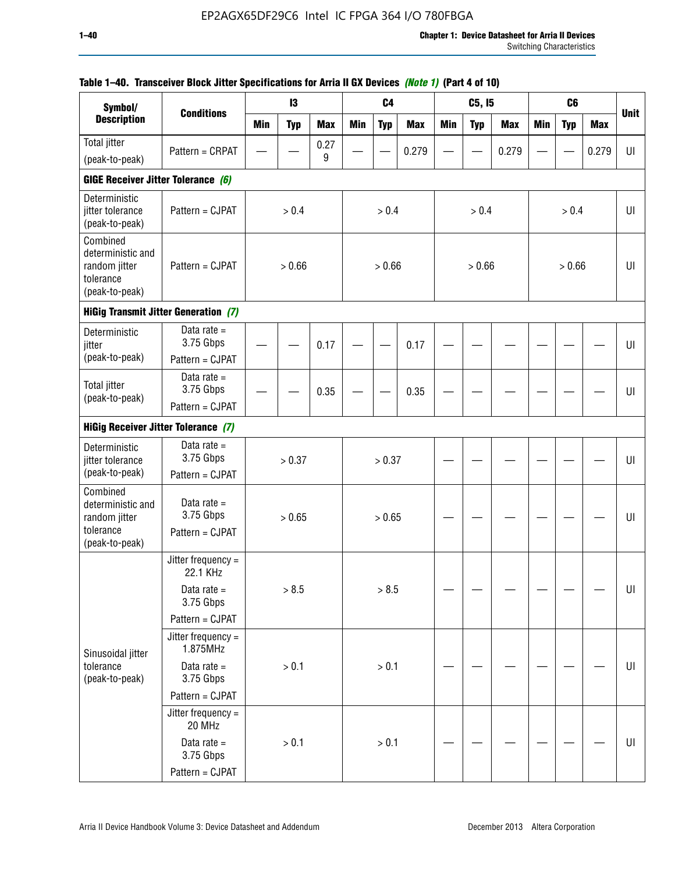| Symbol/                                                                       |                                               |            | 13         |            |            | C <sub>4</sub> |            |            | C5, I5     |            |            | C <sub>6</sub> |            |             |
|-------------------------------------------------------------------------------|-----------------------------------------------|------------|------------|------------|------------|----------------|------------|------------|------------|------------|------------|----------------|------------|-------------|
| <b>Description</b>                                                            | <b>Conditions</b>                             | <b>Min</b> | <b>Typ</b> | <b>Max</b> | <b>Min</b> | <b>Typ</b>     | <b>Max</b> | <b>Min</b> | <b>Typ</b> | <b>Max</b> | <b>Min</b> | <b>Typ</b>     | <b>Max</b> | <b>Unit</b> |
| Total jitter                                                                  | Pattern = CRPAT                               |            |            | 0.27       |            |                | 0.279      |            |            | 0.279      |            |                | 0.279      | UI          |
| (peak-to-peak)                                                                |                                               |            |            | 9          |            |                |            |            |            |            |            |                |            |             |
| GIGE Receiver Jitter Tolerance (6)                                            |                                               |            |            |            |            |                |            |            |            |            |            |                |            |             |
| Deterministic<br>jitter tolerance<br>(peak-to-peak)                           | Pattern = CJPAT                               |            | > 0.4      |            |            | > 0.4          |            |            | > 0.4      |            |            | > 0.4          |            | UI          |
| Combined<br>deterministic and<br>random jitter<br>tolerance<br>(peak-to-peak) | Pattern = CJPAT                               |            | > 0.66     |            |            | > 0.66         |            |            | > 0.66     |            |            | > 0.66         |            | UI          |
|                                                                               | <b>HiGig Transmit Jitter Generation (7)</b>   |            |            |            |            |                |            |            |            |            |            |                |            |             |
| Deterministic<br>jitter                                                       | Data rate $=$<br>3.75 Gbps                    |            |            | 0.17       |            |                | 0.17       |            |            |            |            |                |            | UI          |
| (peak-to-peak)                                                                | Pattern = CJPAT                               |            |            |            |            |                |            |            |            |            |            |                |            |             |
| <b>Total jitter</b><br>(peak-to-peak)                                         | Data rate $=$<br>3.75 Gbps                    |            |            | 0.35       |            |                | 0.35       |            |            |            |            |                |            | UI          |
| Pattern = CJPAT<br><b>HiGig Receiver Jitter Tolerance (7)</b>                 |                                               |            |            |            |            |                |            |            |            |            |            |                |            |             |
|                                                                               |                                               |            |            |            |            |                |            |            |            |            |            |                |            |             |
| Deterministic<br>jitter tolerance                                             | Data rate $=$<br>3.75 Gbps                    |            | > 0.37     |            |            | > 0.37         |            |            |            |            |            |                |            | UI          |
| (peak-to-peak)                                                                | Pattern = CJPAT                               |            |            |            |            |                |            |            |            |            |            |                |            |             |
| Combined<br>deterministic and<br>random jitter<br>tolerance<br>(peak-to-peak) | Data rate $=$<br>3.75 Gbps<br>Pattern = CJPAT |            | > 0.65     |            |            | > 0.65         |            |            |            |            |            |                |            | UI          |
|                                                                               | Jitter frequency =<br>22.1 KHz                |            |            |            |            |                |            |            |            |            |            |                |            |             |
|                                                                               | Data rate $=$<br>3.75 Gbps                    |            | > 8.5      |            |            | > 8.5          |            |            |            |            |            |                |            | $U\vert$    |
|                                                                               | Pattern = CJPAT                               |            |            |            |            |                |            |            |            |            |            |                |            |             |
| Sinusoidal jitter                                                             | Jitter frequency $=$<br>1.875MHz              |            |            |            |            |                |            |            |            |            |            |                |            |             |
| tolerance<br>(peak-to-peak)                                                   | Data rate $=$<br>3.75 Gbps                    |            | > 0.1      |            |            | > 0.1          |            |            |            |            |            |                |            | UI          |
|                                                                               | Pattern = CJPAT                               |            |            |            |            |                |            |            |            |            |            |                |            |             |
|                                                                               | Jitter frequency =<br>20 MHz                  |            |            |            |            |                |            |            |            |            |            |                |            |             |
|                                                                               | Data rate $=$<br>3.75 Gbps                    |            | > 0.1      |            |            | > 0.1          |            |            |            |            |            |                |            | UI          |
|                                                                               | Pattern = CJPAT                               |            |            |            |            |                |            |            |            |            |            |                |            |             |

# **Table 1–40. Transceiver Block Jitter Specifications for Arria II GX Devices** *(Note 1)* **(Part 4 of 10)**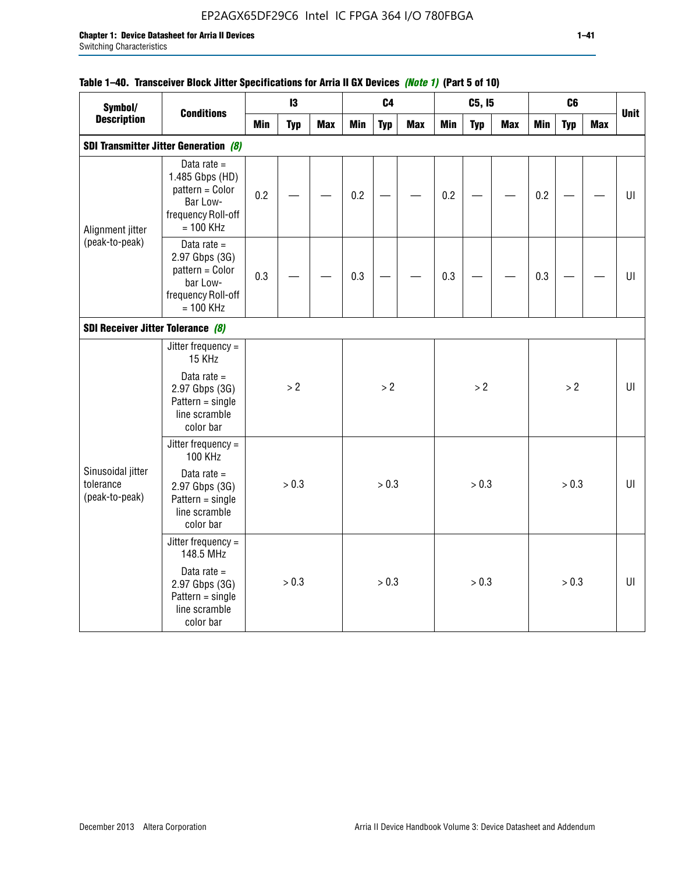# EP2AGX65DF29C6 Intel IC FPGA 364 I/O 780FBGA

# **Table 1–40. Transceiver Block Jitter Specifications for Arria II GX Devices** *(Note 1)* **(Part 5 of 10)**

| Symbol/                                          |                                                                                                      |            | 13         |            |            | C <sub>4</sub> |            |            | C5, I5     |            |            | C <sub>6</sub> |     |             |
|--------------------------------------------------|------------------------------------------------------------------------------------------------------|------------|------------|------------|------------|----------------|------------|------------|------------|------------|------------|----------------|-----|-------------|
| <b>Description</b>                               | <b>Conditions</b>                                                                                    | <b>Min</b> | <b>Typ</b> | <b>Max</b> | <b>Min</b> | <b>Typ</b>     | <b>Max</b> | <b>Min</b> | <b>Typ</b> | <b>Max</b> | <b>Min</b> | <b>Typ</b>     | Max | <b>Unit</b> |
|                                                  | <b>SDI Transmitter Jitter Generation (8)</b>                                                         |            |            |            |            |                |            |            |            |            |            |                |     |             |
| Alignment jitter                                 | Data rate $=$<br>1.485 Gbps (HD)<br>pattern = Color<br>Bar Low-<br>frequency Roll-off<br>$= 100$ KHz | 0.2        |            |            | 0.2        |                |            | 0.2        |            |            | 0.2        |                |     | UI          |
| (peak-to-peak)                                   | Data rate $=$<br>2.97 Gbps (3G)<br>pattern = Color<br>bar Low-<br>frequency Roll-off<br>$= 100$ KHz  | 0.3        |            |            | 0.3        |                |            | 0.3        |            |            | 0.3        |                |     | UI          |
| SDI Receiver Jitter Tolerance (8)                |                                                                                                      |            |            |            |            |                |            |            |            |            |            |                |     |             |
|                                                  | Jitter frequency $=$<br>15 KHz                                                                       |            |            |            |            |                |            |            |            |            |            |                |     |             |
|                                                  | Data rate $=$<br>2.97 Gbps (3G)<br>$Pattern = single$<br>line scramble<br>color bar                  |            | > 2        |            |            | > 2            |            |            | >2         |            |            | > 2            |     | U           |
|                                                  | Jitter frequency =<br>100 KHz                                                                        |            |            |            |            |                |            |            |            |            |            |                |     |             |
| Sinusoidal jitter<br>tolerance<br>(peak-to-peak) | Data rate $=$<br>2.97 Gbps (3G)<br>$Pattern = single$<br>line scramble<br>color bar                  |            | > 0.3      |            |            | > 0.3          |            |            | > 0.3      |            |            | > 0.3          |     | UI          |
|                                                  | Jitter frequency $=$<br>148.5 MHz                                                                    |            |            |            |            |                |            |            |            |            |            |                |     |             |
|                                                  | Data rate $=$<br>2.97 Gbps (3G)<br>$Pattern = single$<br>line scramble<br>color bar                  |            | > 0.3      |            |            | > 0.3          |            |            | > 0.3      |            |            | > 0.3          |     | UI          |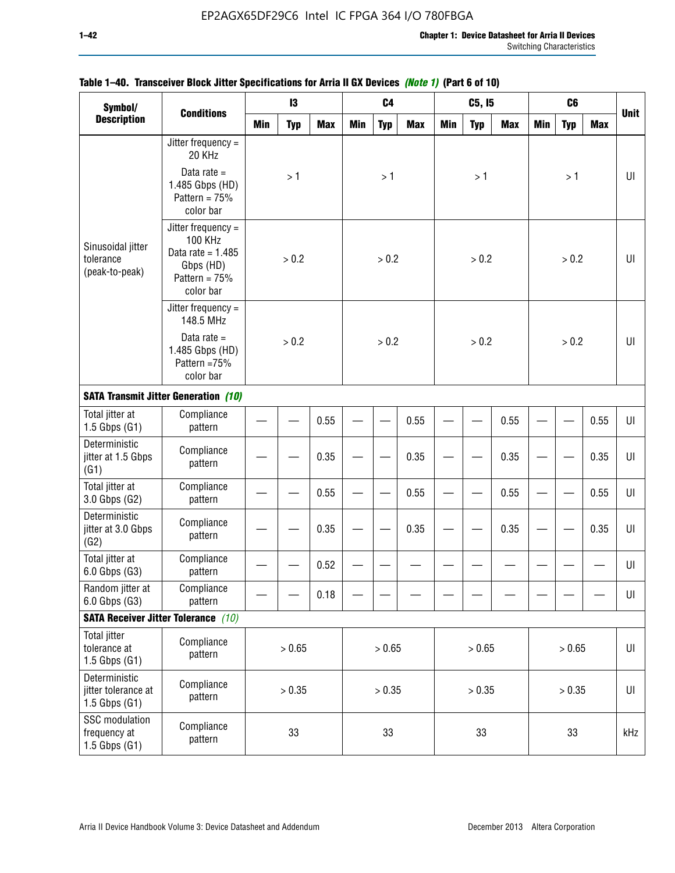| Symbol/                                                 |                                                                                                            |        | 13         |            |            | C <sub>4</sub> |            |            | C5, I5     |            |            | C <sub>6</sub> |            |             |
|---------------------------------------------------------|------------------------------------------------------------------------------------------------------------|--------|------------|------------|------------|----------------|------------|------------|------------|------------|------------|----------------|------------|-------------|
| <b>Description</b>                                      | <b>Conditions</b>                                                                                          | Min    | <b>Typ</b> | <b>Max</b> | <b>Min</b> | <b>Typ</b>     | <b>Max</b> | <b>Min</b> | <b>Typ</b> | <b>Max</b> | <b>Min</b> | <b>Typ</b>     | <b>Max</b> | <b>Unit</b> |
|                                                         | Jitter frequency =<br>20 KHz                                                                               |        |            |            |            |                |            |            |            |            |            |                |            |             |
|                                                         | Data rate $=$<br>1.485 Gbps (HD)<br>Pattern = $75%$<br>color bar                                           |        | >1         |            |            | >1             |            |            | >1         |            |            | >1             |            | UI          |
| Sinusoidal jitter<br>tolerance<br>(peak-to-peak)        | Jitter frequency $=$<br><b>100 KHz</b><br>Data rate = $1.485$<br>Gbps (HD)<br>Pattern = $75%$<br>color bar |        | > 0.2      |            |            | > 0.2          |            |            | > 0.2      |            |            | > 0.2          |            | UI          |
|                                                         | Jitter frequency $=$<br>148.5 MHz                                                                          |        |            |            |            |                |            |            |            |            |            |                |            |             |
|                                                         | Data rate $=$<br>1.485 Gbps (HD)<br>Pattern =75%<br>color bar                                              |        | > 0.2      |            |            | > 0.2          |            |            | > 0.2      |            |            | > 0.2          |            | U           |
|                                                         | <b>SATA Transmit Jitter Generation (10)</b>                                                                |        |            |            |            |                |            |            |            |            |            |                |            |             |
| Total jitter at<br>$1.5$ Gbps $(G1)$                    | Compliance<br>pattern                                                                                      |        | 0.55       |            |            |                | 0.55       |            |            | 0.55       |            |                | 0.55       | UI          |
| Deterministic<br>jitter at 1.5 Gbps<br>(G1)             | Compliance<br>pattern                                                                                      | 0.35   |            |            |            |                | 0.35       |            |            | 0.35       |            |                | 0.35       | UI          |
| Total jitter at<br>3.0 Gbps (G2)                        | Compliance<br>pattern                                                                                      |        |            | 0.55       |            |                | 0.55       |            |            | 0.55       |            |                | 0.55       | UI          |
| Deterministic<br>jitter at 3.0 Gbps<br>(G2)             | Compliance<br>pattern                                                                                      |        |            | 0.35       |            |                | 0.35       |            |            | 0.35       |            |                | 0.35       | UI          |
| Total jitter at<br>6.0 Gbps (G3)                        | Compliance<br>pattern                                                                                      |        |            | 0.52       |            |                |            |            |            |            |            |                |            | UI          |
| Random jitter at<br>6.0 Gbps (G3)                       | Compliance<br>pattern                                                                                      |        |            | 0.18       |            |                |            |            |            |            |            |                |            | UI          |
|                                                         | <b>SATA Receiver Jitter Tolerance</b> (10)                                                                 |        |            |            |            |                |            |            |            |            |            |                |            |             |
| <b>Total jitter</b><br>tolerance at<br>1.5 Gbps $(G1)$  | Compliance<br>pattern                                                                                      |        | > 0.65     |            |            | > 0.65         |            |            | > 0.65     |            |            | > 0.65         |            | $U\vert$    |
| Deterministic<br>jitter tolerance at<br>1.5 Gbps $(G1)$ | Compliance<br>pattern                                                                                      | > 0.35 |            |            |            | > 0.35         |            |            | > 0.35     |            |            | > 0.35         |            | UI          |
| SSC modulation<br>frequency at<br>$1.5$ Gbps $(G1)$     | Compliance<br>pattern                                                                                      |        | 33         |            |            | 33             |            |            | 33         |            |            | 33             |            | kHz         |

# **Table 1–40. Transceiver Block Jitter Specifications for Arria II GX Devices** *(Note 1)* **(Part 6 of 10)**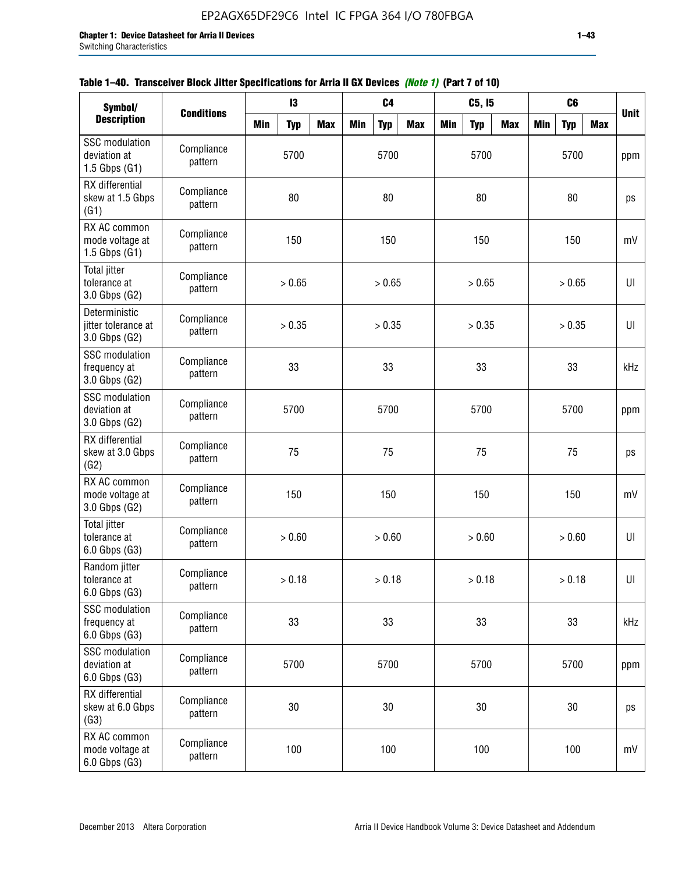| Symbol/                                                    |                       |            | 13         |            |            | C <sub>4</sub> |            |            | C5, I5     |            |            | C <sub>6</sub> |            |             |
|------------------------------------------------------------|-----------------------|------------|------------|------------|------------|----------------|------------|------------|------------|------------|------------|----------------|------------|-------------|
| <b>Description</b>                                         | <b>Conditions</b>     | <b>Min</b> | <b>Typ</b> | <b>Max</b> | <b>Min</b> | <b>Typ</b>     | <b>Max</b> | <b>Min</b> | <b>Typ</b> | <b>Max</b> | <b>Min</b> | <b>Typ</b>     | <b>Max</b> | <b>Unit</b> |
| <b>SSC</b> modulation<br>deviation at<br>$1.5$ Gbps $(G1)$ | Compliance<br>pattern |            | 5700       |            |            | 5700           |            |            | 5700       |            |            | 5700           |            | ppm         |
| RX differential<br>skew at 1.5 Gbps<br>(G1)                | Compliance<br>pattern |            | 80         |            |            | 80             |            |            | 80         |            |            | 80             |            | ps          |
| RX AC common<br>mode voltage at<br>1.5 Gbps $(G1)$         | Compliance<br>pattern |            | 150        |            |            | 150            |            |            | 150        |            |            | 150            |            | mV          |
| Total jitter<br>tolerance at<br>3.0 Gbps (G2)              | Compliance<br>pattern |            | > 0.65     |            |            | > 0.65         |            |            | > 0.65     |            |            | > 0.65         |            | UI          |
| Deterministic<br>jitter tolerance at<br>3.0 Gbps (G2)      | Compliance<br>pattern |            | > 0.35     |            |            | > 0.35         |            |            | > 0.35     |            |            | > 0.35         |            | UI          |
| <b>SSC</b> modulation<br>frequency at<br>3.0 Gbps (G2)     | Compliance<br>pattern |            | 33         |            |            | 33             |            |            | 33         |            |            | 33             |            | kHz         |
| <b>SSC</b> modulation<br>deviation at<br>3.0 Gbps (G2)     | Compliance<br>pattern |            | 5700       |            |            | 5700           |            |            | 5700       |            |            | 5700           |            | ppm         |
| RX differential<br>skew at 3.0 Gbps<br>(G2)                | Compliance<br>pattern |            | 75         |            |            | 75             |            |            | 75         |            |            | 75             |            | ps          |
| RX AC common<br>mode voltage at<br>3.0 Gbps (G2)           | Compliance<br>pattern |            | 150        |            |            | 150            |            |            | 150        |            |            | 150            |            | mV          |
| <b>Total jitter</b><br>tolerance at<br>6.0 Gbps (G3)       | Compliance<br>pattern |            | > 0.60     |            |            | > 0.60         |            |            | > 0.60     |            |            | > 0.60         |            | UI          |
| Random jitter<br>tolerance at<br>6.0 Gbps (G3)             | Compliance<br>pattern |            | > 0.18     |            |            | > 0.18         |            |            | > 0.18     |            |            | > 0.18         |            | UI          |
| <b>SSC</b> modulation<br>frequency at<br>6.0 Gbps (G3)     | Compliance<br>pattern |            | 33         |            |            | 33             |            |            | 33         |            |            | 33             |            | kHz         |
| <b>SSC</b> modulation<br>deviation at<br>6.0 Gbps (G3)     | Compliance<br>pattern | 5700       |            |            |            | 5700           |            |            | 5700       |            |            | 5700           |            | ppm         |
| RX differential<br>skew at 6.0 Gbps<br>(G3)                | Compliance<br>pattern |            | 30         |            |            | $30\,$         |            |            | 30         |            |            | $30\,$         |            | ps          |
| RX AC common<br>mode voltage at<br>6.0 Gbps (G3)           | Compliance<br>pattern |            | 100        |            |            | 100            |            |            | 100        |            |            | 100            |            | mV          |

| Table 1–40. Transceiver Block Jitter Specifications for Arria II GX Devices (Note 1) (Part 7 of 10) |
|-----------------------------------------------------------------------------------------------------|
|-----------------------------------------------------------------------------------------------------|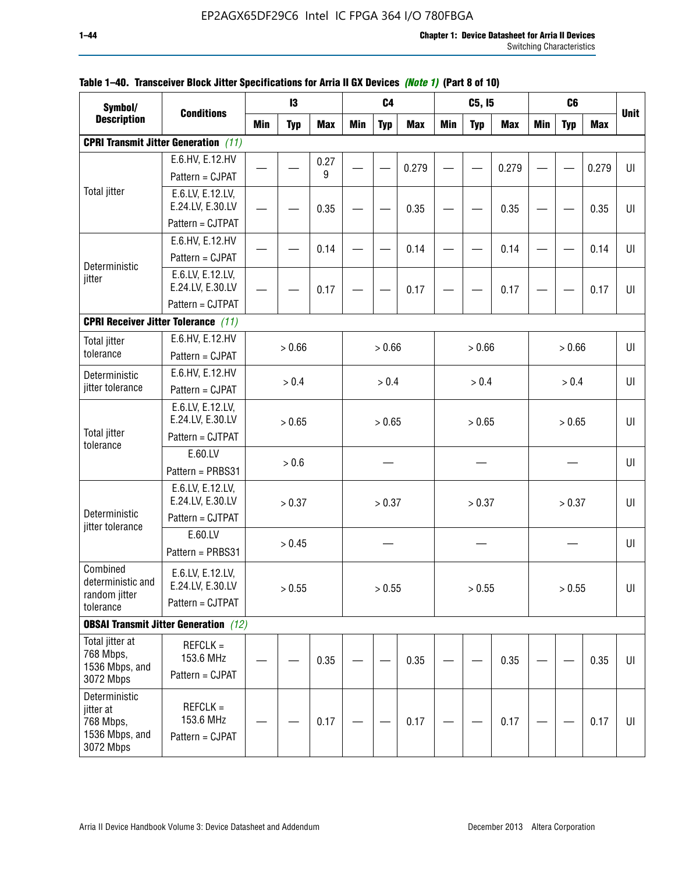| Symbol/                                                                |                                                          |       | 13         |            |     | C4         |            |            | C5, I5     |            |            | C <sub>6</sub> |            |             |
|------------------------------------------------------------------------|----------------------------------------------------------|-------|------------|------------|-----|------------|------------|------------|------------|------------|------------|----------------|------------|-------------|
| <b>Description</b>                                                     | <b>Conditions</b>                                        | Min   | <b>Typ</b> | <b>Max</b> | Min | <b>Typ</b> | <b>Max</b> | <b>Min</b> | <b>Typ</b> | <b>Max</b> | <b>Min</b> | <b>Typ</b>     | <b>Max</b> | <b>Unit</b> |
|                                                                        | <b>CPRI Transmit Jitter Generation</b> (11)              |       |            |            |     |            |            |            |            |            |            |                |            |             |
|                                                                        | E.6.HV, E.12.HV                                          |       |            | 0.27       |     |            | 0.279      |            |            | 0.279      |            |                | 0.279      | UI          |
|                                                                        | Pattern = CJPAT                                          |       |            | 9          |     |            |            |            |            |            |            |                |            |             |
| <b>Total jitter</b>                                                    | E.6.LV, E.12.LV,<br>E.24.LV, E.30.LV                     |       |            | 0.35       |     |            | 0.35       |            |            | 0.35       |            |                | 0.35       | UI          |
|                                                                        | Pattern = CJTPAT                                         |       |            |            |     |            |            |            |            |            |            |                |            |             |
| Deterministic                                                          | E.6.HV, E.12.HV<br>Pattern = CJPAT                       |       |            | 0.14       |     |            | 0.14       |            |            | 0.14       |            |                | 0.14       | U           |
| jitter                                                                 | E.6.LV, E.12.LV,<br>E.24.LV, E.30.LV                     |       |            | 0.17       |     |            | 0.17       |            |            | 0.17       |            |                | 0.17       | UI          |
|                                                                        | Pattern = CJTPAT                                         |       |            |            |     |            |            |            |            |            |            |                |            |             |
|                                                                        | <b>CPRI Receiver Jitter Tolerance (11)</b>               |       |            |            |     |            |            |            |            |            |            |                |            |             |
| <b>Total jitter</b><br>tolerance                                       | E.6.HV, E.12.HV<br>Pattern = CJPAT                       |       | > 0.66     |            |     | > 0.66     |            |            | > 0.66     |            |            | > 0.66         |            | UI          |
| Deterministic                                                          | E.6.HV, E.12.HV                                          | > 0.4 |            |            |     | > 0.4      |            |            | > 0.4      |            |            | > 0.4          |            | UI          |
| jitter tolerance                                                       | Pattern = CJPAT                                          |       |            |            |     |            |            |            |            |            |            |                |            |             |
| <b>Total jitter</b>                                                    | E.6.LV, E.12.LV,<br>E.24.LV, E.30.LV                     |       | > 0.65     |            |     | > 0.65     |            |            | > 0.65     |            |            | > 0.65         |            | UI          |
| tolerance                                                              | Pattern = CJTPAT                                         |       |            |            |     |            |            |            |            |            |            |                |            |             |
|                                                                        | E.60.LV<br>Pattern = PRBS31                              |       | > 0.6      |            |     |            |            |            |            |            |            |                |            | UI          |
| Deterministic                                                          | E.6.LV, E.12.LV,<br>E.24.LV, E.30.LV                     |       | > 0.37     |            |     | > 0.37     |            |            | > 0.37     |            |            | > 0.37         |            | UI          |
| jitter tolerance                                                       | Pattern = CJTPAT                                         |       |            |            |     |            |            |            |            |            |            |                |            |             |
|                                                                        | E.60.LV<br>Pattern = PRBS31                              |       | > 0.45     |            |     |            |            |            |            |            |            |                |            | UI          |
| Combined<br>deterministic and<br>random jitter<br>tolerance            | E.6.LV, E.12.LV,<br>E.24.LV, E.30.LV<br>Pattern = CJTPAT |       | > 0.55     |            |     | > 0.55     |            |            | > 0.55     |            |            | > 0.55         |            | UI          |
|                                                                        | <b>OBSAI Transmit Jitter Generation</b> (12)             |       |            |            |     |            |            |            |            |            |            |                |            |             |
| Total jitter at<br>768 Mbps,<br>1536 Mbps, and<br>3072 Mbps            | $REFCLK =$<br>153.6 MHz<br>Pattern = CJPAT               |       |            | 0.35       |     |            | 0.35       |            |            | 0.35       |            |                | 0.35       | UI          |
| Deterministic<br>jitter at<br>768 Mbps,<br>1536 Mbps, and<br>3072 Mbps | $REFCLK =$<br>153.6 MHz<br>Pattern = CJPAT               |       |            | 0.17       |     |            | 0.17       |            |            | 0.17       |            |                | 0.17       | UI          |

# **Table 1–40. Transceiver Block Jitter Specifications for Arria II GX Devices** *(Note 1)* **(Part 8 of 10)**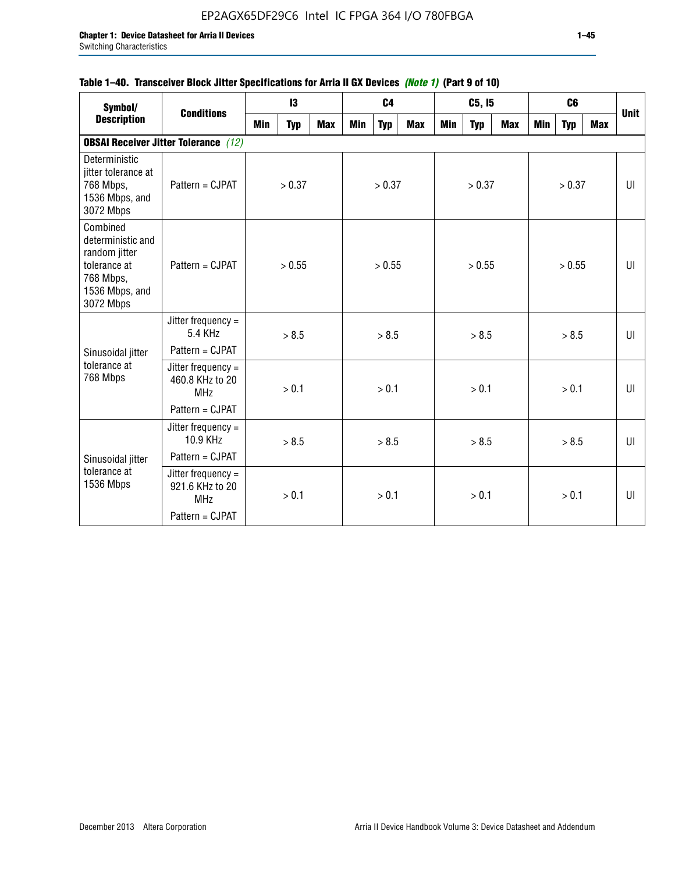# **Table 1–40. Transceiver Block Jitter Specifications for Arria II GX Devices** *(Note 1)* **(Part 9 of 10)**

| Symbol/                                                                                                    | <b>Conditions</b>                                     |            | 13         |     |     | C <sub>4</sub> |            |     | C5, I5     |     |     | C <sub>6</sub> |     | <b>Unit</b> |
|------------------------------------------------------------------------------------------------------------|-------------------------------------------------------|------------|------------|-----|-----|----------------|------------|-----|------------|-----|-----|----------------|-----|-------------|
| <b>Description</b>                                                                                         |                                                       | <b>Min</b> | <b>Typ</b> | Max | Min | <b>Typ</b>     | <b>Max</b> | Min | <b>Typ</b> | Max | Min | <b>Typ</b>     | Max |             |
|                                                                                                            | <b>OBSAI Receiver Jitter Tolerance</b> (12)           |            |            |     |     |                |            |     |            |     |     |                |     |             |
| Deterministic<br>jitter tolerance at<br>768 Mbps,<br>1536 Mbps, and<br>3072 Mbps                           | Pattern = CJPAT                                       |            | > 0.37     |     |     | > 0.37         |            |     | > 0.37     |     |     | > 0.37         |     | UI          |
| Combined<br>deterministic and<br>random jitter<br>tolerance at<br>768 Mbps,<br>1536 Mbps, and<br>3072 Mbps | Pattern = CJPAT                                       |            | > 0.55     |     |     | > 0.55         |            |     | > 0.55     |     |     | > 0.55         |     | UI          |
|                                                                                                            | Jitter frequency $=$<br>5.4 KHz                       |            | > 8.5      |     |     | > 8.5          |            |     | > 8.5      |     |     | > 8.5          |     | UI          |
| Sinusoidal jitter                                                                                          | Pattern = CJPAT                                       |            |            |     |     |                |            |     |            |     |     |                |     |             |
| tolerance at<br>768 Mbps                                                                                   | Jitter frequency $=$<br>460.8 KHz to 20<br><b>MHz</b> |            | > 0.1      |     |     | > 0.1          |            |     | > 0.1      |     |     | > 0.1          |     | UI          |
|                                                                                                            | Pattern = CJPAT                                       |            |            |     |     |                |            |     |            |     |     |                |     |             |
|                                                                                                            | Jitter frequency $=$<br>10.9 KHz                      |            | > 8.5      |     |     | > 8.5          |            |     | > 8.5      |     |     | > 8.5          |     | UI          |
| Sinusoidal jitter                                                                                          | Pattern = CJPAT                                       |            |            |     |     |                |            |     |            |     |     |                |     |             |
| tolerance at<br>1536 Mbps                                                                                  | Jitter frequency $=$<br>921.6 KHz to 20<br><b>MHz</b> |            | > 0.1      |     |     | > 0.1          |            |     | > 0.1      |     |     | > 0.1          |     | UI          |
|                                                                                                            | Pattern = CJPAT                                       |            |            |     |     |                |            |     |            |     |     |                |     |             |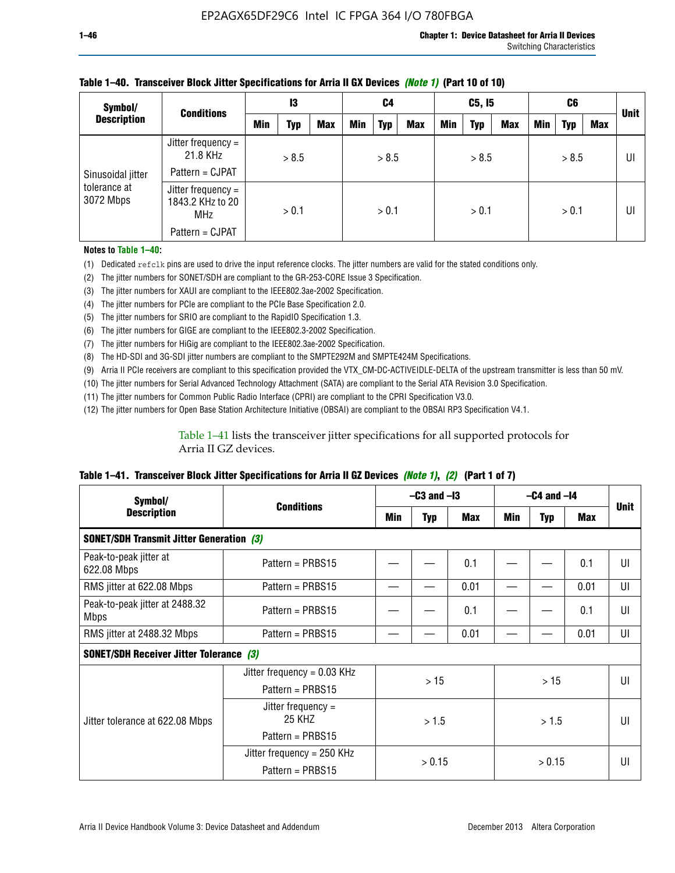| Symbol/                                        | <b>Conditions</b>                             | 13    |       | C4         |            | C5, I5     |            |       | C6         |            |            | <b>Unit</b> |     |  |
|------------------------------------------------|-----------------------------------------------|-------|-------|------------|------------|------------|------------|-------|------------|------------|------------|-------------|-----|--|
| <b>Description</b>                             |                                               | Min   | Typ   | <b>Max</b> | <b>Min</b> | <b>Typ</b> | <b>Max</b> | Min   | <b>Typ</b> | <b>Max</b> | <b>Min</b> | <b>Typ</b>  | Max |  |
| Sinusoidal jitter<br>tolerance at<br>3072 Mbps | Jitter frequency $=$<br>21.8 KHz              | > 8.5 |       | > 8.5      |            | > 8.5      |            | > 8.5 |            |            | UI         |             |     |  |
|                                                | Pattern = CJPAT                               |       |       |            |            |            |            |       |            |            |            |             |     |  |
|                                                | Jitter frequency =<br>1843.2 KHz to 20<br>MHz |       | > 0.1 |            | > 0.1      |            | > 0.1      |       |            |            | > 0.1      |             | UI  |  |
|                                                | Pattern = CJPAT                               |       |       |            |            |            |            |       |            |            |            |             |     |  |

# **Table 1–40. Transceiver Block Jitter Specifications for Arria II GX Devices** *(Note 1)* **(Part 10 of 10)**

**Notes to Table 1–40:**

(1) Dedicated refclk pins are used to drive the input reference clocks. The jitter numbers are valid for the stated conditions only.

(2) The jitter numbers for SONET/SDH are compliant to the GR-253-CORE Issue 3 Specification.

(3) The jitter numbers for XAUI are compliant to the IEEE802.3ae-2002 Specification.

(4) The jitter numbers for PCIe are compliant to the PCIe Base Specification 2.0.

(5) The jitter numbers for SRIO are compliant to the RapidIO Specification 1.3.

(6) The jitter numbers for GIGE are compliant to the IEEE802.3-2002 Specification.

(7) The jitter numbers for HiGig are compliant to the IEEE802.3ae-2002 Specification.

(8) The HD-SDI and 3G-SDI jitter numbers are compliant to the SMPTE292M and SMPTE424M Specifications.

(9) Arria II PCIe receivers are compliant to this specification provided the VTX\_CM-DC-ACTIVEIDLE-DELTA of the upstream transmitter is less than 50 mV.

(10) The jitter numbers for Serial Advanced Technology Attachment (SATA) are compliant to the Serial ATA Revision 3.0 Specification.

(11) The jitter numbers for Common Public Radio Interface (CPRI) are compliant to the CPRI Specification V3.0.

(12) The jitter numbers for Open Base Station Architecture Initiative (OBSAI) are compliant to the OBSAI RP3 Specification V4.1.

Table 1–41 lists the transceiver jitter specifications for all supported protocols for Arria II GZ devices.

### **Table 1–41. Transceiver Block Jitter Specifications for Arria II GZ Devices** *(Note 1)***,** *(2)* **(Part 1 of 7)**

| Symbol/                                         | <b>Conditions</b>             | $-C3$ and $-I3$ |            |      | $-C4$ and $-I4$ | <b>Unit</b> |            |    |
|-------------------------------------------------|-------------------------------|-----------------|------------|------|-----------------|-------------|------------|----|
| <b>Description</b>                              |                               | Min             | <b>Typ</b> | Max  | Min             | <b>Typ</b>  | <b>Max</b> |    |
| <b>SONET/SDH Transmit Jitter Generation (3)</b> |                               |                 |            |      |                 |             |            |    |
| Peak-to-peak jitter at<br>622.08 Mbps           | Pattern = $PRBS15$            |                 |            | 0.1  |                 |             | 0.1        | UI |
| RMS jitter at 622.08 Mbps                       | Pattern = $PRBS15$            |                 |            | 0.01 |                 |             | 0.01       | UI |
| Peak-to-peak jitter at 2488.32<br><b>Mbps</b>   | Pattern = $PRBS15$            |                 |            | 0.1  |                 |             | 0.1        | UI |
| RMS jitter at 2488.32 Mbps                      | Pattern = $PRBS15$            |                 |            | 0.01 |                 |             | 0.01       | UI |
| <b>SONET/SDH Receiver Jitter Tolerance (3)</b>  |                               |                 |            |      |                 |             |            |    |
|                                                 | Jitter frequency = $0.03$ KHz |                 | >15        |      | >15             |             |            | UI |
|                                                 | Pattern = $PRBS15$            |                 |            |      |                 |             |            |    |
| Jitter tolerance at 622.08 Mbps                 | Jitter frequency =<br>25 KHZ  |                 | > 1.5      |      | > 1.5           |             |            | UI |
|                                                 | Pattern = $PRBS15$            |                 |            |      |                 |             |            |    |
|                                                 | Jitter frequency = $250$ KHz  |                 | > 0.15     |      |                 |             |            | UI |
|                                                 | Pattern = $PRBS15$            |                 |            |      |                 | > 0.15      |            |    |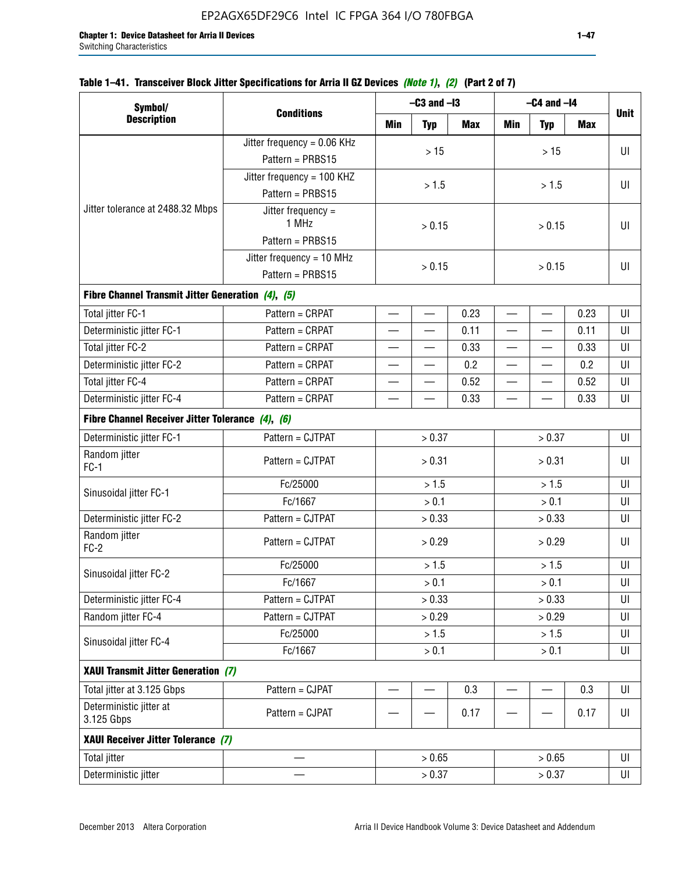| Symbol/                                           |                               |                          | $-C3$ and $-I3$          |            | $-C4$ and $-I4$          |                          |            |             |
|---------------------------------------------------|-------------------------------|--------------------------|--------------------------|------------|--------------------------|--------------------------|------------|-------------|
| <b>Description</b>                                | <b>Conditions</b>             | <b>Min</b>               | <b>Typ</b>               | <b>Max</b> | <b>Min</b>               | <b>Typ</b>               | <b>Max</b> | <b>Unit</b> |
|                                                   | Jitter frequency = $0.06$ KHz |                          |                          |            |                          |                          |            |             |
|                                                   | Pattern = PRBS15              |                          | $>15$                    |            |                          | $>15$                    |            | UI          |
|                                                   | Jitter frequency = 100 KHZ    |                          |                          |            |                          |                          |            |             |
|                                                   | Pattern = PRBS15              |                          | > 1.5                    |            |                          | > 1.5                    |            | UI          |
| Jitter tolerance at 2488.32 Mbps                  | Jitter frequency =<br>1 MHz   |                          | > 0.15                   |            |                          | > 0.15                   |            | UI          |
|                                                   | Pattern = PRBS15              |                          |                          |            |                          |                          |            |             |
|                                                   | Jitter frequency = 10 MHz     |                          |                          |            |                          | UI                       |            |             |
|                                                   | Pattern = PRBS15              |                          | > 0.15                   |            |                          |                          |            |             |
| Fibre Channel Transmit Jitter Generation (4), (5) |                               |                          |                          |            |                          |                          |            |             |
| Total jitter FC-1                                 | Pattern = CRPAT               |                          | $\overline{\phantom{0}}$ | 0.23       | $\equiv$                 | $\overline{\phantom{0}}$ | 0.23       | UI          |
| Deterministic jitter FC-1                         | Pattern = CRPAT               |                          |                          | 0.11       | $\overline{\phantom{0}}$ |                          | 0.11       | UI          |
| Total jitter FC-2                                 | Pattern = CRPAT               |                          |                          | 0.33       |                          |                          | 0.33       | UI          |
| Deterministic jitter FC-2                         | Pattern = CRPAT               |                          |                          | 0.2        |                          |                          | 0.2        | UI          |
| Total jitter FC-4                                 | Pattern = CRPAT               | $\overline{\phantom{0}}$ | $\overline{\phantom{0}}$ | 0.52       | $\overline{\phantom{0}}$ | —                        | 0.52       | UI          |
| Deterministic jitter FC-4                         | Pattern = CRPAT               | 0.33                     |                          |            |                          | 0.33                     | UI         |             |
| Fibre Channel Receiver Jitter Tolerance (4), (6)  |                               |                          |                          |            |                          |                          |            |             |
| Deterministic jitter FC-1                         | Pattern = CJTPAT              |                          | > 0.37                   |            |                          | > 0.37                   |            | UI          |
| Random jitter<br>$FC-1$                           | Pattern = CJTPAT              |                          | > 0.31                   |            | > 0.31                   |                          |            | UI          |
|                                                   | Fc/25000                      | > 1.5                    |                          |            | > 1.5                    |                          |            | UI          |
| Sinusoidal jitter FC-1                            | Fc/1667                       |                          | > 0.1                    |            | > 0.1                    |                          |            | UI          |
| Deterministic jitter FC-2                         | Pattern = CJTPAT              |                          | > 0.33                   |            | > 0.33                   |                          |            | UI          |
| Random jitter<br>$FC-2$                           | Pattern = CJTPAT              |                          | > 0.29                   |            |                          | > 0.29                   |            | UI          |
|                                                   | Fc/25000                      |                          | > 1.5                    |            |                          | > 1.5                    |            | UI          |
| Sinusoidal jitter FC-2                            | Fc/1667                       |                          | > 0.1                    |            |                          | > 0.1                    |            | UI          |
| Deterministic jitter FC-4                         | Pattern = CJTPAT              |                          | > 0.33                   |            |                          | > 0.33                   |            | UI          |
| Random jitter FC-4                                | Pattern = CJTPAT              |                          | > 0.29                   |            |                          | > 0.29                   |            | UI          |
| Sinusoidal jitter FC-4                            | Fc/25000                      |                          | > 1.5                    |            |                          | > 1.5                    |            | UI          |
|                                                   | Fc/1667                       |                          | > 0.1                    |            |                          | > 0.1                    |            | UI          |
| XAUI Transmit Jitter Generation (7)               |                               |                          |                          |            |                          |                          |            |             |
| Total jitter at 3.125 Gbps                        | Pattern = CJPAT               |                          |                          | 0.3        |                          |                          | 0.3        | UI          |
| Deterministic jitter at<br>3.125 Gbps             | Pattern = CJPAT               |                          |                          | 0.17       |                          |                          | 0.17       | UI          |
| XAUI Receiver Jitter Tolerance (7)                |                               |                          |                          |            |                          |                          |            |             |
| <b>Total jitter</b>                               |                               |                          | > 0.65                   |            |                          | > 0.65                   |            | UI          |
| Deterministic jitter                              |                               |                          | > 0.37                   |            |                          | UI                       |            |             |

# **Table 1–41. Transceiver Block Jitter Specifications for Arria II GZ Devices** *(Note 1)***,** *(2)* **(Part 2 of 7)**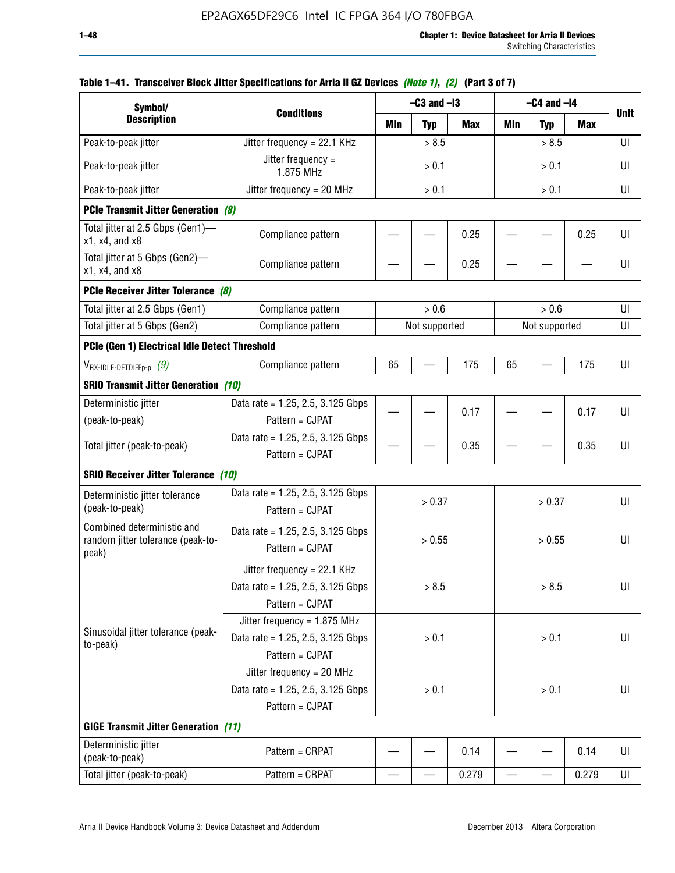| Symbol/                                                                  |                                                                                        |                | $-C3$ and $-I3$ |            | $-C4$ and $-I4$ |            |            |             |
|--------------------------------------------------------------------------|----------------------------------------------------------------------------------------|----------------|-----------------|------------|-----------------|------------|------------|-------------|
| <b>Description</b>                                                       | <b>Conditions</b>                                                                      | Min            | <b>Typ</b>      | <b>Max</b> | Min             | <b>Typ</b> | <b>Max</b> | <b>Unit</b> |
| Peak-to-peak jitter                                                      | Jitter frequency = 22.1 KHz                                                            |                | > 8.5           |            |                 | > 8.5      |            | UI          |
| Peak-to-peak jitter                                                      | Jitter frequency =<br>1.875 MHz                                                        |                | > 0.1           |            |                 | > 0.1      |            | UI          |
| Peak-to-peak jitter                                                      | Jitter frequency = $20$ MHz                                                            |                | > 0.1           |            |                 | > 0.1      |            | UI          |
| <b>PCIe Transmit Jitter Generation (8)</b>                               |                                                                                        |                |                 |            |                 |            |            |             |
| Total jitter at 2.5 Gbps (Gen1)-<br>x1, x4, and x8                       | Compliance pattern                                                                     |                |                 | 0.25       |                 |            | 0.25       | UI          |
| Total jitter at 5 Gbps (Gen2)-<br>x1, x4, and x8                         | Compliance pattern                                                                     |                |                 | 0.25       |                 |            |            | UI          |
| PCIe Receiver Jitter Tolerance (8)                                       |                                                                                        |                |                 |            |                 |            |            |             |
| Total jitter at 2.5 Gbps (Gen1)                                          | Compliance pattern                                                                     | > 0.6<br>> 0.6 |                 |            |                 |            | UI         |             |
| Total jitter at 5 Gbps (Gen2)                                            | Compliance pattern                                                                     |                | Not supported   |            | Not supported   | UI         |            |             |
| PCIe (Gen 1) Electrical Idle Detect Threshold                            |                                                                                        |                |                 |            |                 |            |            |             |
| $V_{\text{RX-IDLE-DEFp-p}}(9)$                                           | Compliance pattern                                                                     | 65             |                 | 175        | 65              |            | 175        | UI          |
| <b>SRIO Transmit Jitter Generation (10)</b>                              |                                                                                        |                |                 |            |                 |            |            |             |
| Deterministic jitter                                                     | Data rate = 1.25, 2.5, 3.125 Gbps                                                      |                |                 |            |                 |            |            |             |
| (peak-to-peak)                                                           | Pattern = CJPAT                                                                        |                |                 | 0.17       |                 |            | 0.17       | UI          |
| Total jitter (peak-to-peak)                                              | Data rate = $1.25$ , 2.5, 3.125 Gbps<br>Pattern = CJPAT                                |                |                 | 0.35       |                 |            | 0.35       | UI          |
| <b>SRIO Receiver Jitter Tolerance (10)</b>                               |                                                                                        |                |                 |            |                 |            |            |             |
| Deterministic jitter tolerance<br>(peak-to-peak)                         | Data rate = $1.25$ , 2.5, 3.125 Gbps<br>Pattern = CJPAT                                |                | > 0.37          |            |                 | > 0.37     |            | UI          |
| Combined deterministic and<br>random jitter tolerance (peak-to-<br>peak) | Data rate = $1.25$ , 2.5, 3.125 Gbps<br>Pattern = CJPAT                                |                | > 0.55          |            |                 | > 0.55     |            | UI          |
|                                                                          | Jitter frequency = 22.1 KHz<br>Data rate = 1.25, 2.5, 3.125 Gbps<br>Pattern = CJPAT    |                | > 8.5           |            |                 | > 8.5      |            | UI          |
| Sinusoidal jitter tolerance (peak-<br>to-peak)                           | Jitter frequency = $1.875$ MHz<br>Data rate = 1.25, 2.5, 3.125 Gbps<br>Pattern = CJPAT |                | > 0.1           |            |                 | > 0.1      |            | UI          |
|                                                                          | Jitter frequency = $20$ MHz<br>Data rate = 1.25, 2.5, 3.125 Gbps<br>Pattern = CJPAT    | > 0.1          |                 |            | UI              |            |            |             |
| <b>GIGE Transmit Jitter Generation (11)</b>                              |                                                                                        |                |                 |            |                 |            |            |             |
| Deterministic jitter<br>(peak-to-peak)                                   | Pattern = CRPAT                                                                        |                |                 | 0.14       |                 |            | 0.14       | UI          |
| Total jitter (peak-to-peak)                                              | Pattern = CRPAT                                                                        |                |                 | 0.279      |                 |            | 0.279      | UI          |

# **Table 1–41. Transceiver Block Jitter Specifications for Arria II GZ Devices** *(Note 1)***,** *(2)* **(Part 3 of 7)**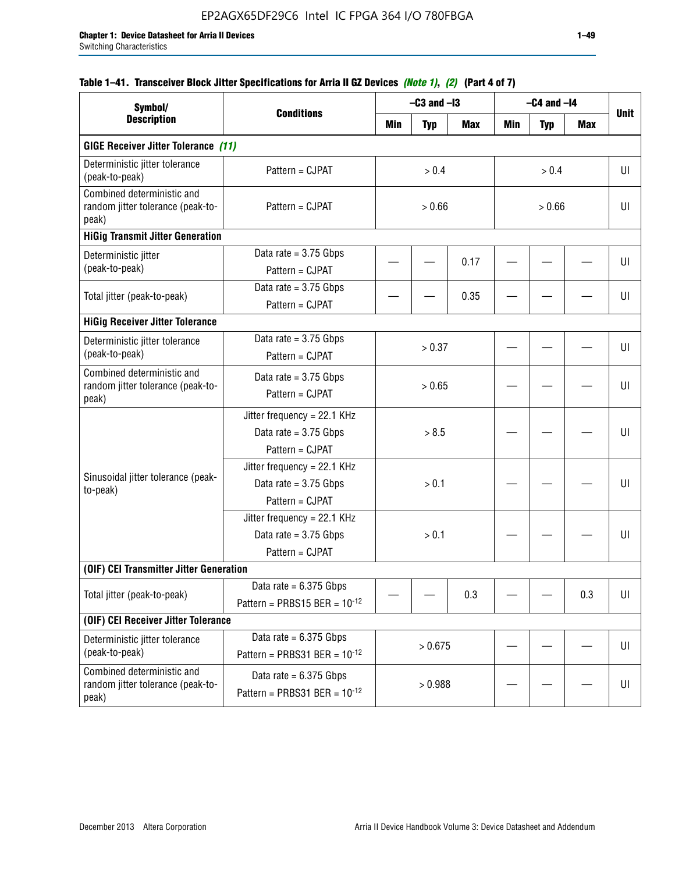# **Table 1–41. Transceiver Block Jitter Specifications for Arria II GZ Devices** *(Note 1)***,** *(2)* **(Part 4 of 7)**

| Symbol/                                                                  |                                                                             |         | $-C3$ and $-I3$ |            |     | $-C4$ and $-I4$ |     | <b>Unit</b> |
|--------------------------------------------------------------------------|-----------------------------------------------------------------------------|---------|-----------------|------------|-----|-----------------|-----|-------------|
| <b>Description</b>                                                       | <b>Conditions</b>                                                           | Min     | <b>Typ</b>      | <b>Max</b> | Min | <b>Typ</b>      | Max |             |
| <b>GIGE Receiver Jitter Tolerance (11)</b>                               |                                                                             |         |                 |            |     |                 |     |             |
| Deterministic jitter tolerance<br>(peak-to-peak)                         | Pattern = CJPAT                                                             |         | > 0.4           |            |     | > 0.4           |     | UI          |
| Combined deterministic and<br>random jitter tolerance (peak-to-<br>peak) | Pattern = CJPAT                                                             |         | > 0.66          |            |     | > 0.66          |     |             |
| <b>HiGig Transmit Jitter Generation</b>                                  |                                                                             |         |                 |            |     |                 |     |             |
| Deterministic jitter<br>(peak-to-peak)                                   | Data rate = $3.75$ Gbps<br>Pattern = CJPAT                                  |         |                 | 0.17       |     |                 |     | UI          |
| Total jitter (peak-to-peak)                                              | Data rate = $3.75$ Gbps<br>Pattern = CJPAT                                  |         |                 | 0.35       |     |                 |     | UI          |
| <b>HiGig Receiver Jitter Tolerance</b>                                   |                                                                             |         |                 |            |     |                 |     |             |
| Deterministic jitter tolerance<br>(peak-to-peak)                         | Data rate = $3.75$ Gbps<br>Pattern = CJPAT                                  |         | > 0.37          |            |     |                 |     | UI          |
| Combined deterministic and<br>random jitter tolerance (peak-to-<br>peak) | Data rate = $3.75$ Gbps<br>Pattern = CJPAT                                  | > 0.65  |                 |            |     |                 |     | UI          |
|                                                                          | Jitter frequency = 22.1 KHz<br>Data rate = $3.75$ Gbps<br>Pattern = CJPAT   | > 8.5   |                 |            |     |                 |     | UI          |
| Sinusoidal jitter tolerance (peak-<br>to-peak)                           | Jitter frequency = $22.1$ KHz<br>Data rate = $3.75$ Gbps<br>Pattern = CJPAT |         | > 0.1           |            |     |                 |     | UI          |
|                                                                          | Jitter frequency = $22.1$ KHz<br>Data rate = $3.75$ Gbps<br>Pattern = CJPAT |         | > 0.1           |            |     |                 |     | UI          |
| (OIF) CEI Transmitter Jitter Generation                                  |                                                                             |         |                 |            |     |                 |     |             |
| Total jitter (peak-to-peak)                                              | Data rate = $6.375$ Gbps<br>Pattern = PRBS15 BER = $10^{-12}$               |         |                 | 0.3        |     |                 | 0.3 | UI          |
| (OIF) CEI Receiver Jitter Tolerance                                      |                                                                             |         |                 |            |     |                 |     |             |
| Deterministic jitter tolerance<br>(peak-to-peak)                         | Data rate = $6.375$ Gbps<br>Pattern = PRBS31 BER = $10^{-12}$               | > 0.675 |                 |            |     |                 | UI  |             |
| Combined deterministic and<br>random jitter tolerance (peak-to-<br>peak) | Data rate = $6.375$ Gbps<br>Pattern = PRBS31 BER = $10^{-12}$               |         | > 0.988         |            |     |                 |     | U           |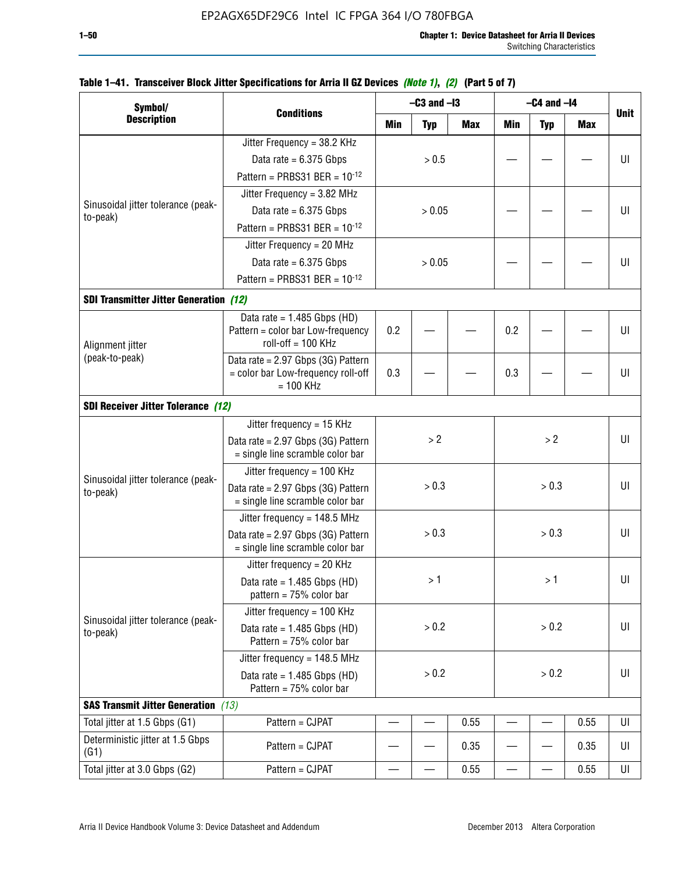| Symbol/                                        |                                                                                                                                                                  |       | $-C3$ and $-I3$ |            | $-C4$ and $-I4$ |            |            |             |
|------------------------------------------------|------------------------------------------------------------------------------------------------------------------------------------------------------------------|-------|-----------------|------------|-----------------|------------|------------|-------------|
| <b>Description</b>                             | <b>Conditions</b>                                                                                                                                                | Min   | <b>Typ</b>      | <b>Max</b> | <b>Min</b>      | <b>Typ</b> | <b>Max</b> | <b>Unit</b> |
|                                                | Jitter Frequency = 38.2 KHz                                                                                                                                      |       |                 |            |                 |            |            |             |
|                                                | Data rate = $6.375$ Gbps                                                                                                                                         |       | > 0.5           |            |                 |            |            | UI          |
|                                                | Pattern = PRBS31 BER = $10^{-12}$                                                                                                                                |       |                 |            |                 |            |            |             |
|                                                | Jitter Frequency = $3.82$ MHz                                                                                                                                    |       |                 |            |                 |            |            |             |
| Sinusoidal jitter tolerance (peak-<br>to-peak) | Data rate = $6.375$ Gbps                                                                                                                                         |       | > 0.05          |            |                 |            |            | UI          |
|                                                | Pattern = PRBS31 BER = $10^{-12}$                                                                                                                                |       |                 |            |                 |            |            |             |
|                                                | Jitter Frequency = 20 MHz                                                                                                                                        |       |                 |            |                 |            |            |             |
|                                                | Data rate = $6.375$ Gbps                                                                                                                                         |       | > 0.05          |            |                 |            |            | UI          |
|                                                | Pattern = PRBS31 BER = $10^{-12}$                                                                                                                                |       |                 |            |                 |            |            |             |
| <b>SDI Transmitter Jitter Generation (12)</b>  |                                                                                                                                                                  |       |                 |            |                 |            |            |             |
|                                                | Data rate = $1.485$ Gbps (HD)                                                                                                                                    |       |                 |            |                 |            |            |             |
| Alignment jitter                               | Pattern = color bar Low-frequency<br>$roll-off = 100 KHz$                                                                                                        | 0.2   |                 |            | 0.2             |            |            | UI          |
| (peak-to-peak)                                 | Data rate = 2.97 Gbps (3G) Pattern                                                                                                                               |       |                 |            |                 |            |            |             |
|                                                | = color bar Low-frequency roll-off<br>$= 100$ KHz                                                                                                                | 0.3   |                 |            | 0.3             |            |            | UI          |
| <b>SDI Receiver Jitter Tolerance (12)</b>      |                                                                                                                                                                  |       |                 |            |                 |            |            |             |
|                                                | Jitter frequency = 15 KHz                                                                                                                                        |       |                 |            |                 |            |            |             |
|                                                | Data rate = 2.97 Gbps (3G) Pattern<br>= single line scramble color bar                                                                                           | > 2   |                 |            | >2              |            | UI         |             |
|                                                | Jitter frequency = $100$ KHz                                                                                                                                     |       |                 |            |                 |            |            |             |
| to-peak)                                       | > 0.3<br>Data rate = 2.97 Gbps (3G) Pattern<br>= single line scramble color bar<br>Jitter frequency = $148.5$ MHz<br>> 0.3<br>Data rate = 2.97 Gbps (3G) Pattern |       | > 0.3           |            | UI              |            |            |             |
|                                                |                                                                                                                                                                  |       |                 |            |                 |            |            |             |
|                                                | Sinusoidal jitter tolerance (peak-<br>= single line scramble color bar                                                                                           |       |                 |            |                 | > 0.3      |            | UI          |
|                                                | Jitter frequency = $20$ KHz                                                                                                                                      |       |                 |            |                 |            |            |             |
|                                                | Data rate = $1.485$ Gbps (HD)<br>pattern = $75%$ color bar                                                                                                       |       | >1              |            |                 | >1         |            | UI          |
|                                                | Jitter frequency = 100 KHz                                                                                                                                       |       |                 |            |                 |            |            |             |
| Sinusoidal jitter tolerance (peak-<br>to-peak) | Data rate = $1.485$ Gbps (HD)<br>Pattern = 75% color bar                                                                                                         |       | > 0.2           |            |                 | > 0.2      |            | UI          |
|                                                | Jitter frequency = 148.5 MHz                                                                                                                                     |       |                 |            |                 |            |            |             |
|                                                | Data rate = $1.485$ Gbps (HD)<br>Pattern = 75% color bar                                                                                                         | > 0.2 |                 | > 0.2      |                 |            | UI         |             |
| <b>SAS Transmit Jitter Generation</b> (13)     |                                                                                                                                                                  |       |                 |            |                 |            |            |             |
| Total jitter at 1.5 Gbps (G1)                  | Pattern = CJPAT                                                                                                                                                  |       |                 | 0.55       |                 |            | 0.55       | UI          |
| Deterministic jitter at 1.5 Gbps<br>(G1)       | Pattern = CJPAT                                                                                                                                                  |       |                 | 0.35       |                 |            | 0.35       | UI          |
| Total jitter at 3.0 Gbps (G2)                  | Pattern = CJPAT                                                                                                                                                  |       |                 | 0.55       |                 |            | 0.55       | UI          |

## **Table 1–41. Transceiver Block Jitter Specifications for Arria II GZ Devices** *(Note 1)***,** *(2)* **(Part 5 of 7)**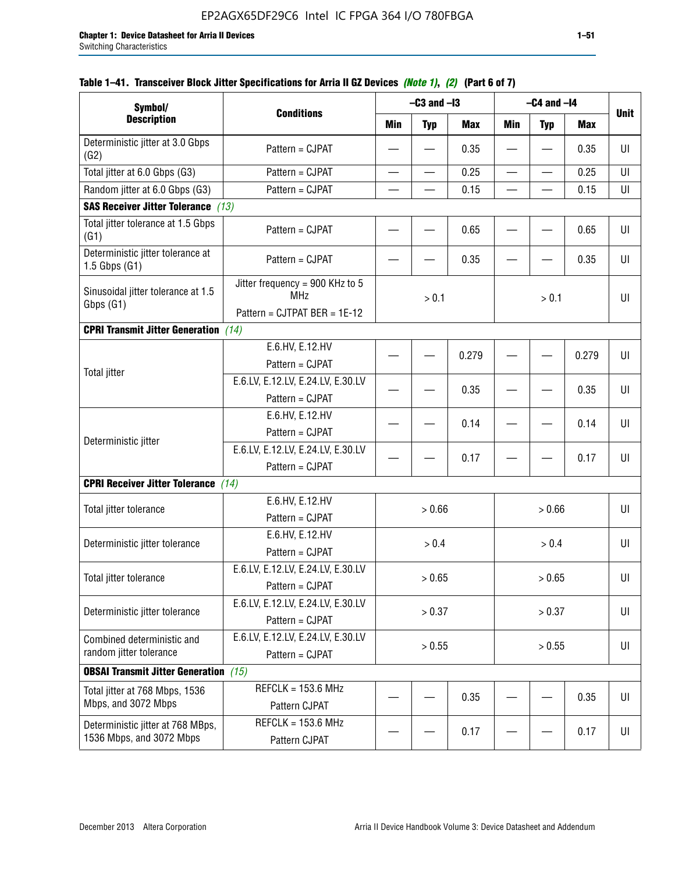| Symbol/                                                       |                                                                               |                          | $-C3$ and $-I3$          |            | $-C4$ and $-I4$          |                          |       |             |
|---------------------------------------------------------------|-------------------------------------------------------------------------------|--------------------------|--------------------------|------------|--------------------------|--------------------------|-------|-------------|
| <b>Description</b>                                            | <b>Conditions</b>                                                             | <b>Min</b>               | <b>Typ</b>               | <b>Max</b> | Min                      | <b>Typ</b>               | Max   | <b>Unit</b> |
| Deterministic jitter at 3.0 Gbps<br>(G2)                      | Pattern = CJPAT                                                               |                          |                          | 0.35       |                          |                          | 0.35  | UI          |
| Total jitter at 6.0 Gbps (G3)                                 | Pattern = CJPAT                                                               | $\overline{\phantom{0}}$ | $\overline{\phantom{0}}$ | 0.25       | $\overline{\phantom{0}}$ | $\overline{\phantom{0}}$ | 0.25  | UI          |
| Random jitter at 6.0 Gbps (G3)                                | Pattern = CJPAT                                                               |                          |                          | 0.15       |                          |                          | 0.15  | UI          |
| <b>SAS Receiver Jitter Tolerance (13)</b>                     |                                                                               |                          |                          |            |                          |                          |       |             |
| Total jitter tolerance at 1.5 Gbps<br>(G1)                    | Pattern = CJPAT                                                               |                          |                          | 0.65       |                          |                          | 0.65  | UI          |
| Deterministic jitter tolerance at<br>$1.5$ Gbps $(G1)$        | Pattern = CJPAT                                                               |                          |                          | 0.35       |                          |                          | 0.35  | UI          |
| Sinusoidal jitter tolerance at 1.5<br>Gbps (G1)               | Jitter frequency = 900 KHz to 5<br><b>MHz</b><br>Pattern = CJTPAT BER = 1E-12 |                          | > 0.1                    |            |                          | > 0.1                    |       | UI          |
| <b>CPRI Transmit Jitter Generation</b> (14)                   |                                                                               |                          |                          |            |                          |                          |       |             |
| <b>Total jitter</b>                                           | E.6.HV, E.12.HV<br>Pattern = CJPAT                                            |                          |                          | 0.279      |                          |                          | 0.279 | UI          |
|                                                               | E.6.LV, E.12.LV, E.24.LV, E.30.LV<br>Pattern = CJPAT                          |                          |                          | 0.35       |                          |                          | 0.35  | UI          |
|                                                               | E.6.HV, E.12.HV<br>Pattern = CJPAT                                            |                          |                          | 0.14       |                          |                          | 0.14  | UI          |
| Deterministic jitter                                          | E.6.LV, E.12.LV, E.24.LV, E.30.LV<br>Pattern = CJPAT                          |                          |                          | 0.17       |                          |                          | 0.17  | UI          |
| <b>CPRI Receiver Jitter Tolerance</b> (14)                    |                                                                               |                          |                          |            |                          |                          |       |             |
| Total jitter tolerance                                        | E.6.HV, E.12.HV<br>Pattern = CJPAT                                            |                          | > 0.66                   |            |                          | > 0.66                   |       | UI          |
| Deterministic jitter tolerance                                | E.6.HV, E.12.HV<br>Pattern = CJPAT                                            |                          | > 0.4                    |            |                          | > 0.4                    |       | UI          |
| Total jitter tolerance                                        | E.6.LV, E.12.LV, E.24.LV, E.30.LV<br>Pattern = CJPAT                          |                          | > 0.65                   |            |                          | > 0.65                   |       | UI          |
| Deterministic jitter tolerance                                | E.6.LV, E.12.LV, E.24.LV, E.30.LV<br>Pattern = CJPAT                          |                          | > 0.37                   |            |                          | > 0.37                   |       | UI          |
| Combined deterministic and<br>random jitter tolerance         | E.6.LV, E.12.LV, E.24.LV, E.30.LV<br>Pattern = CJPAT                          | > 0.55                   |                          |            |                          | > 0.55                   |       | U           |
| <b>OBSAI Transmit Jitter Generation</b> (15)                  |                                                                               |                          |                          |            |                          |                          |       |             |
| Total jitter at 768 Mbps, 1536<br>Mbps, and 3072 Mbps         | $REFCLK = 153.6 MHz$<br>Pattern CJPAT                                         |                          |                          | 0.35       |                          |                          | 0.35  | UI          |
| Deterministic jitter at 768 MBps,<br>1536 Mbps, and 3072 Mbps | $REFCLK = 153.6 MHz$<br>Pattern CJPAT                                         |                          |                          | 0.17       |                          |                          | 0.17  | UI          |

# **Table 1–41. Transceiver Block Jitter Specifications for Arria II GZ Devices** *(Note 1)***,** *(2)* **(Part 6 of 7)**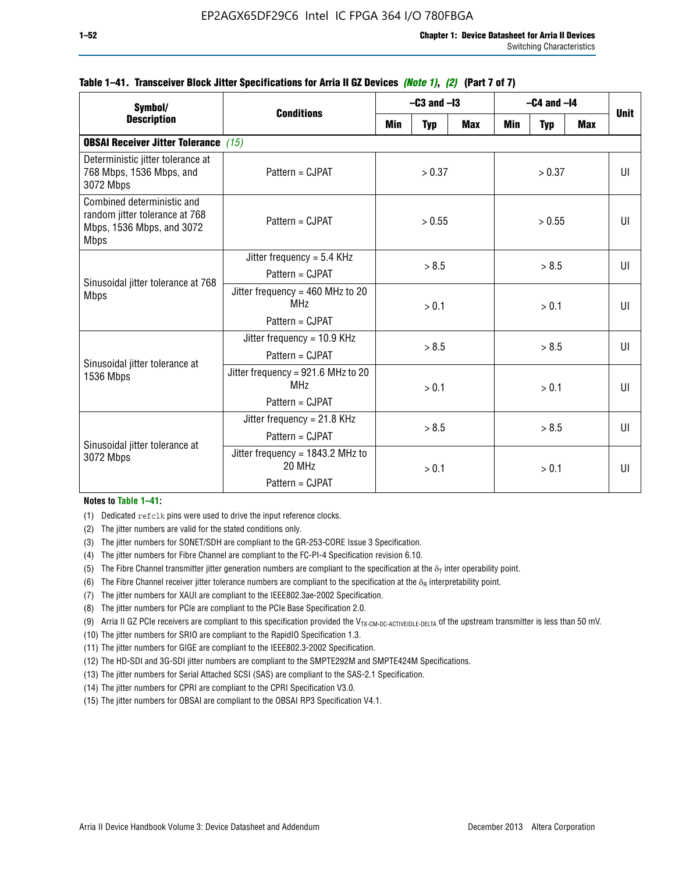| Symbol/                                                                                                  |                                                                         | $-C3$ and $-I3$ |            |            | $-C4$ and $-I4$ | <b>Unit</b> |            |              |
|----------------------------------------------------------------------------------------------------------|-------------------------------------------------------------------------|-----------------|------------|------------|-----------------|-------------|------------|--------------|
| <b>Description</b>                                                                                       | <b>Conditions</b>                                                       | Min             | <b>Typ</b> | <b>Max</b> | <b>Min</b>      | <b>Typ</b>  | <b>Max</b> |              |
| <b>OBSAI Receiver Jitter Tolerance</b> (15)                                                              |                                                                         |                 |            |            |                 |             |            |              |
| Deterministic jitter tolerance at<br>768 Mbps, 1536 Mbps, and<br>3072 Mbps                               | Pattern = CJPAT                                                         | > 0.37          |            | > 0.37     |                 |             | UI         |              |
| Combined deterministic and<br>random jitter tolerance at 768<br>Mbps, 1536 Mbps, and 3072<br><b>Mbps</b> | Pattern = CJPAT                                                         | > 0.55          |            |            |                 | UI          |            |              |
| Sinusoidal jitter tolerance at 768<br><b>Mbps</b>                                                        | Jitter frequency = $5.4$ KHz<br>$Pattern = C.IPATH$                     | > 8.5           |            | > 8.5      |                 |             | UI         |              |
|                                                                                                          | Jitter frequency = $460$ MHz to 20<br><b>MHz</b><br>$Pattern = C.IPATH$ |                 | > 0.1      |            |                 | > 0.1       |            | $\mathbf{U}$ |
| Sinusoidal jitter tolerance at                                                                           | Jitter frequency = $10.9$ KHz<br>Pattern = CJPAT                        | > 8.5           |            |            | > 8.5           |             |            | $\mathbf{U}$ |
| 1536 Mbps                                                                                                | Jitter frequency = 921.6 MHz to 20<br><b>MHz</b><br>Pattern = CJPAT     |                 | > 0.1      |            | > 0.1           |             |            | $\mathbf{U}$ |
| Sinusoidal jitter tolerance at                                                                           | Jitter frequency = $21.8$ KHz<br>Pattern = CJPAT                        |                 | > 8.5      | > 8.5      |                 |             | UI         |              |
| 3072 Mbps                                                                                                | Jitter frequency = 1843.2 MHz to<br>20 MHz<br>Pattern = CJPAT           |                 | > 0.1      |            | > 0.1           |             |            | UI           |

# **Table 1–41. Transceiver Block Jitter Specifications for Arria II GZ Devices** *(Note 1)***,** *(2)* **(Part 7 of 7)**

#### **Notes to Table 1–41:**

(1) Dedicated refclk pins were used to drive the input reference clocks.

- (2) The jitter numbers are valid for the stated conditions only.
- (3) The jitter numbers for SONET/SDH are compliant to the GR-253-CORE Issue 3 Specification.
- (4) The jitter numbers for Fibre Channel are compliant to the FC-PI-4 Specification revision 6.10.
- (5) The Fibre Channel transmitter jitter generation numbers are compliant to the specification at the  $\delta_T$  inter operability point.
- (6) The Fibre Channel receiver jitter tolerance numbers are compliant to the specification at the  $\delta_R$  interpretability point.
- (7) The jitter numbers for XAUI are compliant to the IEEE802.3ae-2002 Specification.
- (8) The jitter numbers for PCIe are compliant to the PCIe Base Specification 2.0.
- (9) Arria II GZ PCIe receivers are compliant to this specification provided the V<sub>TX-CM-DC-ACTIVEIDLE-DELTA</sub> of the upstream transmitter is less than 50 mV.
- (10) The jitter numbers for SRIO are compliant to the RapidIO Specification 1.3.
- (11) The jitter numbers for GIGE are compliant to the IEEE802.3-2002 Specification.
- (12) The HD-SDI and 3G-SDI jitter numbers are compliant to the SMPTE292M and SMPTE424M Specifications.
- (13) The jitter numbers for Serial Attached SCSI (SAS) are compliant to the SAS-2.1 Specification.
- (14) The jitter numbers for CPRI are compliant to the CPRI Specification V3.0.
- (15) The jitter numbers for OBSAI are compliant to the OBSAI RP3 Specification V4.1.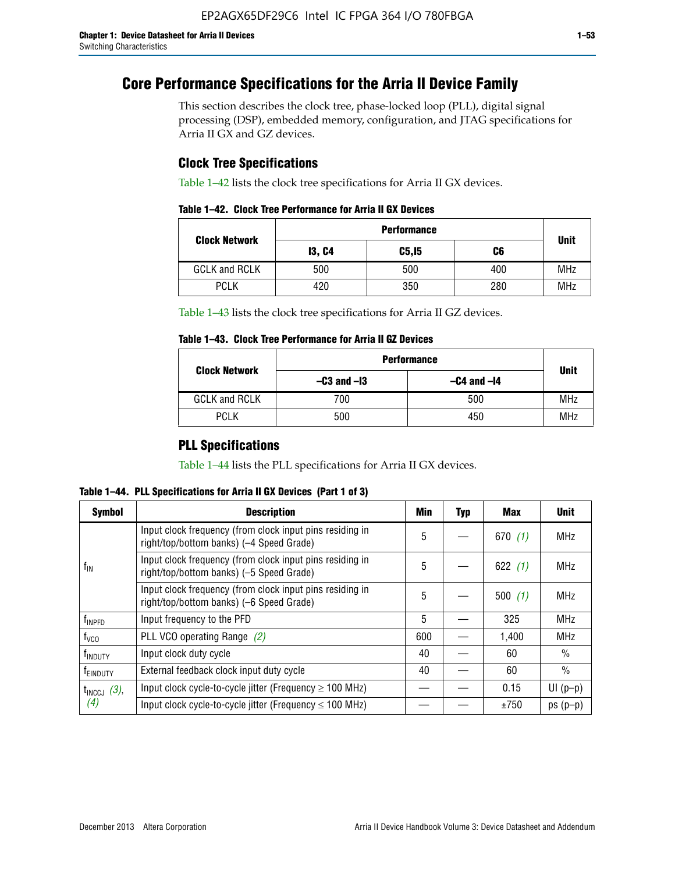# **Core Performance Specifications for the Arria II Device Family**

This section describes the clock tree, phase-locked loop (PLL), digital signal processing (DSP), embedded memory, configuration, and JTAG specifications for Arria II GX and GZ devices.

# **Clock Tree Specifications**

Table 1–42 lists the clock tree specifications for Arria II GX devices.

|                      | <b>Performance</b> |        |     |             |  |  |  |
|----------------------|--------------------|--------|-----|-------------|--|--|--|
| <b>Clock Network</b> | <b>13, C4</b>      | C5, I5 | C6  | <b>Unit</b> |  |  |  |
| <b>GCLK and RCLK</b> | 500                | 500    | 400 | <b>MHz</b>  |  |  |  |
| <b>PCLK</b>          | 420                | 350    | 280 | <b>MHz</b>  |  |  |  |

Table 1–43 lists the clock tree specifications for Arria II GZ devices.

# **Table 1–43. Clock Tree Performance for Arria II GZ Devices**

| <b>Clock Network</b> | <b>Performance</b> |                 |             |  |  |  |  |
|----------------------|--------------------|-----------------|-------------|--|--|--|--|
|                      | $-C3$ and $-I3$    | $-C4$ and $-I4$ | <b>Unit</b> |  |  |  |  |
| <b>GCLK and RCLK</b> | 700                | 500             | <b>MHz</b>  |  |  |  |  |
| <b>PCLK</b>          | 500                | 450             | MHz         |  |  |  |  |

# **PLL Specifications**

Table 1–44 lists the PLL specifications for Arria II GX devices.

**Table 1–44. PLL Specifications for Arria II GX Devices (Part 1 of 3)**

| <b>Symbol</b>              | <b>Description</b>                                                                                   | Min | <b>Typ</b> | Max       | <b>Unit</b>   |
|----------------------------|------------------------------------------------------------------------------------------------------|-----|------------|-----------|---------------|
|                            | Input clock frequency (from clock input pins residing in<br>right/top/bottom banks) (-4 Speed Grade) | 5   |            | 670(1)    | <b>MHz</b>    |
| $f_{\parallel N}$          | Input clock frequency (from clock input pins residing in<br>right/top/bottom banks) (-5 Speed Grade) | 5   |            | 622 $(1)$ | <b>MHz</b>    |
|                            | Input clock frequency (from clock input pins residing in<br>right/top/bottom banks) (-6 Speed Grade) | 5   |            | 500(1)    | <b>MHz</b>    |
| f <sub>INPFD</sub>         | Input frequency to the PFD                                                                           | 5   |            | 325       | <b>MHz</b>    |
| $f_{\rm VCO}$              | PLL VCO operating Range (2)                                                                          | 600 |            | 1,400     | <b>MHz</b>    |
| <b>f</b> <sub>INDUTY</sub> | Input clock duty cycle                                                                               | 40  |            | 60        | $\frac{0}{0}$ |
| T <sub>EINDUTY</sub>       | External feedback clock input duty cycle                                                             | 40  |            | 60        | $\frac{0}{0}$ |
| $t_{\text{INCCJ}}$ (3),    | Input clock cycle-to-cycle jitter (Frequency $\geq$ 100 MHz)                                         |     |            | 0.15      | $UI(p-p)$     |
| (4)                        | Input clock cycle-to-cycle jitter (Frequency $\leq 100$ MHz)                                         |     |            | ±750      | $ps(p-p)$     |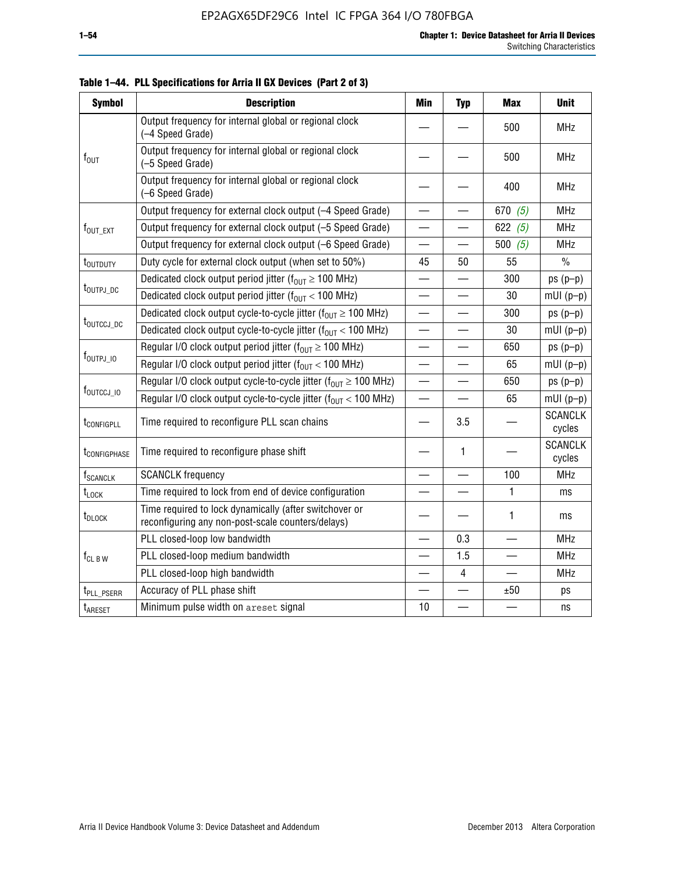| <b>Symbol</b>               | <b>Description</b>                                                                                          | <b>Min</b>               | <b>Typ</b>               | <b>Max</b> | <b>Unit</b>              |
|-----------------------------|-------------------------------------------------------------------------------------------------------------|--------------------------|--------------------------|------------|--------------------------|
|                             | Output frequency for internal global or regional clock<br>(-4 Speed Grade)                                  |                          |                          | 500        | <b>MHz</b>               |
| $f_{\text{OUT}}$            | Output frequency for internal global or regional clock<br>(-5 Speed Grade)                                  |                          |                          | 500        | <b>MHz</b>               |
|                             | Output frequency for internal global or regional clock<br>(-6 Speed Grade)                                  |                          |                          | 400        | <b>MHz</b>               |
|                             | Output frequency for external clock output (-4 Speed Grade)                                                 |                          |                          | 670 $(5)$  | <b>MHz</b>               |
| f <sub>out_ext</sub>        | Output frequency for external clock output (-5 Speed Grade)                                                 |                          |                          | 622 $(5)$  | <b>MHz</b>               |
|                             | Output frequency for external clock output (-6 Speed Grade)                                                 | $\overline{\phantom{0}}$ |                          | 500 $(5)$  | <b>MHz</b>               |
| t <sub>outduty</sub>        | Duty cycle for external clock output (when set to 50%)                                                      | 45                       | 50                       | 55         | $\frac{0}{0}$            |
|                             | Dedicated clock output period jitter ( $f_{OUT} \ge 100$ MHz)                                               |                          |                          | 300        | $ps(p-p)$                |
| t <sub>outpj_dc</sub>       | Dedicated clock output period jitter ( $f_{OUT}$ < 100 MHz)                                                 | $\overline{\phantom{0}}$ | $\overline{\phantom{0}}$ | 30         | $mUI(p-p)$               |
|                             | Dedicated clock output cycle-to-cycle jitter ( $f_{OUT} \ge 100$ MHz)                                       |                          |                          | 300        | $ps(p-p)$                |
| t <sub>outccj_dc</sub>      | Dedicated clock output cycle-to-cycle jitter ( $f_{OUT}$ < 100 MHz)                                         |                          |                          | 30         | $mUI(p-p)$               |
|                             | Regular I/O clock output period jitter ( $f_{OUT} \ge 100$ MHz)                                             |                          |                          | 650        | $ps(p-p)$                |
| $f_{\text{OUTPJ\_10}}$      | Regular I/O clock output period jitter ( $f_{OUT}$ < 100 MHz)                                               |                          |                          | 65         | $mUI(p-p)$               |
|                             | Regular I/O clock output cycle-to-cycle jitter ( $f_{OUT} \ge 100$ MHz)                                     | $\overline{\phantom{0}}$ |                          | 650        | $ps(p-p)$                |
| f <sub>outccj_io</sub>      | Regular I/O clock output cycle-to-cycle jitter ( $f_{OUT}$ < 100 MHz)                                       | $\overline{\phantom{0}}$ |                          | 65         | $mUI(p-p)$               |
| t <sub>configpll</sub>      | Time required to reconfigure PLL scan chains                                                                |                          | 3.5                      |            | <b>SCANCLK</b><br>cycles |
| t <sub>configphase</sub>    | Time required to reconfigure phase shift                                                                    |                          | 1                        |            | <b>SCANCLK</b><br>cycles |
| <b>f</b> <sub>SCANCLK</sub> | <b>SCANCLK</b> frequency                                                                                    |                          |                          | 100        | <b>MHz</b>               |
| t <sub>LOCK</sub>           | Time required to lock from end of device configuration                                                      |                          |                          | 1          | ms                       |
| t <sub>DLOCK</sub>          | Time required to lock dynamically (after switchover or<br>reconfiguring any non-post-scale counters/delays) |                          |                          | 1          | ms                       |
|                             | PLL closed-loop low bandwidth                                                                               |                          | 0.3                      |            | <b>MHz</b>               |
| $f_{CL~B~W}$                | PLL closed-loop medium bandwidth                                                                            |                          | 1.5                      |            | MHz                      |
|                             | PLL closed-loop high bandwidth                                                                              |                          | 4                        |            | <b>MHz</b>               |
| t <sub>PLL_PSERR</sub>      | Accuracy of PLL phase shift                                                                                 |                          |                          | ±50        | ps                       |
| t <sub>ARESET</sub>         | Minimum pulse width on areset signal                                                                        | 10                       |                          |            | ns                       |

**Table 1–44. PLL Specifications for Arria II GX Devices (Part 2 of 3)**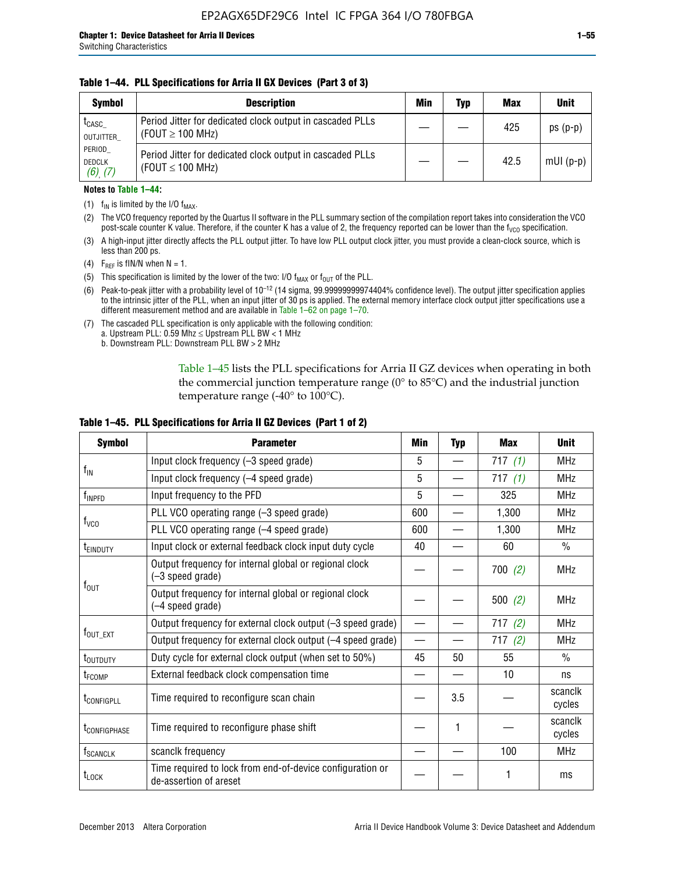### **Table 1–44. PLL Specifications for Arria II GX Devices (Part 3 of 3)**

| <b>Symbol</b>                            | <b>Description</b>                                                                 | Min | Typ | <b>Max</b> | <b>Unit</b> |
|------------------------------------------|------------------------------------------------------------------------------------|-----|-----|------------|-------------|
| t <sub>CASC</sub><br>OUTJITTER           | Period Jitter for dedicated clock output in cascaded PLLs<br>(FOUT $\geq$ 100 MHz) |     |     | 425        | $ps(p-p)$   |
| PERIOD<br><b>DEDCLK</b><br>$(6)$ , $(7)$ | Period Jitter for dedicated clock output in cascaded PLLs<br>(FOUT $\leq$ 100 MHz) |     |     | 42.5       | $mUI(p-p)$  |

#### **Notes to Table 1–44:**

- (1)  $f_{IN}$  is limited by the I/O  $f_{MAX}$ .
- (2) The VCO frequency reported by the Quartus II software in the PLL summary section of the compilation report takes into consideration the VCO post-scale counter K value. Therefore, if the counter K has a value of 2, the frequency reported can be lower than the f<sub>VCO</sub> specification.
- (3) A high-input jitter directly affects the PLL output jitter. To have low PLL output clock jitter, you must provide a clean-clock source, which is less than 200 ps.
- (4) F<sub>REF</sub> is fIN/N when N = 1.
- (5) This specification is limited by the lower of the two: I/O  $f_{MAX}$  or  $f_{OUT}$  of the PLL.
- (6) Peak-to-peak jitter with a probability level of 10–12 (14 sigma, 99.99999999974404% confidence level). The output jitter specification applies to the intrinsic jitter of the PLL, when an input jitter of 30 ps is applied. The external memory interface clock output jitter specifications use a different measurement method and are available in Table 1–62 on page 1–70.
- (7) The cascaded PLL specification is only applicable with the following condition: a. Upstream PLL:  $0.59$  Mhz  $\leq$  Upstream PLL BW  $<$  1 MHz
	- b. Downstream PLL: Downstream PLL BW > 2 MHz

Table 1–45 lists the PLL specifications for Arria II GZ devices when operating in both the commercial junction temperature range (0° to 85°C) and the industrial junction temperature range (-40 $\degree$  to 100 $\degree$ C).

| <b>Symbol</b>              | <b>Parameter</b>                                                                    | Min                      | <b>Typ</b> | <b>Max</b> | <b>Unit</b>       |
|----------------------------|-------------------------------------------------------------------------------------|--------------------------|------------|------------|-------------------|
|                            | Input clock frequency (-3 speed grade)                                              | 5                        |            | 717(1)     | <b>MHz</b>        |
| $f_{IN}$                   | Input clock frequency (-4 speed grade)                                              | 5                        |            | 717 $(1)$  | <b>MHz</b>        |
| f <sub>INPFD</sub>         | Input frequency to the PFD                                                          | 5                        |            | 325        | <b>MHz</b>        |
|                            | PLL VCO operating range (-3 speed grade)                                            | 600                      |            | 1,300      | MHz               |
| $f_{\rm VCO}$              | PLL VCO operating range (-4 speed grade)                                            | 600                      |            | 1,300      | <b>MHz</b>        |
| <b>TEINDUTY</b>            | Input clock or external feedback clock input duty cycle                             | 40                       |            | 60         | $\frac{0}{0}$     |
|                            | Output frequency for internal global or regional clock<br>(-3 speed grade)          |                          |            | 700(2)     | <b>MHz</b>        |
| $f_{\text{OUT}}$           | Output frequency for internal global or regional clock<br>(-4 speed grade)          |                          |            | 500 $(2)$  | <b>MHz</b>        |
|                            | Output frequency for external clock output (-3 speed grade)                         | $\overline{\phantom{0}}$ |            | 717(2)     | <b>MHz</b>        |
| $f_{\text{OUT\_EXT}}$      | Output frequency for external clock output (-4 speed grade)                         |                          |            | 717(2)     | <b>MHz</b>        |
| t <sub>outduty</sub>       | Duty cycle for external clock output (when set to 50%)                              | 45                       | 50         | 55         | $\frac{0}{0}$     |
| t <sub>FCOMP</sub>         | External feedback clock compensation time                                           |                          |            | 10         | ns                |
| t <sub>configpll</sub>     | Time required to reconfigure scan chain                                             |                          | 3.5        |            | scanclk<br>cycles |
| <b><i>LCONFIGPHASE</i></b> | Time required to reconfigure phase shift                                            |                          | 1          |            | scanclk<br>cycles |
| f <sub>SCANCLK</sub>       | scanclk frequency                                                                   |                          |            | 100        | <b>MHz</b>        |
| $t_{\text{LOCK}}$          | Time required to lock from end-of-device configuration or<br>de-assertion of areset |                          |            |            | ms                |

### **Table 1–45. PLL Specifications for Arria II GZ Devices (Part 1 of 2)**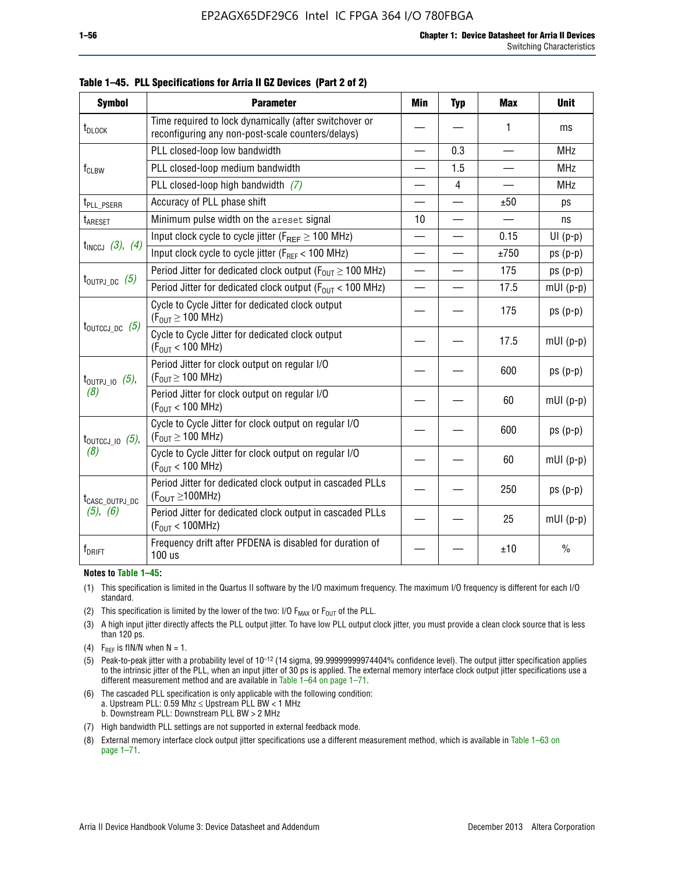| <b>Symbol</b>                | <b>Parameter</b>                                                                                            | Min                      | <b>Typ</b>     | <b>Max</b>               | <b>Unit</b>   |
|------------------------------|-------------------------------------------------------------------------------------------------------------|--------------------------|----------------|--------------------------|---------------|
| t <sub>DLOCK</sub>           | Time required to lock dynamically (after switchover or<br>reconfiguring any non-post-scale counters/delays) |                          |                | 1                        | ms            |
|                              | PLL closed-loop low bandwidth                                                                               | $\overline{\phantom{0}}$ | 0.3            | $\overline{\phantom{0}}$ | <b>MHz</b>    |
| $f_{CLBW}$                   | PLL closed-loop medium bandwidth                                                                            |                          | 1.5            | <u>in a</u>              | <b>MHz</b>    |
|                              | PLL closed-loop high bandwidth (7)                                                                          |                          | $\overline{4}$ |                          | <b>MHz</b>    |
| t <sub>PLL</sub> PSERR       | Accuracy of PLL phase shift                                                                                 |                          |                | ±50                      | ps            |
| t <sub>ARESET</sub>          | Minimum pulse width on the areset signal                                                                    | 10                       |                | —<br>—                   | ns            |
|                              | Input clock cycle to cycle jitter ( $F_{REF} \ge 100$ MHz)                                                  |                          |                | 0.15                     | $UI(p-p)$     |
| $t_{INCCJ}$ (3), (4)         | Input clock cycle to cycle jitter ( $F_{REF}$ < 100 MHz)                                                    | $\equiv$                 |                | ±750                     | $ps(p-p)$     |
|                              | Period Jitter for dedicated clock output ( $F_{OUT} \ge 100$ MHz)                                           | $\overline{\phantom{0}}$ |                | 175                      | $ps(p-p)$     |
| $t_{\text{OUTPJ\_DC}}$ (5)   | Period Jitter for dedicated clock output ( $F_{OUT}$ < 100 MHz)                                             |                          |                | 17.5                     | $mUI(p-p)$    |
|                              | Cycle to Cycle Jitter for dedicated clock output<br>$(F_{OUT} \ge 100$ MHz)                                 |                          |                | 175                      | $ps(p-p)$     |
| $t_{\text{OUTCCJ\_DC}}$ (5)  | Cycle to Cycle Jitter for dedicated clock output<br>$(F_{OUT}$ < 100 MHz)                                   |                          |                | 17.5                     | $mUI(p-p)$    |
| $t_{\text{OUTPJ\_IO}}$ (5),  | Period Jitter for clock output on regular I/O<br>$(F_{OUT} \geq 100$ MHz)                                   |                          |                | 600                      | $ps(p-p)$     |
| (8)                          | Period Jitter for clock output on regular I/O<br>$(F_{OUT}$ < 100 MHz)                                      |                          |                | 60                       | $mUI(p-p)$    |
| $t_{\text{OUTCCJ\_IO}}$ (5), | Cycle to Cycle Jitter for clock output on regular I/O<br>$(F_{OUT} \ge 100$ MHz)                            |                          |                | 600                      | $ps(p-p)$     |
| (8)                          | Cycle to Cycle Jitter for clock output on regular I/O<br>$(F_{OUT} < 100$ MHz)                              |                          |                | 60                       | $mUI(p-p)$    |
| t <sub>CASC_OUTPJ_DC</sub>   | Period Jitter for dedicated clock output in cascaded PLLs<br>$(F_{OUT} \ge 100MHz)$                         |                          |                | 250                      | $ps(p-p)$     |
| $(5)$ , $(6)$                | Period Jitter for dedicated clock output in cascaded PLLs<br>(F <sub>OUT</sub> < 100MHz)                    |                          |                | 25                       | $mUI(p-p)$    |
| f <sub>DRIFT</sub>           | Frequency drift after PFDENA is disabled for duration of<br>100 us                                          |                          |                | ±10                      | $\frac{0}{0}$ |

**Table 1–45. PLL Specifications for Arria II GZ Devices (Part 2 of 2)**

#### **Notes to Table 1–45:**

- (1) This specification is limited in the Quartus II software by the I/O maximum frequency. The maximum I/O frequency is different for each I/O standard.
- (2) This specification is limited by the lower of the two: I/O  $F_{MAX}$  or  $F_{OUT}$  of the PLL.
- (3) A high input jitter directly affects the PLL output jitter. To have low PLL output clock jitter, you must provide a clean clock source that is less than 120 ps.
- (4) F<sub>REF</sub> is fIN/N when  $N = 1$ .
- (5) Peak-to-peak jitter with a probability level of 10–12 (14 sigma, 99.99999999974404% confidence level). The output jitter specification applies to the intrinsic jitter of the PLL, when an input jitter of 30 ps is applied. The external memory interface clock output jitter specifications use a different measurement method and are available in Table 1–64 on page 1–71.
- (6) The cascaded PLL specification is only applicable with the following condition: a. Upstream PLL: 0.59 Mhz  $\leq$  Upstream PLL BW  $<$  1 MHz b. Downstream PLL: Downstream PLL BW > 2 MHz
- (7) High bandwidth PLL settings are not supported in external feedback mode.
- (8) External memory interface clock output jitter specifications use a different measurement method, which is available in Table 1–63 on page 1–71.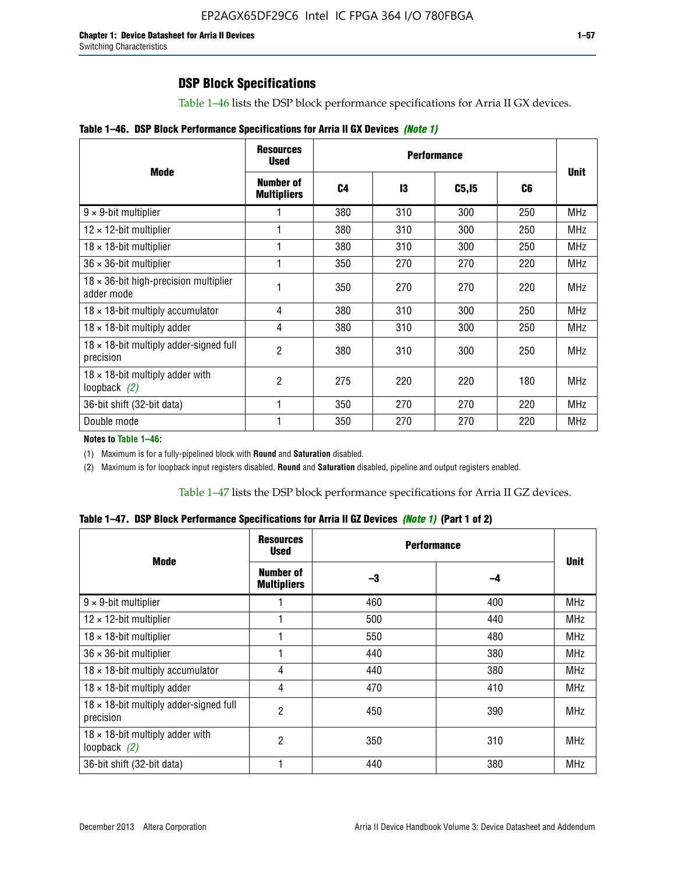Table 1–46 lists the DSP block performance specifications for Arria II GX devices.

| Table 1-46. DSP Block Performance Specifications for Arria II GX Devices (Note 1) |  |  |  |  |  |
|-----------------------------------------------------------------------------------|--|--|--|--|--|
|-----------------------------------------------------------------------------------|--|--|--|--|--|

|                                                             | <b>Resources</b><br>Used        |                | <b>Performance</b> |              |     |             |  |
|-------------------------------------------------------------|---------------------------------|----------------|--------------------|--------------|-----|-------------|--|
| <b>Mode</b>                                                 | Number of<br><b>Multipliers</b> | C <sub>4</sub> | 13                 | <b>C5,15</b> | C6  | <b>Unit</b> |  |
| $9 \times 9$ -bit multiplier                                |                                 | 380            | 310                | 300          | 250 | <b>MHz</b>  |  |
| $12 \times 12$ -bit multiplier                              |                                 | 380            | 310                | 300          | 250 | <b>MHz</b>  |  |
| $18 \times 18$ -bit multiplier                              |                                 | 380            | 310                | 300          | 250 | <b>MHz</b>  |  |
| $36 \times 36$ -bit multiplier                              |                                 | 350            | 270                | 270          | 220 | <b>MHz</b>  |  |
| $18 \times 36$ -bit high-precision multiplier<br>adder mode |                                 | 350            | 270                | 270          | 220 | <b>MHz</b>  |  |
| $18 \times 18$ -bit multiply accumulator                    | 4                               | 380            | 310                | 300          | 250 | <b>MHz</b>  |  |
| $18 \times 18$ -bit multiply adder                          | 4                               | 380            | 310                | 300          | 250 | <b>MHz</b>  |  |
| $18 \times 18$ -bit multiply adder-signed full<br>precision | 2                               | 380            | 310                | 300          | 250 | <b>MHz</b>  |  |
| $18 \times 18$ -bit multiply adder with<br>loopback $(2)$   | $\overline{2}$                  | 275            | 220                | 220          | 180 | <b>MHz</b>  |  |
| 36-bit shift (32-bit data)                                  |                                 | 350            | 270                | 270          | 220 | MHz         |  |
| Double mode                                                 |                                 | 350            | 270                | 270          | 220 | <b>MHz</b>  |  |

**Notes to Table 1–46:**

(1) Maximum is for a fully-pipelined block with **Round** and **Saturation** disabled.

(2) Maximum is for loopback input registers disabled, **Round** and **Saturation** disabled, pipeline and output registers enabled.

Table 1–47 lists the DSP block performance specifications for Arria II GZ devices.

**Table 1–47. DSP Block Performance Specifications for Arria II GZ Devices** *(Note 1)* **(Part 1 of 2)**

| <b>Mode</b>                                                 | <b>Resources</b><br>Used        | <b>Performance</b> |     | <b>Unit</b> |
|-------------------------------------------------------------|---------------------------------|--------------------|-----|-------------|
|                                                             | Number of<br><b>Multipliers</b> | -3                 | -4  |             |
| $9 \times 9$ -bit multiplier                                |                                 | 460                | 400 | <b>MHz</b>  |
| $12 \times 12$ -bit multiplier                              |                                 | 500                | 440 | <b>MHz</b>  |
| $18 \times 18$ -bit multiplier                              |                                 | 550                | 480 | <b>MHz</b>  |
| $36 \times 36$ -bit multiplier                              |                                 | 440                | 380 | <b>MHz</b>  |
| $18 \times 18$ -bit multiply accumulator                    | 4                               | 440                | 380 | <b>MHz</b>  |
| $18 \times 18$ -bit multiply adder                          | 4                               | 470                | 410 | <b>MHz</b>  |
| $18 \times 18$ -bit multiply adder-signed full<br>precision | 2                               | 450                | 390 | <b>MHz</b>  |
| $18 \times 18$ -bit multiply adder with<br>loopback $(2)$   | $\overline{c}$                  | 350                | 310 | <b>MHz</b>  |
| 36-bit shift (32-bit data)                                  |                                 | 440                | 380 | MHz         |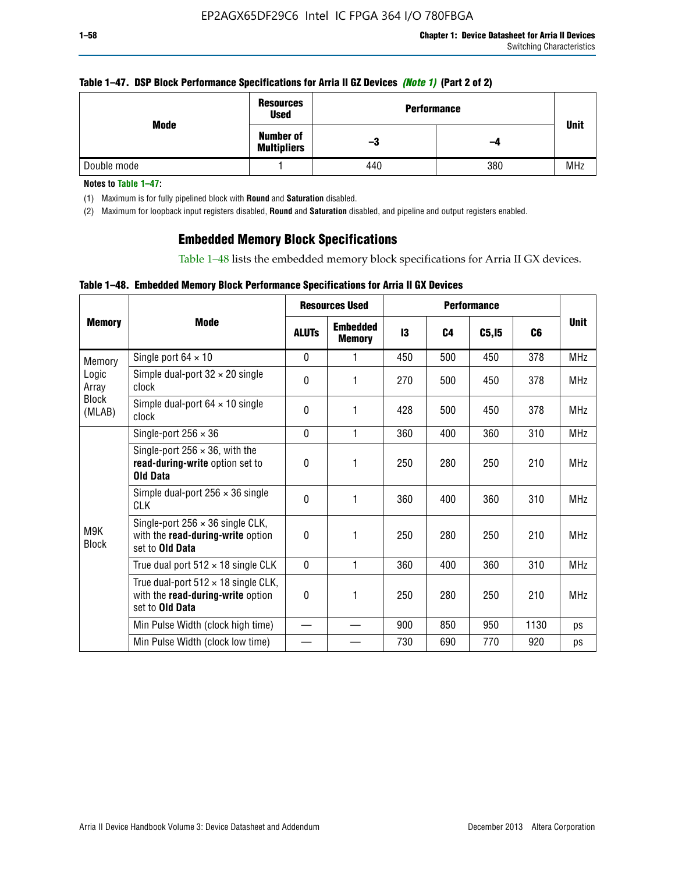### **Table 1–47. DSP Block Performance Specifications for Arria II GZ Devices** *(Note 1)* **(Part 2 of 2)**

|                                                | <b>Resources</b><br><b>Used</b> |     | <b>Performance</b> |             |  |
|------------------------------------------------|---------------------------------|-----|--------------------|-------------|--|
| Mode<br><b>Number of</b><br><b>Multipliers</b> |                                 | -3  | -4                 | <b>Unit</b> |  |
| Double mode                                    |                                 | 440 | 380                | <b>MHz</b>  |  |

**Notes to Table 1–47:**

(1) Maximum is for fully pipelined block with **Round** and **Saturation** disabled.

(2) Maximum for loopback input registers disabled, **Round** and **Saturation** disabled, and pipeline and output registers enabled.

# **Embedded Memory Block Specifications**

Table 1–48 lists the embedded memory block specifications for Arria II GX devices.

## **Table 1–48. Embedded Memory Block Performance Specifications for Arria II GX Devices**

|                        |                                                                                                           |              | <b>Resources Used</b>            | <b>Performance</b> |                |        |      |             |
|------------------------|-----------------------------------------------------------------------------------------------------------|--------------|----------------------------------|--------------------|----------------|--------|------|-------------|
| <b>Memory</b>          | <b>Mode</b>                                                                                               | <b>ALUTS</b> | <b>Embedded</b><br><b>Memory</b> | 13                 | C <sub>4</sub> | C5, I5 | C6   | <b>Unit</b> |
| Memory                 | Single port $64 \times 10$                                                                                | $\Omega$     | 1                                | 450                | 500            | 450    | 378  | <b>MHz</b>  |
| Logic<br>Array         | Simple dual-port $32 \times 20$ single<br>clock                                                           | 0            | 1                                | 270                | 500            | 450    | 378  | <b>MHz</b>  |
| <b>Block</b><br>(MLAB) | Simple dual-port $64 \times 10$ single<br>clock                                                           | $\theta$     | 1                                | 428                | 500            | 450    | 378  | <b>MHz</b>  |
|                        | Single-port $256 \times 36$                                                                               | $\mathbf{0}$ | 1                                | 360                | 400            | 360    | 310  | <b>MHz</b>  |
|                        | Single-port $256 \times 36$ , with the<br>read-during-write option set to<br><b>Old Data</b>              | $\theta$     | 1                                | 250                | 280            | 250    | 210  | <b>MHz</b>  |
|                        | Simple dual-port $256 \times 36$ single<br><b>CLK</b>                                                     | $\theta$     | 1                                | 360                | 400            | 360    | 310  | <b>MHz</b>  |
| M9K<br><b>Block</b>    | Single-port $256 \times 36$ single CLK,<br>with the read-during-write option<br>set to Old Data           | $\theta$     | 1                                | 250                | 280            | 250    | 210  | <b>MHz</b>  |
|                        | True dual port $512 \times 18$ single CLK                                                                 | $\mathbf{0}$ | 1                                | 360                | 400            | 360    | 310  | <b>MHz</b>  |
|                        | True dual-port $512 \times 18$ single CLK,<br>with the read-during-write option<br>set to <b>Old Data</b> | 0            | 1                                | 250                | 280            | 250    | 210  | <b>MHz</b>  |
|                        | Min Pulse Width (clock high time)                                                                         |              |                                  | 900                | 850            | 950    | 1130 | ps          |
|                        | Min Pulse Width (clock low time)                                                                          |              |                                  | 730                | 690            | 770    | 920  | ps          |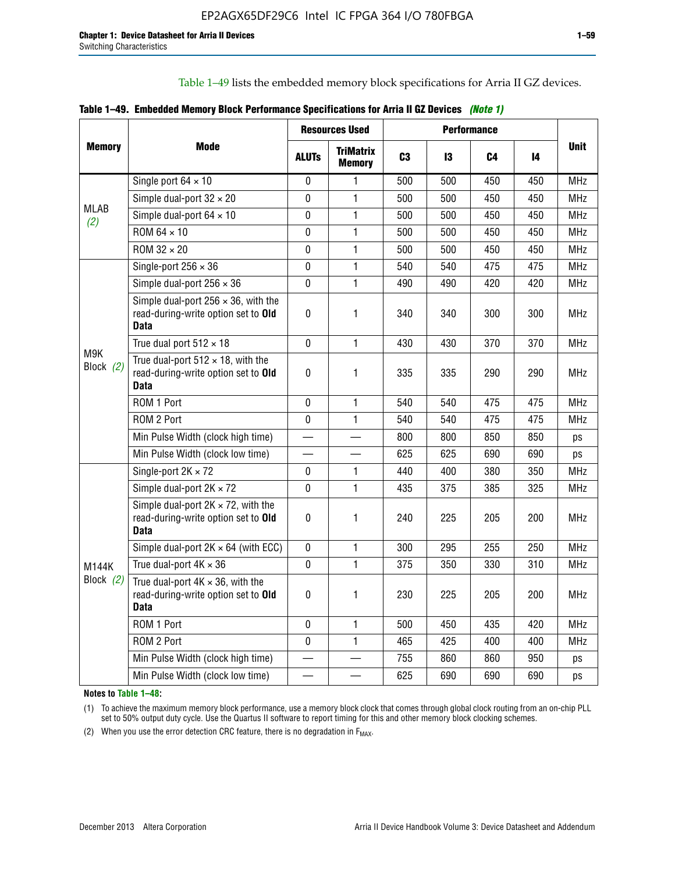Table 1–49 lists the embedded memory block specifications for Arria II GZ devices.

|  | Table 1–49. Embedded Memory Block Performance Specifications for Arria II GZ Devices (Note 1) |  |  |  |  |
|--|-----------------------------------------------------------------------------------------------|--|--|--|--|
|--|-----------------------------------------------------------------------------------------------|--|--|--|--|

|                    |                                                                                                   |              | <b>Resources Used</b>             |                |     | <b>Performance</b> |     |             |
|--------------------|---------------------------------------------------------------------------------------------------|--------------|-----------------------------------|----------------|-----|--------------------|-----|-------------|
| <b>Memory</b>      | <b>Mode</b>                                                                                       | <b>ALUTS</b> | <b>TriMatrix</b><br><b>Memory</b> | C <sub>3</sub> | 13  | C4                 | 14  | <b>Unit</b> |
|                    | Single port $64 \times 10$                                                                        | $\pmb{0}$    | $\mathbf{1}$                      | 500            | 500 | 450                | 450 | <b>MHz</b>  |
|                    | Simple dual-port $32 \times 20$                                                                   | 0            | 1                                 | 500            | 500 | 450                | 450 | <b>MHz</b>  |
| <b>MLAB</b><br>(2) | Simple dual-port $64 \times 10$                                                                   | $\mathbf 0$  | $\mathbf{1}$                      | 500            | 500 | 450                | 450 | <b>MHz</b>  |
|                    | ROM 64 × 10                                                                                       | $\pmb{0}$    | $\mathbf{1}$                      | 500            | 500 | 450                | 450 | <b>MHz</b>  |
|                    | $ROM 32 \times 20$                                                                                | 0            | 1                                 | 500            | 500 | 450                | 450 | <b>MHz</b>  |
|                    | Single-port $256 \times 36$                                                                       | 0            | $\mathbf{1}$                      | 540            | 540 | 475                | 475 | <b>MHz</b>  |
|                    | Simple dual-port $256 \times 36$                                                                  | $\mathbf 0$  | $\mathbf{1}$                      | 490            | 490 | 420                | 420 | <b>MHz</b>  |
|                    | Simple dual-port $256 \times 36$ , with the<br>read-during-write option set to Old<br><b>Data</b> | $\pmb{0}$    | 1                                 | 340            | 340 | 300                | 300 | <b>MHz</b>  |
|                    | True dual port $512 \times 18$                                                                    | $\mathbf 0$  | $\mathbf{1}$                      | 430            | 430 | 370                | 370 | <b>MHz</b>  |
| M9K<br>Block (2)   | True dual-port $512 \times 18$ , with the<br>read-during-write option set to Old<br><b>Data</b>   | $\pmb{0}$    | 1                                 | 335            | 335 | 290                | 290 | <b>MHz</b>  |
|                    | ROM 1 Port                                                                                        | $\mathbf 0$  | $\mathbf{1}$                      | 540            | 540 | 475                | 475 | <b>MHz</b>  |
|                    | ROM 2 Port                                                                                        | 0            | $\mathbf{1}$                      | 540            | 540 | 475                | 475 | <b>MHz</b>  |
|                    | Min Pulse Width (clock high time)                                                                 |              |                                   | 800            | 800 | 850                | 850 | ps          |
|                    | Min Pulse Width (clock low time)                                                                  |              |                                   | 625            | 625 | 690                | 690 | ps          |
|                    | Single-port $2K \times 72$                                                                        | 0            | 1                                 | 440            | 400 | 380                | 350 | <b>MHz</b>  |
|                    | Simple dual-port $2K \times 72$                                                                   | $\mathbf 0$  | $\mathbf{1}$                      | 435            | 375 | 385                | 325 | <b>MHz</b>  |
|                    | Simple dual-port $2K \times 72$ , with the<br>read-during-write option set to Old<br>Data         | 0            | 1                                 | 240            | 225 | 205                | 200 | <b>MHz</b>  |
|                    | Simple dual-port $2K \times 64$ (with ECC)                                                        | $\mathbf 0$  | $\mathbf{1}$                      | 300            | 295 | 255                | 250 | <b>MHz</b>  |
| M144K              | True dual-port $4K \times 36$                                                                     | $\mathbf 0$  | 1                                 | 375            | 350 | 330                | 310 | <b>MHz</b>  |
| Block $(2)$        | True dual-port $4K \times 36$ , with the<br>read-during-write option set to Old<br>Data           | $\pmb{0}$    | 1                                 | 230            | 225 | 205                | 200 | <b>MHz</b>  |
|                    | ROM 1 Port                                                                                        | 0            | $\mathbf{1}$                      | 500            | 450 | 435                | 420 | <b>MHz</b>  |
|                    | ROM 2 Port                                                                                        | 0            | $\mathbf{1}$                      | 465            | 425 | 400                | 400 | <b>MHz</b>  |
|                    | Min Pulse Width (clock high time)                                                                 |              |                                   | 755            | 860 | 860                | 950 | ps          |
|                    | Min Pulse Width (clock low time)                                                                  |              |                                   | 625            | 690 | 690                | 690 | ps          |

**Notes to Table 1–48:**

(1) To achieve the maximum memory block performance, use a memory block clock that comes through global clock routing from an on-chip PLL set to 50% output duty cycle. Use the Quartus II software to report timing for this and other memory block clocking schemes.

(2) When you use the error detection CRC feature, there is no degradation in  $F_{MAX}$ .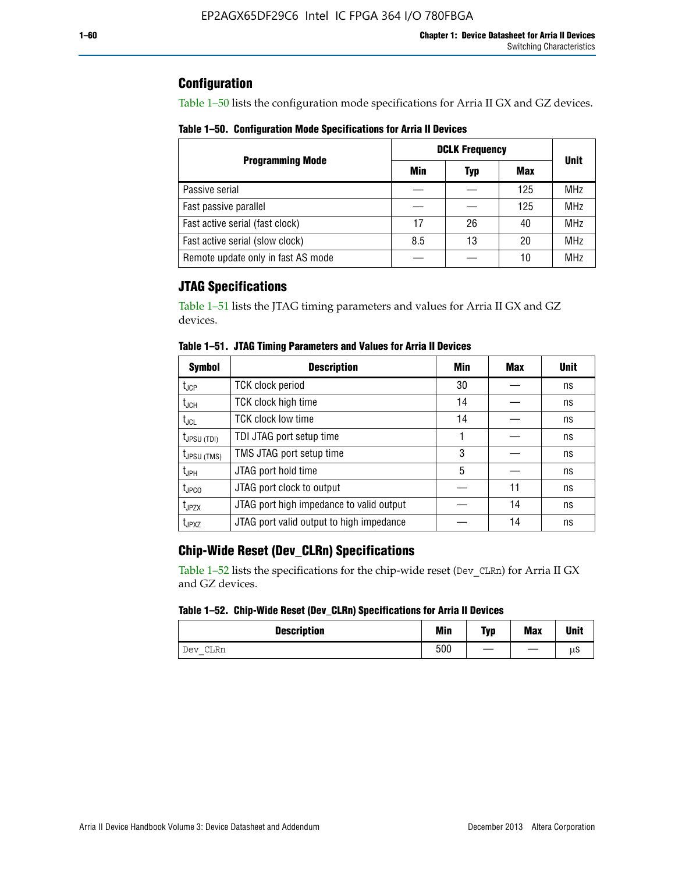# **Configuration**

Table 1–50 lists the configuration mode specifications for Arria II GX and GZ devices.

**Table 1–50. Configuration Mode Specifications for Arria II Devices**

|                                    | <b>DCLK Frequency</b> | <b>Unit</b> |            |            |
|------------------------------------|-----------------------|-------------|------------|------------|
| <b>Programming Mode</b>            | Min                   | Typ         | <b>Max</b> |            |
| Passive serial                     |                       |             | 125        | <b>MHz</b> |
| Fast passive parallel              |                       |             | 125        | <b>MHz</b> |
| Fast active serial (fast clock)    | 17                    | 26          | 40         | <b>MHz</b> |
| Fast active serial (slow clock)    | 8.5                   | 13          | 20         | <b>MHz</b> |
| Remote update only in fast AS mode |                       |             | 10         | <b>MHz</b> |

# **JTAG Specifications**

Table 1–51 lists the JTAG timing parameters and values for Arria II GX and GZ devices.

| <b>Symbol</b>                     | <b>Description</b>                       | Min | Max | <b>Unit</b> |
|-----------------------------------|------------------------------------------|-----|-----|-------------|
| $t_{JCP}$                         | <b>TCK clock period</b>                  | 30  |     | ns          |
| t <sub>JCH</sub>                  | TCK clock high time                      | 14  |     | ns          |
| $t_{\text{JCL}}$                  | <b>TCK clock low time</b>                | 14  |     | ns          |
| $t_{\text{JPSU (TDI)}}$           | TDI JTAG port setup time                 |     |     | ns          |
| $t_{JPSU\,(TMS)}$                 | TMS JTAG port setup time                 | 3   |     | ns          |
| $t_{\sf JPH}$                     | JTAG port hold time                      | 5   |     | ns          |
| $t_{\scriptscriptstyle \rm JPCO}$ | JTAG port clock to output                |     | 11  | ns          |
| t <sub>JPZX</sub>                 | JTAG port high impedance to valid output |     | 14  | ns          |
| t <sub>JPXZ</sub>                 | JTAG port valid output to high impedance |     | 14  | ns          |

**Table 1–51. JTAG Timing Parameters and Values for Arria II Devices**

# **Chip-Wide Reset (Dev\_CLRn) Specifications**

Table 1–52 lists the specifications for the chip-wide reset (Dev\_CLRn) for Arria II GX and GZ devices.

### **Table 1–52. Chip-Wide Reset (Dev\_CLRn) Specifications for Arria II Devices**

| <b>Description</b> | <b>Min</b> | Typ | <b>Max</b> | <b>Unit</b> |
|--------------------|------------|-----|------------|-------------|
| CLRn<br>Dev<br>$-$ | 500        |     |            | μS          |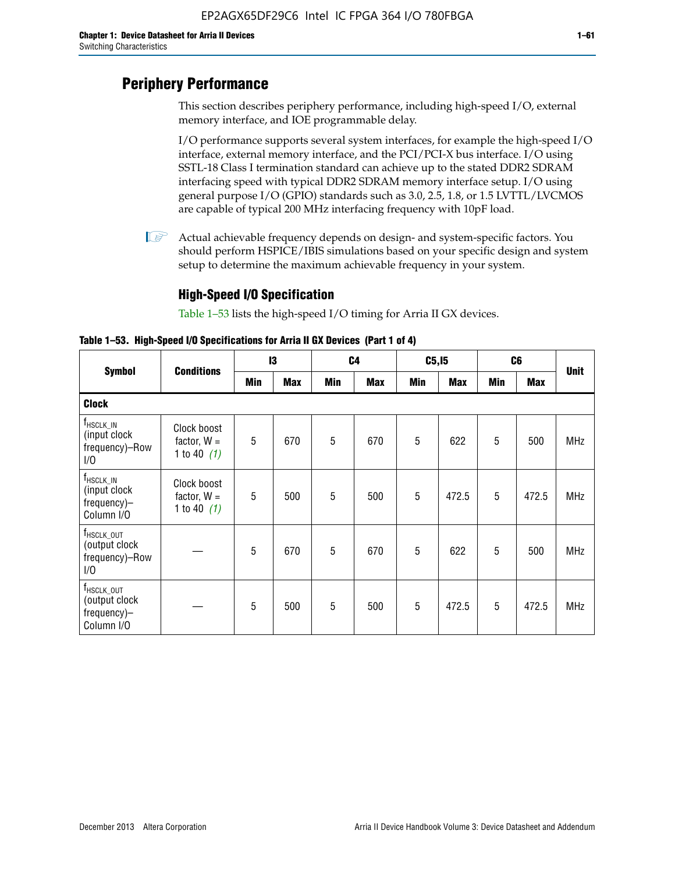# **Periphery Performance**

This section describes periphery performance, including high-speed I/O, external memory interface, and IOE programmable delay.

I/O performance supports several system interfaces, for example the high-speed I/O interface, external memory interface, and the PCI/PCI-X bus interface. I/O using SSTL-18 Class I termination standard can achieve up to the stated DDR2 SDRAM interfacing speed with typical DDR2 SDRAM memory interface setup. I/O using general purpose I/O (GPIO) standards such as 3.0, 2.5, 1.8, or 1.5 LVTTL/LVCMOS are capable of typical 200 MHz interfacing frequency with 10pF load.

 $\mathbb{I}$  Actual achievable frequency depends on design- and system-specific factors. You should perform HSPICE/IBIS simulations based on your specific design and system setup to determine the maximum achievable frequency in your system.

# **High-Speed I/O Specification**

Table 1–53 lists the high-speed I/O timing for Arria II GX devices.

**Table 1–53. High-Speed I/O Specifications for Arria II GX Devices (Part 1 of 4)**

| <b>Symbol</b>                                                        |                                               | 13  |            |     | C <sub>4</sub> |     | C5, I5     |     | C <sub>6</sub> |             |
|----------------------------------------------------------------------|-----------------------------------------------|-----|------------|-----|----------------|-----|------------|-----|----------------|-------------|
|                                                                      | <b>Conditions</b>                             | Min | <b>Max</b> | Min | <b>Max</b>     | Min | <b>Max</b> | Min | <b>Max</b>     | <b>Unit</b> |
| <b>Clock</b>                                                         |                                               |     |            |     |                |     |            |     |                |             |
| $f_{HSCLK\_IN}$<br>(input clock<br>frequency)-Row<br>1/0             | Clock boost<br>factor, $W =$<br>1 to 40 $(1)$ | 5   | 670        | 5   | 670            | 5   | 622        | 5   | 500            | <b>MHz</b>  |
| $f_{\sf HSCLK\_IN}$<br>(input clock<br>frequency)-<br>Column I/O     | Clock boost<br>factor, $W =$<br>1 to 40 $(1)$ | 5   | 500        | 5   | 500            | 5   | 472.5      | 5   | 472.5          | <b>MHz</b>  |
| T <sub>HSCLK_OUT</sub><br>(output clock<br>frequency)-Row<br>1/0     |                                               | 5   | 670        | 5   | 670            | 5   | 622        | 5   | 500            | <b>MHz</b>  |
| f <sub>HSCLK_OUT</sub><br>(output clock<br>frequency)-<br>Column I/O |                                               | 5   | 500        | 5   | 500            | 5   | 472.5      | 5   | 472.5          | <b>MHz</b>  |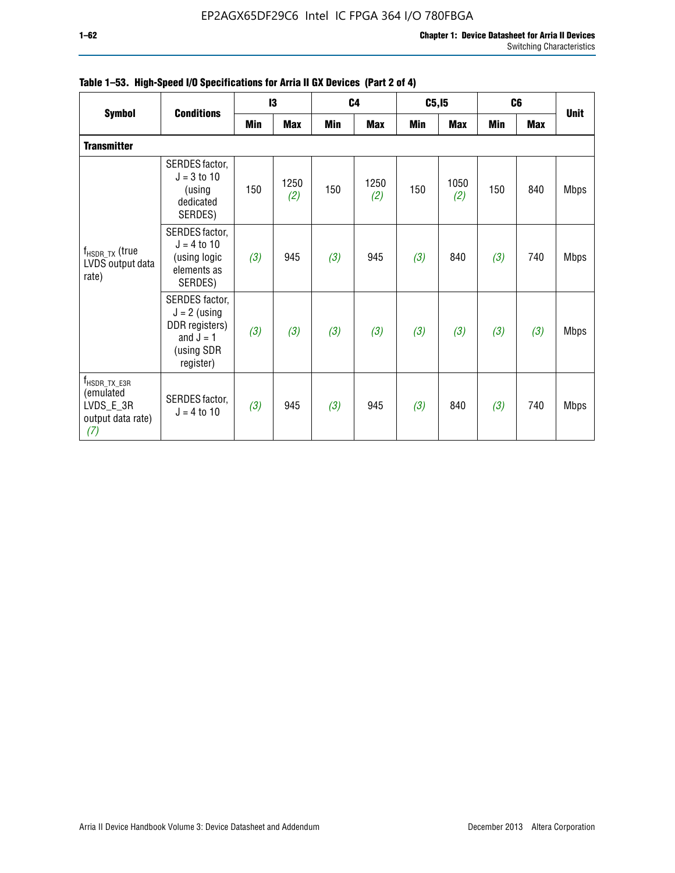| <b>Symbol</b>                                                                    | <b>Conditions</b>                                                                            |     | 13          |     | C4          | C5, I5 |             |     | C <sub>6</sub> | <b>Unit</b> |
|----------------------------------------------------------------------------------|----------------------------------------------------------------------------------------------|-----|-------------|-----|-------------|--------|-------------|-----|----------------|-------------|
|                                                                                  |                                                                                              | Min | <b>Max</b>  | Min | <b>Max</b>  | Min    | Max         | Min | <b>Max</b>     |             |
| <b>Transmitter</b>                                                               |                                                                                              |     |             |     |             |        |             |     |                |             |
| $f_{\sf{HSDR\_TX}}$ (true<br>LVDS output data<br>rate)                           | SERDES factor,<br>$J = 3$ to 10<br>(using<br>dedicated<br>SERDES)                            | 150 | 1250<br>(2) | 150 | 1250<br>(2) | 150    | 1050<br>(2) | 150 | 840            | <b>Mbps</b> |
|                                                                                  | SERDES factor,<br>$J = 4$ to 10<br>(using logic<br>elements as<br>SERDES)                    | (3) | 945         | (3) | 945         | (3)    | 840         | (3) | 740            | <b>Mbps</b> |
|                                                                                  | SERDES factor,<br>$J = 2$ (using<br>DDR registers)<br>and $J = 1$<br>(using SDR<br>register) | (3) | (3)         | (3) | (3)         | (3)    | (3)         | (3) | (3)            | <b>Mbps</b> |
| $f_{\text{HSDR\_TX\_E3R}}$<br>(emulated<br>LVDS_E_3R<br>output data rate)<br>(7) | SERDES factor,<br>$J = 4$ to 10                                                              | (3) | 945         | (3) | 945         | (3)    | 840         | (3) | 740            | <b>Mbps</b> |

|  |  | Table 1–53. High-Speed I/O Specifications for Arria II GX Devices (Part 2 of 4) |  |  |
|--|--|---------------------------------------------------------------------------------|--|--|
|--|--|---------------------------------------------------------------------------------|--|--|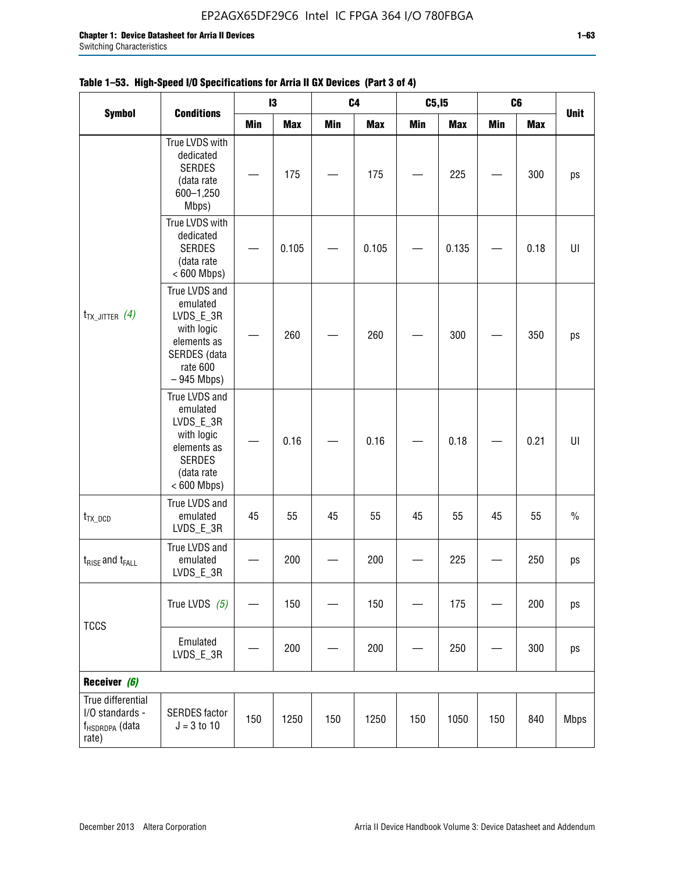|                                                                             |                                                                                                                     |     | 13         |     | C <sub>4</sub> | C5, I5     |            | C <sub>6</sub> |            | <b>Unit</b> |
|-----------------------------------------------------------------------------|---------------------------------------------------------------------------------------------------------------------|-----|------------|-----|----------------|------------|------------|----------------|------------|-------------|
| <b>Symbol</b>                                                               | <b>Conditions</b>                                                                                                   | Min | <b>Max</b> | Min | <b>Max</b>     | <b>Min</b> | <b>Max</b> | <b>Min</b>     | <b>Max</b> |             |
| $t_{TX\_JITTER}$ (4)                                                        | True LVDS with<br>dedicated<br><b>SERDES</b><br>(data rate<br>600-1,250<br>Mbps)                                    |     | 175        |     | 175            |            | 225        |                | 300        | ps          |
|                                                                             | True LVDS with<br>dedicated<br><b>SERDES</b><br>(data rate<br>$< 600$ Mbps)                                         |     | 0.105      |     | 0.105          |            | 0.135      |                | 0.18       | U           |
|                                                                             | True LVDS and<br>emulated<br>LVDS_E_3R<br>with logic<br>elements as<br>SERDES (data<br>rate 600<br>$-945$ Mbps)     |     | 260        |     | 260            |            | 300        |                | 350        | ps          |
|                                                                             | True LVDS and<br>emulated<br>LVDS_E_3R<br>with logic<br>elements as<br><b>SERDES</b><br>(data rate<br>$< 600$ Mbps) |     | 0.16       |     | 0.16           |            | 0.18       |                | 0.21       | U           |
| $t_{TX\_DCD}$                                                               | True LVDS and<br>emulated<br>LVDS_E_3R                                                                              | 45  | 55         | 45  | 55             | 45         | 55         | 45             | 55         | $\%$        |
| $t_{\text{RISE}}$ and $t_{\text{FALL}}$                                     | True LVDS and<br>emulated<br>LVDS_E_3R                                                                              |     | 200        |     | 200            |            | 225        |                | 250        | ps          |
| <b>TCCS</b>                                                                 | True LVDS $(5)$                                                                                                     |     | 150        |     | 150            |            | 175        |                | 200        | ps          |
|                                                                             | Emulated<br>LVDS_E_3R                                                                                               |     | 200        |     | 200            |            | 250        |                | 300        | ps          |
| Receiver (6)                                                                |                                                                                                                     |     |            |     |                |            |            |                |            |             |
| True differential<br>I/O standards -<br>f <sub>HSDRDPA</sub> (data<br>rate) | <b>SERDES</b> factor<br>$J = 3 to 10$                                                                               | 150 | 1250       | 150 | 1250           | 150        | 1050       | 150            | 840        | <b>Mbps</b> |

# **Table 1–53. High-Speed I/O Specifications for Arria II GX Devices (Part 3 of 4)**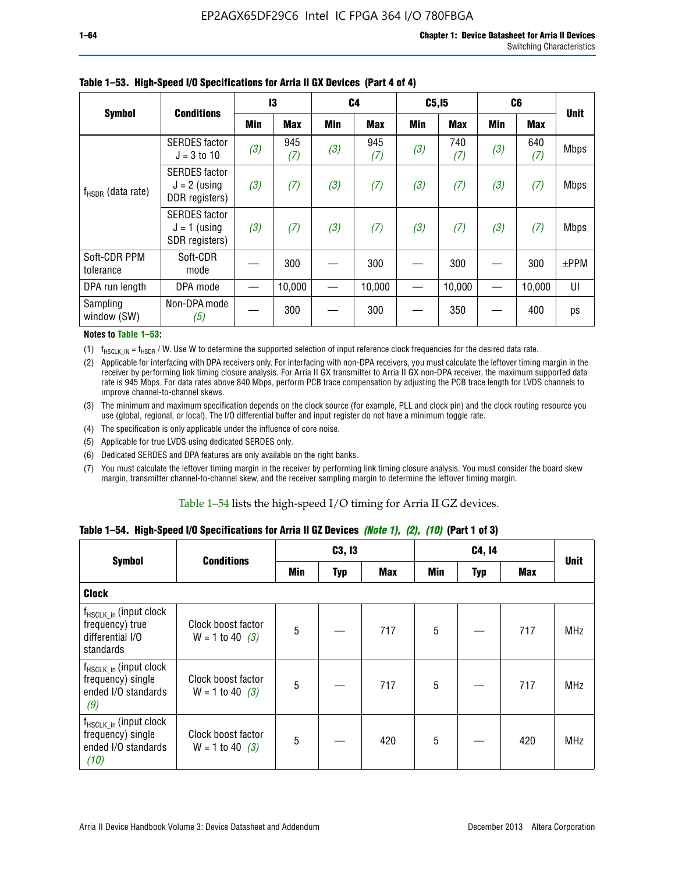|                           | <b>Conditions</b>                                        |     | 13         | C <sub>4</sub> |            | C5, I5 |            | C <sub>6</sub> |            | <b>Unit</b> |
|---------------------------|----------------------------------------------------------|-----|------------|----------------|------------|--------|------------|----------------|------------|-------------|
| <b>Symbol</b>             |                                                          | Min | <b>Max</b> | Min            | <b>Max</b> | Min    | <b>Max</b> | Min            | <b>Max</b> |             |
| $f_{HSDR}$ (data rate)    | <b>SERDES</b> factor<br>$J = 3$ to 10                    | (3) | 945<br>(7) | (3)            | 945<br>(7) | (3)    | 740<br>(7) | (3)            | 640<br>(7) | <b>Mbps</b> |
|                           | <b>SERDES</b> factor<br>$J = 2$ (using<br>DDR registers) | (3) | (7)        | (3)            | (7)        | (3)    | (7)        | (3)            | (7)        | <b>Mbps</b> |
|                           | <b>SERDES</b> factor<br>$J = 1$ (using<br>SDR registers) | (3) | (7)        | (3)            | (7)        | (3)    | (7)        | (3)            | (7)        | <b>Mbps</b> |
| Soft-CDR PPM<br>tolerance | Soft-CDR<br>mode                                         |     | 300        |                | 300        |        | 300        |                | 300        | $\pm$ PPM   |
| DPA run length            | DPA mode                                                 |     | 10,000     |                | 10,000     |        | 10,000     |                | 10,000     | UI          |
| Sampling<br>window (SW)   | Non-DPA mode<br>(5)                                      |     | 300        |                | 300        |        | 350        |                | 400        | ps          |

### **Table 1–53. High-Speed I/O Specifications for Arria II GX Devices (Part 4 of 4)**

#### **Notes to Table 1–53:**

(1)  $f_{HSCLK\_IN} = f_{HSDR}$  / W. Use W to determine the supported selection of input reference clock frequencies for the desired data rate.

(2) Applicable for interfacing with DPA receivers only. For interfacing with non-DPA receivers, you must calculate the leftover timing margin in the receiver by performing link timing closure analysis. For Arria II GX transmitter to Arria II GX non-DPA receiver, the maximum supported data rate is 945 Mbps. For data rates above 840 Mbps, perform PCB trace compensation by adjusting the PCB trace length for LVDS channels to improve channel-to-channel skews.

- (3) The minimum and maximum specification depends on the clock source (for example, PLL and clock pin) and the clock routing resource you use (global, regional, or local). The I/O differential buffer and input register do not have a minimum toggle rate.
- (4) The specification is only applicable under the influence of core noise.
- (5) Applicable for true LVDS using dedicated SERDES only.
- (6) Dedicated SERDES and DPA features are only available on the right banks.
- (7) You must calculate the leftover timing margin in the receiver by performing link timing closure analysis. You must consider the board skew margin, transmitter channel-to-channel skew, and the receiver sampling margin to determine the leftover timing margin.

### Table 1–54 lists the high-speed I/O timing for Arria II GZ devices.

## **Table 1–54. High-Speed I/O Specifications for Arria II GZ Devices** *(Note 1), (2), (10)* **(Part 1 of 3)**

| <b>Symbol</b>                                                                          | <b>Conditions</b>                       |     | C3, I3     |            |     | C4, 14 |            |             |
|----------------------------------------------------------------------------------------|-----------------------------------------|-----|------------|------------|-----|--------|------------|-------------|
|                                                                                        |                                         | Min | <b>Typ</b> | <b>Max</b> | Min | Typ    | <b>Max</b> | <b>Unit</b> |
| <b>Clock</b>                                                                           |                                         |     |            |            |     |        |            |             |
| $f_{HSCLK_in}$ (input clock<br>frequency) true<br>differential I/O<br>standards        | Clock boost factor<br>$W = 1$ to 40 (3) | 5   |            | 717        | 5   |        | 717        | <b>MHz</b>  |
| f <sub>HSCLK_in</sub> (input clock<br>frequency) single<br>ended I/O standards<br>(9)  | Clock boost factor<br>$W = 1$ to 40 (3) | 5   |            | 717        | 5   |        | 717        | <b>MHz</b>  |
| f <sub>HSCLK_in</sub> (input clock<br>frequency) single<br>ended I/O standards<br>(10) | Clock boost factor<br>$W = 1$ to 40 (3) | 5   |            | 420        | 5   |        | 420        | <b>MHz</b>  |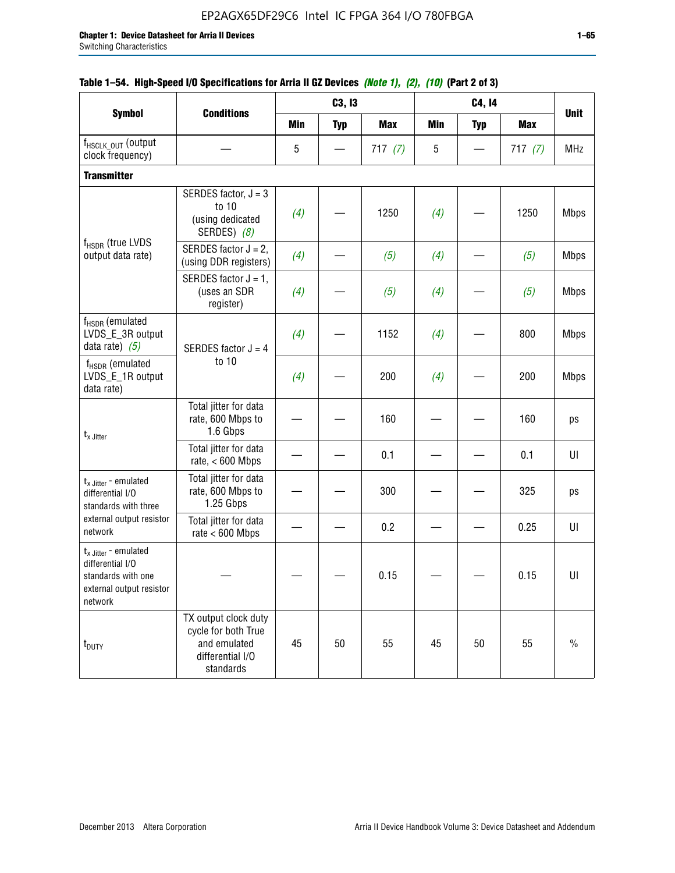|                                                                                                                    |                                                                                              |            | C3, I3     |            |            | C4, 14     |            |             |
|--------------------------------------------------------------------------------------------------------------------|----------------------------------------------------------------------------------------------|------------|------------|------------|------------|------------|------------|-------------|
| <b>Symbol</b>                                                                                                      | <b>Conditions</b>                                                                            | <b>Min</b> | <b>Typ</b> | <b>Max</b> | <b>Min</b> | <b>Typ</b> | <b>Max</b> | <b>Unit</b> |
| f <sub>HSCLK_OUT</sub> (output<br>clock frequency)                                                                 |                                                                                              | 5          |            | 717(7)     | 5          |            | 717(7)     | <b>MHz</b>  |
| <b>Transmitter</b>                                                                                                 |                                                                                              |            |            |            |            |            |            |             |
|                                                                                                                    | SERDES factor, $J = 3$<br>to 10<br>(using dedicated<br>SERDES) (8)                           | (4)        |            | 1250       | (4)        |            | 1250       | <b>Mbps</b> |
| f <sub>HSDR</sub> (true LVDS<br>output data rate)                                                                  | SERDES factor $J = 2$ ,<br>(using DDR registers)                                             | (4)        |            | (5)        | (4)        |            | (5)        | <b>Mbps</b> |
|                                                                                                                    | SERDES factor $J = 1$ ,<br>(uses an SDR<br>register)                                         | (4)        |            | (5)        | (4)        |            | (5)        | <b>Mbps</b> |
| $f_{HSDR}$ (emulated<br>LVDS_E_3R output<br>data rate) $(5)$                                                       | SERDES factor $J = 4$<br>to 10                                                               | (4)        |            | 1152       | (4)        |            | 800        | <b>Mbps</b> |
| $f_{HSDR}$ (emulated<br>LVDS_E_1R output<br>data rate)                                                             |                                                                                              | (4)        |            | 200        | (4)        |            | 200        | <b>Mbps</b> |
| $t_{x}$ Jitter                                                                                                     | Total jitter for data<br>rate, 600 Mbps to<br>1.6 Gbps                                       |            |            | 160        |            |            | 160        | ps          |
|                                                                                                                    | Total jitter for data<br>rate, $< 600$ Mbps                                                  |            |            | 0.1        |            |            | 0.1        | U           |
| $t_x$ Jitter - emulated<br>differential I/O<br>standards with three                                                | Total jitter for data<br>rate, 600 Mbps to<br>1.25 Gbps                                      |            |            | 300        |            |            | 325        | ps          |
| external output resistor<br>network                                                                                | Total jitter for data<br>rate $< 600$ Mbps                                                   |            |            | 0.2        |            |            | 0.25       | UI          |
| $t_{x \text{ Jitter}}$ - emulated<br>differential I/O<br>standards with one<br>external output resistor<br>network |                                                                                              |            |            | 0.15       |            |            | 0.15       | UI          |
| t <sub>DUTY</sub>                                                                                                  | TX output clock duty<br>cycle for both True<br>and emulated<br>differential I/O<br>standards | 45         | 50         | 55         | 45         | 50         | 55         | $\%$        |

# **Table 1–54. High-Speed I/O Specifications for Arria II GZ Devices** *(Note 1), (2), (10)* **(Part 2 of 3)**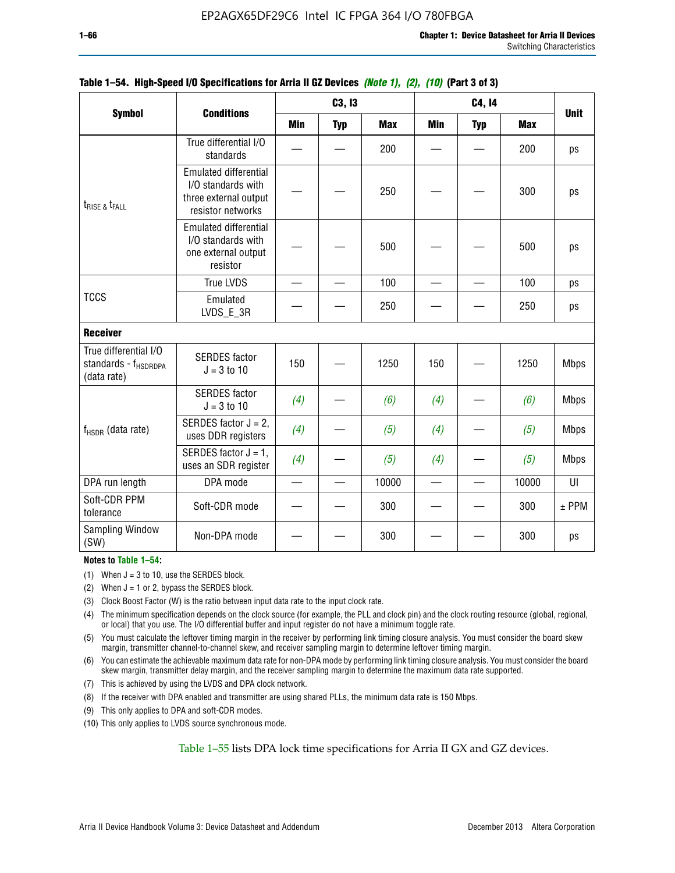|                                                                          |                                                                                                  |            | C3, I3     |            |     | C4, 14     |            |             |
|--------------------------------------------------------------------------|--------------------------------------------------------------------------------------------------|------------|------------|------------|-----|------------|------------|-------------|
| <b>Symbol</b>                                                            | <b>Conditions</b>                                                                                | <b>Min</b> | <b>Typ</b> | <b>Max</b> | Min | <b>Typ</b> | <b>Max</b> | <b>Unit</b> |
|                                                                          | True differential I/O<br>standards                                                               |            |            | 200        |     |            | 200        | ps          |
| $t_{RISE}$ & $t_{FALL}$                                                  | <b>Emulated differential</b><br>I/O standards with<br>three external output<br>resistor networks |            |            | 250        |     |            | 300        | ps          |
|                                                                          | <b>Emulated differential</b><br>I/O standards with<br>one external output<br>resistor            |            |            | 500        |     |            | 500        | ps          |
|                                                                          | <b>True LVDS</b>                                                                                 |            |            | 100        |     |            | 100        | ps          |
| <b>TCCS</b>                                                              | Emulated<br>LVDS_E_3R                                                                            |            |            | 250        |     |            | 250        | ps          |
| <b>Receiver</b>                                                          |                                                                                                  |            |            |            |     |            |            |             |
| True differential I/O<br>standards - f <sub>HSDRDPA</sub><br>(data rate) | <b>SERDES</b> factor<br>$J = 3$ to 10                                                            | 150        |            | 1250       | 150 |            | 1250       | <b>Mbps</b> |
|                                                                          | <b>SERDES</b> factor<br>$J = 3$ to 10                                                            | (4)        |            | (6)        | (4) |            | (6)        | <b>Mbps</b> |
| f <sub>HSDR</sub> (data rate)                                            | SERDES factor $J = 2$ ,<br>uses DDR registers                                                    | (4)        |            | (5)        | (4) |            | (5)        | <b>Mbps</b> |
|                                                                          | SERDES factor $J = 1$ ,<br>uses an SDR register                                                  | (4)        |            | (5)        | (4) |            | (5)        | <b>Mbps</b> |
| DPA run length                                                           | DPA mode                                                                                         |            |            | 10000      |     |            | 10000      | UI          |
| Soft-CDR PPM<br>tolerance                                                | Soft-CDR mode                                                                                    |            |            | 300        |     |            | 300        | $±$ PPM     |
| <b>Sampling Window</b><br>(SW)                                           | Non-DPA mode                                                                                     |            |            | 300        |     |            | 300        | ps          |

# **Table 1–54. High-Speed I/O Specifications for Arria II GZ Devices** *(Note 1), (2), (10)* **(Part 3 of 3)**

### **Notes to Table 1–54:**

(1) When  $J = 3$  to 10, use the SERDES block.

- (2) When  $J = 1$  or 2, bypass the SERDES block.
- (3) Clock Boost Factor (W) is the ratio between input data rate to the input clock rate.
- (4) The minimum specification depends on the clock source (for example, the PLL and clock pin) and the clock routing resource (global, regional, or local) that you use. The I/O differential buffer and input register do not have a minimum toggle rate.
- (5) You must calculate the leftover timing margin in the receiver by performing link timing closure analysis. You must consider the board skew margin, transmitter channel-to-channel skew, and receiver sampling margin to determine leftover timing margin.
- (6) You can estimate the achievable maximum data rate for non-DPA mode by performing link timing closure analysis. You must consider the board skew margin, transmitter delay margin, and the receiver sampling margin to determine the maximum data rate supported.
- (7) This is achieved by using the LVDS and DPA clock network.
- (8) If the receiver with DPA enabled and transmitter are using shared PLLs, the minimum data rate is 150 Mbps.
- (9) This only applies to DPA and soft-CDR modes.
- (10) This only applies to LVDS source synchronous mode.

Table 1–55 lists DPA lock time specifications for Arria II GX and GZ devices.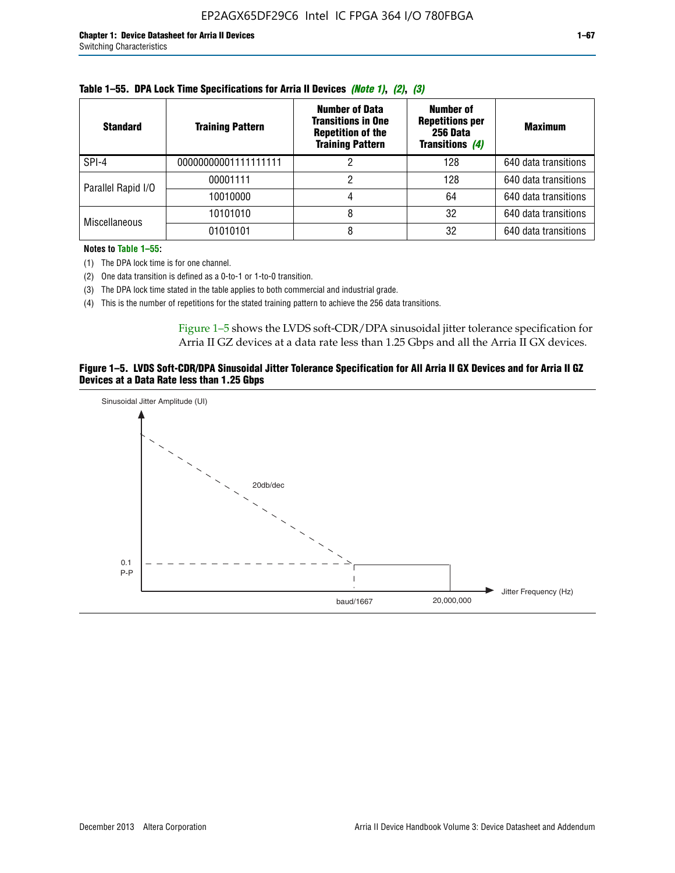| <b>Standard</b>      | <b>Training Pattern</b> | <b>Number of Data</b><br><b>Transitions in One</b><br><b>Repetition of the</b><br><b>Training Pattern</b> | Number of<br><b>Repetitions per</b><br>256 Data<br><b>Transitions (4)</b> | <b>Maximum</b>       |
|----------------------|-------------------------|-----------------------------------------------------------------------------------------------------------|---------------------------------------------------------------------------|----------------------|
| SPI-4                | 00000000001111111111    |                                                                                                           | 128                                                                       | 640 data transitions |
| Parallel Rapid I/O   | 00001111                |                                                                                                           | 128                                                                       | 640 data transitions |
|                      | 10010000                |                                                                                                           | 64                                                                        | 640 data transitions |
| <b>Miscellaneous</b> | 10101010                |                                                                                                           | 32                                                                        | 640 data transitions |
|                      | 01010101                |                                                                                                           | 32                                                                        | 640 data transitions |

|  | Table 1–55. DPA Lock Time Specifications for Arria II Devices (Note 1), (2), (3) |  |  |
|--|----------------------------------------------------------------------------------|--|--|
|  |                                                                                  |  |  |

**Notes to Table 1–55:**

(1) The DPA lock time is for one channel.

(2) One data transition is defined as a 0-to-1 or 1-to-0 transition.

(3) The DPA lock time stated in the table applies to both commercial and industrial grade.

(4) This is the number of repetitions for the stated training pattern to achieve the 256 data transitions.

Figure 1–5 shows the LVDS soft-CDR/DPA sinusoidal jitter tolerance specification for Arria II GZ devices at a data rate less than 1.25 Gbps and all the Arria II GX devices.

### **Figure 1–5. LVDS Soft-CDR/DPA Sinusoidal Jitter Tolerance Specification for All Arria II GX Devices and for Arria II GZ Devices at a Data Rate less than 1.25 Gbps**

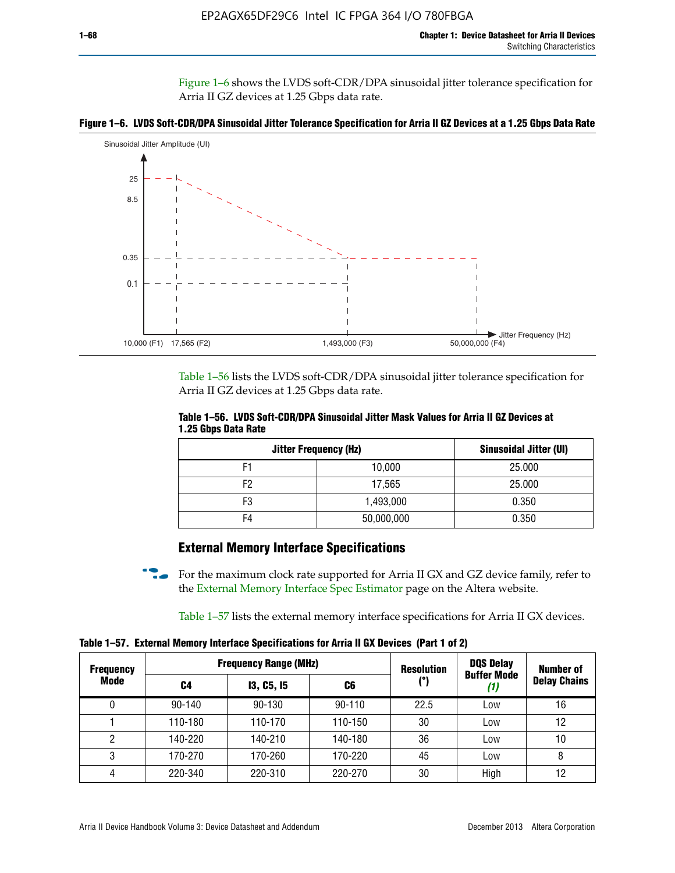Figure 1–6 shows the LVDS soft-CDR/DPA sinusoidal jitter tolerance specification for Arria II GZ devices at 1.25 Gbps data rate.





Table 1–56 lists the LVDS soft-CDR/DPA sinusoidal jitter tolerance specification for Arria II GZ devices at 1.25 Gbps data rate.

|                     | Table 1–56. LVDS Soft-CDR/DPA Sinusoidal Jitter Mask Values for Arria II GZ Devices at |  |  |
|---------------------|----------------------------------------------------------------------------------------|--|--|
| 1.25 Gbps Data Rate |                                                                                        |  |  |

| <b>Jitter Frequency (Hz)</b> | Sinusoidal Jitter (UI) |        |
|------------------------------|------------------------|--------|
| F1                           | 10,000                 | 25.000 |
| F2                           | 17,565                 | 25.000 |
| F3                           | 1,493,000              | 0.350  |
| F4                           | 50,000,000             | 0.350  |

# **External Memory Interface Specifications**

For the maximum clock rate supported for Arria II GX and GZ device family, refer to the [External Memory Interface Spec Estimator](http://www.altera.com/technology/memory/estimator/mem-emif-index.html) page on the Altera website.

Table 1–57 lists the external memory interface specifications for Arria II GX devices.

**Table 1–57. External Memory Interface Specifications for Arria II GX Devices (Part 1 of 2)**

| <b>Frequency</b><br>Mode | <b>Frequency Range (MHz)</b> |                   |            | <b>Resolution</b> | <b>DQS Delay</b>          | Number of           |
|--------------------------|------------------------------|-------------------|------------|-------------------|---------------------------|---------------------|
|                          | C4                           | <b>13, C5, 15</b> | C6         | (°)               | <b>Buffer Mode</b><br>(1) | <b>Delay Chains</b> |
| 0                        | $90 - 140$                   | 90-130            | $90 - 110$ | 22.5              | Low                       | 16                  |
|                          | 110-180                      | 110-170           | 110-150    | 30                | Low                       | 12                  |
| 2                        | 140-220                      | 140-210           | 140-180    | 36                | Low                       | 10                  |
| 3                        | 170-270                      | 170-260           | 170-220    | 45                | Low                       | 8                   |
| 4                        | 220-340                      | 220-310           | 220-270    | 30                | High                      | 12                  |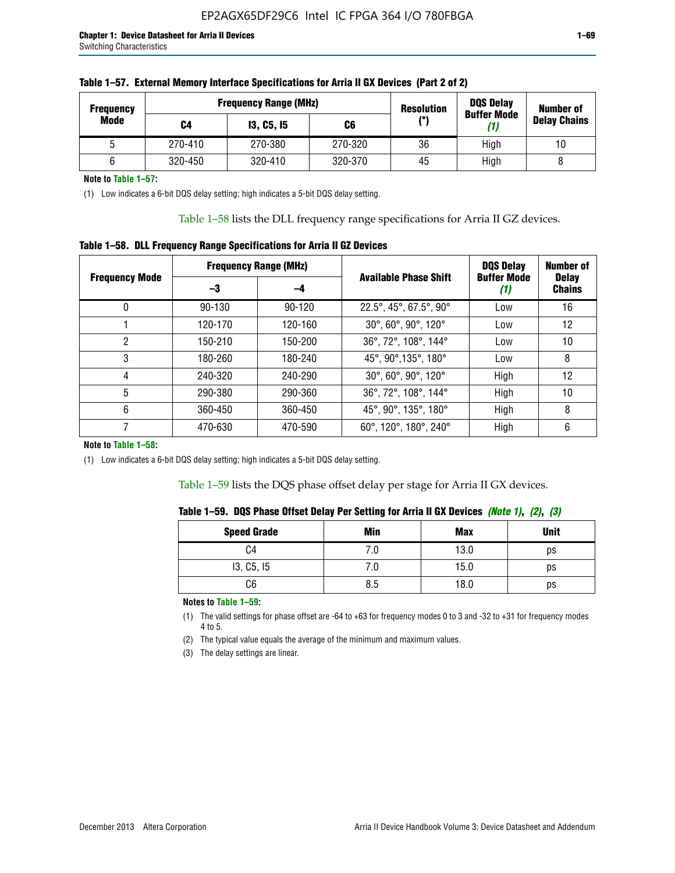| <b>Frequency</b> | <b>Frequency Range (MHz)</b> |                   |         | <b>Resolution</b> | <b>DQS Delay</b><br><b>Buffer Mode</b> | <b>Number of</b>    |  |
|------------------|------------------------------|-------------------|---------|-------------------|----------------------------------------|---------------------|--|
| Mode             | C4                           | <b>13, C5, 15</b> | C6      | /°ا               | (1)                                    | <b>Delay Chains</b> |  |
|                  | 270-410                      | 270-380           | 270-320 | 36                | High                                   | 10                  |  |
|                  | 320-450                      | 320-410           | 320-370 | 45                | High                                   |                     |  |

| Table 1–57. External Memory Interface Specifications for Arria II GX Devices (Part 2 of 2) |  |  |  |
|--------------------------------------------------------------------------------------------|--|--|--|
|                                                                                            |  |  |  |

**Note to Table 1–57:**

(1) Low indicates a 6-bit DQS delay setting; high indicates a 5-bit DQS delay setting.

Table 1–58 lists the DLL frequency range specifications for Arria II GZ devices.

# **Table 1–58. DLL Frequency Range Specifications for Arria II GZ Devices**

|                       | <b>Frequency Range (MHz)</b> |            |                              | <b>DOS Delay</b>          | <b>Number of</b>              |
|-----------------------|------------------------------|------------|------------------------------|---------------------------|-------------------------------|
| <b>Frequency Mode</b> | -3                           | -4         | <b>Available Phase Shift</b> | <b>Buffer Mode</b><br>(1) | <b>Delay</b><br><b>Chains</b> |
| 0                     | $90 - 130$                   | $90 - 120$ | 22.5°, 45°, 67.5°, 90°       | Low                       | 16                            |
|                       | 120-170                      | 120-160    | 30°, 60°, 90°, 120°          | Low                       | 12                            |
| 2                     | 150-210                      | 150-200    | 36°, 72°, 108°, 144°         | Low                       | 10                            |
| 3                     | 180-260                      | 180-240    | 45°, 90°, 135°, 180°         | Low                       | 8                             |
| 4                     | 240-320                      | 240-290    | 30°, 60°, 90°, 120°          | High                      | 12                            |
| 5                     | 290-380                      | 290-360    | 36°, 72°, 108°, 144°         | High                      | 10                            |
| 6                     | 360-450                      | 360-450    | 45°, 90°, 135°, 180°         | High                      | 8                             |
|                       | 470-630                      | 470-590    | 60°, 120°, 180°, 240°        | High                      | 6                             |

#### **Note to Table 1–58:**

(1) Low indicates a 6-bit DQS delay setting; high indicates a 5-bit DQS delay setting.

Table 1–59 lists the DQS phase offset delay per stage for Arria II GX devices.

|  | Table 1–59. DQS Phase Offset Delay Per Setting for Arria II GX Devices <i>(Note 1), (2), (3)</i> |  |  |
|--|--------------------------------------------------------------------------------------------------|--|--|
|  |                                                                                                  |  |  |

| <b>Speed Grade</b> | Min  | <b>Max</b> | <b>Unit</b> |
|--------------------|------|------------|-------------|
| C4                 | ن. ا | 13.0       | ps          |
| I3, C5, I5         | 7.U  | 15.0       | ps          |
| C6                 | 8.5  | 18.0       | ps          |

**Notes to Table 1–59:**

(1) The valid settings for phase offset are -64 to +63 for frequency modes 0 to 3 and -32 to +31 for frequency modes 4 to 5.

(2) The typical value equals the average of the minimum and maximum values.

(3) The delay settings are linear.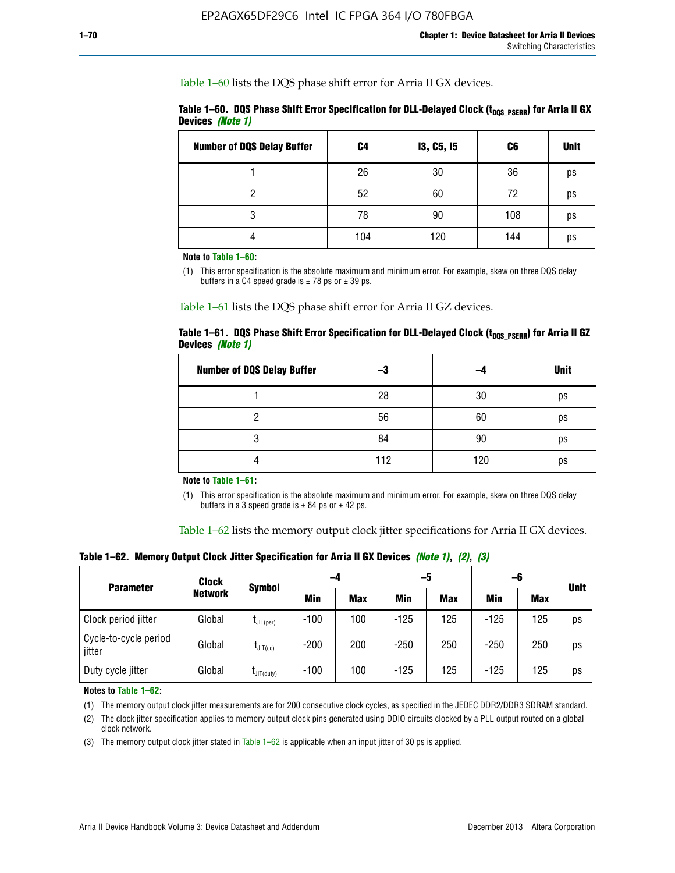Table 1–60 lists the DQS phase shift error for Arria II GX devices.

|                  | Table 1–60. DQS Phase Shift Error Specification for DLL-Delayed Clock ( $t_{\text{DOS PSERR}}$ ) for Arria II GX |  |
|------------------|------------------------------------------------------------------------------------------------------------------|--|
| Devices (Note 1) |                                                                                                                  |  |

| <b>Number of DQS Delay Buffer</b> | C4  | <b>13, C5, 15</b> | C6  | <b>Unit</b> |
|-----------------------------------|-----|-------------------|-----|-------------|
|                                   | 26  | 30                | 36  | ps          |
| າ                                 | 52  | 60                | 72  | ps          |
| 3                                 | 78  | 90                | 108 | ps          |
|                                   | 104 | 120               | 144 | ps          |

**Note to Table 1–60:**

(1) This error specification is the absolute maximum and minimum error. For example, skew on three DQS delay buffers in a C4 speed grade is  $\pm$  78 ps or  $\pm$  39 ps.

Table 1–61 lists the DQS phase shift error for Arria II GZ devices.

|                         |  | Table 1–61.DQS Phase Shift Error Specification for DLL-Delayed Clock (t <sub>oos PsERR</sub> ) for Arria II GZ |
|-------------------------|--|----------------------------------------------------------------------------------------------------------------|
| Devices <i>(Note 1)</i> |  |                                                                                                                |

| <b>Number of DQS Delay Buffer</b> | -3  |     | <b>Unit</b> |
|-----------------------------------|-----|-----|-------------|
|                                   | 28  | 30  | ps          |
|                                   | 56  | 60  | ps          |
| O                                 | 84  | 90  | ps          |
|                                   | 112 | 120 | ps          |

**Note to Table 1–61:**

(1) This error specification is the absolute maximum and minimum error. For example, skew on three DQS delay buffers in a 3 speed grade is  $\pm$  84 ps or  $\pm$  42 ps.

Table 1–62 lists the memory output clock jitter specifications for Arria II GX devices.

**Table 1–62. Memory Output Clock Jitter Specification for Arria II GX Devices** *(Note 1)***,** *(2)***,** *(3)*

| <b>Parameter</b>                | Clock          | Symbol           | -4     |            | -5         |            | -6         |            |             |
|---------------------------------|----------------|------------------|--------|------------|------------|------------|------------|------------|-------------|
|                                 | <b>Network</b> |                  | Min    | <b>Max</b> | <b>Min</b> | <b>Max</b> | <b>Min</b> | <b>Max</b> | <b>Unit</b> |
| Clock period jitter             | Global         | $L$ JIT(per)     | $-100$ | 100        | $-125$     | 125        | $-125$     | 125        | ps          |
| Cycle-to-cycle period<br>jitter | Global         | $L$ JIT $(cc)$   | $-200$ | 200        | $-250$     | 250        | $-250$     | 250        | ps          |
| Duty cycle jitter               | Global         | $L$ JIT $(duty)$ | $-100$ | 100        | $-125$     | 125        | $-125$     | 125        | ps          |

**Notes to Table 1–62:**

(1) The memory output clock jitter measurements are for 200 consecutive clock cycles, as specified in the JEDEC DDR2/DDR3 SDRAM standard.

(2) The clock jitter specification applies to memory output clock pins generated using DDIO circuits clocked by a PLL output routed on a global clock network.

(3) The memory output clock jitter stated in Table  $1-62$  is applicable when an input jitter of 30 ps is applied.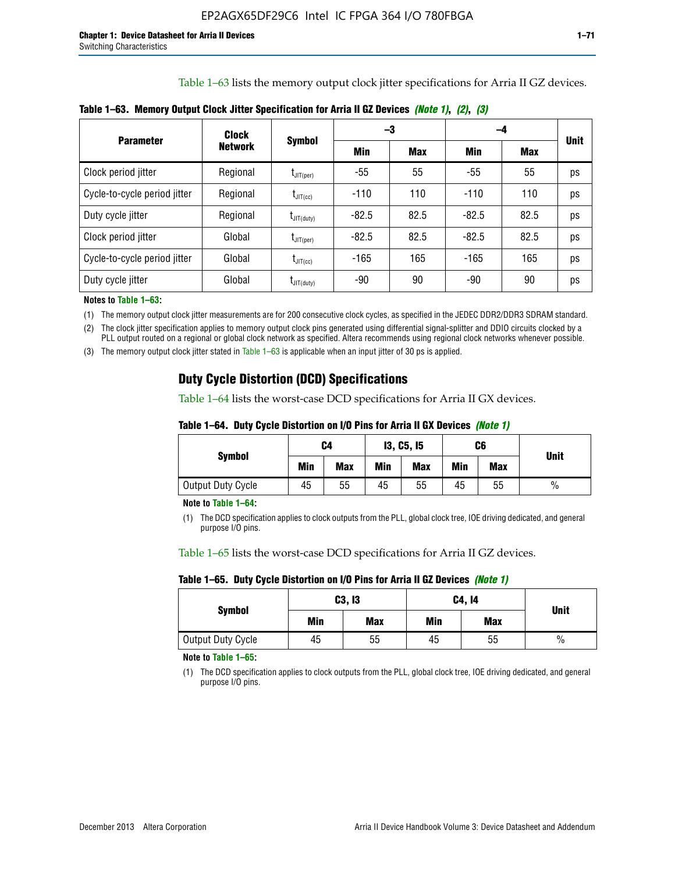Table 1–63 lists the memory output clock jitter specifications for Arria II GZ devices.

|                              | <b>Clock</b>   | <b>Symbol</b>                      | -3      |            | -4      |      |             |
|------------------------------|----------------|------------------------------------|---------|------------|---------|------|-------------|
| <b>Parameter</b>             | <b>Network</b> |                                    | Min     | <b>Max</b> | Min     | Max  | <b>Unit</b> |
| Clock period jitter          | Regional       | $t_{\text{JIT(per)}}$              | -55     | 55         | $-55$   | 55   | ps          |
| Cycle-to-cycle period jitter | Regional       | $t_{\text{JIT(cc)}}$               | $-110$  | 110        | $-110$  | 110  | ps          |
| Duty cycle jitter            | Regional       | $t_{\text{JIT(duty)}}$             | $-82.5$ | 82.5       | $-82.5$ | 82.5 | ps          |
| Clock period jitter          | Global         | $\mathfrak{t}_{\mathsf{JIT}(per)}$ | $-82.5$ | 82.5       | $-82.5$ | 82.5 | ps          |
| Cycle-to-cycle period jitter | Global         | $t_{\text{JIT(cc)}}$               | $-165$  | 165        | $-165$  | 165  | ps          |
| Duty cycle jitter            | Global         | $t_{\text{JIT(duty)}}$             | -90     | 90         | -90     | 90   | ps          |

**Table 1–63. Memory Output Clock Jitter Specification for Arria II GZ Devices** *(Note 1)***,** *(2)***,** *(3)*

**Notes to Table 1–63:**

(1) The memory output clock jitter measurements are for 200 consecutive clock cycles, as specified in the JEDEC DDR2/DDR3 SDRAM standard.

(2) The clock jitter specification applies to memory output clock pins generated using differential signal-splitter and DDIO circuits clocked by a PLL output routed on a regional or global clock network as specified. Altera recommends using regional clock networks whenever possible.

(3) The memory output clock jitter stated in Table 1–63 is applicable when an input jitter of 30 ps is applied.

# **Duty Cycle Distortion (DCD) Specifications**

Table 1–64 lists the worst-case DCD specifications for Arria II GX devices.

| Table 1–64.  Duty Cycle Distortion on I/O Pins for Arria II GX Devices <i>(Note 1)</i> |  |  |  |  |  |
|----------------------------------------------------------------------------------------|--|--|--|--|--|
|----------------------------------------------------------------------------------------|--|--|--|--|--|

| <b>Symbol</b>     | C4  |            | <b>13, C5, 15</b> |     | C6  |            | <b>Unit</b>   |  |
|-------------------|-----|------------|-------------------|-----|-----|------------|---------------|--|
|                   | Min | <b>Max</b> | Min               | Max | Min | <b>Max</b> |               |  |
| Output Duty Cycle | 45  | 55         | 45                | 55  | 45  | 55         | $\frac{0}{0}$ |  |

**Note to Table 1–64:**

(1) The DCD specification applies to clock outputs from the PLL, global clock tree, IOE driving dedicated, and general purpose I/O pins.

Table 1–65 lists the worst-case DCD specifications for Arria II GZ devices.

**Table 1–65. Duty Cycle Distortion on I/O Pins for Arria II GZ Devices** *(Note 1)*

| <b>Symbol</b>     |     | C3, I3     | C4, 14 | <b>Unit</b> |      |  |
|-------------------|-----|------------|--------|-------------|------|--|
|                   | Min | <b>Max</b> | Min    | <b>Max</b>  |      |  |
| Output Duty Cycle | 45  | 55         | 45     | 55          | $\%$ |  |

**Note to Table 1–65:**

(1) The DCD specification applies to clock outputs from the PLL, global clock tree, IOE driving dedicated, and general purpose I/O pins.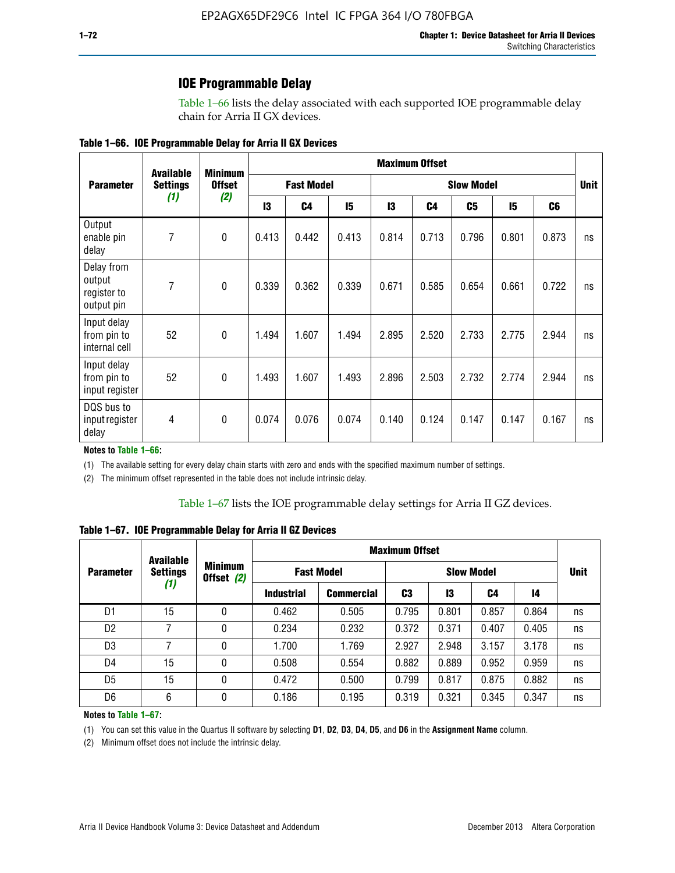### **IOE Programmable Delay**

Table 1–66 lists the delay associated with each supported IOE programmable delay chain for Arria II GX devices.

| Table 1–66. IOE Programmable Delay for Arria II GX Devices |
|------------------------------------------------------------|
|------------------------------------------------------------|

|                                                   | <b>Available</b> | <b>Minimum</b>       | <b>Maximum Offset</b> |                |                   |       |       |       |       |                |    |
|---------------------------------------------------|------------------|----------------------|-----------------------|----------------|-------------------|-------|-------|-------|-------|----------------|----|
| <b>Parameter</b>                                  | <b>Settings</b>  | <b>Offset</b><br>(2) | <b>Fast Model</b>     |                | <b>Slow Model</b> |       |       |       |       | <b>Unit</b>    |    |
|                                                   | (1)              |                      | 13                    | C <sub>4</sub> | 15                | 13    | C4    | C5    | 15    | C <sub>6</sub> |    |
| Output<br>enable pin<br>delay                     | $\overline{7}$   | $\mathbf 0$          | 0.413                 | 0.442          | 0.413             | 0.814 | 0.713 | 0.796 | 0.801 | 0.873          | ns |
| Delay from<br>output<br>register to<br>output pin | 7                | $\mathbf 0$          | 0.339                 | 0.362          | 0.339             | 0.671 | 0.585 | 0.654 | 0.661 | 0.722          | ns |
| Input delay<br>from pin to<br>internal cell       | 52               | $\mathbf{0}$         | 1.494                 | 1.607          | 1.494             | 2.895 | 2.520 | 2.733 | 2.775 | 2.944          | ns |
| Input delay<br>from pin to<br>input register      | 52               | $\mathbf{0}$         | 1.493                 | 1.607          | 1.493             | 2.896 | 2.503 | 2.732 | 2.774 | 2.944          | ns |
| DQS bus to<br>input register<br>delay             | 4                | $\pmb{0}$            | 0.074                 | 0.076          | 0.074             | 0.140 | 0.124 | 0.147 | 0.147 | 0.167          | ns |

**Notes to Table 1–66:**

(1) The available setting for every delay chain starts with zero and ends with the specified maximum number of settings.

(2) The minimum offset represented in the table does not include intrinsic delay.

**Table 1–67. IOE Programmable Delay for Arria II GZ Devices**

|                  | <b>Available</b>       |   | <b>Maximum Offset</b>        |                   |                   |       |       |       |             |
|------------------|------------------------|---|------------------------------|-------------------|-------------------|-------|-------|-------|-------------|
| <b>Parameter</b> | <b>Settings</b><br>(1) |   | <b>Minimum</b><br>Offset (2) | <b>Fast Model</b> | <b>Slow Model</b> |       |       |       | <b>Unit</b> |
|                  |                        |   | <b>Industrial</b>            | <b>Commercial</b> | C3                | 13    | C4    | 14    |             |
| D1               | 15                     | 0 | 0.462                        | 0.505             | 0.795             | 0.801 | 0.857 | 0.864 | ns          |
| D <sub>2</sub>   | 7                      | 0 | 0.234                        | 0.232             | 0.372             | 0.371 | 0.407 | 0.405 | ns          |
| D <sub>3</sub>   | 7                      | 0 | 1.700                        | 1.769             | 2.927             | 2.948 | 3.157 | 3.178 | ns          |
| D4               | 15                     | 0 | 0.508                        | 0.554             | 0.882             | 0.889 | 0.952 | 0.959 | ns          |
| D <sub>5</sub>   | 15                     | 0 | 0.472                        | 0.500             | 0.799             | 0.817 | 0.875 | 0.882 | ns          |
| D <sub>6</sub>   | 6                      | 0 | 0.186                        | 0.195             | 0.319             | 0.321 | 0.345 | 0.347 | ns          |

#### **Notes to Table 1–67:**

(1) You can set this value in the Quartus II software by selecting **D1**, **D2**, **D3**, **D4**, **D5**, and **D6** in the **Assignment Name** column.

(2) Minimum offset does not include the intrinsic delay.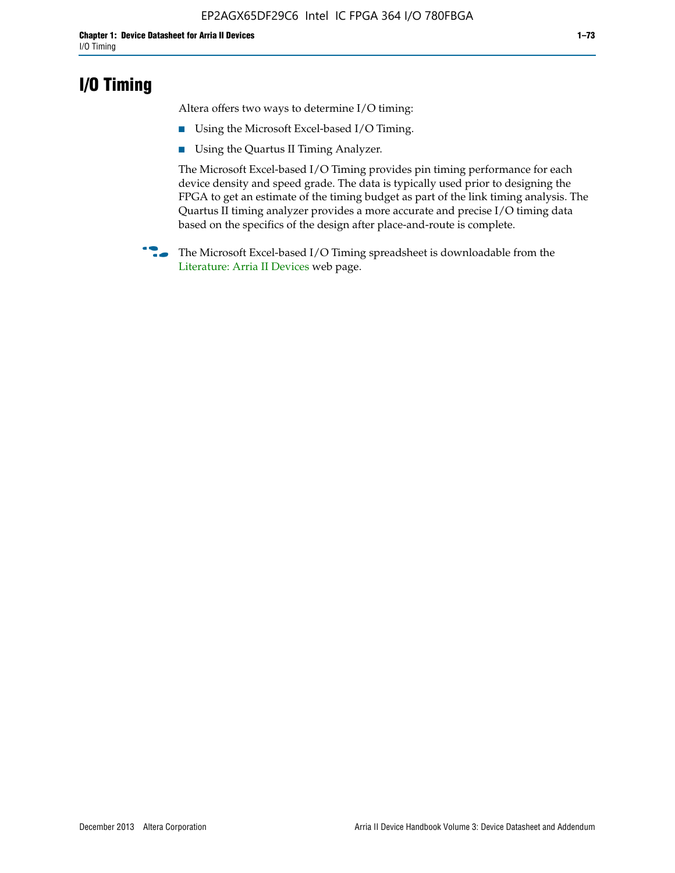## **I/O Timing**

Altera offers two ways to determine I/O timing:

- Using the Microsoft Excel-based I/O Timing.
- Using the Quartus II Timing Analyzer.

The Microsoft Excel-based I/O Timing provides pin timing performance for each device density and speed grade. The data is typically used prior to designing the FPGA to get an estimate of the timing budget as part of the link timing analysis. The Quartus II timing analyzer provides a more accurate and precise I/O timing data based on the specifics of the design after place-and-route is complete.

**f The Microsoft Excel-based I/O Timing spreadsheet is downloadable from the** [Literature: Arria II Devices](http://www.altera.com/literature/lit-arria-ii-gx.jsp) web page.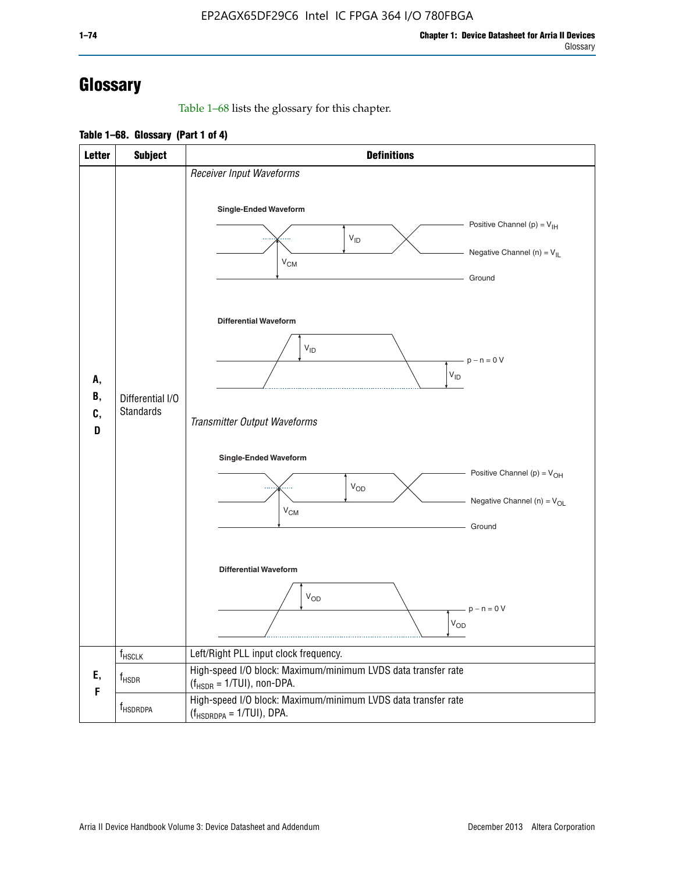# **Glossary**

Table 1–68 lists the glossary for this chapter.

**Table 1–68. Glossary (Part 1 of 4)**

| <b>Letter</b>       | <b>Subject</b>                       | <b>Definitions</b>                                                                                                                         |
|---------------------|--------------------------------------|--------------------------------------------------------------------------------------------------------------------------------------------|
|                     |                                      | Receiver Input Waveforms<br>Single-Ended Waveform<br>Positive Channel (p) = $V_{\text{IH}}$<br>$V_{ID}$<br>Negative Channel (n) = $V_{IL}$ |
|                     |                                      | $V_{CM}$<br>Ground<br><b>Differential Waveform</b><br>$V_{ID}$<br>$-p - n = 0 V$                                                           |
| А,<br>В,<br>C,<br>D | Differential I/O<br><b>Standards</b> | $\rm V_{ID}$<br>Transmitter Output Waveforms                                                                                               |
|                     |                                      | Single-Ended Waveform<br>Positive Channel (p) = $V_{OH}$<br>$V_{OD}$<br>Negative Channel (n) = $V_{OL}$<br>$V_{CM}$<br>Ground              |
|                     |                                      | <b>Differential Waveform</b><br><b>V<sub>OD</sub></b><br>$p - n = 0 V$<br>$\mathsf{V}_{\mathsf{OD}}$                                       |
|                     | f <sub>HSCLK</sub>                   | Left/Right PLL input clock frequency.                                                                                                      |
| Ε,<br>F             | $f_{HSDR}$                           | High-speed I/O block: Maximum/minimum LVDS data transfer rate<br>$(f_{\text{HSDR}} = 1/\text{TUI})$ , non-DPA.                             |
|                     | f <sub>HSDRDPA</sub>                 | High-speed I/O block: Maximum/minimum LVDS data transfer rate<br>$(f_{HSDRDPA} = 1/TUI)$ , DPA.                                            |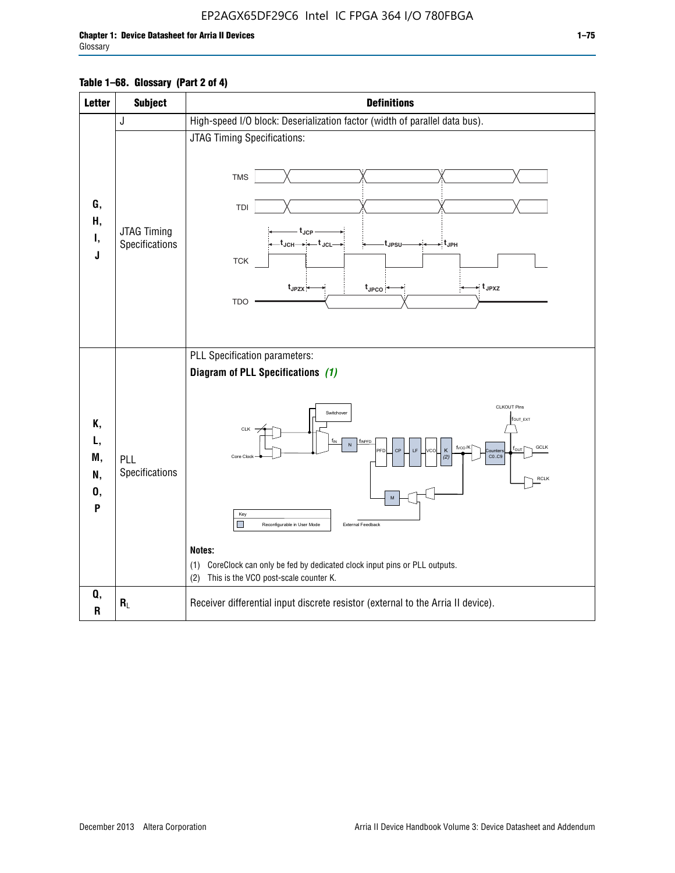| <b>Letter</b>                   | <b>Subject</b>                       | <b>Definitions</b>                                                                                                                                                                                                                                                                                                                                                                                                                                                                      |
|---------------------------------|--------------------------------------|-----------------------------------------------------------------------------------------------------------------------------------------------------------------------------------------------------------------------------------------------------------------------------------------------------------------------------------------------------------------------------------------------------------------------------------------------------------------------------------------|
|                                 | J                                    | High-speed I/O block: Deserialization factor (width of parallel data bus).                                                                                                                                                                                                                                                                                                                                                                                                              |
| G,<br>Н,<br>Ι,<br>J             | <b>JTAG Timing</b><br>Specifications | JTAG Timing Specifications:<br><b>TMS</b><br>TDI<br>t <sub>JCP</sub><br>$t_{\text{JCH}\rightarrow\leftarrow}t_{\text{JCL}}$<br>⇒:t <sub>JPH</sub><br>t <sub>JPSU</sub> .<br><b>TCK</b><br>$t_{JPZX}$<br>$\star$ t <sub>JPXZ</sub><br>$t_{\text{JPCO}}$<br><b>TDO</b>                                                                                                                                                                                                                    |
| Κ,<br>L,<br>M,<br>N,<br>0,<br>P | PLL<br>Specifications                | PLL Specification parameters:<br>Diagram of PLL Specifications (1)<br>CLKOUT Pins<br>Switchover<br>fout_ext<br>CLK<br>TINPED<br>N<br>f <sub>vco</sub> /K<br>GCLK<br>PFD<br>CP<br>LF<br><b>VCO</b><br>K<br>ľои<br><b>Qunter</b><br>CO.C9<br>Core Clock<br>(2)<br><b>RCLK</b><br>Key<br>ш<br>External Feedback<br>Reconfigurable in User Mode<br>Notes:<br>CoreClock can only be fed by dedicated clock input pins or PLL outputs.<br>(1)<br>This is the VCO post-scale counter K.<br>(2) |
| Q,<br>R                         | $R_L$                                | Receiver differential input discrete resistor (external to the Arria II device).                                                                                                                                                                                                                                                                                                                                                                                                        |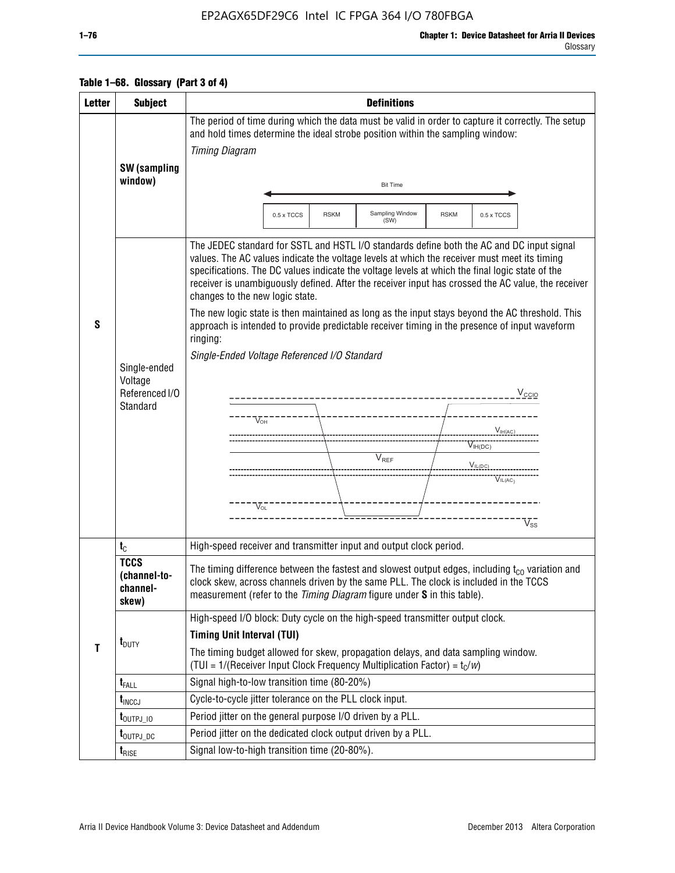### EP2AGX65DF29C6 Intel IC FPGA 364 I/O 780FBGA

### **Table 1–68. Glossary (Part 3 of 4)**

| <b>Letter</b> | <b>Subject</b>                                        | <b>Definitions</b>                                                                                                                                                                                                                                                                                                                                                                                                                                                                                                                                                                                                                                                                                                                                                                                                                                                                           |  |  |  |  |  |  |
|---------------|-------------------------------------------------------|----------------------------------------------------------------------------------------------------------------------------------------------------------------------------------------------------------------------------------------------------------------------------------------------------------------------------------------------------------------------------------------------------------------------------------------------------------------------------------------------------------------------------------------------------------------------------------------------------------------------------------------------------------------------------------------------------------------------------------------------------------------------------------------------------------------------------------------------------------------------------------------------|--|--|--|--|--|--|
|               |                                                       | The period of time during which the data must be valid in order to capture it correctly. The setup<br>and hold times determine the ideal strobe position within the sampling window:                                                                                                                                                                                                                                                                                                                                                                                                                                                                                                                                                                                                                                                                                                         |  |  |  |  |  |  |
|               |                                                       | <b>Timing Diagram</b>                                                                                                                                                                                                                                                                                                                                                                                                                                                                                                                                                                                                                                                                                                                                                                                                                                                                        |  |  |  |  |  |  |
|               | SW (sampling                                          |                                                                                                                                                                                                                                                                                                                                                                                                                                                                                                                                                                                                                                                                                                                                                                                                                                                                                              |  |  |  |  |  |  |
|               | window)                                               | <b>Bit Time</b>                                                                                                                                                                                                                                                                                                                                                                                                                                                                                                                                                                                                                                                                                                                                                                                                                                                                              |  |  |  |  |  |  |
|               |                                                       | Sampling Window<br><b>RSKM</b><br>0.5 x TCCS<br>0.5 x TCCS<br><b>RSKM</b>                                                                                                                                                                                                                                                                                                                                                                                                                                                                                                                                                                                                                                                                                                                                                                                                                    |  |  |  |  |  |  |
|               |                                                       | (SW)                                                                                                                                                                                                                                                                                                                                                                                                                                                                                                                                                                                                                                                                                                                                                                                                                                                                                         |  |  |  |  |  |  |
| S             | Single-ended<br>Voltage<br>Referenced I/O<br>Standard | The JEDEC standard for SSTL and HSTL I/O standards define both the AC and DC input signal<br>values. The AC values indicate the voltage levels at which the receiver must meet its timing<br>specifications. The DC values indicate the voltage levels at which the final logic state of the<br>receiver is unambiguously defined. After the receiver input has crossed the AC value, the receiver<br>changes to the new logic state.<br>The new logic state is then maintained as long as the input stays beyond the AC threshold. This<br>approach is intended to provide predictable receiver timing in the presence of input waveform<br>ringing:<br>Single-Ended Voltage Referenced I/O Standard<br>$V_{\text{CCIO}}$<br>____________________<br>$V_{\text{OH}}$<br>$V_{IH(AC)}$<br>$V_{IH(DC)}$<br>$V_{REF}$<br>$V_{IL(DC)}$<br>$\overline{V_{\text{IL}(AC)}}$<br>$V_{OL}$<br>$V_{SS}$ |  |  |  |  |  |  |
|               | $t_{C}$                                               | High-speed receiver and transmitter input and output clock period.                                                                                                                                                                                                                                                                                                                                                                                                                                                                                                                                                                                                                                                                                                                                                                                                                           |  |  |  |  |  |  |
|               | <b>TCCS</b><br>(channel-to-<br>channel-<br>skew)      | The timing difference between the fastest and slowest output edges, including $t_{c0}$ variation and<br>clock skew, across channels driven by the same PLL. The clock is included in the TCCS<br>measurement (refer to the Timing Diagram figure under S in this table).                                                                                                                                                                                                                                                                                                                                                                                                                                                                                                                                                                                                                     |  |  |  |  |  |  |
|               |                                                       | High-speed I/O block: Duty cycle on the high-speed transmitter output clock.                                                                                                                                                                                                                                                                                                                                                                                                                                                                                                                                                                                                                                                                                                                                                                                                                 |  |  |  |  |  |  |
|               | $t_{\text{DUTY}}$                                     | <b>Timing Unit Interval (TUI)</b>                                                                                                                                                                                                                                                                                                                                                                                                                                                                                                                                                                                                                                                                                                                                                                                                                                                            |  |  |  |  |  |  |
| T             |                                                       | The timing budget allowed for skew, propagation delays, and data sampling window.<br>(TUI = $1/($ Receiver Input Clock Frequency Multiplication Factor) = $t_c/w$ )                                                                                                                                                                                                                                                                                                                                                                                                                                                                                                                                                                                                                                                                                                                          |  |  |  |  |  |  |
|               | $t_{FALL}$                                            | Signal high-to-low transition time (80-20%)                                                                                                                                                                                                                                                                                                                                                                                                                                                                                                                                                                                                                                                                                                                                                                                                                                                  |  |  |  |  |  |  |
|               | $t_{\text{INCCJ}}$                                    | Cycle-to-cycle jitter tolerance on the PLL clock input.                                                                                                                                                                                                                                                                                                                                                                                                                                                                                                                                                                                                                                                                                                                                                                                                                                      |  |  |  |  |  |  |
|               | $t_{\text{OUTPJ\_10}}$                                | Period jitter on the general purpose I/O driven by a PLL.                                                                                                                                                                                                                                                                                                                                                                                                                                                                                                                                                                                                                                                                                                                                                                                                                                    |  |  |  |  |  |  |
|               | t <sub>outpj_dc</sub>                                 | Period jitter on the dedicated clock output driven by a PLL.                                                                                                                                                                                                                                                                                                                                                                                                                                                                                                                                                                                                                                                                                                                                                                                                                                 |  |  |  |  |  |  |
|               | $t_{\tiny\textsf{RISE}}$                              | Signal low-to-high transition time (20-80%).                                                                                                                                                                                                                                                                                                                                                                                                                                                                                                                                                                                                                                                                                                                                                                                                                                                 |  |  |  |  |  |  |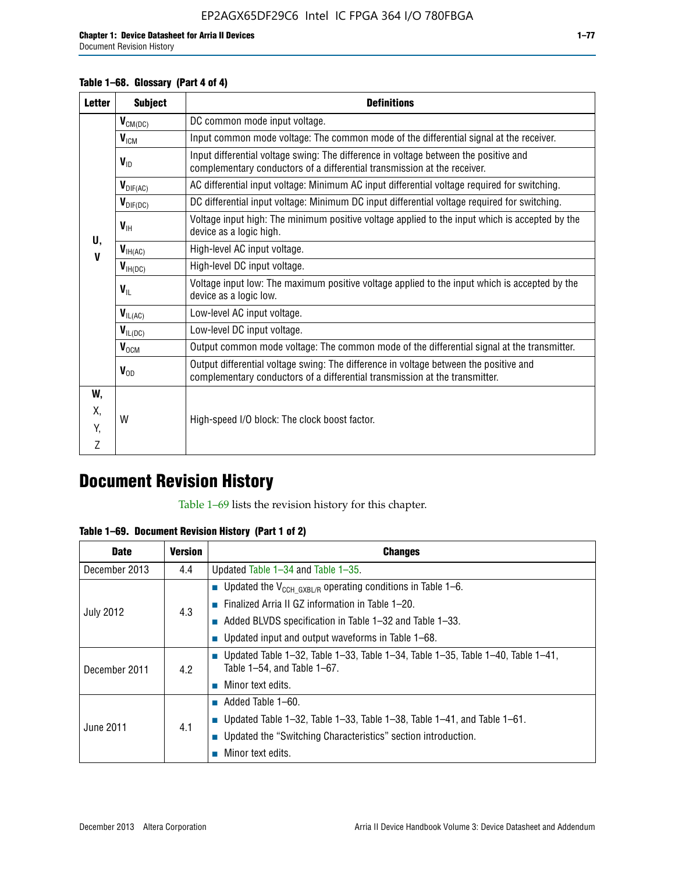### **Table 1–68. Glossary (Part 4 of 4)**

| <b>Letter</b> | <b>Subject</b>           | <b>Definitions</b>                                                                                                                                                   |
|---------------|--------------------------|----------------------------------------------------------------------------------------------------------------------------------------------------------------------|
|               | $V_{CM(DC)}$             | DC common mode input voltage.                                                                                                                                        |
|               | V <sub>ICM</sub>         | Input common mode voltage: The common mode of the differential signal at the receiver.                                                                               |
|               | $V_{ID}$                 | Input differential voltage swing: The difference in voltage between the positive and<br>complementary conductors of a differential transmission at the receiver.     |
|               | $V_{\text{DIF(AC)}}$     | AC differential input voltage: Minimum AC input differential voltage required for switching.                                                                         |
|               | $V_{\text{DIF(DC)}}$     | DC differential input voltage: Minimum DC input differential voltage required for switching.                                                                         |
| U,            | $V_{\text{IH}}$          | Voltage input high: The minimum positive voltage applied to the input which is accepted by the<br>device as a logic high.                                            |
| $\mathbf V$   | $V_{H(AC)}$              | High-level AC input voltage.                                                                                                                                         |
|               | $V_{H(DC)}$              | High-level DC input voltage.                                                                                                                                         |
|               | $V_{\text{IL}}$          | Voltage input low: The maximum positive voltage applied to the input which is accepted by the<br>device as a logic low.                                              |
|               | $\bm{V}_{\text{IL(AC)}}$ | Low-level AC input voltage.                                                                                                                                          |
|               | $V_{IL(DC)}$             | Low-level DC input voltage.                                                                                                                                          |
|               | $V_{OCM}$                | Output common mode voltage: The common mode of the differential signal at the transmitter.                                                                           |
|               | $V_{OD}$                 | Output differential voltage swing: The difference in voltage between the positive and<br>complementary conductors of a differential transmission at the transmitter. |
| W,            |                          |                                                                                                                                                                      |
| Х,            | W                        | High-speed I/O block: The clock boost factor.                                                                                                                        |
| Y.            |                          |                                                                                                                                                                      |
| 7             |                          |                                                                                                                                                                      |

## **Document Revision History**

Table 1–69 lists the revision history for this chapter.

**Table 1–69. Document Revision History (Part 1 of 2)**

| <b>Date</b>      | <b>Version</b> | <b>Changes</b>                                                                                                                      |
|------------------|----------------|-------------------------------------------------------------------------------------------------------------------------------------|
| December 2013    | 4.4            | Updated Table $1-34$ and Table $1-35$ .                                                                                             |
|                  |                | ■ Updated the $V_{CCH GXBL/R}$ operating conditions in Table 1–6.                                                                   |
|                  | 4.3            | <b>Example 1-20.</b> Finalized Arria II GZ information in Table 1-20.                                                               |
| <b>July 2012</b> |                | $\blacksquare$ Added BLVDS specification in Table 1-32 and Table 1-33.                                                              |
|                  |                | <b>Updated input and output waveforms in Table 1–68.</b>                                                                            |
| December 2011    | 4.2            | $\blacksquare$ Updated Table 1-32, Table 1-33, Table 1-34, Table 1-35, Table 1-40, Table 1-41,<br>Table $1-54$ , and Table $1-67$ . |
|                  |                | $\blacksquare$ Minor text edits.                                                                                                    |
|                  |                | $\blacksquare$ Added Table 1–60.                                                                                                    |
| June 2011        |                | <b>Updated Table 1–32, Table 1–33, Table 1–38, Table 1–41, and Table 1–61.</b>                                                      |
|                  | 4.1            | ■ Updated the "Switching Characteristics" section introduction.                                                                     |
|                  |                | Minor text edits.                                                                                                                   |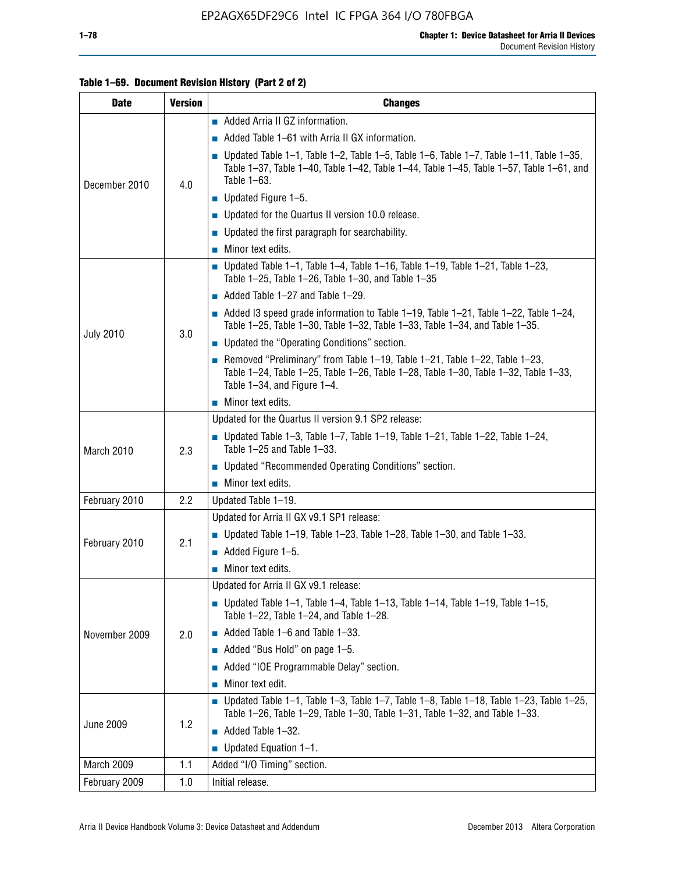| <b>Date</b>      | <b>Version</b> | <b>Changes</b>                                                                                                                                                                                               |
|------------------|----------------|--------------------------------------------------------------------------------------------------------------------------------------------------------------------------------------------------------------|
|                  |                | Added Arria II GZ information.                                                                                                                                                                               |
|                  |                | Added Table 1-61 with Arria II GX information.                                                                                                                                                               |
| December 2010    | 4.0            | <b>Updated Table 1–1, Table 1–2, Table 1–5, Table 1–6, Table 1–7, Table 1–11, Table 1–35,</b><br>Table 1-37, Table 1-40, Table 1-42, Table 1-44, Table 1-45, Table 1-57, Table 1-61, and<br>Table 1-63.      |
|                  |                | $\blacksquare$ Updated Figure 1-5.                                                                                                                                                                           |
|                  |                | Updated for the Quartus II version 10.0 release.                                                                                                                                                             |
|                  |                | • Updated the first paragraph for searchability.                                                                                                                                                             |
|                  |                | $\blacksquare$ Minor text edits.                                                                                                                                                                             |
|                  |                | Updated Table 1-1, Table 1-4, Table 1-16, Table 1-19, Table 1-21, Table 1-23,<br>Table 1-25, Table 1-26, Table 1-30, and Table 1-35                                                                          |
|                  |                | $\blacksquare$ Added Table 1-27 and Table 1-29.                                                                                                                                                              |
| <b>July 2010</b> | 3.0            | $\blacksquare$ Added I3 speed grade information to Table 1-19, Table 1-21, Table 1-22, Table 1-24,<br>Table 1-25, Table 1-30, Table 1-32, Table 1-33, Table 1-34, and Table 1-35.                            |
|                  |                | <b>Updated the "Operating Conditions" section.</b>                                                                                                                                                           |
|                  |                | Removed "Preliminary" from Table $1-19$ , Table $1-21$ , Table $1-22$ , Table $1-23$ ,<br>Table 1-24, Table 1-25, Table 1-26, Table 1-28, Table 1-30, Table 1-32, Table 1-33,<br>Table 1-34, and Figure 1-4. |
|                  |                | $\blacksquare$ Minor text edits.                                                                                                                                                                             |
|                  | 2.3            | Updated for the Quartus II version 9.1 SP2 release:                                                                                                                                                          |
| March 2010       |                | Updated Table 1–3, Table 1–7, Table 1–19, Table 1–21, Table 1–22, Table 1–24,<br>Table 1-25 and Table 1-33.                                                                                                  |
|                  |                | ■ Updated "Recommended Operating Conditions" section.                                                                                                                                                        |
|                  |                | $\blacksquare$ Minor text edits.                                                                                                                                                                             |
| February 2010    | 2.2            | Updated Table 1-19.                                                                                                                                                                                          |
|                  | 2.1            | Updated for Arria II GX v9.1 SP1 release:                                                                                                                                                                    |
| February 2010    |                | Updated Table 1-19, Table 1-23, Table 1-28, Table 1-30, and Table 1-33.                                                                                                                                      |
|                  |                | $\blacksquare$ Added Figure 1-5.                                                                                                                                                                             |
|                  |                | $\blacksquare$ Minor text edits.                                                                                                                                                                             |
|                  |                | Updated for Arria II GX v9.1 release:                                                                                                                                                                        |
|                  |                | Updated Table 1–1, Table 1–4, Table 1–13, Table 1–14, Table 1–19, Table 1–15,<br>Table 1-22, Table 1-24, and Table 1-28.                                                                                     |
| November 2009    | 2.0            | Added Table 1-6 and Table 1-33.                                                                                                                                                                              |
|                  |                | Added "Bus Hold" on page $1-5$ .                                                                                                                                                                             |
|                  |                | Added "IOE Programmable Delay" section.                                                                                                                                                                      |
|                  |                | Minor text edit.                                                                                                                                                                                             |
| <b>June 2009</b> |                | <b>Updated Table 1–1, Table 1–3, Table 1–7, Table 1–8, Table 1–18, Table 1–23, Table 1–25,</b><br>Table 1-26, Table 1-29, Table 1-30, Table 1-31, Table 1-32, and Table 1-33.                                |
|                  | 1.2            | Added Table 1-32.                                                                                                                                                                                            |
|                  |                | Updated Equation 1-1.                                                                                                                                                                                        |
| March 2009       | 1.1            | Added "I/O Timing" section.                                                                                                                                                                                  |
| February 2009    | 1.0            | Initial release.                                                                                                                                                                                             |